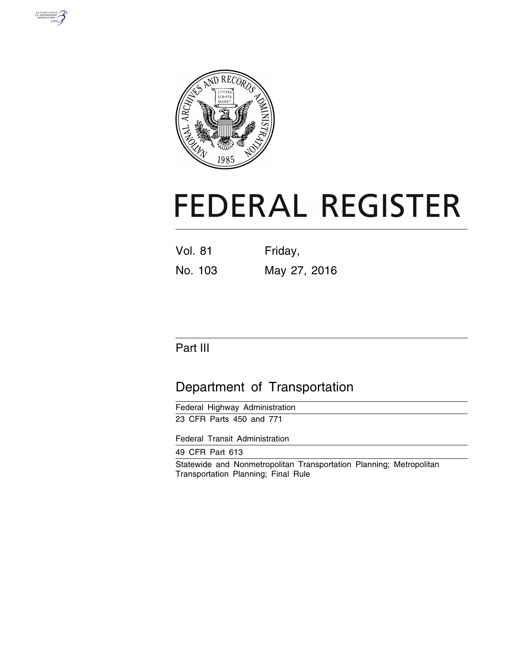



# **FEDERAL REGISTER**

| <b>Vol. 81</b> | Friday,      |
|----------------|--------------|
| No. 103        | May 27, 2016 |

# Part III

# Department of Transportation

| Federal Highway Administration |  |
|--------------------------------|--|
| 23 CFR Parts 450 and 771       |  |

Federal Transit Administration

49 CFR Part 613

Statewide and Nonmetropolitan Transportation Planning; Metropolitan Transportation Planning; Final Rule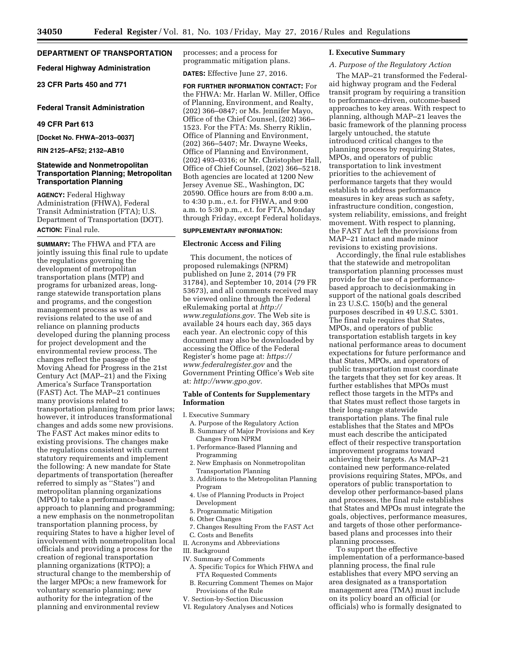# **DEPARTMENT OF TRANSPORTATION**

**Federal Highway Administration** 

**23 CFR Parts 450 and 771** 

#### **Federal Transit Administration**

#### **49 CFR Part 613**

**[Docket No. FHWA–2013–0037]** 

**RIN 2125–AF52; 2132–AB10** 

#### **Statewide and Nonmetropolitan Transportation Planning; Metropolitan Transportation Planning**

**AGENCY:** Federal Highway Administration (FHWA), Federal Transit Administration (FTA); U.S. Department of Transportation (DOT). **ACTION:** Final rule.

**SUMMARY:** The FHWA and FTA are jointly issuing this final rule to update the regulations governing the development of metropolitan transportation plans (MTP) and programs for urbanized areas, longrange statewide transportation plans and programs, and the congestion management process as well as revisions related to the use of and reliance on planning products developed during the planning process for project development and the environmental review process. The changes reflect the passage of the Moving Ahead for Progress in the 21st Century Act (MAP–21) and the Fixing America's Surface Transportation (FAST) Act. The MAP–21 continues many provisions related to transportation planning from prior laws; however, it introduces transformational changes and adds some new provisions. The FAST Act makes minor edits to existing provisions. The changes make the regulations consistent with current statutory requirements and implement the following: A new mandate for State departments of transportation (hereafter referred to simply as ''States'') and metropolitan planning organizations (MPO) to take a performance-based approach to planning and programming; a new emphasis on the nonmetropolitan transportation planning process, by requiring States to have a higher level of involvement with nonmetropolitan local officials and providing a process for the creation of regional transportation planning organizations (RTPO); a structural change to the membership of the larger MPOs; a new framework for voluntary scenario planning; new authority for the integration of the planning and environmental review

processes; and a process for programmatic mitigation plans.

**DATES:** Effective June 27, 2016.

**FOR FURTHER INFORMATION CONTACT:** For the FHWA: Mr. Harlan W. Miller, Office of Planning, Environment, and Realty, (202) 366–0847; or Ms. Jennifer Mayo, Office of the Chief Counsel, (202) 366– 1523. For the FTA: Ms. Sherry Riklin, Office of Planning and Environment, (202) 366–5407; Mr. Dwayne Weeks, Office of Planning and Environment, (202) 493–0316; or Mr. Christopher Hall, Office of Chief Counsel, (202) 366–5218. Both agencies are located at 1200 New Jersey Avenue SE., Washington, DC 20590. Office hours are from 8:00 a.m. to 4:30 p.m., e.t. for FHWA, and 9:00 a.m. to 5:30 p.m., e.t. for FTA, Monday through Friday, except Federal holidays.

## **SUPPLEMENTARY INFORMATION:**

#### **Electronic Access and Filing**

This document, the notices of proposed rulemakings (NPRM) published on June 2, 2014 (79 FR 31784), and September 10, 2014 (79 FR 53673), and all comments received may be viewed online through the Federal eRulemaking portal at *[http://](http://www.regulations.gov) [www.regulations.gov](http://www.regulations.gov)*. The Web site is available 24 hours each day, 365 days each year. An electronic copy of this document may also be downloaded by accessing the Office of the Federal Register's home page at: *[https://](https://www.federalregister.gov) [www.federalregister.gov](https://www.federalregister.gov)* and the Government Printing Office's Web site at: *[http://www.gpo.gov.](http://www.gpo.gov)* 

#### **Table of Contents for Supplementary Information**

I. Executive Summary

- A. Purpose of the Regulatory Action B. Summary of Major Provisions and Key Changes From NPRM
- 1. Performance-Based Planning and Programming
- 2. New Emphasis on Nonmetropolitan Transportation Planning
- 3. Additions to the Metropolitan Planning Program
- 4. Use of Planning Products in Project Development
- 5. Programmatic Mitigation
- 6. Other Changes
- 7. Changes Resulting From the FAST Act
- C. Costs and Benefits
- II. Acronyms and Abbreviations
- III. Background
- IV. Summary of Comments A. Specific Topics for Which FHWA and
- FTA Requested Comments B. Recurring Comment Themes on Major
- Provisions of the Rule V. Section-by-Section Discussion
- 
- VI. Regulatory Analyses and Notices

#### **I. Executive Summary**

#### *A. Purpose of the Regulatory Action*

The MAP–21 transformed the Federalaid highway program and the Federal transit program by requiring a transition to performance-driven, outcome-based approaches to key areas. With respect to planning, although MAP–21 leaves the basic framework of the planning process largely untouched, the statute introduced critical changes to the planning process by requiring States, MPOs, and operators of public transportation to link investment priorities to the achievement of performance targets that they would establish to address performance measures in key areas such as safety, infrastructure condition, congestion, system reliability, emissions, and freight movement. With respect to planning, the FAST Act left the provisions from MAP–21 intact and made minor revisions to existing provisions.

Accordingly, the final rule establishes that the statewide and metropolitan transportation planning processes must provide for the use of a performancebased approach to decisionmaking in support of the national goals described in 23 U.S.C. 150(b) and the general purposes described in 49 U.S.C. 5301. The final rule requires that States, MPOs, and operators of public transportation establish targets in key national performance areas to document expectations for future performance and that States, MPOs, and operators of public transportation must coordinate the targets that they set for key areas. It further establishes that MPOs must reflect those targets in the MTPs and that States must reflect those targets in their long-range statewide transportation plans. The final rule establishes that the States and MPOs must each describe the anticipated effect of their respective transportation improvement programs toward achieving their targets. As MAP–21 contained new performance-related provisions requiring States, MPOs, and operators of public transportation to develop other performance-based plans and processes, the final rule establishes that States and MPOs must integrate the goals, objectives, performance measures, and targets of those other performancebased plans and processes into their planning processes.

To support the effective implementation of a performance-based planning process, the final rule establishes that every MPO serving an area designated as a transportation management area (TMA) must include on its policy board an official (or officials) who is formally designated to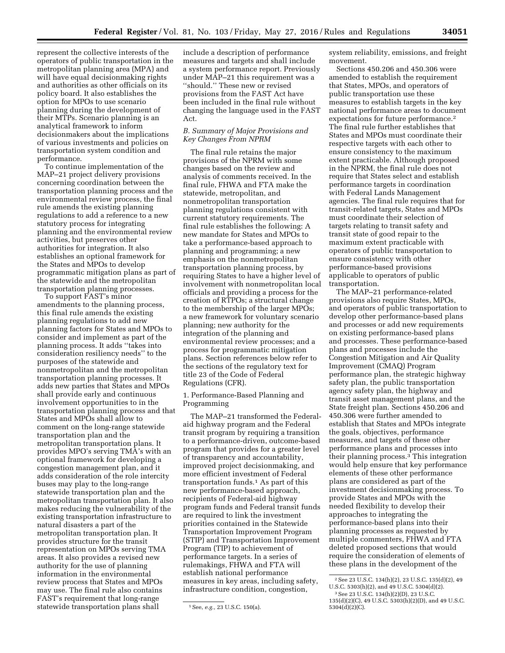represent the collective interests of the operators of public transportation in the metropolitan planning area (MPA) and will have equal decisionmaking rights and authorities as other officials on its policy board. It also establishes the option for MPOs to use scenario planning during the development of their MTPs. Scenario planning is an analytical framework to inform decisionmakers about the implications of various investments and policies on transportation system condition and performance.

To continue implementation of the MAP–21 project delivery provisions concerning coordination between the transportation planning process and the environmental review process, the final rule amends the existing planning regulations to add a reference to a new statutory process for integrating planning and the environmental review activities, but preserves other authorities for integration. It also establishes an optional framework for the States and MPOs to develop programmatic mitigation plans as part of the statewide and the metropolitan transportation planning processes.

To support FAST's minor amendments to the planning process, this final rule amends the existing planning regulations to add new planning factors for States and MPOs to consider and implement as part of the planning process. It adds ''takes into consideration resiliency needs'' to the purposes of the statewide and nonmetropolitan and the metropolitan transportation planning processes. It adds new parties that States and MPOs shall provide early and continuous involvement opportunities to in the transportation planning process and that States and MPOs shall allow to comment on the long-range statewide transportation plan and the metropolitan transportation plans. It provides MPO's serving TMA's with an optional framework for developing a congestion management plan, and it adds consideration of the role intercity buses may play to the long-range statewide transportation plan and the metropolitan transportation plan. It also makes reducing the vulnerability of the existing transportation infrastructure to natural disasters a part of the metropolitan transportation plan. It provides structure for the transit representation on MPOs serving TMA areas. It also provides a revised new authority for the use of planning information in the environmental review process that States and MPOs may use. The final rule also contains FAST's requirement that long-range statewide transportation plans shall

include a description of performance measures and targets and shall include a system performance report. Previously under MAP–21 this requirement was a ''should.'' These new or revised provisions from the FAST Act have been included in the final rule without changing the language used in the FAST Act.

# *B. Summary of Major Provisions and Key Changes From NPRM*

The final rule retains the major provisions of the NPRM with some changes based on the review and analysis of comments received. In the final rule, FHWA and FTA make the statewide, metropolitan, and nonmetropolitan transportation planning regulations consistent with current statutory requirements. The final rule establishes the following: A new mandate for States and MPOs to take a performance-based approach to planning and programming; a new emphasis on the nonmetropolitan transportation planning process, by requiring States to have a higher level of involvement with nonmetropolitan local officials and providing a process for the creation of RTPOs; a structural change to the membership of the larger MPOs; a new framework for voluntary scenario planning; new authority for the integration of the planning and environmental review processes; and a process for programmatic mitigation plans. Section references below refer to the sections of the regulatory text for title 23 of the Code of Federal Regulations (CFR).

1. Performance-Based Planning and Programming

The MAP–21 transformed the Federalaid highway program and the Federal transit program by requiring a transition to a performance-driven, outcome-based program that provides for a greater level of transparency and accountability, improved project decisionmaking, and more efficient investment of Federal transportation funds.1 As part of this new performance-based approach, recipients of Federal-aid highway program funds and Federal transit funds are required to link the investment priorities contained in the Statewide Transportation Improvement Program (STIP) and Transportation Improvement Program (TIP) to achievement of performance targets. In a series of rulemakings, FHWA and FTA will establish national performance measures in key areas, including safety, infrastructure condition, congestion,

system reliability, emissions, and freight movement.

Sections 450.206 and 450.306 were amended to establish the requirement that States, MPOs, and operators of public transportation use these measures to establish targets in the key national performance areas to document expectations for future performance.2 The final rule further establishes that States and MPOs must coordinate their respective targets with each other to ensure consistency to the maximum extent practicable. Although proposed in the NPRM, the final rule does not require that States select and establish performance targets in coordination with Federal Lands Management agencies. The final rule requires that for transit-related targets, States and MPOs must coordinate their selection of targets relating to transit safety and transit state of good repair to the maximum extent practicable with operators of public transportation to ensure consistency with other performance-based provisions applicable to operators of public transportation.

The MAP–21 performance-related provisions also require States, MPOs, and operators of public transportation to develop other performance-based plans and processes or add new requirements on existing performance-based plans and processes. These performance-based plans and processes include the Congestion Mitigation and Air Quality Improvement (CMAQ) Program performance plan, the strategic highway safety plan, the public transportation agency safety plan, the highway and transit asset management plans, and the State freight plan. Sections 450.206 and 450.306 were further amended to establish that States and MPOs integrate the goals, objectives, performance measures, and targets of these other performance plans and processes into their planning process.3 This integration would help ensure that key performance elements of these other performance plans are considered as part of the investment decisionmaking process. To provide States and MPOs with the needed flexibility to develop their approaches to integrating the performance-based plans into their planning processes as requested by multiple commenters, FHWA and FTA deleted proposed sections that would require the consideration of elements of these plans in the development of the

<sup>1</sup>See, *e.g.,* 23 U.S.C. 150(a).

<sup>2</sup>See 23 U.S.C. 134(h)(2), 23 U.S.C. 135(d)(2), 49 U.S.C. 5303(h)(2), and 49 U.S.C. 5304(d)(2).

<sup>3</sup>See 23 U.S.C. 134(h)(2)(D), 23 U.S.C. 135(d)(2)(C), 49 U.S.C. 5303(h)(2)(D), and 49 U.S.C. 5304(d)(2)(C).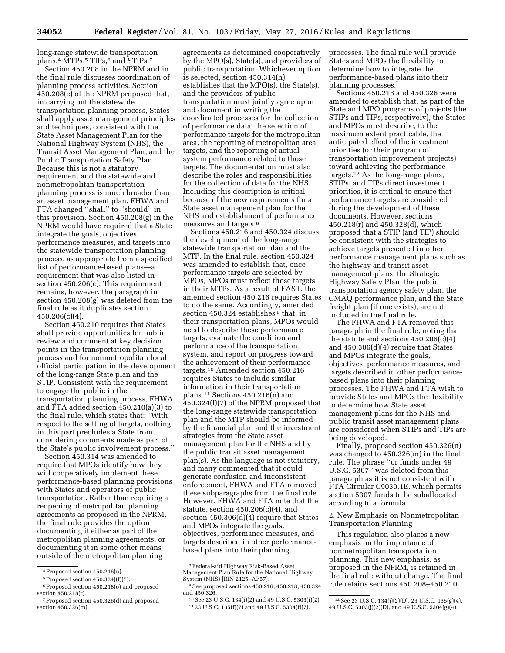long-range statewide transportation plans,<sup>4</sup> MTPs,<sup>5</sup> TIPs,<sup>6</sup> and STIPs.<sup>7</sup>

Section 450.208 in the NPRM and in the final rule discusses coordination of planning process activities. Section 450.208(e) of the NPRM proposed that, in carrying out the statewide transportation planning process, States shall apply asset management principles and techniques, consistent with the State Asset Management Plan for the National Highway System (NHS), the Transit Asset Management Plan, and the Public Transportation Safety Plan. Because this is not a statutory requirement and the statewide and nonmetropolitan transportation planning process is much broader than an asset management plan, FHWA and FTA changed "shall" to "should" in this provision. Section 450.208(g) in the NPRM would have required that a State integrate the goals, objectives, performance measures, and targets into the statewide transportation planning process, as appropriate from a specified list of performance-based plans—a requirement that was also listed in section 450.206(c). This requirement remains, however, the paragraph in section 450.208(g) was deleted from the final rule as it duplicates section 450.206(c)(4).

Section 450.210 requires that States shall provide opportunities for public review and comment at key decision points in the transportation planning process and for nonmetropolitan local official participation in the development of the long-range State plan and the STIP. Consistent with the requirement to engage the public in the transportation planning process, FHWA and FTA added section 450.210(a)(3) to the final rule, which states that: ''With respect to the setting of targets, nothing in this part precludes a State from considering comments made as part of the State's public involvement process.''

Section 450.314 was amended to require that MPOs identify how they will cooperatively implement these performance-based planning provisions with States and operators of public transportation. Rather than requiring a reopening of metropolitan planning agreements as proposed in the NPRM, the final rule provides the option documenting it either as part of the metropolitan planning agreements, or documenting it in some other means outside of the metropolitan planning

agreements as determined cooperatively by the MPO(s), State(s), and providers of public transportation. Whichever option is selected, section 450.314(h) establishes that the MPO(s), the State(s), and the providers of public transportation must jointly agree upon and document in writing the coordinated processes for the collection of performance data, the selection of performance targets for the metropolitan area, the reporting of metropolitan area targets, and the reporting of actual system performance related to those targets. The documentation must also describe the roles and responsibilities for the collection of data for the NHS. Including this description is critical because of the new requirements for a State asset management plan for the NHS and establishment of performance measures and targets.8

Sections 450.216 and 450.324 discuss the development of the long-range statewide transportation plan and the MTP. In the final rule, section 450.324 was amended to establish that, once performance targets are selected by MPOs, MPOs must reflect those targets in their MTPs. As a result of FAST, the amended section 450.216 requires States to do the same. Accordingly, amended section 450.324 establishes <sup>9</sup> that, in their transportation plans, MPOs would need to describe these performance targets, evaluate the condition and performance of the transportation system, and report on progress toward the achievement of their performance targets.10 Amended section 450.216 requires States to include similar information in their transportation plans.11 Sections 450.216(n) and 450.324(f)(7) of the NPRM proposed that the long-range statewide transportation plan and the MTP should be informed by the financial plan and the investment strategies from the State asset management plan for the NHS and by the public transit asset management plan(s). As the language is not statutory, and many commented that it could generate confusion and inconsistent enforcement, FHWA and FTA removed these subparagraphs from the final rule. However, FHWA and FTA note that the statute, section 450.206(c)(4), and section 450.306(d)(4) require that States and MPOs integrate the goals, objectives, performance measures, and targets described in other performancebased plans into their planning

processes. The final rule will provide States and MPOs the flexibility to determine how to integrate the performance-based plans into their planning processes.

Sections 450.218 and 450.326 were amended to establish that, as part of the State and MPO programs of projects (the STIPs and TIPs, respectively), the States and MPOs must describe, to the maximum extent practicable, the anticipated effect of the investment priorities (or their program of transportation improvement projects) toward achieving the performance targets.12 As the long-range plans, STIPs, and TIPs direct investment priorities, it is critical to ensure that performance targets are considered during the development of these documents. However, sections 450.218(r) and 450.328(d), which proposed that a STIP (and TIP) should be consistent with the strategies to achieve targets presented in other performance management plans such as the highway and transit asset management plans, the Strategic Highway Safety Plan, the public transportation agency safety plan, the CMAQ performance plan, and the State freight plan (if one exists), are not included in the final rule.

The FHWA and FTA removed this paragraph in the final rule, noting that the statute and sections  $450.206(c)(4)$ and 450.306(d)(4) require that States and MPOs integrate the goals, objectives, performance measures, and targets described in other performancebased plans into their planning processes. The FHWA and FTA wish to provide States and MPOs the flexibility to determine how State asset management plans for the NHS and public transit asset management plans are considered when STIPs and TIPs are being developed.

Finally, proposed section 450.326(n) was changed to 450.326(m) in the final rule. The phrase ''or funds under 49 U.S.C. 5307'' was deleted from this paragraph as it is not consistent with FTA Circular C9030.1E, which permits section 5307 funds to be suballocated according to a formula.

2. New Emphasis on Nonmetropolitan Transportation Planning

This regulation also places a new emphasis on the importance of nonmetropolitan transportation planning. This new emphasis, as proposed in the NPRM, is retained in the final rule without change. The final rule retains sections 450.208–450.210

<sup>4</sup>Proposed section 450.216(n).

 $5$  Proposed section  $450.324(f)(7)$ .

<sup>6</sup>Proposed section 450.218(o) and proposed section 450.218(r).

<sup>7</sup>Proposed section 450.326(d) and proposed section 450.326(m).

<sup>8</sup>Federal-aid Highway Risk-Based Asset Management Plan Rule for the National Highway

 $^{9}$  See proposed sections 450.216, 450.218, 450.324<br>and 450.326.

<sup>&</sup>lt;sup>10</sup> See 23 U.S.C. 134(i)(2) and 49 U.S.C. 5303(i)(2). <sup>11</sup> 23 U.S.C. 135(f)(7) and 49 U.S.C. 5304(f)(7).

<sup>12</sup>See 23 U.S.C. 134(j)(2)(D), 23 U.S.C. 135(g)(4), 49 U.S.C. 5303(j)(2)(D), and 49 U.S.C. 5304(g)(4).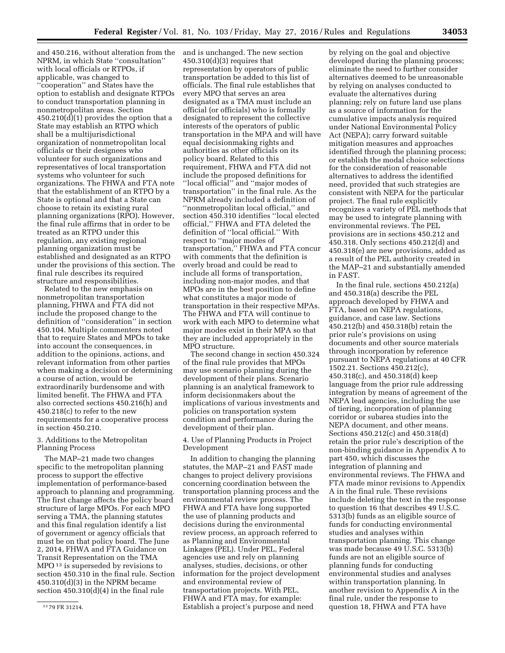and 450.216, without alteration from the NPRM, in which State ''consultation'' with local officials or RTPOs, if applicable, was changed to ''cooperation'' and States have the option to establish and designate RTPOs to conduct transportation planning in nonmetropolitan areas. Section 450.210(d)(1) provides the option that a State may establish an RTPO which shall be a multijurisdictional organization of nonmetropolitan local officials or their designees who volunteer for such organizations and representatives of local transportation systems who volunteer for such organizations. The FHWA and FTA note that the establishment of an RTPO by a State is optional and that a State can choose to retain its existing rural planning organizations (RPO). However, the final rule affirms that in order to be treated as an RTPO under this regulation, any existing regional planning organization must be established and designated as an RTPO under the provisions of this section. The final rule describes its required structure and responsibilities.

Related to the new emphasis on nonmetropolitan transportation planning, FHWA and FTA did not include the proposed change to the definition of ''consideration'' in section 450.104. Multiple commenters noted that to require States and MPOs to take into account the consequences, in addition to the opinions, actions, and relevant information from other parties when making a decision or determining a course of action, would be extraordinarily burdensome and with limited benefit. The FHWA and FTA also corrected sections 450.216(h) and 450.218(c) to refer to the new requirements for a cooperative process in section 450.210.

#### 3. Additions to the Metropolitan Planning Process

The MAP–21 made two changes specific to the metropolitan planning process to support the effective implementation of performance-based approach to planning and programming. The first change affects the policy board structure of large MPOs. For each MPO serving a TMA, the planning statutes and this final regulation identify a list of government or agency officials that must be on that policy board. The June 2, 2014, FHWA and FTA Guidance on Transit Representation on the TMA MPO 13 is superseded by revisions to section 450.310 in the final rule. Section 450.310(d)(3) in the NPRM became section 450.310(d)(4) in the final rule

and is unchanged. The new section  $450.310(d)(3)$  requires that representation by operators of public transportation be added to this list of officials. The final rule establishes that every MPO that serves an area designated as a TMA must include an official (or officials) who is formally designated to represent the collective interests of the operators of public transportation in the MPA and will have equal decisionmaking rights and authorities as other officials on its policy board. Related to this requirement, FHWA and FTA did not include the proposed definitions for ''local official'' and ''major modes of transportation'' in the final rule. As the NPRM already included a definition of ''nonmetropolitan local official,'' and section 450.310 identifies ''local elected official,'' FHWA and FTA deleted the definition of ''local official.'' With respect to ''major modes of transportation,'' FHWA and FTA concur with comments that the definition is overly broad and could be read to include all forms of transportation, including non-major modes, and that MPOs are in the best position to define what constitutes a major mode of transportation in their respective MPAs. The FHWA and FTA will continue to work with each MPO to determine what major modes exist in their MPA so that they are included appropriately in the MPO structure.

The second change in section 450.324 of the final rule provides that MPOs may use scenario planning during the development of their plans. Scenario planning is an analytical framework to inform decisionmakers about the implications of various investments and policies on transportation system condition and performance during the development of their plan.

4. Use of Planning Products in Project Development

In addition to changing the planning statutes, the MAP–21 and FAST made changes to project delivery provisions concerning coordination between the transportation planning process and the environmental review process. The FHWA and FTA have long supported the use of planning products and decisions during the environmental review process, an approach referred to as Planning and Environmental Linkages (PEL). Under PEL, Federal agencies use and rely on planning analyses, studies, decisions, or other information for the project development and environmental review of transportation projects. With PEL, FHWA and FTA may, for example: Establish a project's purpose and need

by relying on the goal and objective developed during the planning process; eliminate the need to further consider alternatives deemed to be unreasonable by relying on analyses conducted to evaluate the alternatives during planning; rely on future land use plans as a source of information for the cumulative impacts analysis required under National Environmental Policy Act (NEPA); carry forward suitable mitigation measures and approaches identified through the planning process; or establish the modal choice selections for the consideration of reasonable alternatives to address the identified need, provided that such strategies are consistent with NEPA for the particular project. The final rule explicitly recognizes a variety of PEL methods that may be used to integrate planning with environmental reviews. The PEL provisions are in sections 450.212 and 450.318. Only sections 450.212(d) and 450.318(e) are new provisions, added as a result of the PEL authority created in the MAP–21 and substantially amended in FAST.

In the final rule, sections 450.212(a) and 450.318(a) describe the PEL approach developed by FHWA and FTA, based on NEPA regulations, guidance, and case law. Sections 450.212(b) and 450.318(b) retain the prior rule's provisions on using documents and other source materials through incorporation by reference pursuant to NEPA regulations at 40 CFR 1502.21. Sections 450.212(c), 450.318(c), and 450.318(d) keep language from the prior rule addressing integration by means of agreement of the NEPA lead agencies, including the use of tiering, incorporation of planning corridor or subarea studies into the NEPA document, and other means. Sections 450.212(c) and 450.318(d) retain the prior rule's description of the non-binding guidance in Appendix A to part 450, which discusses the integration of planning and environmental reviews. The FHWA and FTA made minor revisions to Appendix A in the final rule. These revisions include deleting the text in the response to question 16 that describes 49 U.S.C. 5313(b) funds as an eligible source of funds for conducting environmental studies and analyses within transportation planning. This change was made because 49 U.S.C. 5313(b) funds are not an eligible source of planning funds for conducting environmental studies and analyses within transportation planning. In another revision to Appendix A in the final rule, under the response to question 18, FHWA and FTA have

<sup>13</sup> 79 FR 31214.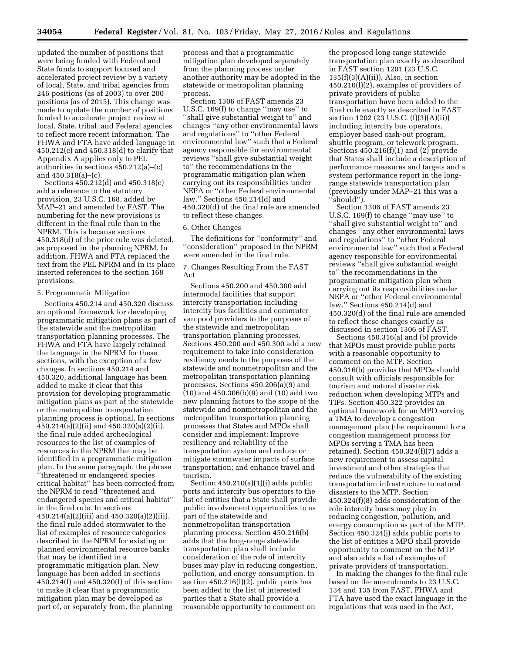updated the number of positions that were being funded with Federal and State funds to support focused and accelerated project review by a variety of local, State, and tribal agencies from 246 positions (as of 2003) to over 200 positions (as of 2015). This change was made to update the number of positions funded to accelerate project review at local, State, tribal, and Federal agencies to reflect more recent information. The FHWA and FTA have added language in 450.212(c) and 450.318(d) to clarify that Appendix A applies only to PEL authorities in sections 450.212(a)–(c) and 450.318(a)–(c).

Sections 450.212(d) and 450.318(e) add a reference to the statutory provision, 23 U.S.C. 168, added by MAP–21 and amended by FAST. The numbering for the new provisions is different in the final rule than in the NPRM. This is because sections 450.318(d) of the prior rule was deleted, as proposed in the planning NPRM. In addition, FHWA and FTA replaced the text from the PEL NPRM and in its place inserted references to the section 168 provisions.

#### 5. Programmatic Mitigation

Sections 450.214 and 450.320 discuss an optional framework for developing programmatic mitigation plans as part of the statewide and the metropolitan transportation planning processes. The FHWA and FTA have largely retained the language in the NPRM for these sections, with the exception of a few changes. In sections 450.214 and 450.320, additional language has been added to make it clear that this provision for developing programmatic mitigation plans as part of the statewide or the metropolitan transportation planning process is optional. In sections 450.214(a)(2)(ii) and 450.320(a)(2)(ii), the final rule added archeological resources to the list of examples of resources in the NPRM that may be identified in a programmatic mitigation plan. In the same paragraph, the phrase ''threatened or endangered species critical habitat'' has been corrected from the NPRM to read ''threatened and endangered species and critical habitat'' in the final rule. In sections 450.214(a)(2)(iii) and 450.320(a)(2)(iii), the final rule added stormwater to the list of examples of resource categories described in the NPRM for existing or planned environmental resource banks that may be identified in a programmatic mitigation plan. New language has been added in sections 450.214(f) and 450.320(f) of this section to make it clear that a programmatic mitigation plan may be developed as part of, or separately from, the planning

process and that a programmatic mitigation plan developed separately from the planning process under another authority may be adopted in the statewide or metropolitan planning process.

Section 1306 of FAST amends 23 U.S.C. 169(f) to change ''may use'' to ''shall give substantial weight to'' and changes ''any other environmental laws and regulations'' to ''other Federal environmental law'' such that a Federal agency responsible for environmental reviews ''shall give substantial weight to'' the recommendations in the programmatic mitigation plan when carrying out its responsibilities under NEPA or ''other Federal environmental law.'' Sections 450.214(d) and 450.320(d) of the final rule are amended to reflect these changes.

#### 6. Other Changes

The definitions for ''conformity'' and ''consideration'' proposed in the NPRM were amended in the final rule.

7. Changes Resulting From the FAST Act

Sections 450.200 and 450.300 add intermodal facilities that support intercity transportation including intercity bus facilities and commuter van pool providers to the purposes of the statewide and metropolitan transportation planning processes. Sections 450.200 and 450.300 add a new requirement to take into consideration resiliency needs to the purposes of the statewide and nonmetropolitan and the metropolitan transportation planning processes. Sections 450.206(a)(9) and (10) and 450.306(b)(9) and (10) add two new planning factors to the scope of the statewide and nonmetropolitan and the metropolitan transportation planning processes that States and MPOs shall consider and implement: Improve resiliency and reliability of the transportation system and reduce or mitigate stormwater impacts of surface transportation; and enhance travel and tourism.

Section 450.210(a)(1)(i) adds public ports and intercity bus operators to the list of entities that a State shall provide public involvement opportunities to as part of the statewide and nonmetropolitan transportation planning process. Section 450.216(b) adds that the long-range statewide transportation plan shall include consideration of the role of intercity buses may play in reducing congestion, pollution, and energy consumption. In section 450.216(l)(2), public ports has been added to the list of interested parties that a State shall provide a reasonable opportunity to comment on

the proposed long-range statewide transportation plan exactly as described in FAST section 1201 (23 U.S.C.  $135(f)(3)(A)(ii)$ ). Also, in section 450.216(l)(2), examples of providers of private providers of public transportation have been added to the final rule exactly as described in FAST section 1202 (23 U.S.C. (f)(3)(A)(ii)) including intercity bus operators, employer based cash-out program, shuttle program, or telework program. Sections  $450.216(f)(1)$  and  $(2)$  provide that States shall include a description of performance measures and targets and a system performance report in the longrange statewide transportation plan (previously under MAP–21 this was a 'should'').

Section 1306 of FAST amends 23 U.S.C. 169(f) to change ''may use'' to ''shall give substantial weight to'' and changes ''any other environmental laws and regulations'' to ''other Federal environmental law'' such that a Federal agency responsible for environmental reviews ''shall give substantial weight to'' the recommendations in the programmatic mitigation plan when carrying out its responsibilities under NEPA or ''other Federal environmental law.'' Sections 450.214(d) and 450.320(d) of the final rule are amended to reflect these changes exactly as discussed in section 1306 of FAST.

Sections 450.316(a) and (b) provide that MPOs must provide public ports with a reasonable opportunity to comment on the MTP. Section 450.316(b) provides that MPOs should consult with officials responsible for tourism and natural disaster risk reduction when developing MTPs and TIPs. Section 450.322 provides an optional framework for an MPO serving a TMA to develop a congestion management plan (the requirement for a congestion management process for MPOs serving a TMA has been retained). Section 450.324(f)(7) adds a new requirement to assess capital investment and other strategies that reduce the vulnerability of the existing transportation infrastructure to natural disasters to the MTP. Section 450.324(f)(8) adds consideration of the role intercity buses may play in reducing congestion, pollution, and energy consumption as part of the MTP. Section 450.324(j) adds public ports to the list of entities a MPO shall provide opportunity to comment on the MTP and also adds a list of examples of private providers of transportation.

In making the changes to the final rule based on the amendments to 23 U.S.C. 134 and 135 from FAST, FHWA and FTA have used the exact language in the regulations that was used in the Act,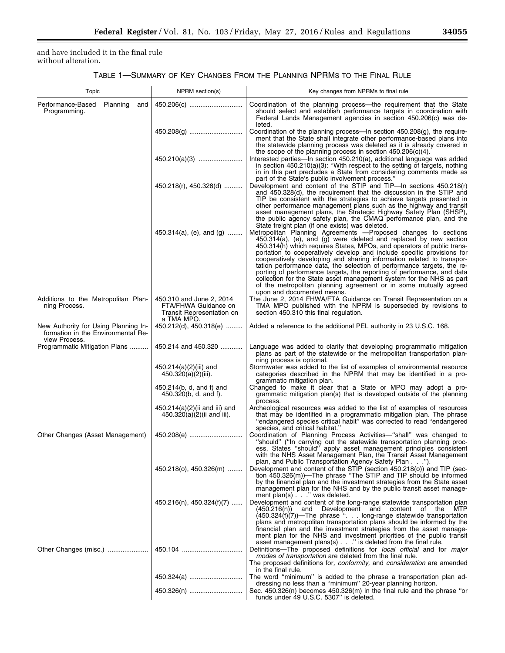and have included it in the final rule without alteration.

TABLE 1—SUMMARY OF KEY CHANGES FROM THE PLANNING NPRMS TO THE FINAL RULE

| Topic                                                                                       | NPRM section(s)                                                                             | Key changes from NPRMs to final rule                                                                                                                                                                                                                                                                                                                                                                                                                                                                                                                                                                                                                                                                |
|---------------------------------------------------------------------------------------------|---------------------------------------------------------------------------------------------|-----------------------------------------------------------------------------------------------------------------------------------------------------------------------------------------------------------------------------------------------------------------------------------------------------------------------------------------------------------------------------------------------------------------------------------------------------------------------------------------------------------------------------------------------------------------------------------------------------------------------------------------------------------------------------------------------------|
| Performance-Based<br>Planning<br>and<br>Programming.                                        | 450.206(c)                                                                                  | Coordination of the planning process—the requirement that the State<br>should select and establish performance targets in coordination with<br>Federal Lands Management agencies in section 450.206(c) was de-<br>leted.                                                                                                                                                                                                                                                                                                                                                                                                                                                                            |
|                                                                                             |                                                                                             | Coordination of the planning process—In section $450.208(g)$ , the require-<br>ment that the State shall integrate other performance-based plans into<br>the statewide planning process was deleted as it is already covered in<br>the scope of the planning process in section $450.206(c)(4)$ .                                                                                                                                                                                                                                                                                                                                                                                                   |
|                                                                                             | 450.210(a)(3)                                                                               | Interested parties—In section 450.210(a), additional language was added<br>in section $450.210(a)(3)$ : "With respect to the setting of targets, nothing<br>in in this part precludes a State from considering comments made as<br>part of the State's public involvement process."                                                                                                                                                                                                                                                                                                                                                                                                                 |
|                                                                                             | $450.218(r)$ , $450.328(d)$                                                                 | Development and content of the STIP and TIP-In sections 450.218(r)<br>and 450.328(d), the requirement that the discussion in the STIP and<br>TIP be consistent with the strategies to achieve targets presented in<br>other performance management plans such as the highway and transit<br>asset management plans, the Strategic Highway Safety Plan (SHSP),<br>the public agency safety plan, the CMAQ performance plan, and the<br>State freight plan (if one exists) was deleted.                                                                                                                                                                                                               |
|                                                                                             | 450.314(a), (e), and (g)                                                                    | Metropolitan Planning Agreements - Proposed changes to sections<br>$450.314(a)$ , (e), and (g) were deleted and replaced by new section<br>450.314(h) which requires States, MPOs, and operators of public trans-<br>portation to cooperatively develop and include specific provisions for<br>cooperatively developing and sharing information related to transpor-<br>tation performance data, the selection of performance targets, the re-<br>porting of performance targets, the reporting of performance, and data<br>collection for the State asset management system for the NHS as part<br>of the metropolitan planning agreement or in some mutually agreed<br>upon and documented means. |
| Additions to the Metropolitan Plan-<br>ning Process.                                        | 450.310 and June 2, 2014<br>FTA/FHWA Guidance on<br>Transit Representation on<br>a TMA MPO. | The June 2, 2014 FHWA/FTA Guidance on Transit Representation on a<br>TMA MPO published with the NPRM is superseded by revisions to<br>section 450.310 this final regulation.                                                                                                                                                                                                                                                                                                                                                                                                                                                                                                                        |
| New Authority for Using Planning In-<br>formation in the Environmental Re-<br>view Process. | 450.212(d), 450.318(e)                                                                      | Added a reference to the additional PEL authority in 23 U.S.C. 168.                                                                                                                                                                                                                                                                                                                                                                                                                                                                                                                                                                                                                                 |
| Programmatic Mitigation Plans                                                               | 450.214 and 450.320                                                                         | Language was added to clarify that developing programmatic mitigation<br>plans as part of the statewide or the metropolitan transportation plan-<br>ning process is optional.                                                                                                                                                                                                                                                                                                                                                                                                                                                                                                                       |
|                                                                                             | 450.214(a)(2)(iii) and<br>450.320(a)(2)(iii).                                               | Stormwater was added to the list of examples of environmental resource<br>categories described in the NPRM that may be identified in a pro-<br>grammatic mitigation plan.                                                                                                                                                                                                                                                                                                                                                                                                                                                                                                                           |
|                                                                                             | 450.214(b, d, and f) and<br>450.320(b, d, and f).                                           | Changed to make it clear that a State or MPO may adopt a pro-<br>grammatic mitigation plan(s) that is developed outside of the planning<br>process.                                                                                                                                                                                                                                                                                                                                                                                                                                                                                                                                                 |
|                                                                                             | 450.214(a)(2)(ii and iii) and<br>450.320(a)(2)(ii and iii).                                 | Archeological resources was added to the list of examples of resources<br>that may be identified in a programmatic mitigation plan. The phrase<br>"endangered species critical habit" was corrected to read "endangered<br>species, and critical habitat."                                                                                                                                                                                                                                                                                                                                                                                                                                          |
| Other Changes (Asset Management)                                                            | 450.208(e)                                                                                  | Coordination of Planning Process Activities—"shall" was changed to<br>"should" ("In carrying out the statewide transportation planning proc-<br>ess, States "should" apply asset management principles consistent<br>with the NHS Asset Management Plan, the Transit Asset Management<br>plan, and Public Transportation Agency Safety Plan").                                                                                                                                                                                                                                                                                                                                                      |
|                                                                                             | $450.218(o), 450.326(m) $                                                                   | Development and content of the STIP (section 450.218(o)) and TIP (sec-<br>tion 450.326(m))—The phrase "The STIP and TIP should be informed<br>by the financial plan and the investment strategies from the State asset<br>management plan for the NHS and by the public transit asset manage-<br>ment plan(s) " was deleted.                                                                                                                                                                                                                                                                                                                                                                        |
|                                                                                             | $450.216(n)$ , $450.324(f)(7)$                                                              | Development and content of the long-range statewide transportation plan<br>and Development and content of the<br>(450.216(n))<br>MTP<br>$(450.324(f))(7)$ —The phrase ". long-range statewide transportation<br>plans and metropolitan transportation plans should be informed by the<br>financial plan and the investment strategies from the asset manage-<br>ment plan for the NHS and investment priorities of the public transit<br>asset management plans(s) " is deleted from the final rule.                                                                                                                                                                                                |
| Other Changes (misc.)                                                                       |                                                                                             | Definitions-The proposed definitions for local official and for major<br>modes of transportation are deleted from the final rule.<br>The proposed definitions for, conformity, and consideration are amended                                                                                                                                                                                                                                                                                                                                                                                                                                                                                        |
|                                                                                             | 450.324(a)                                                                                  | in the final rule.<br>The word "minimum" is added to the phrase a transportation plan ad-                                                                                                                                                                                                                                                                                                                                                                                                                                                                                                                                                                                                           |
|                                                                                             | 450.326(n)                                                                                  | dressing no less than a "minimum" 20-year planning horizon.<br>Sec. 450.326(n) becomes 450.326(m) in the final rule and the phrase "or<br>funds under 49 U.S.C. 5307" is deleted.                                                                                                                                                                                                                                                                                                                                                                                                                                                                                                                   |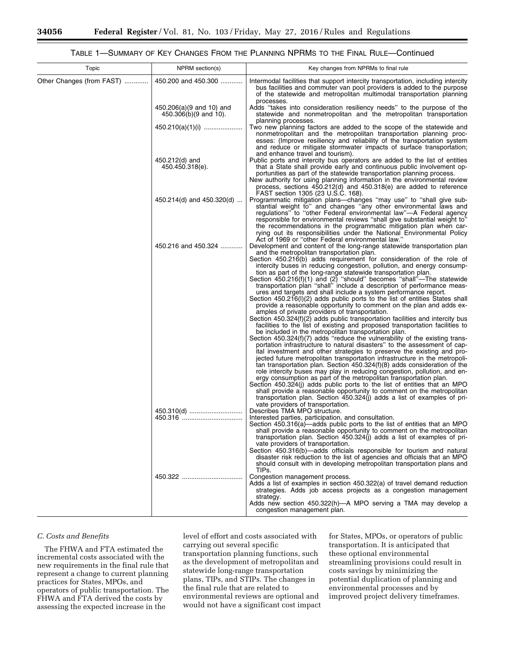# TABLE 1—SUMMARY OF KEY CHANGES FROM THE PLANNING NPRMS TO THE FINAL RULE—Continued

| Topic                     | NPRM section(s)                                   | Key changes from NPRMs to final rule                                                                                                                                                                                                                                                                                                                                                                                                                                                                                                                                                                                                                                                                                                                                                                                                                                                                                                                                                                                                                                                                                                                                                                                                                                                                                                                                                                                                                                                                                                                                                                                                                                                                                                                                                                                       |
|---------------------------|---------------------------------------------------|----------------------------------------------------------------------------------------------------------------------------------------------------------------------------------------------------------------------------------------------------------------------------------------------------------------------------------------------------------------------------------------------------------------------------------------------------------------------------------------------------------------------------------------------------------------------------------------------------------------------------------------------------------------------------------------------------------------------------------------------------------------------------------------------------------------------------------------------------------------------------------------------------------------------------------------------------------------------------------------------------------------------------------------------------------------------------------------------------------------------------------------------------------------------------------------------------------------------------------------------------------------------------------------------------------------------------------------------------------------------------------------------------------------------------------------------------------------------------------------------------------------------------------------------------------------------------------------------------------------------------------------------------------------------------------------------------------------------------------------------------------------------------------------------------------------------------|
| Other Changes (from FAST) | 450.200 and 450.300                               | Intermodal facilities that support intercity transportation, including intercity<br>bus facilities and commuter van pool providers is added to the purpose<br>of the statewide and metropolitan multimodal transportation planning<br>processes.                                                                                                                                                                                                                                                                                                                                                                                                                                                                                                                                                                                                                                                                                                                                                                                                                                                                                                                                                                                                                                                                                                                                                                                                                                                                                                                                                                                                                                                                                                                                                                           |
|                           | 450.206(a)(9 and 10) and<br>450.306(b)(9 and 10). | Adds "takes into consideration resiliency needs" to the purpose of the<br>statewide and nonmetropolitan and the metropolitan transportation                                                                                                                                                                                                                                                                                                                                                                                                                                                                                                                                                                                                                                                                                                                                                                                                                                                                                                                                                                                                                                                                                                                                                                                                                                                                                                                                                                                                                                                                                                                                                                                                                                                                                |
|                           | $450.210(a)(1)(i)$                                | planning processes.<br>Two new planning factors are added to the scope of the statewide and<br>nonmetropolitan and the metropolitan transportation planning proc-<br>esses: (Improve resiliency and reliability of the transportation system<br>and reduce or mitigate stormwater impacts of surface transportation;<br>and enhance travel and tourism).                                                                                                                                                                                                                                                                                                                                                                                                                                                                                                                                                                                                                                                                                                                                                                                                                                                                                                                                                                                                                                                                                                                                                                                                                                                                                                                                                                                                                                                                   |
|                           | 450.212(d) and<br>450.450.318(e).                 | Public ports and intercity bus operators are added to the list of entities<br>that a State shall provide early and continuous public involvement op-<br>portunities as part of the statewide transportation planning process.<br>New authority for using planning information in the environmental review<br>process, sections $450.212(d)$ and $450.318(e)$ are added to reference<br>FAST section 1305 (23 U.S.C. 168).                                                                                                                                                                                                                                                                                                                                                                                                                                                                                                                                                                                                                                                                                                                                                                                                                                                                                                                                                                                                                                                                                                                                                                                                                                                                                                                                                                                                  |
|                           | 450.214(d) and 450.320(d)                         | Programmatic mitigation plans—changes "may use" to "shall give sub-<br>stantial weight to" and changes "any other environmental laws and<br>regulations" to "other Federal environmental law"—A Federal agency<br>responsible for environmental reviews "shall give substantial weight to"<br>the recommendations in the programmatic mitigation plan when car-<br>rying out its responsibilities under the National Environmental Policy<br>Act of 1969 or "other Federal environmental law."                                                                                                                                                                                                                                                                                                                                                                                                                                                                                                                                                                                                                                                                                                                                                                                                                                                                                                                                                                                                                                                                                                                                                                                                                                                                                                                             |
|                           | 450.216 and 450.324                               | Development and content of the long-range statewide transportation plan<br>and the metropolitan transportation plan.<br>Section 450.216(b) adds requirement for consideration of the role of<br>intercity buses in reducing congestion, pollution, and energy consump-<br>tion as part of the long-range statewide transportation plan.<br>Section $450.216(f)(1)$ and $(2)$ "should" becomes "shall"-The statewide<br>transportation plan "shall" include a description of performance meas-<br>ures and targets and shall include a system performance report.<br>Section 450.216(I)(2) adds public ports to the list of entities States shall<br>provide a reasonable opportunity to comment on the plan and adds ex-<br>amples of private providers of transportation.<br>Section 450.324(f)(2) adds public transportation facilities and intercity bus<br>facilities to the list of existing and proposed transportation facilities to<br>be included in the metropolitan transportation plan.<br>Section 450.324(f)(7) adds "reduce the vulnerability of the existing trans-<br>portation infrastructure to natural disasters" to the assessment of cap-<br>ital investment and other strategies to preserve the existing and pro-<br>jected future metropolitan transportation infrastructure in the metropoli-<br>tan transportation plan. Section $450.324(f)(8)$ adds consideration of the<br>role intercity buses may play in reducing congestion, pollution, and en-<br>ergy consumption as part of the metropolitan transportation plan.<br>Section 450.324(j) adds public ports to the list of entities that an MPO<br>shall provide a reasonable opportunity to comment on the metropolitan<br>transportation plan. Section 450.324(j) adds a list of examples of pri-<br>vate providers of transportation. |
|                           | 450.310(d)                                        | Describes TMA MPO structure.<br>Interested parties, participation, and consultation.<br>Section 450.316(a)—adds public ports to the list of entities that an MPO<br>shall provide a reasonable opportunity to comment on the metropolitan<br>transportation plan. Section 450.324(j) adds a list of examples of pri-<br>vate providers of transportation.<br>Section 450.316(b)—adds officials responsible for tourism and natural<br>disaster risk reduction to the list of agencies and officials that an MPO<br>should consult with in developing metropolitan transportation plans and<br>TIPs.                                                                                                                                                                                                                                                                                                                                                                                                                                                                                                                                                                                                                                                                                                                                                                                                                                                                                                                                                                                                                                                                                                                                                                                                                        |
|                           |                                                   | Congestion management process.<br>Adds a list of examples in section 450.322(a) of travel demand reduction<br>strategies. Adds job access projects as a congestion management<br>strategy.<br>Adds new section 450.322(h)—A MPO serving a TMA may develop a<br>congestion management plan.                                                                                                                                                                                                                                                                                                                                                                                                                                                                                                                                                                                                                                                                                                                                                                                                                                                                                                                                                                                                                                                                                                                                                                                                                                                                                                                                                                                                                                                                                                                                 |

#### *C. Costs and Benefits*

The FHWA and FTA estimated the incremental costs associated with the new requirements in the final rule that represent a change to current planning practices for States, MPOs, and operators of public transportation. The FHWA and FTA derived the costs by assessing the expected increase in the

level of effort and costs associated with carrying out several specific transportation planning functions, such as the development of metropolitan and statewide long-range transportation plans, TIPs, and STIPs. The changes in the final rule that are related to environmental reviews are optional and would not have a significant cost impact for States, MPOs, or operators of public transportation. It is anticipated that these optional environmental streamlining provisions could result in costs savings by minimizing the potential duplication of planning and environmental processes and by improved project delivery timeframes.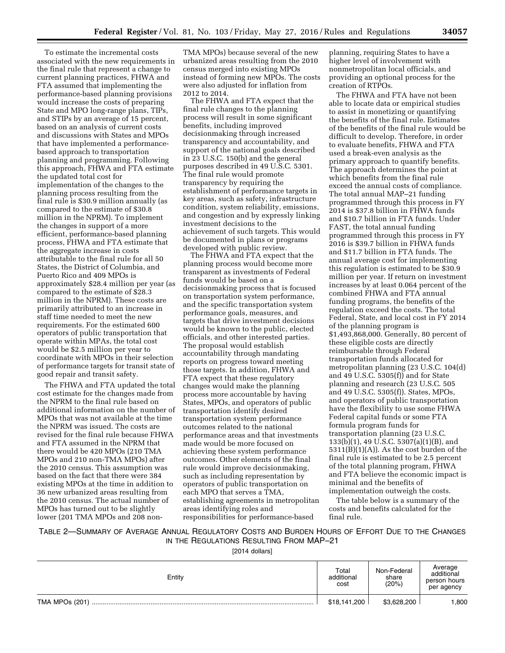To estimate the incremental costs associated with the new requirements in the final rule that represent a change to current planning practices, FHWA and FTA assumed that implementing the performance-based planning provisions would increase the costs of preparing State and MPO long-range plans, TIPs, and STIPs by an average of 15 percent, based on an analysis of current costs and discussions with States and MPOs that have implemented a performancebased approach to transportation planning and programming. Following this approach, FHWA and FTA estimate the updated total cost for implementation of the changes to the planning process resulting from the final rule is \$30.9 million annually (as compared to the estimate of \$30.8 million in the NPRM). To implement the changes in support of a more efficient, performance-based planning process, FHWA and FTA estimate that the aggregate increase in costs attributable to the final rule for all 50 States, the District of Columbia, and Puerto Rico and 409 MPOs is approximately \$28.4 million per year (as compared to the estimate of \$28.3 million in the NPRM). These costs are primarily attributed to an increase in staff time needed to meet the new requirements. For the estimated 600 operators of public transportation that operate within MPAs, the total cost would be \$2.5 million per year to coordinate with MPOs in their selection of performance targets for transit state of good repair and transit safety.

The FHWA and FTA updated the total cost estimate for the changes made from the NPRM to the final rule based on additional information on the number of MPOs that was not available at the time the NPRM was issued. The costs are revised for the final rule because FHWA and FTA assumed in the NPRM that there would be 420 MPOs (210 TMA MPOs and 210 non-TMA MPOs) after the 2010 census. This assumption was based on the fact that there were 384 existing MPOs at the time in addition to 36 new urbanized areas resulting from the 2010 census. The actual number of MPOs has turned out to be slightly lower (201 TMA MPOs and 208 non-

TMA MPOs) because several of the new urbanized areas resulting from the 2010 census merged into existing MPOs instead of forming new MPOs. The costs were also adjusted for inflation from 2012 to 2014.

The FHWA and FTA expect that the final rule changes to the planning process will result in some significant benefits, including improved decisionmaking through increased transparency and accountability, and support of the national goals described in 23 U.S.C. 150(b) and the general purposes described in 49 U.S.C. 5301. The final rule would promote transparency by requiring the establishment of performance targets in key areas, such as safety, infrastructure condition, system reliability, emissions, and congestion and by expressly linking investment decisions to the achievement of such targets. This would be documented in plans or programs developed with public review.

The FHWA and FTA expect that the planning process would become more transparent as investments of Federal funds would be based on a decisionmaking process that is focused on transportation system performance, and the specific transportation system performance goals, measures, and targets that drive investment decisions would be known to the public, elected officials, and other interested parties. The proposal would establish accountability through mandating reports on progress toward meeting those targets. In addition, FHWA and FTA expect that these regulatory changes would make the planning process more accountable by having States, MPOs, and operators of public transportation identify desired transportation system performance outcomes related to the national performance areas and that investments made would be more focused on achieving these system performance outcomes. Other elements of the final rule would improve decisionmaking, such as including representation by operators of public transportation on each MPO that serves a TMA, establishing agreements in metropolitan areas identifying roles and responsibilities for performance-based

planning, requiring States to have a higher level of involvement with nonmetropolitan local officials, and providing an optional process for the creation of RTPOs.

The FHWA and FTA have not been able to locate data or empirical studies to assist in monetizing or quantifying the benefits of the final rule. Estimates of the benefits of the final rule would be difficult to develop. Therefore, in order to evaluate benefits, FHWA and FTA used a break-even analysis as the primary approach to quantify benefits. The approach determines the point at which benefits from the final rule exceed the annual costs of compliance. The total annual MAP–21 funding programmed through this process in FY 2014 is \$37.8 billion in FHWA funds and \$10.7 billion in FTA funds. Under FAST, the total annual funding programmed through this process in FY 2016 is \$39.7 billion in FHWA funds and \$11.7 billion in FTA funds. The annual average cost for implementing this regulation is estimated to be \$30.9 million per year. If return on investment increases by at least 0.064 percent of the combined FHWA and FTA annual funding programs, the benefits of the regulation exceed the costs. The total Federal, State, and local cost in FY 2014 of the planning program is \$1,493,868,000. Generally, 80 percent of these eligible costs are directly reimbursable through Federal transportation funds allocated for metropolitan planning (23 U.S.C. 104(d) and 49 U.S.C. 5305(f)) and for State planning and research (23 U.S.C. 505 and 49 U.S.C. 5305(f)). States, MPOs, and operators of public transportation have the flexibility to use some FHWA Federal capital funds or some FTA formula program funds for transportation planning (23 U.S.C. 133(b)(1), 49 U.S.C. 5307(a)(1)(B), and  $5311(B)(1)(A)$ . As the cost burden of the final rule is estimated to be 2.5 percent of the total planning program, FHWA and FTA believe the economic impact is minimal and the benefits of implementation outweigh the costs.

The table below is a summary of the costs and benefits calculated for the final rule.

TABLE 2—SUMMARY OF AVERAGE ANNUAL REGULATORY COSTS AND BURDEN HOURS OF EFFORT DUE TO THE CHANGES IN THE REGULATIONS RESULTING FROM MAP–21

[2014 dollars]

| Entity         | Total<br>additional<br>cost | Non-Federal<br>share<br>(20%) | Average<br>additional<br>person hours<br>per agency |
|----------------|-----------------------------|-------------------------------|-----------------------------------------------------|
| TMA MPOs (201) | \$18,141,200                | \$3,628,200                   | .800                                                |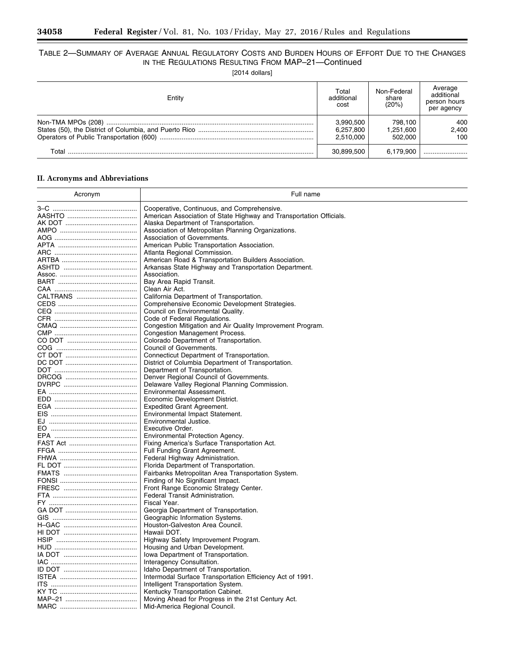$\equiv$ 

۰

# TABLE 2—SUMMARY OF AVERAGE ANNUAL REGULATORY COSTS AND BURDEN HOURS OF EFFORT DUE TO THE CHANGES IN THE REGULATIONS RESULTING FROM MAP–21—Continued

[2014 dollars]

| Entity | Total<br>additional<br>cost         | Non-Federal<br>share<br>(20%)   | Average<br>additional<br>person hours<br>per agency |
|--------|-------------------------------------|---------------------------------|-----------------------------------------------------|
|        | 3,990,500<br>6,257,800<br>2.510.000 | 798.100<br>1.251.600<br>502.000 | 400<br>2,400<br>100                                 |
| T∩tal  | 30.899.500                          | 6.179.900                       |                                                     |

# **II. Acronyms and Abbreviations**

| Acronym  | Full name                                                           |
|----------|---------------------------------------------------------------------|
|          | Cooperative, Continuous, and Comprehensive.                         |
|          | American Association of State Highway and Transportation Officials. |
|          | Alaska Department of Transportation.                                |
|          | Association of Metropolitan Planning Organizations.                 |
|          | Association of Governments.                                         |
|          | American Public Transportation Association.                         |
|          | Atlanta Regional Commission.                                        |
|          |                                                                     |
|          | American Road & Transportation Builders Association.                |
|          | Arkansas State Highway and Transportation Department.               |
|          | Association.                                                        |
|          | Bay Area Rapid Transit.                                             |
|          | Clean Air Act.                                                      |
| CALTRANS | California Department of Transportation.                            |
|          | Comprehensive Economic Development Strategies.                      |
|          | Council on Environmental Quality.                                   |
|          | Code of Federal Regulations.                                        |
|          | Congestion Mitigation and Air Quality Improvement Program.          |
|          | <b>Congestion Management Process.</b>                               |
|          | Colorado Department of Transportation.                              |
|          | Council of Governments.                                             |
|          | Connecticut Department of Transportation.                           |
|          | District of Columbia Department of Transportation.                  |
|          | Department of Transportation.                                       |
|          | Denver Regional Council of Governments.                             |
|          | Delaware Valley Regional Planning Commission.                       |
|          | Environmental Assessment.                                           |
|          | Economic Development District.                                      |
|          | <b>Expedited Grant Agreement.</b>                                   |
|          | Environmental Impact Statement.                                     |
|          | Environmental Justice.                                              |
|          | Executive Order.                                                    |
|          | Environmental Protection Agency.                                    |
|          | Fixing America's Surface Transportation Act.                        |
|          | Full Funding Grant Agreement.                                       |
|          | Federal Highway Administration.                                     |
|          | Florida Department of Transportation.                               |
|          | Fairbanks Metropolitan Area Transportation System.                  |
|          | Finding of No Significant Impact.                                   |
|          | Front Range Economic Strategy Center.                               |
|          | Federal Transit Administration.                                     |
|          | Fiscal Year.                                                        |
|          | Georgia Department of Transportation.                               |
|          | Geographic Information Systems.                                     |
|          | Houston-Galveston Area Council.                                     |
|          | Hawaii DOT.                                                         |
|          | Highway Safety Improvement Program.                                 |
|          | Housing and Urban Development.                                      |
|          | Iowa Department of Transportation.                                  |
|          | Interagency Consultation.                                           |
|          | Idaho Department of Transportation.                                 |
|          | Intermodal Surface Transportation Efficiency Act of 1991.           |
|          | Intelligent Transportation System.                                  |
|          | Kentucky Transportation Cabinet.                                    |
|          | Moving Ahead for Progress in the 21st Century Act.                  |
|          |                                                                     |
|          | Mid-America Regional Council.                                       |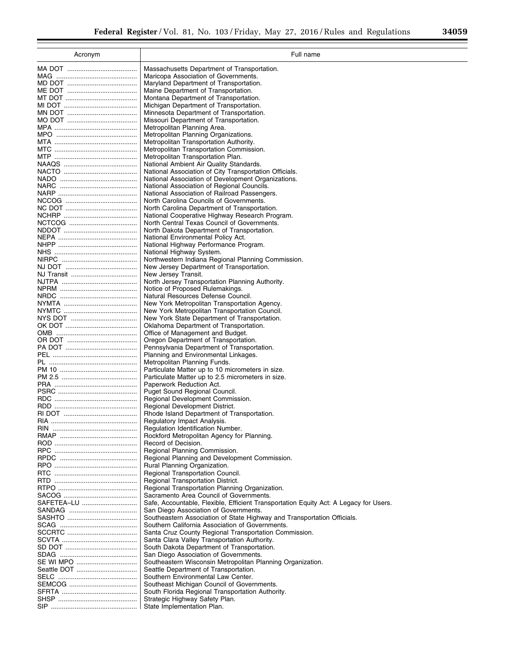2

| Acronym     | Full name                                                                                           |
|-------------|-----------------------------------------------------------------------------------------------------|
|             | Massachusetts Department of Transportation.                                                         |
|             | Maricopa Association of Governments.                                                                |
|             | Maryland Department of Transportation.                                                              |
|             | Maine Department of Transportation.                                                                 |
|             | Montana Department of Transportation.                                                               |
|             | Michigan Department of Transportation.                                                              |
|             | Minnesota Department of Transportation.                                                             |
|             | Missouri Department of Transportation.                                                              |
|             | Metropolitan Planning Area.<br>Metropolitan Planning Organizations.                                 |
|             | Metropolitan Transportation Authority.                                                              |
|             | Metropolitan Transportation Commission.                                                             |
|             | Metropolitan Transportation Plan.                                                                   |
|             | National Ambient Air Quality Standards.                                                             |
|             | National Association of City Transportation Officials.                                              |
|             | National Association of Development Organizations.                                                  |
|             | National Association of Regional Councils.                                                          |
|             | National Association of Railroad Passengers.                                                        |
|             | North Carolina Councils of Governments.<br>North Carolina Department of Transportation.             |
|             | National Cooperative Highway Research Program.                                                      |
|             | North Central Texas Council of Governments.                                                         |
|             | North Dakota Department of Transportation.                                                          |
|             | National Environmental Policy Act.                                                                  |
|             | National Highway Performance Program.                                                               |
|             | National Highway System.                                                                            |
|             | Northwestern Indiana Regional Planning Commission.                                                  |
|             | New Jersey Department of Transportation.                                                            |
|             | New Jersey Transit.<br>North Jersey Transportation Planning Authority.                              |
|             | Notice of Proposed Rulemakings.                                                                     |
|             | Natural Resources Defense Council.                                                                  |
|             | New York Metropolitan Transportation Agency.                                                        |
|             | New York Metropolitan Transportation Council.                                                       |
|             | New York State Department of Transportation.                                                        |
|             | Oklahoma Department of Transportation.                                                              |
|             | Office of Management and Budget.                                                                    |
|             | Oregon Department of Transportation.<br>Pennsylvania Department of Transportation.                  |
|             | Planning and Environmental Linkages.                                                                |
|             | Metropolitan Planning Funds.                                                                        |
|             | Particulate Matter up to 10 micrometers in size.                                                    |
|             | Particulate Matter up to 2.5 micrometers in size.                                                   |
|             | Paperwork Reduction Act.                                                                            |
|             | Puget Sound Regional Council.                                                                       |
|             | Regional Development Commission.                                                                    |
|             | Regional Development District.<br>Rhode Island Department of Transportation.                        |
|             | Regulatory Impact Analysis.                                                                         |
|             | Regulation Identification Number.                                                                   |
|             | Rockford Metropolitan Agency for Planning.                                                          |
|             | Record of Decision.                                                                                 |
|             | Regional Planning Commission.                                                                       |
|             | Regional Planning and Development Commission.                                                       |
|             | Rural Planning Organization.                                                                        |
|             | Regional Transportation Council.                                                                    |
|             | Regional Transportation District.<br>Regional Transportation Planning Organization.                 |
|             | Sacramento Area Council of Governments.                                                             |
| SAFETEA–LU  | Safe, Accountable, Flexible, Efficient Transportation Equity Act: A Legacy for Users.               |
|             | San Diego Association of Governments.                                                               |
|             | Southeastern Association of State Highway and Transportation Officials.                             |
|             | Southern California Association of Governments.                                                     |
|             | Santa Cruz County Regional Transportation Commission.                                               |
|             | Santa Clara Valley Transportation Authority.                                                        |
|             | South Dakota Department of Transportation.                                                          |
| SE WI MPO   | San Diego Association of Governments.<br>Southeastern Wisconsin Metropolitan Planning Organization. |
| Seattle DOT | Seattle Department of Transportation.                                                               |
|             | Southern Environmental Law Center.                                                                  |
|             | Southeast Michigan Council of Governments.                                                          |
|             | South Florida Regional Transportation Authority.                                                    |
|             | Strategic Highway Safety Plan.                                                                      |
|             | State Implementation Plan.                                                                          |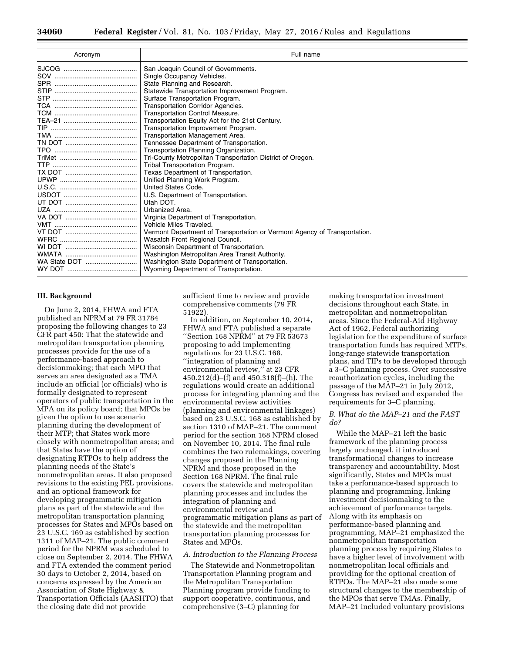| Acronym      | Full name                                                                 |
|--------------|---------------------------------------------------------------------------|
|              | San Joaquin Council of Governments.                                       |
|              | Single Occupancy Vehicles.                                                |
|              | State Planning and Research.                                              |
|              | Statewide Transportation Improvement Program.                             |
|              | Surface Transportation Program.                                           |
|              | Transportation Corridor Agencies.                                         |
|              | <b>Transportation Control Measure.</b>                                    |
|              | Transportation Equity Act for the 21st Century.                           |
|              | Transportation Improvement Program.                                       |
|              | Transportation Management Area.                                           |
|              | Tennessee Department of Transportation.                                   |
|              | Transportation Planning Organization.                                     |
|              | Tri-County Metropolitan Transportation District of Oregon.                |
|              | Tribal Transportation Program.                                            |
|              | Texas Department of Transportation.                                       |
|              | Unified Planning Work Program.                                            |
|              | United States Code.                                                       |
|              | U.S. Department of Transportation.                                        |
|              | Utah DOT.                                                                 |
|              | Urbanized Area.                                                           |
|              | Virginia Department of Transportation.                                    |
|              | Vehicle Miles Traveled.                                                   |
|              | Vermont Department of Transportation or Vermont Agency of Transportation. |
|              | Wasatch Front Regional Council.                                           |
|              | Wisconsin Department of Transportation.                                   |
|              | Washington Metropolitan Area Transit Authority.                           |
| WA State DOT | Washington State Department of Transportation.                            |
|              | Wyoming Department of Transportation.                                     |

#### **III. Background**

On June 2, 2014, FHWA and FTA published an NPRM at 79 FR 31784 proposing the following changes to 23 CFR part 450: That the statewide and metropolitan transportation planning processes provide for the use of a performance-based approach to decisionmaking; that each MPO that serves an area designated as a TMA include an official (or officials) who is formally designated to represent operators of public transportation in the MPA on its policy board; that MPOs be given the option to use scenario planning during the development of their MTP; that States work more closely with nonmetropolitan areas; and that States have the option of designating RTPOs to help address the planning needs of the State's nonmetropolitan areas. It also proposed revisions to the existing PEL provisions, and an optional framework for developing programmatic mitigation plans as part of the statewide and the metropolitan transportation planning processes for States and MPOs based on 23 U.S.C. 169 as established by section 1311 of MAP–21. The public comment period for the NPRM was scheduled to close on September 2, 2014. The FHWA and FTA extended the comment period 30 days to October 2, 2014, based on concerns expressed by the American Association of State Highway & Transportation Officials (AASHTO) that the closing date did not provide

sufficient time to review and provide comprehensive comments (79 FR 51922).

In addition, on September 10, 2014, FHWA and FTA published a separate ''Section 168 NPRM'' at 79 FR 53673 proposing to add implementing regulations for 23 U.S.C. 168, ''integration of planning and environmental review," at 23 CFR 450.212(d)–(f) and 450.318(f)–(h). The regulations would create an additional process for integrating planning and the environmental review activities (planning and environmental linkages) based on 23 U.S.C. 168 as established by section 1310 of MAP–21. The comment period for the section 168 NPRM closed on November 10, 2014. The final rule combines the two rulemakings, covering changes proposed in the Planning NPRM and those proposed in the Section 168 NPRM. The final rule covers the statewide and metropolitan planning processes and includes the integration of planning and environmental review and programmatic mitigation plans as part of the statewide and the metropolitan transportation planning processes for States and MPOs.

#### *A. Introduction to the Planning Process*

The Statewide and Nonmetropolitan Transportation Planning program and the Metropolitan Transportation Planning program provide funding to support cooperative, continuous, and comprehensive (3–C) planning for

making transportation investment decisions throughout each State, in metropolitan and nonmetropolitan areas. Since the Federal-Aid Highway Act of 1962, Federal authorizing legislation for the expenditure of surface transportation funds has required MTPs, long-range statewide transportation plans, and TIPs to be developed through a 3–C planning process. Over successive reauthorization cycles, including the passage of the MAP–21 in July 2012, Congress has revised and expanded the requirements for 3–C planning.

## *B. What do the MAP–21 and the FAST do?*

While the MAP–21 left the basic framework of the planning process largely unchanged, it introduced transformational changes to increase transparency and accountability. Most significantly, States and MPOs must take a performance-based approach to planning and programming, linking investment decisionmaking to the achievement of performance targets. Along with its emphasis on performance-based planning and programming, MAP–21 emphasized the nonmetropolitan transportation planning process by requiring States to have a higher level of involvement with nonmetropolitan local officials and providing for the optional creation of RTPOs. The MAP–21 also made some structural changes to the membership of the MPOs that serve TMAs. Finally, MAP–21 included voluntary provisions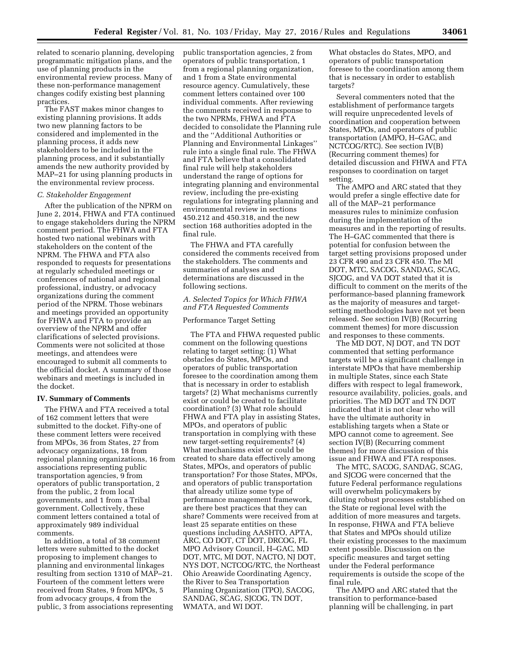related to scenario planning, developing programmatic mitigation plans, and the use of planning products in the environmental review process. Many of these non-performance management changes codify existing best planning practices.

The FAST makes minor changes to existing planning provisions. It adds two new planning factors to be considered and implemented in the planning process, it adds new stakeholders to be included in the planning process, and it substantially amends the new authority provided by MAP–21 for using planning products in the environmental review process.

#### *C. Stakeholder Engagement*

After the publication of the NPRM on June 2, 2014, FHWA and FTA continued to engage stakeholders during the NPRM comment period. The FHWA and FTA hosted two national webinars with stakeholders on the content of the NPRM. The FHWA and FTA also responded to requests for presentations at regularly scheduled meetings or conferences of national and regional professional, industry, or advocacy organizations during the comment period of the NPRM. Those webinars and meetings provided an opportunity for FHWA and FTA to provide an overview of the NPRM and offer clarifications of selected provisions. Comments were not solicited at those meetings, and attendees were encouraged to submit all comments to the official docket. A summary of those webinars and meetings is included in the docket.

# **IV. Summary of Comments**

The FHWA and FTA received a total of 162 comment letters that were submitted to the docket. Fifty-one of these comment letters were received from MPOs, 36 from States, 27 from advocacy organizations, 18 from regional planning organizations, 16 from associations representing public transportation agencies, 9 from operators of public transportation, 2 from the public, 2 from local governments, and 1 from a Tribal government. Collectively, these comment letters contained a total of approximately 989 individual comments.

In addition, a total of 38 comment letters were submitted to the docket proposing to implement changes to planning and environmental linkages resulting from section 1310 of MAP–21. Fourteen of the comment letters were received from States, 9 from MPOs, 5 from advocacy groups, 4 from the public, 3 from associations representing public transportation agencies, 2 from operators of public transportation, 1 from a regional planning organization, and 1 from a State environmental resource agency. Cumulatively, these comment letters contained over 100 individual comments. After reviewing the comments received in response to the two NPRMs, FHWA and FTA decided to consolidate the Planning rule and the ''Additional Authorities or Planning and Environmental Linkages'' rule into a single final rule. The FHWA and FTA believe that a consolidated final rule will help stakeholders understand the range of options for integrating planning and environmental review, including the pre-existing regulations for integrating planning and environmental review in sections 450.212 and 450.318, and the new section 168 authorities adopted in the final rule.

The FHWA and FTA carefully considered the comments received from the stakeholders. The comments and summaries of analyses and determinations are discussed in the following sections.

#### *A. Selected Topics for Which FHWA and FTA Requested Comments*

#### Performance Target Setting

The FTA and FHWA requested public comment on the following questions relating to target setting: (1) What obstacles do States, MPOs, and operators of public transportation foresee to the coordination among them that is necessary in order to establish targets? (2) What mechanisms currently exist or could be created to facilitate coordination? (3) What role should FHWA and FTA play in assisting States, MPOs, and operators of public transportation in complying with these new target-setting requirements? (4) What mechanisms exist or could be created to share data effectively among States, MPOs, and operators of public transportation? For those States, MPOs, and operators of public transportation that already utilize some type of performance management framework, are there best practices that they can share? Comments were received from at least 25 separate entities on these questions including AASHTO, APTA, ARC, CO DOT, CT DOT, DRCOG, FL MPO Advisory Council, H–GAC, MD DOT, MTC, MI DOT, NACTO, NJ DOT, NYS DOT, NCTCOG/RTC, the Northeast Ohio Areawide Coordinating Agency, the River to Sea Transportation Planning Organization (TPO), SACOG, SANDAG, SCAG, SJCOG, TN DOT, WMATA, and WI DOT.

What obstacles do States, MPO, and operators of public transportation foresee to the coordination among them that is necessary in order to establish targets?

Several commenters noted that the establishment of performance targets will require unprecedented levels of coordination and cooperation between States, MPOs, and operators of public transportation (AMPO, H–GAC, and NCTCOG/RTC). See section IV(B) (Recurring comment themes) for detailed discussion and FHWA and FTA responses to coordination on target setting.

The AMPO and ARC stated that they would prefer a single effective date for all of the MAP–21 performance measures rules to minimize confusion during the implementation of the measures and in the reporting of results. The H–GAC commented that there is potential for confusion between the target setting provisions proposed under 23 CFR 490 and 23 CFR 450. The MI DOT, MTC, SACOG, SANDAG, SCAG, SJCOG, and VA DOT stated that it is difficult to comment on the merits of the performance-based planning framework as the majority of measures and targetsetting methodologies have not yet been released. See section IV(B) (Recurring comment themes) for more discussion and responses to these comments.

The MD DOT, NJ DOT, and TN DOT commented that setting performance targets will be a significant challenge in interstate MPOs that have membership in multiple States, since each State differs with respect to legal framework, resource availability, policies, goals, and priorities. The MD DOT and TN DOT indicated that it is not clear who will have the ultimate authority in establishing targets when a State or MPO cannot come to agreement. See section IV(B) (Recurring comment themes) for more discussion of this issue and FHWA and FTA responses.

The MTC, SACOG, SANDAG, SCAG, and SJCOG were concerned that the future Federal performance regulations will overwhelm policymakers by diluting robust processes established on the State or regional level with the addition of more measures and targets. In response, FHWA and FTA believe that States and MPOs should utilize their existing processes to the maximum extent possible. Discussion on the specific measures and target setting under the Federal performance requirements is outside the scope of the final rule.

The AMPO and ARC stated that the transition to performance-based planning will be challenging, in part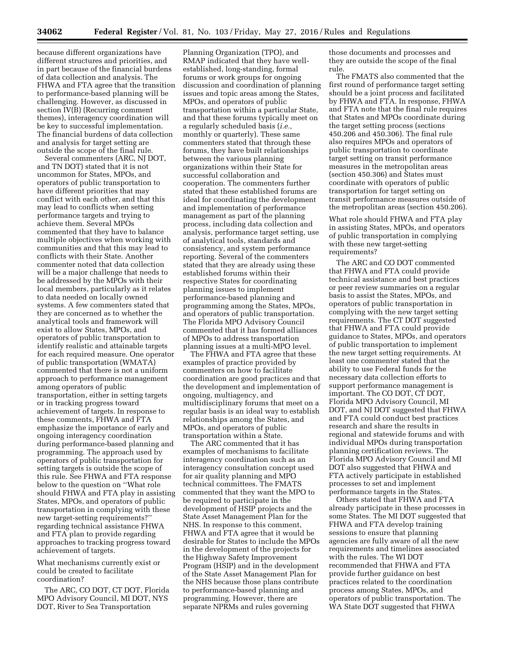because different organizations have different structures and priorities, and in part because of the financial burdens of data collection and analysis. The FHWA and FTA agree that the transition to performance-based planning will be challenging. However, as discussed in section IV(B) (Recurring comment themes), interagency coordination will be key to successful implementation. The financial burdens of data collection and analysis for target setting are outside the scope of the final rule.

Several commenters (ARC, NJ DOT, and TN DOT) stated that it is not uncommon for States, MPOs, and operators of public transportation to have different priorities that may conflict with each other, and that this may lead to conflicts when setting performance targets and trying to achieve them. Several MPOs commented that they have to balance multiple objectives when working with communities and that this may lead to conflicts with their State. Another commenter noted that data collection will be a major challenge that needs to be addressed by the MPOs with their local members, particularly as it relates to data needed on locally owned systems. A few commenters stated that they are concerned as to whether the analytical tools and framework will exist to allow States, MPOs, and operators of public transportation to identify realistic and attainable targets for each required measure. One operator of public transportation (WMATA) commented that there is not a uniform approach to performance management among operators of public transportation, either in setting targets or in tracking progress toward achievement of targets. In response to these comments, FHWA and FTA emphasize the importance of early and ongoing interagency coordination during performance-based planning and programming. The approach used by operators of public transportation for setting targets is outside the scope of this rule. See FHWA and FTA response below to the question on ''What role should FHWA and FTA play in assisting States, MPOs, and operators of public transportation in complying with these new target-setting requirements?'' regarding technical assistance FHWA and FTA plan to provide regarding approaches to tracking progress toward achievement of targets.

What mechanisms currently exist or could be created to facilitate coordination?

The ARC, CO DOT, CT DOT, Florida MPO Advisory Council, MI DOT, NYS DOT, River to Sea Transportation

Planning Organization (TPO), and RMAP indicated that they have wellestablished, long-standing, formal forums or work groups for ongoing discussion and coordination of planning issues and topic areas among the States, MPOs, and operators of public transportation within a particular State, and that these forums typically meet on a regularly scheduled basis (*i.e.,*  monthly or quarterly). These same commenters stated that through these forums, they have built relationships between the various planning organizations within their State for successful collaboration and cooperation. The commenters further stated that these established forums are ideal for coordinating the development and implementation of performance management as part of the planning process, including data collection and analysis, performance target setting, use of analytical tools, standards and consistency, and system performance reporting. Several of the commenters stated that they are already using these established forums within their respective States for coordinating planning issues to implement performance-based planning and programming among the States, MPOs, and operators of public transportation. The Florida MPO Advisory Council commented that it has formed alliances of MPOs to address transportation planning issues at a multi-MPO level.

The FHWA and FTA agree that these examples of practice provided by commenters on how to facilitate coordination are good practices and that the development and implementation of ongoing, multiagency, and multidisciplinary forums that meet on a regular basis is an ideal way to establish relationships among the States, and MPOs, and operators of public transportation within a State.

The ARC commented that it has examples of mechanisms to facilitate interagency coordination such as an interagency consultation concept used for air quality planning and MPO technical committees. The FMATS commented that they want the MPO to be required to participate in the development of HSIP projects and the State Asset Management Plan for the NHS. In response to this comment, FHWA and FTA agree that it would be desirable for States to include the MPOs in the development of the projects for the Highway Safety Improvement Program (HSIP) and in the development of the State Asset Management Plan for the NHS because those plans contribute to performance-based planning and programming. However, there are separate NPRMs and rules governing

those documents and processes and they are outside the scope of the final rule.

The FMATS also commented that the first round of performance target setting should be a joint process and facilitated by FHWA and FTA. In response, FHWA and FTA note that the final rule requires that States and MPOs coordinate during the target setting process (sections 450.206 and 450.306). The final rule also requires MPOs and operators of public transportation to coordinate target setting on transit performance measures in the metropolitan areas (section 450.306) and States must coordinate with operators of public transportation for target setting on transit performance measures outside of the metropolitan areas (section 450.206).

What role should FHWA and FTA play in assisting States, MPOs, and operators of public transportation in complying with these new target-setting requirements?

The ARC and CO DOT commented that FHWA and FTA could provide technical assistance and best practices or peer review summaries on a regular basis to assist the States, MPOs, and operators of public transportation in complying with the new target setting requirements. The CT DOT suggested that FHWA and FTA could provide guidance to States, MPOs, and operators of public transportation to implement the new target setting requirements. At least one commenter stated that the ability to use Federal funds for the necessary data collection efforts to support performance management is important. The CO DOT, CT DOT, Florida MPO Advisory Council, MI DOT, and NJ DOT suggested that FHWA and FTA could conduct best practices research and share the results in regional and statewide forums and with individual MPOs during transportation planning certification reviews. The Florida MPO Advisory Council and MI DOT also suggested that FHWA and FTA actively participate in established processes to set and implement performance targets in the States.

Others stated that FHWA and FTA already participate in these processes in some States. The MI DOT suggested that FHWA and FTA develop training sessions to ensure that planning agencies are fully aware of all the new requirements and timelines associated with the rules. The WI DOT recommended that FHWA and FTA provide further guidance on best practices related to the coordination process among States, MPOs, and operators of public transportation. The WA State DOT suggested that FHWA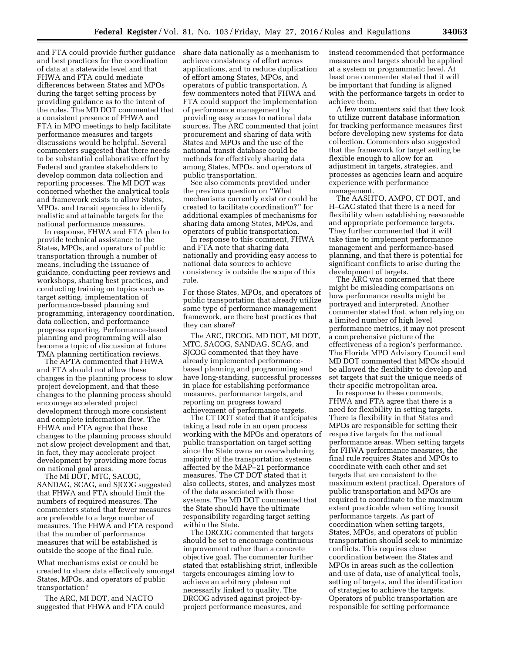and FTA could provide further guidance and best practices for the coordination of data at a statewide level and that FHWA and FTA could mediate differences between States and MPOs during the target setting process by providing guidance as to the intent of the rules. The MD DOT commented that a consistent presence of FHWA and FTA in MPO meetings to help facilitate performance measures and targets discussions would be helpful. Several commenters suggested that there needs to be substantial collaborative effort by Federal and grantee stakeholders to develop common data collection and reporting processes. The MI DOT was concerned whether the analytical tools and framework exists to allow States, MPOs, and transit agencies to identify realistic and attainable targets for the national performance measures.

In response, FHWA and FTA plan to provide technical assistance to the States, MPOs, and operators of public transportation through a number of means, including the issuance of guidance, conducting peer reviews and workshops, sharing best practices, and conducting training on topics such as target setting, implementation of performance-based planning and programming, interagency coordination, data collection, and performance progress reporting. Performance-based planning and programming will also become a topic of discussion at future TMA planning certification reviews.

The APTA commented that FHWA and FTA should not allow these changes in the planning process to slow project development, and that these changes to the planning process should encourage accelerated project development through more consistent and complete information flow. The FHWA and FTA agree that these changes to the planning process should not slow project development and that, in fact, they may accelerate project development by providing more focus on national goal areas.

The MI DOT, MTC, SACOG, SANDAG, SCAG, and SJCOG suggested that FHWA and FTA should limit the numbers of required measures. The commenters stated that fewer measures are preferable to a large number of measures. The FHWA and FTA respond that the number of performance measures that will be established is outside the scope of the final rule.

What mechanisms exist or could be created to share data effectively amongst States, MPOs, and operators of public transportation?

The ARC, MI DOT, and NACTO suggested that FHWA and FTA could share data nationally as a mechanism to achieve consistency of effort across applications, and to reduce duplication of effort among States, MPOs, and operators of public transportation. A few commenters noted that FHWA and FTA could support the implementation of performance management by providing easy access to national data sources. The ARC commented that joint procurement and sharing of data with States and MPOs and the use of the national transit database could be methods for effectively sharing data among States, MPOs, and operators of public transportation.

See also comments provided under the previous question on ''What mechanisms currently exist or could be created to facilitate coordination?'' for additional examples of mechanisms for sharing data among States, MPOs, and operators of public transportation.

In response to this comment, FHWA and FTA note that sharing data nationally and providing easy access to national data sources to achieve consistency is outside the scope of this rule.

For those States, MPOs, and operators of public transportation that already utilize some type of performance management framework, are there best practices that they can share?

The ARC, DRCOG, MD DOT, MI DOT, MTC, SACOG, SANDAG, SCAG, and SJCOG commented that they have already implemented performancebased planning and programming and have long-standing, successful processes in place for establishing performance measures, performance targets, and reporting on progress toward achievement of performance targets.

The CT DOT stated that it anticipates taking a lead role in an open process working with the MPOs and operators of public transportation on target setting since the State owns an overwhelming majority of the transportation systems affected by the MAP–21 performance measures. The CT DOT stated that it also collects, stores, and analyzes most of the data associated with those systems. The MD DOT commented that the State should have the ultimate responsibility regarding target setting within the State.

The DRCOG commented that targets should be set to encourage continuous improvement rather than a concrete objective goal. The commenter further stated that establishing strict, inflexible targets encourages aiming low to achieve an arbitrary plateau not necessarily linked to quality. The DRCOG advised against project-byproject performance measures, and

instead recommended that performance measures and targets should be applied at a system or programmatic level. At least one commenter stated that it will be important that funding is aligned with the performance targets in order to achieve them.

A few commenters said that they look to utilize current database information for tracking performance measures first before developing new systems for data collection. Commenters also suggested that the framework for target setting be flexible enough to allow for an adjustment in targets, strategies, and processes as agencies learn and acquire experience with performance management.

The AASHTO, AMPO, CT DOT, and H–GAC stated that there is a need for flexibility when establishing reasonable and appropriate performance targets. They further commented that it will take time to implement performance management and performance-based planning, and that there is potential for significant conflicts to arise during the development of targets.

The ARC was concerned that there might be misleading comparisons on how performance results might be portrayed and interpreted. Another commenter stated that, when relying on a limited number of high level performance metrics, it may not present a comprehensive picture of the effectiveness of a region's performance. The Florida MPO Advisory Council and MD DOT commented that MPOs should be allowed the flexibility to develop and set targets that suit the unique needs of their specific metropolitan area.

In response to these comments, FHWA and FTA agree that there is a need for flexibility in setting targets. There is flexibility in that States and MPOs are responsible for setting their respective targets for the national performance areas. When setting targets for FHWA performance measures, the final rule requires States and MPOs to coordinate with each other and set targets that are consistent to the maximum extent practical. Operators of public transportation and MPOs are required to coordinate to the maximum extent practicable when setting transit performance targets. As part of coordination when setting targets, States, MPOs, and operators of public transportation should seek to minimize conflicts. This requires close coordination between the States and MPOs in areas such as the collection and use of data, use of analytical tools, setting of targets, and the identification of strategies to achieve the targets. Operators of public transportation are responsible for setting performance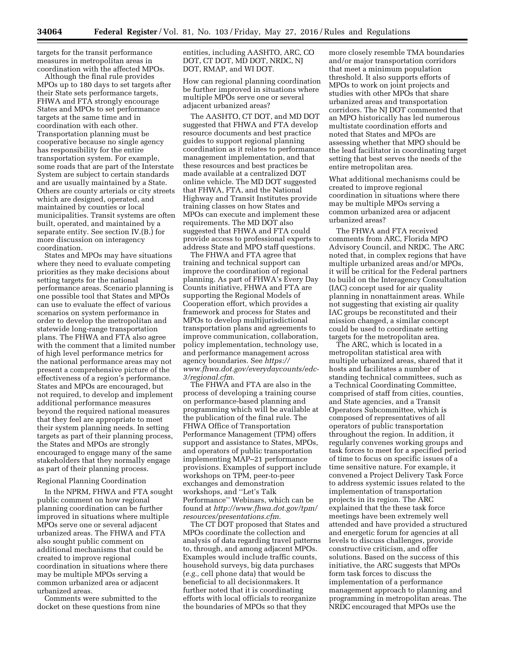targets for the transit performance measures in metropolitan areas in coordination with the affected MPOs.

Although the final rule provides MPOs up to 180 days to set targets after their State sets performance targets, FHWA and FTA strongly encourage States and MPOs to set performance targets at the same time and in coordination with each other. Transportation planning must be cooperative because no single agency has responsibility for the entire transportation system. For example, some roads that are part of the Interstate System are subject to certain standards and are usually maintained by a State. Others are county arterials or city streets which are designed, operated, and maintained by counties or local municipalities. Transit systems are often built, operated, and maintained by a separate entity. See section IV.(B.) for more discussion on interagency coordination.

States and MPOs may have situations where they need to evaluate competing priorities as they make decisions about setting targets for the national performance areas. Scenario planning is one possible tool that States and MPOs can use to evaluate the effect of various scenarios on system performance in order to develop the metropolitan and statewide long-range transportation plans. The FHWA and FTA also agree with the comment that a limited number of high level performance metrics for the national performance areas may not present a comprehensive picture of the effectiveness of a region's performance. States and MPOs are encouraged, but not required, to develop and implement additional performance measures beyond the required national measures that they feel are appropriate to meet their system planning needs. In setting targets as part of their planning process, the States and MPOs are strongly encouraged to engage many of the same stakeholders that they normally engage as part of their planning process.

#### Regional Planning Coordination

In the NPRM, FHWA and FTA sought public comment on how regional planning coordination can be further improved in situations where multiple MPOs serve one or several adjacent urbanized areas. The FHWA and FTA also sought public comment on additional mechanisms that could be created to improve regional coordination in situations where there may be multiple MPOs serving a common urbanized area or adjacent urbanized areas.

Comments were submitted to the docket on these questions from nine entities, including AASHTO, ARC, CO DOT, CT DOT, MD DOT, NRDC, NJ DOT, RMAP, and WI DOT.

How can regional planning coordination be further improved in situations where multiple MPOs serve one or several adjacent urbanized areas?

The AASHTO, CT DOT, and MD DOT suggested that FHWA and FTA develop resource documents and best practice guides to support regional planning coordination as it relates to performance management implementation, and that these resources and best practices be made available at a centralized DOT online vehicle. The MD DOT suggested that FHWA, FTA, and the National Highway and Transit Institutes provide training classes on how States and MPOs can execute and implement these requirements. The MD DOT also suggested that FHWA and FTA could provide access to professional experts to address State and MPO staff questions.

The FHWA and FTA agree that training and technical support can improve the coordination of regional planning. As part of FHWA's Every Day Counts initiative, FHWA and FTA are supporting the Regional Models of Cooperation effort, which provides a framework and process for States and MPOs to develop multijurisdictional transportation plans and agreements to improve communication, collaboration, policy implementation, technology use, and performance management across agency boundaries. See *[https://](https://www.fhwa.dot.gov/everydaycounts/edc-3/regional.cfm) [www.fhwa.dot.gov/everydaycounts/edc-](https://www.fhwa.dot.gov/everydaycounts/edc-3/regional.cfm)[3/regional.cfm](https://www.fhwa.dot.gov/everydaycounts/edc-3/regional.cfm)*.

The FHWA and FTA are also in the process of developing a training course on performance-based planning and programming which will be available at the publication of the final rule. The FHWA Office of Transportation Performance Management (TPM) offers support and assistance to States, MPOs, and operators of public transportation implementing MAP–21 performance provisions. Examples of support include workshops on TPM, peer-to-peer exchanges and demonstration workshops, and ''Let's Talk Performance'' Webinars, which can be found at *[http://www.fhwa.dot.gov/tpm/](http://www.fhwa.dot.gov/tpm/resources/presentations.cfm) [resources/presentations.cfm](http://www.fhwa.dot.gov/tpm/resources/presentations.cfm)*.

The CT DOT proposed that States and MPOs coordinate the collection and analysis of data regarding travel patterns to, through, and among adjacent MPOs. Examples would include traffic counts, household surveys, big data purchases (*e.g.,* cell phone data) that would be beneficial to all decisionmakers. It further noted that it is coordinating efforts with local officials to reorganize the boundaries of MPOs so that they

more closely resemble TMA boundaries and/or major transportation corridors that meet a minimum population threshold. It also supports efforts of MPOs to work on joint projects and studies with other MPOs that share urbanized areas and transportation corridors. The NJ DOT commented that an MPO historically has led numerous multistate coordination efforts and noted that States and MPOs are assessing whether that MPO should be the lead facilitator in coordinating target setting that best serves the needs of the entire metropolitan area.

What additional mechanisms could be created to improve regional coordination in situations where there may be multiple MPOs serving a common urbanized area or adjacent urbanized areas?

The FHWA and FTA received comments from ARC, Florida MPO Advisory Council, and NRDC. The ARC noted that, in complex regions that have multiple urbanized areas and/or MPOs, it will be critical for the Federal partners to build on the Interagency Consultation (IAC) concept used for air quality planning in nonattainment areas. While not suggesting that existing air quality IAC groups be reconstituted and their mission changed, a similar concept could be used to coordinate setting targets for the metropolitan area.

The ARC, which is located in a metropolitan statistical area with multiple urbanized areas, shared that it hosts and facilitates a number of standing technical committees, such as a Technical Coordinating Committee, comprised of staff from cities, counties, and State agencies, and a Transit Operators Subcommittee, which is composed of representatives of all operators of public transportation throughout the region. In addition, it regularly convenes working groups and task forces to meet for a specified period of time to focus on specific issues of a time sensitive nature. For example, it convened a Project Delivery Task Force to address systemic issues related to the implementation of transportation projects in its region. The ARC explained that the these task force meetings have been extremely well attended and have provided a structured and energetic forum for agencies at all levels to discuss challenges, provide constructive criticism, and offer solutions. Based on the success of this initiative, the ARC suggests that MPOs form task forces to discuss the implementation of a performance management approach to planning and programming in metropolitan areas. The NRDC encouraged that MPOs use the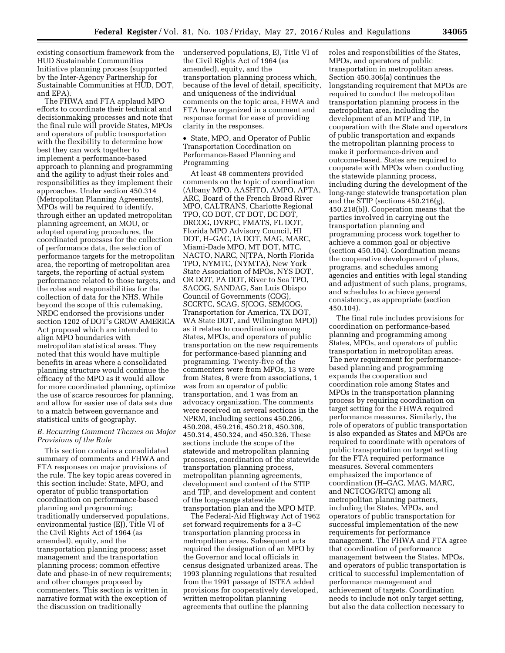existing consortium framework from the HUD Sustainable Communities Initiative planning process (supported by the Inter-Agency Partnership for Sustainable Communities at HUD, DOT, and EPA).

The FHWA and FTA applaud MPO efforts to coordinate their technical and decisionmaking processes and note that the final rule will provide States, MPOs and operators of public transportation with the flexibility to determine how best they can work together to implement a performance-based approach to planning and programming and the agility to adjust their roles and responsibilities as they implement their approaches. Under section 450.314 (Metropolitan Planning Agreements), MPOs will be required to identify, through either an updated metropolitan planning agreement, an MOU, or adopted operating procedures, the coordinated processes for the collection of performance data, the selection of performance targets for the metropolitan area, the reporting of metropolitan area targets, the reporting of actual system performance related to those targets, and the roles and responsibilities for the collection of data for the NHS. While beyond the scope of this rulemaking, NRDC endorsed the provisions under section 1202 of DOT's GROW AMERICA Act proposal which are intended to align MPO boundaries with metropolitan statistical areas. They noted that this would have multiple benefits in areas where a consolidated planning structure would continue the efficacy of the MPO as it would allow for more coordinated planning, optimize the use of scarce resources for planning, and allow for easier use of data sets due to a match between governance and statistical units of geography.

#### *B. Recurring Comment Themes on Major Provisions of the Rule*

This section contains a consolidated summary of comments and FHWA and FTA responses on major provisions of the rule. The key topic areas covered in this section include: State, MPO, and operator of public transportation coordination on performance-based planning and programming; traditionally underserved populations, environmental justice (EJ), Title VI of the Civil Rights Act of 1964 (as amended), equity, and the transportation planning process; asset management and the transportation planning process; common effective date and phase-in of new requirements; and other changes proposed by commenters. This section is written in narrative format with the exception of the discussion on traditionally

underserved populations, EJ, Title VI of the Civil Rights Act of 1964 (as amended), equity, and the transportation planning process which, because of the level of detail, specificity, and uniqueness of the individual comments on the topic area, FHWA and FTA have organized in a comment and response format for ease of providing clarity in the responses.

• State, MPO, and Operator of Public Transportation Coordination on Performance-Based Planning and Programming

At least 48 commenters provided comments on the topic of coordination (Albany MPO, AASHTO, AMPO, APTA, ARC, Board of the French Broad River MPO, CALTRANS, Charlotte Regional TPO, CO DOT, CT DOT, DC DOT, DRCOG, DVRPC, FMATS, FL DOT, Florida MPO Advisory Council, HI DOT, H–GAC, IA DOT, MAG, MARC, Miami-Dade MPO, MT DOT, MTC, NACTO, NARC, NJTPA, North Florida TPO, NYMTC, (NYMTA), New York State Association of MPOs, NYS DOT, OR DOT, PA DOT, River to Sea TPO, SACOG, SANDAG, San Luis Obispo Council of Governments (COG), SCCRTC, SCAG, SJCOG, SEMCOG, Transportation for America, TX DOT, WA State DOT, and Wilmington MPO)) as it relates to coordination among States, MPOs, and operators of public transportation on the new requirements for performance-based planning and programming. Twenty-five of the commenters were from MPOs, 13 were from States, 8 were from associations, 1 was from an operator of public transportation, and 1 was from an advocacy organization. The comments were received on several sections in the NPRM, including sections 450.206, 450.208, 459.216, 450.218, 450.306, 450.314, 450.324, and 450.326. These sections include the scope of the statewide and metropolitan planning processes, coordination of the statewide transportation planning process, metropolitan planning agreements, development and content of the STIP and TIP, and development and content of the long-range statewide transportation plan and the MPO MTP.

The Federal-Aid Highway Act of 1962 set forward requirements for a 3–C transportation planning process in metropolitan areas. Subsequent acts required the designation of an MPO by the Governor and local officials in census designated urbanized areas. The 1993 planning regulations that resulted from the 1991 passage of ISTEA added provisions for cooperatively developed, written metropolitan planning agreements that outline the planning

roles and responsibilities of the States, MPOs, and operators of public transportation in metropolitan areas. Section 450.306(a) continues the longstanding requirement that MPOs are required to conduct the metropolitan transportation planning process in the metropolitan area, including the development of an MTP and TIP, in cooperation with the State and operators of public transportation and expands the metropolitan planning process to make it performance-driven and outcome-based. States are required to cooperate with MPOs when conducting the statewide planning process, including during the development of the long-range statewide transportation plan and the STIP (sections 450.216(g), 450.218(b)). Cooperation means that the parties involved in carrying out the transportation planning and programming process work together to achieve a common goal or objective (section 450.104). Coordination means the cooperative development of plans, programs, and schedules among agencies and entities with legal standing and adjustment of such plans, programs, and schedules to achieve general consistency, as appropriate (section 450.104).

The final rule includes provisions for coordination on performance-based planning and programming among States, MPOs, and operators of public transportation in metropolitan areas. The new requirement for performancebased planning and programming expands the cooperation and coordination role among States and MPOs in the transportation planning process by requiring coordination on target setting for the FHWA required performance measures. Similarly, the role of operators of public transportation is also expanded as States and MPOs are required to coordinate with operators of public transportation on target setting for the FTA required performance measures. Several commenters emphasized the importance of coordination (H–GAC, MAG, MARC, and NCTCOG/RTC) among all metropolitan planning partners, including the States, MPOs, and operators of public transportation for successful implementation of the new requirements for performance management. The FHWA and FTA agree that coordination of performance management between the States, MPOs, and operators of public transportation is critical to successful implementation of performance management and achievement of targets. Coordination needs to include not only target setting, but also the data collection necessary to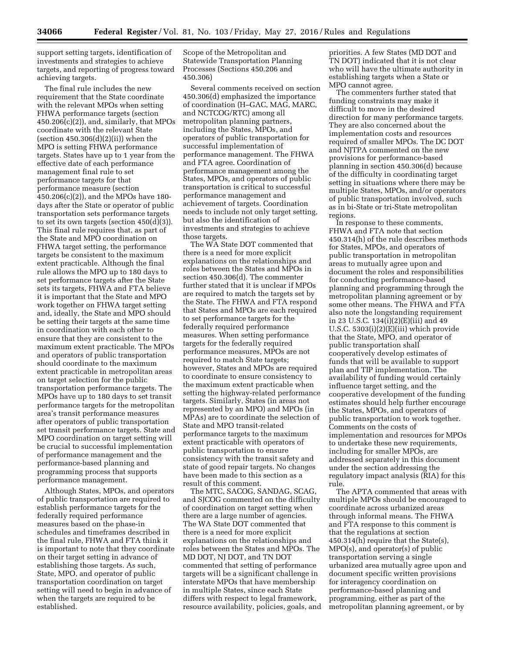support setting targets, identification of investments and strategies to achieve targets, and reporting of progress toward achieving targets.

The final rule includes the new requirement that the State coordinate with the relevant MPOs when setting FHWA performance targets (section  $450.206(c)(2)$ , and, similarly, that MPOs coordinate with the relevant State (section  $450.306(d)(2)(ii)$ ) when the MPO is setting FHWA performance targets. States have up to 1 year from the effective date of each performance management final rule to set performance targets for that performance measure (section 450.206(c)(2)), and the MPOs have 180 days after the State or operator of public transportation sets performance targets to set its own targets (section 450(d)(3)). This final rule requires that, as part of the State and MPO coordination on FHWA target setting, the performance targets be consistent to the maximum extent practicable. Although the final rule allows the MPO up to 180 days to set performance targets after the State sets its targets, FHWA and FTA believe it is important that the State and MPO work together on FHWA target setting and, ideally, the State and MPO should be setting their targets at the same time in coordination with each other to ensure that they are consistent to the maximum extent practicable. The MPOs and operators of public transportation should coordinate to the maximum extent practicable in metropolitan areas on target selection for the public transportation performance targets. The MPOs have up to 180 days to set transit performance targets for the metropolitan area's transit performance measures after operators of public transportation set transit performance targets. State and MPO coordination on target setting will be crucial to successful implementation of performance management and the performance-based planning and programming process that supports performance management.

Although States, MPOs, and operators of public transportation are required to establish performance targets for the federally required performance measures based on the phase-in schedules and timeframes described in the final rule, FHWA and FTA think it is important to note that they coordinate on their target setting in advance of establishing those targets. As such, State, MPO, and operator of public transportation coordination on target setting will need to begin in advance of when the targets are required to be established.

Scope of the Metropolitan and Statewide Transportation Planning Processes (Sections 450.206 and 450.306)

Several comments received on section 450.306(d) emphasized the importance of coordination (H–GAC, MAG, MARC, and NCTCOG/RTC) among all metropolitan planning partners, including the States, MPOs, and operators of public transportation for successful implementation of performance management. The FHWA and FTA agree. Coordination of performance management among the States, MPOs, and operators of public transportation is critical to successful performance management and achievement of targets. Coordination needs to include not only target setting, but also the identification of investments and strategies to achieve those targets.

The WA State DOT commented that there is a need for more explicit explanations on the relationships and roles between the States and MPOs in section 450.306(d). The commenter further stated that it is unclear if MPOs are required to match the targets set by the State. The FHWA and FTA respond that States and MPOs are each required to set performance targets for the federally required performance measures. When setting performance targets for the federally required performance measures, MPOs are not required to match State targets; however, States and MPOs are required to coordinate to ensure consistency to the maximum extent practicable when setting the highway-related performance targets. Similarly, States (in areas not represented by an MPO) and MPOs (in MPAs) are to coordinate the selection of State and MPO transit-related performance targets to the maximum extent practicable with operators of public transportation to ensure consistency with the transit safety and state of good repair targets. No changes have been made to this section as a result of this comment.

The MTC, SACOG, SANDAG, SCAG, and SJCOG commented on the difficulty of coordination on target setting when there are a large number of agencies. The WA State DOT commented that there is a need for more explicit explanations on the relationships and roles between the States and MPOs. The MD DOT, NJ DOT, and TN DOT commented that setting of performance targets will be a significant challenge in interstate MPOs that have membership in multiple States, since each State differs with respect to legal framework, resource availability, policies, goals, and

priorities. A few States (MD DOT and TN DOT) indicated that it is not clear who will have the ultimate authority in establishing targets when a State or MPO cannot agree.

The commenters further stated that funding constraints may make it difficult to move in the desired direction for many performance targets. They are also concerned about the implementation costs and resources required of smaller MPOs. The DC DOT and NJTPA commented on the new provisions for performance-based planning in section 450.306(d) because of the difficulty in coordinating target setting in situations where there may be multiple States, MPOs, and/or operators of public transportation involved, such as in bi-State or tri-State metropolitan regions.

In response to these comments, FHWA and FTA note that section 450.314(h) of the rule describes methods for States, MPOs, and operators of public transportation in metropolitan areas to mutually agree upon and document the roles and responsibilities for conducting performance-based planning and programming through the metropolitan planning agreement or by some other means. The FHWA and FTA also note the longstanding requirement in 23 U.S.C. 134(i)(2)(E)(iii) and 49 U.S.C. 5303(i)(2)(E)(iii) which provide that the State, MPO, and operator of public transportation shall cooperatively develop estimates of funds that will be available to support plan and TIP implementation. The availability of funding would certainly influence target setting, and the cooperative development of the funding estimates should help further encourage the States, MPOs, and operators of public transportation to work together. Comments on the costs of implementation and resources for MPOs to undertake these new requirements, including for smaller MPOs, are addressed separately in this document under the section addressing the regulatory impact analysis (RIA) for this rule.

The APTA commented that areas with multiple MPOs should be encouraged to coordinate across urbanized areas through informal means. The FHWA and FTA response to this comment is that the regulations at section 450.314(h) require that the State(s), MPO(s), and operator(s) of public transportation serving a single urbanized area mutually agree upon and document specific written provisions for interagency coordination on performance-based planning and programming, either as part of the metropolitan planning agreement, or by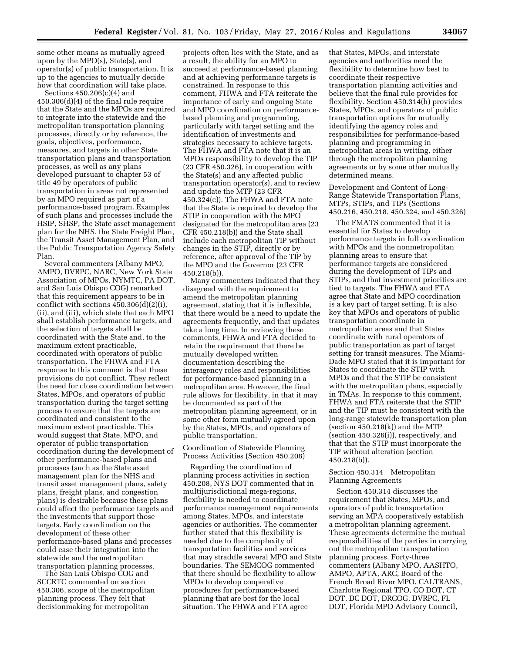some other means as mutually agreed upon by the MPO(s), State(s), and operator(s) of public transportation. It is up to the agencies to mutually decide how that coordination will take place.

Sections 450.206(c)(4) and 450.306(d)(4) of the final rule require that the State and the MPOs are required to integrate into the statewide and the metropolitan transportation planning processes, directly or by reference, the goals, objectives, performance, measures, and targets in other State transportation plans and transportation processes, as well as any plans developed pursuant to chapter 53 of title 49 by operators of public transportation in areas not represented by an MPO required as part of a performance-based program. Examples of such plans and processes include the HSIP, SHSP, the State asset management plan for the NHS, the State Freight Plan, the Transit Asset Management Plan, and the Public Transportation Agency Safety Plan.

Several commenters (Albany MPO, AMPO, DVRPC, NARC, New York State Association of MPOs, NYMTC, PA DOT, and San Luis Obispo COG) remarked that this requirement appears to be in conflict with sections 450.306(d)(2)(i), (ii), and (iii), which state that each MPO shall establish performance targets, and the selection of targets shall be coordinated with the State and, to the maximum extent practicable, coordinated with operators of public transportation. The FHWA and FTA response to this comment is that these provisions do not conflict. They reflect the need for close coordination between States, MPOs, and operators of public transportation during the target setting process to ensure that the targets are coordinated and consistent to the maximum extent practicable. This would suggest that State, MPO, and operator of public transportation coordination during the development of other performance-based plans and processes (such as the State asset management plan for the NHS and transit asset management plans, safety plans, freight plans, and congestion plans) is desirable because these plans could affect the performance targets and the investments that support those targets. Early coordination on the development of these other performance-based plans and processes could ease their integration into the statewide and the metropolitan transportation planning processes.

The San Luis Obispo COG and SCCRTC commented on section 450.306, scope of the metropolitan planning process. They felt that decisionmaking for metropolitan

projects often lies with the State, and as a result, the ability for an MPO to succeed at performance-based planning and at achieving performance targets is constrained. In response to this comment, FHWA and FTA reiterate the importance of early and ongoing State and MPO coordination on performancebased planning and programming, particularly with target setting and the identification of investments and strategies necessary to achieve targets. The FHWA and FTA note that it is an MPOs responsibility to develop the TIP (23 CFR 450.326), in cooperation with the State(s) and any affected public transportation operator(s), and to review and update the MTP (23 CFR 450.324(c)). The FHWA and FTA note that the State is required to develop the STIP in cooperation with the MPO designated for the metropolitan area (23 CFR 450.218(b)) and the State shall include each metropolitan TIP without changes in the STIP, directly or by reference, after approval of the TIP by the MPO and the Governor (23 CFR 450.218(b)).

Many commenters indicated that they disagreed with the requirement to amend the metropolitan planning agreement, stating that it is inflexible, that there would be a need to update the agreements frequently, and that updates take a long time. In reviewing these comments, FHWA and FTA decided to retain the requirement that there be mutually developed written documentation describing the interagency roles and responsibilities for performance-based planning in a metropolitan area. However, the final rule allows for flexibility, in that it may be documented as part of the metropolitan planning agreement, or in some other form mutually agreed upon by the States, MPOs, and operators of public transportation.

Coordination of Statewide Planning Process Activities (Section 450.208)

Regarding the coordination of planning process activities in section 450.208, NYS DOT commented that in multijurisdictional mega-regions, flexibility is needed to coordinate performance management requirements among States, MPOs, and interstate agencies or authorities. The commenter further stated that this flexibility is needed due to the complexity of transportation facilities and services that may straddle several MPO and State boundaries. The SEMCOG commented that there should be flexibility to allow MPOs to develop cooperative procedures for performance-based planning that are best for the local situation. The FHWA and FTA agree

that States, MPOs, and interstate agencies and authorities need the flexibility to determine how best to coordinate their respective transportation planning activities and believe that the final rule provides for flexibility. Section 450.314(h) provides States, MPOs, and operators of public transportation options for mutually identifying the agency roles and responsibilities for performance-based planning and programming in metropolitan areas in writing, either through the metropolitan planning agreements or by some other mutually determined means.

Development and Content of Long-Range Statewide Transportation Plans, MTPs, STIPs, and TIPs (Sections 450.216, 450.218, 450.324, and 450.326)

The FMATS commented that it is essential for States to develop performance targets in full coordination with MPOs and the nonmetropolitan planning areas to ensure that performance targets are considered during the development of TIPs and STIPs, and that investment priorities are tied to targets. The FHWA and FTA agree that State and MPO coordination is a key part of target setting. It is also key that MPOs and operators of public transportation coordinate in metropolitan areas and that States coordinate with rural operators of public transportation as part of target setting for transit measures. The Miami-Dade MPO stated that it is important for States to coordinate the STIP with MPOs and that the STIP be consistent with the metropolitan plans, especially in TMAs. In response to this comment, FHWA and FTA reiterate that the STIP and the TIP must be consistent with the long-range statewide transportation plan (section  $450.218(k)$ ) and the MTP (section 450.326(i)), respectively, and that that the STIP must incorporate the TIP without alteration (section 450.218(b)).

#### Section 450.314 Metropolitan Planning Agreements

Section 450.314 discusses the requirement that States, MPOs, and operators of public transportation serving an MPA cooperatively establish a metropolitan planning agreement. These agreements determine the mutual responsibilities of the parties in carrying out the metropolitan transportation planning process. Forty-three commenters (Albany MPO, AASHTO, AMPO, APTA, ARC, Board of the French Broad River MPO, CALTRANS, Charlotte Regional TPO, CO DOT, CT DOT, DC DOT, DRCOG, DVRPC, FL DOT, Florida MPO Advisory Council,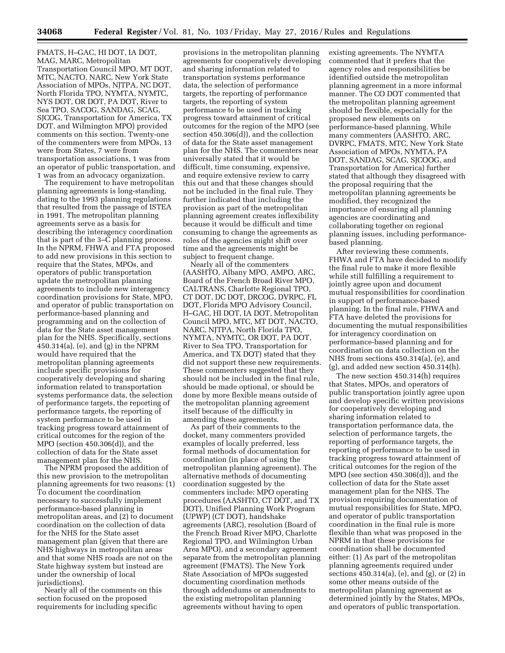FMATS, H–GAC, HI DOT, IA DOT, MAG, MARC, Metropolitan Transportation Council MPO, MT DOT, MTC, NACTO, NARC, New York State Association of MPOs, NJTPA, NC DOT, North Florida TPO, NYMTA, NYMTC, NYS DOT, OR DOT, PA DOT, River to Sea TPO, SACOG, SANDAG, SCAG, SJCOG, Transportation for America, TX DOT, and Wilmington MPO) provided comments on this section. Twenty-one of the commenters were from MPOs, 13 were from States, 7 were from transportation associations, 1 was from an operator of public transportation, and 1 was from an advocacy organization.

The requirement to have metropolitan planning agreements is long-standing, dating to the 1993 planning regulations that resulted from the passage of ISTEA in 1991. The metropolitan planning agreements serve as a basis for describing the interagency coordination that is part of the 3–C planning process. In the NPRM, FHWA and FTA proposed to add new provisions in this section to require that the States, MPOs, and operators of public transportation update the metropolitan planning agreements to include new interagency coordination provisions for State, MPO, and operator of public transportation on performance-based planning and programming and on the collection of data for the State asset management plan for the NHS. Specifically, sections 450.314(a), (e), and (g) in the NPRM would have required that the metropolitan planning agreements include specific provisions for cooperatively developing and sharing information related to transportation systems performance data, the selection of performance targets, the reporting of performance targets, the reporting of system performance to be used in tracking progress toward attainment of critical outcomes for the region of the MPO (section 450.306(d)), and the collection of data for the State asset management plan for the NHS.

The NPRM proposed the addition of this new provision to the metropolitan planning agreements for two reasons: (1) To document the coordination necessary to successfully implement performance-based planning in metropolitan areas, and (2) to document coordination on the collection of data for the NHS for the State asset management plan (given that there are NHS highways in metropolitan areas and that some NHS roads are not on the State highway system but instead are under the ownership of local jurisdictions).

Nearly all of the comments on this section focused on the proposed requirements for including specific

provisions in the metropolitan planning agreements for cooperatively developing and sharing information related to transportation systems performance data, the selection of performance targets, the reporting of performance targets, the reporting of system performance to be used in tracking progress toward attainment of critical outcomes for the region of the MPO (see section 450.306(d)), and the collection of data for the State asset management plan for the NHS. The commenters near universally stated that it would be difficult, time consuming, expensive, and require extensive review to carry this out and that these changes should not be included in the final rule. They further indicated that including the provision as part of the metropolitan planning agreement creates inflexibility because it would be difficult and time consuming to change the agreements as roles of the agencies might shift over time and the agreements might be subject to frequent change.

Nearly all of the commenters (AASHTO, Albany MPO, AMPO, ARC, Board of the French Broad River MPO, CALTRANS, Charlotte Regional TPO, CT DOT, DC DOT, DRCOG, DVRPC, FL DOT, Florida MPO Advisory Council, H–GAC, HI DOT, IA DOT, Metropolitan Council MPO, MTC, MT DOT, NACTO, NARC, NJTPA, North Florida TPO, NYMTA, NYMTC, OR DOT, PA DOT, River to Sea TPO, Transportation for America, and TX DOT) stated that they did not support these new requirements. These commenters suggested that they should not be included in the final rule, should be made optional, or should be done by more flexible means outside of the metropolitan planning agreement itself because of the difficulty in amending these agreements.

As part of their comments to the docket, many commenters provided examples of locally preferred, less formal methods of documentation for coordination (in place of using the metropolitan planning agreement). The alternative methods of documenting coordination suggested by the commenters include: MPO operating procedures (AASHTO, CT DOT, and TX DOT), Unified Planning Work Program (UPWP) (CT DOT), handshake agreements (ARC), resolution (Board of the French Broad River MPO, Charlotte Regional TPO, and Wilmington Urban Area MPO), and a secondary agreement separate from the metropolitan planning agreement (FMATS). The New York State Association of MPOs suggested documenting coordination methods through addendums or amendments to the existing metropolitan planning agreements without having to open

existing agreements. The NYMTA commented that it prefers that the agency roles and responsibilities be identified outside the metropolitan planning agreement in a more informal manner. The CO DOT commented that the metropolitan planning agreement should be flexible, especially for the proposed new elements on performance-based planning. While many commenters (AASHTO, ARC, DVRPC, FMATS, MTC, New York State Association of MPOs, NYMTA, PA DOT, SANDAG, SCAG, SJCOOG, and Transportation for America) further stated that although they disagreed with the proposal requiring that the metropolitan planning agreements be modified, they recognized the importance of ensuring all planning agencies are coordinating and collaborating together on regional planning issues, including performancebased planning.

After reviewing these comments, FHWA and FTA have decided to modify the final rule to make it more flexible while still fulfilling a requirement to jointly agree upon and document mutual responsibilities for coordination in support of performance-based planning. In the final rule, FHWA and FTA have deleted the provisions for documenting the mutual responsibilities for interagency coordination on performance-based planning and for coordination on data collection on the NHS from sections 450.314(a), (e), and (g), and added new section 450.314(h).

The new section 450.314(h) requires that States, MPOs, and operators of public transportation jointly agree upon and develop specific written provisions for cooperatively developing and sharing information related to transportation performance data, the selection of performance targets, the reporting of performance targets, the reporting of performance to be used in tracking progress toward attainment of critical outcomes for the region of the MPO (see section  $450.306(\overline{d})$ ), and the collection of data for the State asset management plan for the NHS. The provision requiring documentation of mutual responsibilities for State, MPO, and operator of public transportation coordination in the final rule is more flexible than what was proposed in the NPRM in that these provisions for coordination shall be documented either: (1) As part of the metropolitan planning agreements required under sections 450.314(a), (e), and (g), or (2) in some other means outside of the metropolitan planning agreement as determined jointly by the States, MPOs, and operators of public transportation.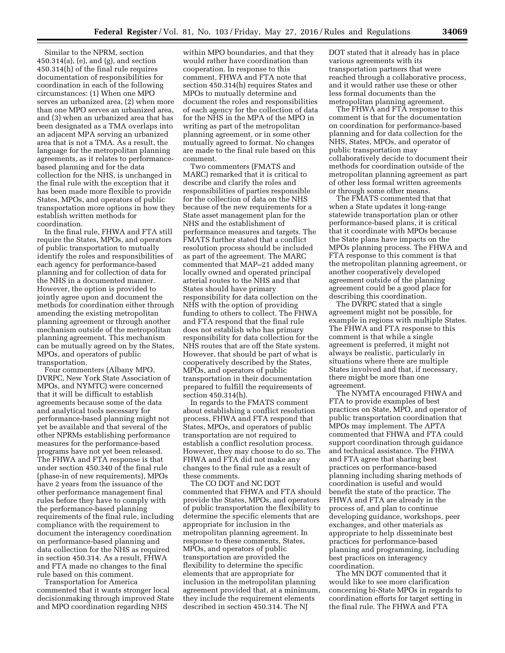Similar to the NPRM, section 450.314(a), (e), and (g), and section 450.314(h) of the final rule requires documentation of responsibilities for coordination in each of the following circumstances: (1) When one MPO serves an urbanized area, (2) when more than one MPO serves an urbanized area, and (3) when an urbanized area that has been designated as a TMA overlaps into an adjacent MPA serving an urbanized area that is not a TMA. As a result, the language for the metropolitan planning agreements, as it relates to performancebased planning and for the data collection for the NHS, is unchanged in the final rule with the exception that it has been made more flexible to provide States, MPOs, and operators of public transportation more options in how they establish written methods for coordination.

In the final rule, FHWA and FTA still require the States, MPOs, and operators of public transportation to mutually identify the roles and responsibilities of each agency for performance-based planning and for collection of data for the NHS in a documented manner. However, the option is provided to jointly agree upon and document the methods for coordination either through amending the existing metropolitan planning agreement or through another mechanism outside of the metropolitan planning agreement. This mechanism can be mutually agreed on by the States, MPOs, and operators of public transportation.

Four commenters (Albany MPO, DVRPC, New York State Association of MPOs, and NYMTC) were concerned that it will be difficult to establish agreements because some of the data and analytical tools necessary for performance-based planning might not yet be available and that several of the other NPRMs establishing performance measures for the performance-based programs have not yet been released. The FHWA and FTA response is that under section 450.340 of the final rule (phase-in of new requirements), MPOs have 2 years from the issuance of the other performance management final rules before they have to comply with the performance-based planning requirements of the final rule, including compliance with the requirement to document the interagency coordination on performance-based planning and data collection for the NHS as required in section 450.314. As a result, FHWA and FTA made no changes to the final rule based on this comment.

Transportation for America commented that it wants stronger local decisionmaking through improved State and MPO coordination regarding NHS

within MPO boundaries, and that they would rather have coordination than cooperation. In response to this comment, FHWA and FTA note that section 450.314(h) requires States and MPOs to mutually determine and document the roles and responsibilities of each agency for the collection of data for the NHS in the MPA of the MPO in writing as part of the metropolitan planning agreement, or in some other mutually agreed to format. No changes are made to the final rule based on this comment.

Two commenters (FMATS and MARC) remarked that it is critical to describe and clarify the roles and responsibilities of parties responsible for the collection of data on the NHS because of the new requirements for a State asset management plan for the NHS and the establishment of performance measures and targets. The FMATS further stated that a conflict resolution process should be included as part of the agreement. The MARC commented that MAP–21 added many locally owned and operated principal arterial routes to the NHS and that States should have primary responsibility for data collection on the NHS with the option of providing funding to others to collect. The FHWA and FTA respond that the final rule does not establish who has primary responsibility for data collection for the NHS routes that are off the State system. However, that should be part of what is cooperatively described by the States, MPOs, and operators of public transportation in their documentation prepared to fulfill the requirements of section 450.314(h).

In regards to the FMATS comment about establishing a conflict resolution process, FHWA and FTA respond that States, MPOs, and operators of public transportation are not required to establish a conflict resolution process. However, they may choose to do so. The FHWA and FTA did not make any changes to the final rule as a result of these comments.

The CO DOT and NC DOT commented that FHWA and FTA should provide the States, MPOs, and operators of public transportation the flexibility to determine the specific elements that are appropriate for inclusion in the metropolitan planning agreement. In response to these comments, States, MPOs, and operators of public transportation are provided the flexibility to determine the specific elements that are appropriate for inclusion in the metropolitan planning agreement provided that, at a minimum, they include the requirement elements described in section 450.314. The NJ

DOT stated that it already has in place various agreements with its transportation partners that were reached through a collaborative process, and it would rather use these or other less formal documents than the metropolitan planning agreement.

The FHWA and FTA response to this comment is that for the documentation on coordination for performance-based planning and for data collection for the NHS, States, MPOs, and operator of public transportation may collaboratively decide to document their methods for coordination outside of the metropolitan planning agreement as part of other less formal written agreements or through some other means.

The FMATS commented that that when a State updates it long-range statewide transportation plan or other performance-based plans, it is critical that it coordinate with MPOs because the State plans have impacts on the MPOs planning process. The FHWA and FTA response to this comment is that the metropolitan planning agreement, or another cooperatively developed agreement outside of the planning agreement could be a good place for describing this coordination.

The DVRPC stated that a single agreement might not be possible, for example in regions with multiple States. The FHWA and FTA response to this comment is that while a single agreement is preferred, it might not always be realistic, particularly in situations where there are multiple States involved and that, if necessary, there might be more than one agreement.

The NYMTA encouraged FHWA and FTA to provide examples of best practices on State, MPO, and operator of public transportation coordination that MPOs may implement. The APTA commented that FHWA and FTA could support coordination through guidance and technical assistance. The FHWA and FTA agree that sharing best practices on performance-based planning including sharing methods of coordination is useful and would benefit the state of the practice. The FHWA and FTA are already in the process of, and plan to continue developing guidance, workshops, peer exchanges, and other materials as appropriate to help disseminate best practices for performance-based planning and programming, including best practices on interagency coordination.

The MN DOT commented that it would like to see more clarification concerning bi-State MPOs in regards to coordination efforts for target setting in the final rule. The FHWA and FTA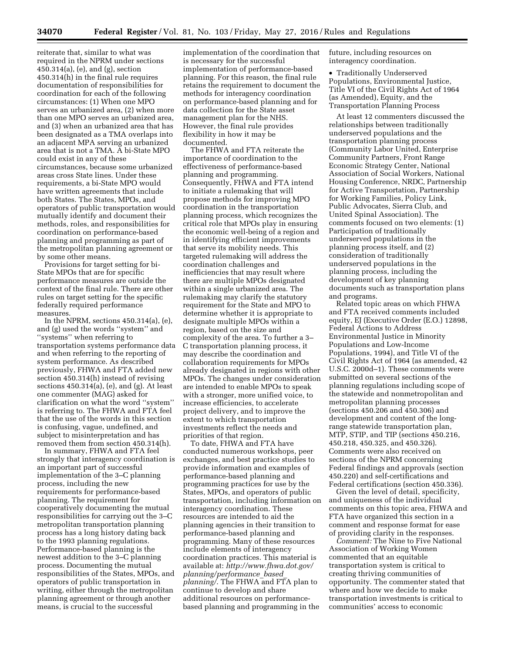**34070 Federal Register** / Vol. 81, No. 103 / Friday, May 27, 2016 / Rules and Regulations

reiterate that, similar to what was required in the NPRM under sections 450.314(a), (e), and (g), section 450.314(h) in the final rule requires documentation of responsibilities for coordination for each of the following circumstances: (1) When one MPO serves an urbanized area, (2) when more than one MPO serves an urbanized area, and (3) when an urbanized area that has been designated as a TMA overlaps into an adjacent MPA serving an urbanized area that is not a TMA. A bi-State MPO could exist in any of these circumstances, because some urbanized areas cross State lines. Under these requirements, a bi-State MPO would have written agreements that include both States. The States, MPOs, and operators of public transportation would mutually identify and document their methods, roles, and responsibilities for coordination on performance-based planning and programming as part of the metropolitan planning agreement or by some other means.

Provisions for target setting for bi-State MPOs that are for specific performance measures are outside the context of the final rule. There are other rules on target setting for the specific federally required performance measures.

In the NPRM, sections 450.314(a), (e), and (g) used the words ''system'' and ''systems'' when referring to transportation systems performance data and when referring to the reporting of system performance. As described previously, FHWA and FTA added new section 450.314(h) instead of revising sections 450.314(a), (e), and (g). At least one commenter (MAG) asked for clarification on what the word ''system'' is referring to. The FHWA and FTA feel that the use of the words in this section is confusing, vague, undefined, and subject to misinterpretation and has removed them from section 450.314(h).

In summary, FHWA and FTA feel strongly that interagency coordination is an important part of successful implementation of the 3–C planning process, including the new requirements for performance-based planning. The requirement for cooperatively documenting the mutual responsibilities for carrying out the 3–C metropolitan transportation planning process has a long history dating back to the 1993 planning regulations. Performance-based planning is the newest addition to the 3–C planning process. Documenting the mutual responsibilities of the States, MPOs, and operators of public transportation in writing, either through the metropolitan planning agreement or through another means, is crucial to the successful

implementation of the coordination that is necessary for the successful implementation of performance-based planning. For this reason, the final rule retains the requirement to document the methods for interagency coordination on performance-based planning and for data collection for the State asset management plan for the NHS. However, the final rule provides flexibility in how it may be documented.

The FHWA and FTA reiterate the importance of coordination to the effectiveness of performance-based planning and programming. Consequently, FHWA and FTA intend to initiate a rulemaking that will propose methods for improving MPO coordination in the transportation planning process, which recognizes the critical role that MPOs play in ensuring the economic well-being of a region and in identifying efficient improvements that serve its mobility needs. This targeted rulemaking will address the coordination challenges and inefficiencies that may result where there are multiple MPOs designated within a single urbanized area. The rulemaking may clarify the statutory requirement for the State and MPO to determine whether it is appropriate to designate multiple MPOs within a region, based on the size and complexity of the area. To further a 3– C transportation planning process, it may describe the coordination and collaboration requirements for MPOs already designated in regions with other MPOs. The changes under consideration are intended to enable MPOs to speak with a stronger, more unified voice, to increase efficiencies, to accelerate project delivery, and to improve the extent to which transportation investments reflect the needs and priorities of that region.

To date, FHWA and FTA have conducted numerous workshops, peer exchanges, and best practice studies to provide information and examples of performance-based planning and programming practices for use by the States, MPOs, and operators of public transportation, including information on interagency coordination. These resources are intended to aid the planning agencies in their transition to performance-based planning and programming. Many of these resources include elements of interagency coordination practices. This material is available at: *[http://www.fhwa.dot.gov/](http://www.fhwa.dot.gov/planning/performance_based_planning/) [planning/performance](http://www.fhwa.dot.gov/planning/performance_based_planning/)*\_*based*\_ *[planning/](http://www.fhwa.dot.gov/planning/performance_based_planning/)*. The FHWA and FTA plan to continue to develop and share additional resources on performancebased planning and programming in the

future, including resources on interagency coordination.

• Traditionally Underserved Populations, Environmental Justice, Title VI of the Civil Rights Act of 1964 (as Amended), Equity, and the Transportation Planning Process

At least 12 commenters discussed the relationships between traditionally underserved populations and the transportation planning process (Community Labor United, Enterprise Community Partners, Front Range Economic Strategy Center, National Association of Social Workers, National Housing Conference, NRDC, Partnership for Active Transportation, Partnership for Working Families, Policy Link, Public Advocates, Sierra Club, and United Spinal Association). The comments focused on two elements: (1) Participation of traditionally underserved populations in the planning process itself, and (2) consideration of traditionally underserved populations in the planning process, including the development of key planning documents such as transportation plans and programs.

Related topic areas on which FHWA and FTA received comments included equity, EJ (Executive Order (E.O.) 12898, Federal Actions to Address Environmental Justice in Minority Populations and Low-Income Populations, 1994), and Title VI of the Civil Rights Act of 1964 (as amended, 42 U.S.C. 2000d–1). These comments were submitted on several sections of the planning regulations including scope of the statewide and nonmetropolitan and metropolitan planning processes (sections 450.206 and 450.306) and development and content of the longrange statewide transportation plan, MTP, STIP, and TIP (sections 450.216, 450.218, 450.325, and 450.326). Comments were also received on sections of the NPRM concerning Federal findings and approvals (section 450.220) and self-certifications and Federal certifications (section 450.336).

Given the level of detail, specificity, and uniqueness of the individual comments on this topic area, FHWA and FTA have organized this section in a comment and response format for ease of providing clarity in the responses.

*Comment:* The Nine to Five National Association of Working Women commented that an equitable transportation system is critical to creating thriving communities of opportunity. The commenter stated that where and how we decide to make transportation investments is critical to communities' access to economic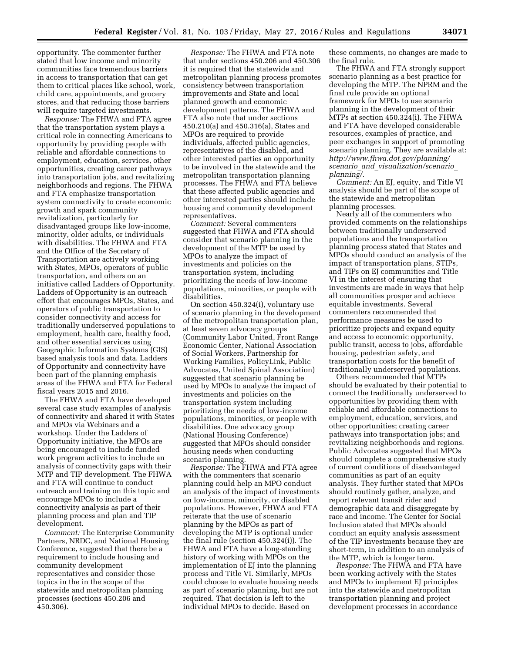opportunity. The commenter further stated that low income and minority communities face tremendous barriers in access to transportation that can get them to critical places like school, work, child care, appointments, and grocery stores, and that reducing those barriers will require targeted investments.

*Response:* The FHWA and FTA agree that the transportation system plays a critical role in connecting Americans to opportunity by providing people with reliable and affordable connections to employment, education, services, other opportunities, creating career pathways into transportation jobs, and revitalizing neighborhoods and regions. The FHWA and FTA emphasize transportation system connectivity to create economic growth and spark community revitalization, particularly for disadvantaged groups like low-income, minority, older adults, or individuals with disabilities. The FHWA and FTA and the Office of the Secretary of Transportation are actively working with States, MPOs, operators of public transportation, and others on an initiative called Ladders of Opportunity. Ladders of Opportunity is an outreach effort that encourages MPOs, States, and operators of public transportation to consider connectivity and access for traditionally underserved populations to employment, health care, healthy food, and other essential services using Geographic Information Systems (GIS) based analysis tools and data. Ladders of Opportunity and connectivity have been part of the planning emphasis areas of the FHWA and FTA for Federal fiscal years 2015 and 2016.

The FHWA and FTA have developed several case study examples of analysis of connectivity and shared it with States and MPOs via Webinars and a workshop. Under the Ladders of Opportunity initiative, the MPOs are being encouraged to include funded work program activities to include an analysis of connectivity gaps with their MTP and TIP development. The FHWA and FTA will continue to conduct outreach and training on this topic and encourage MPOs to include a connectivity analysis as part of their planning process and plan and TIP development.

*Comment:* The Enterprise Community Partners, NRDC, and National Housing Conference, suggested that there be a requirement to include housing and community development representatives and consider those topics in the in the scope of the statewide and metropolitan planning processes (sections 450.206 and 450.306).

*Response:* The FHWA and FTA note that under sections 450.206 and 450.306 it is required that the statewide and metropolitan planning process promotes consistency between transportation improvements and State and local planned growth and economic development patterns. The FHWA and FTA also note that under sections 450.210(a) and 450.316(a), States and MPOs are required to provide individuals, affected public agencies, representatives of the disabled, and other interested parties an opportunity to be involved in the statewide and the metropolitan transportation planning processes. The FHWA and FTA believe that these affected public agencies and other interested parties should include housing and community development representatives.

*Comment:* Several commenters suggested that FHWA and FTA should consider that scenario planning in the development of the MTP be used by MPOs to analyze the impact of investments and policies on the transportation system, including prioritizing the needs of low-income populations, minorities, or people with disabilities.

On section 450.324(i), voluntary use of scenario planning in the development of the metropolitan transportation plan, at least seven advocacy groups (Community Labor United, Front Range Economic Center, National Association of Social Workers, Partnership for Working Families, PolicyLink, Public Advocates, United Spinal Association) suggested that scenario planning be used by MPOs to analyze the impact of investments and policies on the transportation system including prioritizing the needs of low-income populations, minorities, or people with disabilities. One advocacy group (National Housing Conference) suggested that MPOs should consider housing needs when conducting scenario planning.

*Response:* The FHWA and FTA agree with the commenters that scenario planning could help an MPO conduct an analysis of the impact of investments on low-income, minority, or disabled populations. However, FHWA and FTA reiterate that the use of scenario planning by the MPOs as part of developing the MTP is optional under the final rule (section 450.324(i)). The FHWA and FTA have a long-standing history of working with MPOs on the implementation of EJ into the planning process and Title VI. Similarly, MPOs could choose to evaluate housing needs as part of scenario planning, but are not required. That decision is left to the individual MPOs to decide. Based on

these comments, no changes are made to the final rule.

The FHWA and FTA strongly support scenario planning as a best practice for developing the MTP. The NPRM and the final rule provide an optional framework for MPOs to use scenario planning in the development of their MTPs at section 450.324(i). The FHWA and FTA have developed considerable resources, examples of practice, and peer exchanges in support of promoting scenario planning. They are available at: *[http://www.fhwa.dot.gov/planning/](http://www.fhwa.dot.gov/planning/scenario_and_visualization/scenario_planning/) scenario*\_*and*\_*[visualization/scenario](http://www.fhwa.dot.gov/planning/scenario_and_visualization/scenario_planning/)*\_ *[planning/](http://www.fhwa.dot.gov/planning/scenario_and_visualization/scenario_planning/)*.

*Comment:* An EJ, equity, and Title VI analysis should be part of the scope of the statewide and metropolitan planning processes.

Nearly all of the commenters who provided comments on the relationships between traditionally underserved populations and the transportation planning process stated that States and MPOs should conduct an analysis of the impact of transportation plans, STIPs, and TIPs on EJ communities and Title VI in the interest of ensuring that investments are made in ways that help all communities prosper and achieve equitable investments. Several commenters recommended that performance measures be used to prioritize projects and expand equity and access to economic opportunity, public transit, access to jobs, affordable housing, pedestrian safety, and transportation costs for the benefit of traditionally underserved populations.

Others recommended that MTPs should be evaluated by their potential to connect the traditionally underserved to opportunities by providing them with reliable and affordable connections to employment, education, services, and other opportunities; creating career pathways into transportation jobs; and revitalizing neighborhoods and regions. Public Advocates suggested that MPOs should complete a comprehensive study of current conditions of disadvantaged communities as part of an equity analysis. They further stated that MPOs should routinely gather, analyze, and report relevant transit rider and demographic data and disaggregate by race and income. The Center for Social Inclusion stated that MPOs should conduct an equity analysis assessment of the TIP investments because they are short-term, in addition to an analysis of the MTP, which is longer term.

*Response:* The FHWA and FTA have been working actively with the States and MPOs to implement EJ principles into the statewide and metropolitan transportation planning and project development processes in accordance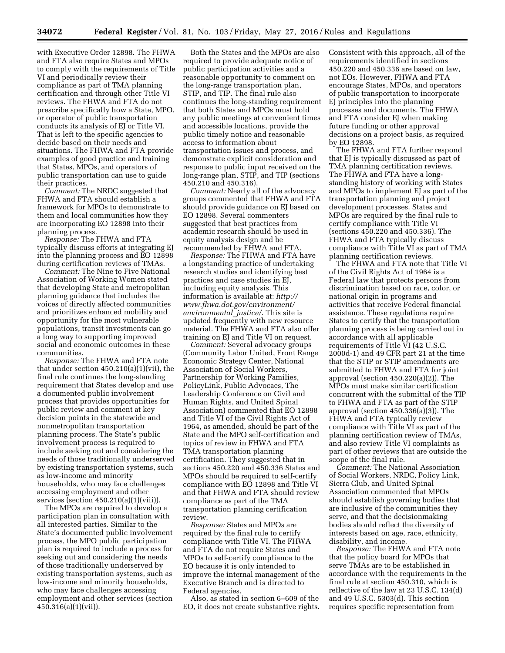with Executive Order 12898. The FHWA and FTA also require States and MPOs to comply with the requirements of Title VI and periodically review their compliance as part of TMA planning certification and through other Title VI reviews. The FHWA and FTA do not prescribe specifically how a State, MPO, or operator of public transportation conducts its analysis of EJ or Title VI. That is left to the specific agencies to decide based on their needs and situations. The FHWA and FTA provide examples of good practice and training that States, MPOs, and operators of public transportation can use to guide their practices.

*Comment:* The NRDC suggested that FHWA and FTA should establish a framework for MPOs to demonstrate to them and local communities how they are incorporating EO 12898 into their planning process.

*Response:* The FHWA and FTA typically discuss efforts at integrating EJ into the planning process and EO 12898 during certification reviews of TMAs.

*Comment:* The Nine to Five National Association of Working Women stated that developing State and metropolitan planning guidance that includes the voices of directly affected communities and prioritizes enhanced mobility and opportunity for the most vulnerable populations, transit investments can go a long way to supporting improved social and economic outcomes in these communities.

*Response:* The FHWA and FTA note that under section 450.210(a)(1)(vii), the final rule continues the long-standing requirement that States develop and use a documented public involvement process that provides opportunities for public review and comment at key decision points in the statewide and nonmetropolitan transportation planning process. The State's public involvement process is required to include seeking out and considering the needs of those traditionally underserved by existing transportation systems, such as low-income and minority households, who may face challenges accessing employment and other services (section  $450.210(a)(1)(viii)$ ).

The MPOs are required to develop a participation plan in consultation with all interested parties. Similar to the State's documented public involvement process, the MPO public participation plan is required to include a process for seeking out and considering the needs of those traditionally underserved by existing transportation systems, such as low-income and minority households, who may face challenges accessing employment and other services (section 450.316(a)(1)(vii)).

Both the States and the MPOs are also required to provide adequate notice of public participation activities and a reasonable opportunity to comment on the long-range transportation plan, STIP, and TIP. The final rule also continues the long-standing requirement that both States and MPOs must hold any public meetings at convenient times and accessible locations, provide the public timely notice and reasonable access to information about transportation issues and process, and demonstrate explicit consideration and response to public input received on the long-range plan, STIP, and TIP (sections 450.210 and 450.316).

*Comment:* Nearly all of the advocacy groups commented that FHWA and FTA should provide guidance on EJ based on EO 12898. Several commenters suggested that best practices from academic research should be used in equity analysis design and be recommended by FHWA and FTA.

*Response:* The FHWA and FTA have a longstanding practice of undertaking research studies and identifying best practices and case studies in EJ, including equity analysis. This information is available at: *[http://](http://www.fhwa.dot.gov/environment/environmental_justice/) [www.fhwa.dot.gov/environment/](http://www.fhwa.dot.gov/environment/environmental_justice/) [environmental](http://www.fhwa.dot.gov/environment/environmental_justice/)*\_*justice/*. This site is updated frequently with new resource material. The FHWA and FTA also offer training on EJ and Title VI on request.

*Comment:* Several advocacy groups (Community Labor United, Front Range Economic Strategy Center, National Association of Social Workers, Partnership for Working Families, PolicyLink, Public Advocaes, The Leadership Conference on Civil and Human Rights, and United Spinal Association) commented that EO 12898 and Title VI of the Civil Rights Act of 1964, as amended, should be part of the State and the MPO self-certification and topics of review in FHWA and FTA TMA transportation planning certification. They suggested that in sections 450.220 and 450.336 States and MPOs should be required to self-certify compliance with EO 12898 and Title VI and that FHWA and FTA should review compliance as part of the TMA transportation planning certification review.

*Response:* States and MPOs are required by the final rule to certify compliance with Title VI. The FHWA and FTA do not require States and MPOs to self-certify compliance to the EO because it is only intended to improve the internal management of the Executive Branch and is directed to Federal agencies.

Also, as stated in section 6–609 of the EO, it does not create substantive rights. Consistent with this approach, all of the requirements identified in sections 450.220 and 450.336 are based on law, not EOs. However, FHWA and FTA encourage States, MPOs, and operators of public transportation to incorporate EJ principles into the planning processes and documents. The FHWA and FTA consider EJ when making future funding or other approval decisions on a project basis, as required by EO 12898.

The FHWA and FTA further respond that EJ is typically discussed as part of TMA planning certification reviews. The FHWA and FTA have a longstanding history of working with States and MPOs to implement EJ as part of the transportation planning and project development processes. States and MPOs are required by the final rule to certify compliance with Title VI (sections 450.220 and 450.336). The FHWA and FTA typically discuss compliance with Title VI as part of TMA planning certification reviews.

The FHWA and FTA note that Title VI of the Civil Rights Act of 1964 is a Federal law that protects persons from discrimination based on race, color, or national origin in programs and activities that receive Federal financial assistance. These regulations require States to certify that the transportation planning process is being carried out in accordance with all applicable requirements of Title VI (42 U.S.C. 2000d-1) and 49 CFR part 21 at the time that the STIP or STIP amendments are submitted to FHWA and FTA for joint approval (section 450.220(a)(2)). The MPOs must make similar certification concurrent with the submittal of the TIP to FHWA and FTA as part of the STIP approval (section 450.336(a)(3)). The FHWA and FTA typically review compliance with Title VI as part of the planning certification review of TMAs, and also review Title VI complaints as part of other reviews that are outside the scope of the final rule.

*Comment:* The National Association of Social Workers, NRDC, Policy Link, Sierra Club, and United Spinal Association commented that MPOs should establish governing bodies that are inclusive of the communities they serve, and that the decisionmaking bodies should reflect the diversity of interests based on age, race, ethnicity, disability, and income.

*Response:* The FHWA and FTA note that the policy board for MPOs that serve TMAs are to be established in accordance with the requirements in the final rule at section 450.310, which is reflective of the law at 23 U.S.C. 134(d) and 49 U.S.C. 5303(d). This section requires specific representation from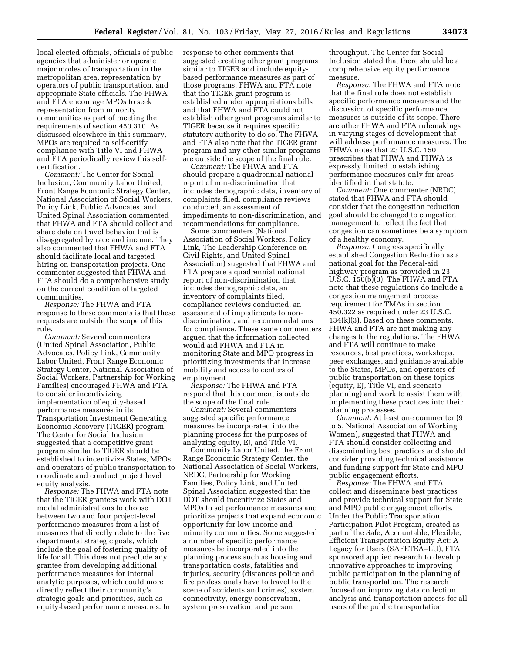local elected officials, officials of public agencies that administer or operate major modes of transportation in the metropolitan area, representation by operators of public transportation, and appropriate State officials. The FHWA and FTA encourage MPOs to seek representation from minority communities as part of meeting the requirements of section 450.310. As discussed elsewhere in this summary, MPOs are required to self-certify compliance with Title VI and FHWA and FTA periodically review this selfcertification.

*Comment:* The Center for Social Inclusion, Community Labor United, Front Range Economic Strategy Center, National Association of Social Workers, Policy Link, Public Advocates, and United Spinal Association commented that FHWA and FTA should collect and share data on travel behavior that is disaggregated by race and income. They also commented that FHWA and FTA should facilitate local and targeted hiring on transportation projects. One commenter suggested that FHWA and FTA should do a comprehensive study on the current condition of targeted communities.

*Response:* The FHWA and FTA response to these comments is that these requests are outside the scope of this rule.

*Comment:* Several commenters (United Spinal Association, Public Advocates, Policy Link, Community Labor United, Front Range Economic Strategy Center, National Association of Social Workers, Partnership for Working Families) encouraged FHWA and FTA to consider incentivizing implementation of equity-based performance measures in its Transportation Investment Generating Economic Recovery (TIGER) program. The Center for Social Inclusion suggested that a competitive grant program similar to TIGER should be established to incentivize States, MPOs, and operators of public transportation to coordinate and conduct project level equity analysis.

*Response:* The FHWA and FTA note that the TIGER grantees work with DOT modal administrations to choose between two and four project-level performance measures from a list of measures that directly relate to the five departmental strategic goals, which include the goal of fostering quality of life for all. This does not preclude any grantee from developing additional performance measures for internal analytic purposes, which could more directly reflect their community's strategic goals and priorities, such as equity-based performance measures. In

response to other comments that suggested creating other grant programs similar to TIGER and include equitybased performance measures as part of those programs, FHWA and FTA note that the TIGER grant program is established under appropriations bills and that FHWA and FTA could not establish other grant programs similar to TIGER because it requires specific statutory authority to do so. The FHWA and FTA also note that the TIGER grant program and any other similar programs are outside the scope of the final rule.

*Comment:* The FHWA and FTA should prepare a quadrennial national report of non-discrimination that includes demographic data, inventory of complaints filed, compliance reviews conducted, an assessment of impediments to non-discrimination, and recommendations for compliance.

Some commenters (National Association of Social Workers, Policy Link, The Leadership Conference on Civil Rights, and United Spinal Association) suggested that FHWA and FTA prepare a quadrennial national report of non-discrimination that includes demographic data, an inventory of complaints filed, compliance reviews conducted, an assessment of impediments to nondiscrimination, and recommendations for compliance. These same commenters argued that the information collected would aid FHWA and FTA in monitoring State and MPO progress in prioritizing investments that increase mobility and access to centers of employment.

*Response:* The FHWA and FTA respond that this comment is outside the scope of the final rule.

*Comment:* Several commenters suggested specific performance measures be incorporated into the planning process for the purposes of analyzing equity, EJ, and Title VI.

Community Labor United, the Front Range Economic Strategy Center, the National Association of Social Workers, NRDC, Partnership for Working Families, Policy Link, and United Spinal Association suggested that the DOT should incentivize States and MPOs to set performance measures and prioritize projects that expand economic opportunity for low-income and minority communities. Some suggested a number of specific performance measures be incorporated into the planning process such as housing and transportation costs, fatalities and injuries, security (distances police and fire professionals have to travel to the scene of accidents and crimes), system connectivity, energy conservation, system preservation, and person

throughput. The Center for Social Inclusion stated that there should be a comprehensive equity performance measure.

*Response:* The FHWA and FTA note that the final rule does not establish specific performance measures and the discussion of specific performance measures is outside of its scope. There are other FHWA and FTA rulemakings in varying stages of development that will address performance measures. The FHWA notes that 23 U.S.C. 150 prescribes that FHWA and FHWA is expressly limited to establishing performance measures only for areas identified in that statute.

*Comment:* One commenter (NRDC) stated that FHWA and FTA should consider that the congestion reduction goal should be changed to congestion management to reflect the fact that congestion can sometimes be a symptom of a healthy economy.

*Response:* Congress specifically established Congestion Reduction as a national goal for the Federal-aid highway program as provided in 23 U.S.C. 150(b)(3). The FHWA and FTA note that these regulations do include a congestion management process requirement for TMAs in section 450.322 as required under 23 U.S.C. 134(k)(3). Based on these comments, FHWA and FTA are not making any changes to the regulations. The FHWA and FTA will continue to make resources, best practices, workshops, peer exchanges, and guidance available to the States, MPOs, and operators of public transportation on these topics (equity, EJ, Title VI, and scenario planning) and work to assist them with implementing these practices into their planning processes.

*Comment:* At least one commenter (9 to 5, National Association of Working Women), suggested that FHWA and FTA should consider collecting and disseminating best practices and should consider providing technical assistance and funding support for State and MPO public engagement efforts.

*Response:* The FHWA and FTA collect and disseminate best practices and provide technical support for State and MPO public engagement efforts. Under the Public Transportation Participation Pilot Program, created as part of the Safe, Accountable, Flexible, Efficient Transportation Equity Act: A Legacy for Users (SAFETEA–LU), FTA sponsored applied research to develop innovative approaches to improving public participation in the planning of public transportation. The research focused on improving data collection analysis and transportation access for all users of the public transportation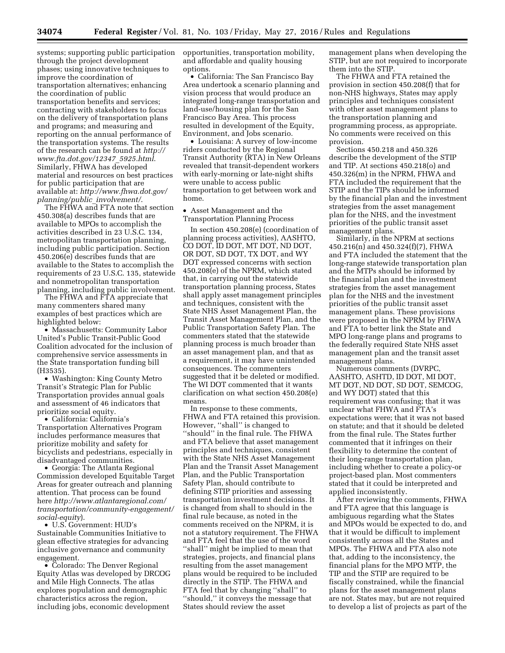systems; supporting public participation through the project development phases; using innovative techniques to improve the coordination of transportation alternatives; enhancing the coordination of public transportation benefits and services; contracting with stakeholders to focus on the delivery of transportation plans and programs; and measuring and reporting on the annual performance of the transportation systems. The results of the research can be found at *[http://](http://www.fta.dot.gov/12347_5925.html) [www.fta.dot.gov/12347](http://www.fta.dot.gov/12347_5925.html)*\_*5925.html*. Similarly, FHWA has developed material and resources on best practices for public participation that are available at: *[http://www.fhwa.dot.gov/](http://www.fhwa.dot.gov/planning/public_involvement/) [planning/public](http://www.fhwa.dot.gov/planning/public_involvement/)*\_*involvement/*.

The FHWA and FTA note that section 450.308(a) describes funds that are available to MPOs to accomplish the activities described in 23 U.S.C. 134, metropolitan transportation planning, including public participation. Section 450.206(e) describes funds that are available to the States to accomplish the requirements of 23 U.S.C. 135, statewide and nonmetropolitan transportation planning, including public involvement.

The FHWA and FTA appreciate that many commenters shared many examples of best practices which are highlighted below:

• Massachusetts: Community Labor United's Public Transit-Public Good Coalition advocated for the inclusion of comprehensive service assessments in the State transportation funding bill (H3535).

• Washington: King County Metro Transit's Strategic Plan for Public Transportation provides annual goals and assessment of 46 indicators that prioritize social equity.

• California: California's Transportation Alternatives Program includes performance measures that prioritize mobility and safety for bicyclists and pedestrians, especially in disadvantaged communities.

• Georgia: The Atlanta Regional Commission developed Equitable Target Areas for greater outreach and planning attention. That process can be found here *[http://www.atlantaregional.com/](http://www.atlantaregional.com/transportation/community-engagement/social-equity) [transportation/community-engagement/](http://www.atlantaregional.com/transportation/community-engagement/social-equity) [social-equity](http://www.atlantaregional.com/transportation/community-engagement/social-equity)*).

• U.S. Government: HUD's Sustainable Communities Initiative to glean effective strategies for advancing inclusive governance and community engagement.

• Colorado: The Denver Regional Equity Atlas was developed by DRCOG and Mile High Connects. The atlas explores population and demographic characteristics across the region, including jobs, economic development

opportunities, transportation mobility, and affordable and quality housing options.

• California: The San Francisco Bay Area undertook a scenario planning and vision process that would produce an integrated long-range transportation and land-use/housing plan for the San Francisco Bay Area. This process resulted in development of the Equity, Environment, and Jobs scenario.

• Louisiana: A survey of low-income riders conducted by the Regional Transit Authority (RTA) in New Orleans revealed that transit-dependent workers with early-morning or late-night shifts were unable to access public transportation to get between work and home.

• Asset Management and the Transportation Planning Process

In section 450.208(e) (coordination of planning process activities), AASHTO, CO DOT, ID DOT, MT DOT, ND DOT, OR DOT, SD DOT, TX DOT, and WY DOT expressed concerns with section 450.208(e) of the NPRM, which stated that, in carrying out the statewide transportation planning process, States shall apply asset management principles and techniques, consistent with the State NHS Asset Management Plan, the Transit Asset Management Plan, and the Public Transportation Safety Plan. The commenters stated that the statewide planning process is much broader than an asset management plan, and that as a requirement, it may have unintended consequences. The commenters suggested that it be deleted or modified. The WI DOT commented that it wants clarification on what section 450.208(e) means.

In response to these comments, FHWA and FTA retained this provision. However, ''shall'' is changed to ''should'' in the final rule. The FHWA and FTA believe that asset management principles and techniques, consistent with the State NHS Asset Management Plan and the Transit Asset Management Plan, and the Public Transportation Safety Plan, should contribute to defining STIP priorities and assessing transportation investment decisions. It is changed from shall to should in the final rule because, as noted in the comments received on the NPRM, it is not a statutory requirement. The FHWA and FTA feel that the use of the word ''shall'' might be implied to mean that strategies, projects, and financial plans resulting from the asset management plans would be required to be included directly in the STIP. The FHWA and FTA feel that by changing ''shall'' to ''should,'' it conveys the message that States should review the asset

management plans when developing the STIP, but are not required to incorporate them into the STIP.

The FHWA and FTA retained the provision in section 450.208(f) that for non-NHS highways, States may apply principles and techniques consistent with other asset management plans to the transportation planning and programming process, as appropriate. No comments were received on this provision.

Sections 450.218 and 450.326 describe the development of the STIP and TIP. At sections 450.218(o) and 450.326(m) in the NPRM, FHWA and FTA included the requirement that the STIP and the TIPs should be informed by the financial plan and the investment strategies from the asset management plan for the NHS, and the investment priorities of the public transit asset management plans.

Similarly, in the NPRM at sections 450.216(n) and 450.324(f)(7), FHWA and FTA included the statement that the long-range statewide transportation plan and the MTPs should be informed by the financial plan and the investment strategies from the asset management plan for the NHS and the investment priorities of the public transit asset management plans. These provisions were proposed in the NPRM by FHWA and FTA to better link the State and MPO long-range plans and programs to the federally required State NHS asset management plan and the transit asset management plans.

Numerous comments (DVRPC, AASHTO, ASHTD, ID DOT, MI DOT, MT DOT, ND DOT, SD DOT, SEMCOG, and WY DOT) stated that this requirement was confusing; that it was unclear what FHWA and FTA's expectations were; that it was not based on statute; and that it should be deleted from the final rule. The States further commented that it infringes on their flexibility to determine the content of their long-range transportation plan, including whether to create a policy-or project-based plan. Most commenters stated that it could be interpreted and applied inconsistently.

After reviewing the comments, FHWA and FTA agree that this language is ambiguous regarding what the States and MPOs would be expected to do, and that it would be difficult to implement consistently across all the States and MPOs. The FHWA and FTA also note that, adding to the inconsistency, the financial plans for the MPO MTP, the TIP and the STIP are required to be fiscally constrained, while the financial plans for the asset management plans are not. States may, but are not required to develop a list of projects as part of the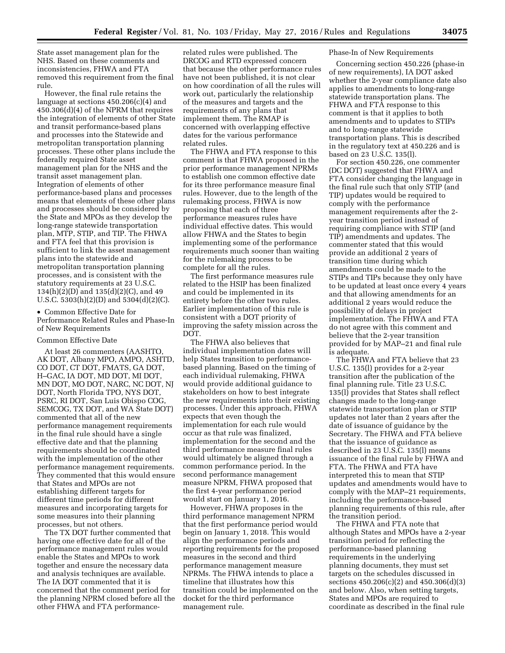State asset management plan for the NHS. Based on these comments and inconsistencies, FHWA and FTA removed this requirement from the final rule.

However, the final rule retains the language at sections 450.206(c)(4) and 450.306(d)(4) of the NPRM that requires the integration of elements of other State and transit performance-based plans and processes into the Statewide and metropolitan transportation planning processes. These other plans include the federally required State asset management plan for the NHS and the transit asset management plan. Integration of elements of other performance-based plans and processes means that elements of these other plans and processes should be considered by the State and MPOs as they develop the long-range statewide transportation plan, MTP, STIP, and TIP. The FHWA and FTA feel that this provision is sufficient to link the asset management plans into the statewide and metropolitan transportation planning processes, and is consistent with the statutory requirements at 23 U.S.C. 134(h)(2)(D) and 135(d)(2)(C), and 49 U.S.C. 5303(h)(2)(D) and 5304(d)(2)(C).

• Common Effective Date for Performance Related Rules and Phase-In of New Requirements

# Common Effective Date

At least 26 commenters (AASHTO, AK DOT, Albany MPO, AMPO, ASHTD, CO DOT, CT DOT, FMATS, GA DOT, H–GAC, IA DOT, MD DOT, MI DOT, MN DOT, MO DOT, NARC, NC DOT, NJ DOT, North Florida TPO, NYS DOT, PSRC, RI DOT, San Luis Obispo COG, SEMCOG, TX DOT, and WA State DOT) commented that all of the new performance management requirements in the final rule should have a single effective date and that the planning requirements should be coordinated with the implementation of the other performance management requirements. They commented that this would ensure that States and MPOs are not establishing different targets for different time periods for different measures and incorporating targets for some measures into their planning processes, but not others.

The TX DOT further commented that having one effective date for all of the performance management rules would enable the States and MPOs to work together and ensure the necessary data and analysis techniques are available. The IA DOT commented that it is concerned that the comment period for the planning NPRM closed before all the other FHWA and FTA performance-

related rules were published. The DRCOG and RTD expressed concern that because the other performance rules have not been published, it is not clear on how coordination of all the rules will work out, particularly the relationship of the measures and targets and the requirements of any plans that implement them. The RMAP is concerned with overlapping effective dates for the various performance related rules.

The FHWA and FTA response to this comment is that FHWA proposed in the prior performance management NPRMs to establish one common effective date for its three performance measure final rules. However, due to the length of the rulemaking process, FHWA is now proposing that each of three performance measures rules have individual effective dates. This would allow FHWA and the States to begin implementing some of the performance requirements much sooner than waiting for the rulemaking process to be complete for all the rules.

The first performance measures rule related to the HSIP has been finalized and could be implemented in its entirety before the other two rules. Earlier implementation of this rule is consistent with a DOT priority of improving the safety mission across the DOT.

The FHWA also believes that individual implementation dates will help States transition to performancebased planning. Based on the timing of each individual rulemaking, FHWA would provide additional guidance to stakeholders on how to best integrate the new requirements into their existing processes. Under this approach, FHWA expects that even though the implementation for each rule would occur as that rule was finalized, implementation for the second and the third performance measure final rules would ultimately be aligned through a common performance period. In the second performance management measure NPRM, FHWA proposed that the first 4-year performance period would start on January 1, 2016.

However, FHWA proposes in the third performance management NPRM that the first performance period would begin on January 1, 2018. This would align the performance periods and reporting requirements for the proposed measures in the second and third performance management measure NPRMs. The FHWA intends to place a timeline that illustrates how this transition could be implemented on the docket for the third performance management rule.

#### Phase-In of New Requirements

Concerning section 450.226 (phase-in of new requirements), IA DOT asked whether the 2-year compliance date also applies to amendments to long-range statewide transportation plans. The FHWA and FTA response to this comment is that it applies to both amendments and to updates to STIPs and to long-range statewide transportation plans. This is described in the regulatory text at 450.226 and is based on 23 U.S.C. 135(l).

For section 450.226, one commenter (DC DOT) suggested that FHWA and FTA consider changing the language in the final rule such that only STIP (and TIP) updates would be required to comply with the performance management requirements after the 2 year transition period instead of requiring compliance with STIP (and TIP) amendments and updates. The commenter stated that this would provide an additional 2 years of transition time during which amendments could be made to the STIPs and TIPs because they only have to be updated at least once every 4 years and that allowing amendments for an additional 2 years would reduce the possibility of delays in project implementation. The FHWA and FTA do not agree with this comment and believe that the 2-year transition provided for by MAP–21 and final rule is adequate.

The FHWA and FTA believe that 23 U.S.C. 135(l) provides for a 2-year transition after the publication of the final planning rule. Title 23 U.S.C. 135(l) provides that States shall reflect changes made to the long-range statewide transportation plan or STIP updates not later than 2 years after the date of issuance of guidance by the Secretary. The FHWA and FTA believe that the issuance of guidance as described in 23 U.S.C. 135(l) means issuance of the final rule by FHWA and FTA. The FHWA and FTA have interpreted this to mean that STIP updates and amendments would have to comply with the MAP–21 requirements, including the performance-based planning requirements of this rule, after the transition period.

The FHWA and FTA note that although States and MPOs have a 2-year transition period for reflecting the performance-based planning requirements in the underlying planning documents, they must set targets on the schedules discussed in sections 450.206(c)(2) and 450.306(d)(3) and below. Also, when setting targets, States and MPOs are required to coordinate as described in the final rule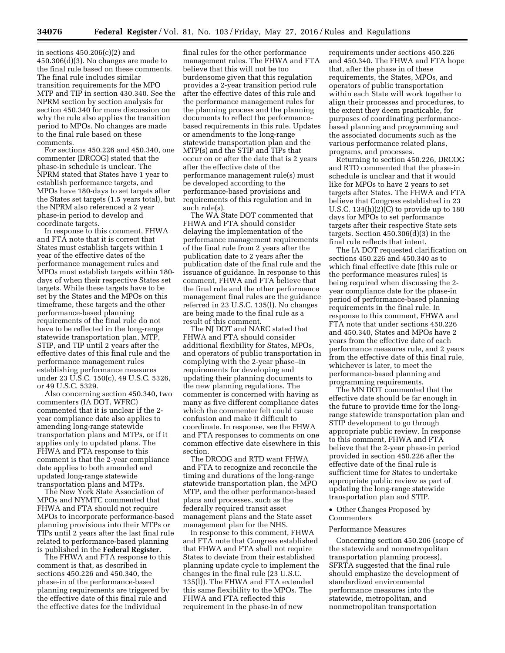in sections 450.206(c)(2) and 450.306(d)(3). No changes are made to the final rule based on these comments. The final rule includes similar transition requirements for the MPO MTP and TIP in section 430.340. See the NPRM section by section analysis for section 450.340 for more discussion on why the rule also applies the transition period to MPOs. No changes are made to the final rule based on these comments.

For sections 450.226 and 450.340, one commenter (DRCOG) stated that the phase-in schedule is unclear. The NPRM stated that States have 1 year to establish performance targets, and MPOs have 180-days to set targets after the States set targets (1.5 years total), but the NPRM also referenced a 2 year phase-in period to develop and coordinate targets.

In response to this comment, FHWA and FTA note that it is correct that States must establish targets within 1 year of the effective dates of the performance management rules and MPOs must establish targets within 180 days of when their respective States set targets. While these targets have to be set by the States and the MPOs on this timeframe, these targets and the other performance-based planning requirements of the final rule do not have to be reflected in the long-range statewide transportation plan, MTP, STIP, and TIP until 2 years after the effective dates of this final rule and the performance management rules establishing performance measures under 23 U.S.C. 150(c), 49 U.S.C. 5326, or 49 U.S.C. 5329.

Also concerning section 450.340, two commenters (IA DOT, WFRC) commented that it is unclear if the 2 year compliance date also applies to amending long-range statewide transportation plans and MTPs, or if it applies only to updated plans. The FHWA and FTA response to this comment is that the 2-year compliance date applies to both amended and updated long-range statewide transportation plans and MTPs.

The New York State Association of MPOs and NYMTC commented that FHWA and FTA should not require MPOs to incorporate performance-based planning provisions into their MTPs or TIPs until 2 years after the last final rule related to performance-based planning is published in the **Federal Register**.

The FHWA and FTA response to this comment is that, as described in sections 450.226 and 450.340, the phase-in of the performance-based planning requirements are triggered by the effective date of this final rule and the effective dates for the individual

final rules for the other performance management rules. The FHWA and FTA believe that this will not be too burdensome given that this regulation provides a 2-year transition period rule after the effective dates of this rule and the performance management rules for the planning process and the planning documents to reflect the performancebased requirements in this rule. Updates or amendments to the long-range statewide transportation plan and the MTP(s) and the STIP and TIPs that occur on or after the date that is 2 years after the effective date of the performance management rule(s) must be developed according to the performance-based provisions and requirements of this regulation and in such rule(s).

The WA State DOT commented that FHWA and FTA should consider delaying the implementation of the performance management requirements of the final rule from 2 years after the publication date to 2 years after the publication date of the final rule and the issuance of guidance. In response to this comment, FHWA and FTA believe that the final rule and the other performance management final rules are the guidance referred in 23 U.S.C. 135(l). No changes are being made to the final rule as a result of this comment.

The NJ DOT and NARC stated that FHWA and FTA should consider additional flexibility for States, MPOs, and operators of public transportation in complying with the 2-year phase–in requirements for developing and updating their planning documents to the new planning regulations. The commenter is concerned with having as many as five different compliance dates which the commenter felt could cause confusion and make it difficult to coordinate. In response, see the FHWA and FTA responses to comments on one common effective date elsewhere in this section.

The DRCOG and RTD want FHWA and FTA to recognize and reconcile the timing and durations of the long-range statewide transportation plan, the MPO MTP, and the other performance-based plans and processes, such as the federally required transit asset management plans and the State asset management plan for the NHS.

In response to this comment, FHWA and FTA note that Congress established that FHWA and FTA shall not require States to deviate from their established planning update cycle to implement the changes in the final rule (23 U.S.C. 135(l)). The FHWA and FTA extended this same flexibility to the MPOs. The FHWA and FTA reflected this requirement in the phase-in of new

requirements under sections 450.226 and 450.340. The FHWA and FTA hope that, after the phase in of these requirements, the States, MPOs, and operators of public transportation within each State will work together to align their processes and procedures, to the extent they deem practicable, for purposes of coordinating performancebased planning and programming and the associated documents such as the various performance related plans, programs, and processes.

Returning to section 450.226, DRCOG and RTD commented that the phase-in schedule is unclear and that it would like for MPOs to have 2 years to set targets after States. The FHWA and FTA believe that Congress established in 23 U.S.C. 134(h)(2)(C) to provide up to 180 days for MPOs to set performance targets after their respective State sets targets. Section 450.306(d)(3) in the final rule reflects that intent.

The IA DOT requested clarification on sections 450.226 and 450.340 as to which final effective date (this rule or the performance measures rules) is being required when discussing the 2 year compliance date for the phase-in period of performance-based planning requirements in the final rule. In response to this comment, FHWA and FTA note that under sections 450.226 and 450.340, States and MPOs have 2 years from the effective date of each performance measures rule, and 2 years from the effective date of this final rule, whichever is later, to meet the performance-based planning and programming requirements.

The MN DOT commented that the effective date should be far enough in the future to provide time for the longrange statewide transportation plan and STIP development to go through appropriate public review. In response to this comment, FHWA and FTA believe that the 2-year phase-in period provided in section 450.226 after the effective date of the final rule is sufficient time for States to undertake appropriate public review as part of updating the long-range statewide transportation plan and STIP.

• Other Changes Proposed by Commenters

# Performance Measures

Concerning section 450.206 (scope of the statewide and nonmetropolitan transportation planning process), SFRTA suggested that the final rule should emphasize the development of standardized environmental performance measures into the statewide, metropolitan, and nonmetropolitan transportation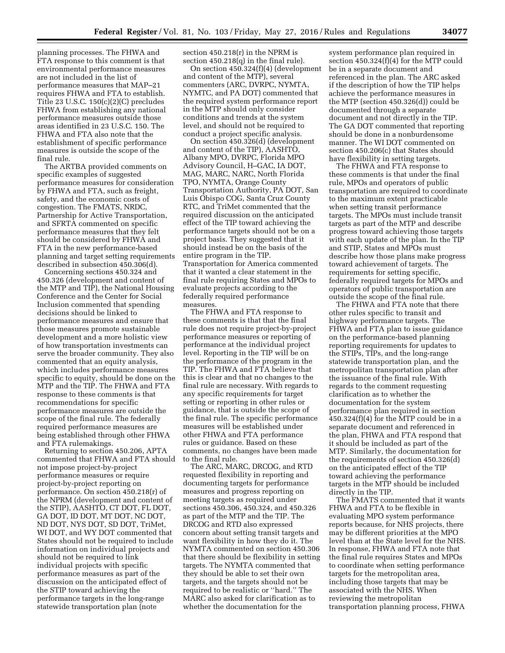planning processes. The FHWA and FTA response to this comment is that environmental performance measures are not included in the list of performance measures that MAP–21 requires FHWA and FTA to establish. Title 23 U.S.C. 150(c)(2)(C) precludes FHWA from establishing any national performance measures outside those areas identified in 23 U.S.C. 150. The FHWA and FTA also note that the establishment of specific performance measures is outside the scope of the final rule.

The ARTBA provided comments on specific examples of suggested performance measures for consideration by FHWA and FTA, such as freight, safety, and the economic costs of congestion. The FMATS, NRDC, Partnership for Active Transportation, and SFRTA commented on specific performance measures that they felt should be considered by FHWA and FTA in the new performance-based planning and target setting requirements described in subsection 450.306(d).

Concerning sections 450.324 and 450.326 (development and content of the MTP and TIP), the National Housing Conference and the Center for Social Inclusion commented that spending decisions should be linked to performance measures and ensure that those measures promote sustainable development and a more holistic view of how transportation investments can serve the broader community. They also commented that an equity analysis, which includes performance measures specific to equity, should be done on the MTP and the TIP. The FHWA and FTA response to these comments is that recommendations for specific performance measures are outside the scope of the final rule. The federally required performance measures are being established through other FHWA and FTA rulemakings.

Returning to section 450.206, APTA commented that FHWA and FTA should not impose project-by-project performance measures or require project-by-project reporting on performance. On section 450.218(r) of the NPRM (development and content of the STIP), AASHTO, CT DOT, FL DOT, GA DOT, ID DOT, MT DOT, NC DOT, ND DOT, NYS DOT, SD DOT, TriMet, WI DOT, and WY DOT commented that States should not be required to include information on individual projects and should not be required to link individual projects with specific performance measures as part of the discussion on the anticipated effect of the STIP toward achieving the performance targets in the long-range statewide transportation plan (note

section 450.218(r) in the NPRM is section 450.218(q) in the final rule).

On section 450.324(f)(4) (development and content of the MTP), several commenters (ARC, DVRPC, NYMTA, NYMTC, and PA DOT) commented that the required system performance report in the MTP should only consider conditions and trends at the system level, and should not be required to conduct a project specific analysis.

On section 450.326(d) (development and content of the TIP), AASHTO, Albany MPO, DVRPC, Florida MPO Advisory Council, H–GAC, IA DOT, MAG, MARC, NARC, North Florida TPO, NYMTA, Orange County Transportation Authority, PA DOT, San Luis Obispo COG, Santa Cruz County RTC, and TriMet commented that the required discussion on the anticipated effect of the TIP toward achieving the performance targets should not be on a project basis. They suggested that it should instead be on the basis of the entire program in the TIP. Transportation for America commented that it wanted a clear statement in the final rule requiring States and MPOs to evaluate projects according to the federally required performance measures.

The FHWA and FTA response to these comments is that that the final rule does not require project-by-project performance measures or reporting of performance at the individual project level. Reporting in the TIP will be on the performance of the program in the TIP. The FHWA and FTA believe that this is clear and that no changes to the final rule are necessary. With regards to any specific requirements for target setting or reporting in other rules or guidance, that is outside the scope of the final rule. The specific performance measures will be established under other FHWA and FTA performance rules or guidance. Based on these comments, no changes have been made to the final rule.

The ARC, MARC, DRCOG, and RTD requested flexibility in reporting and documenting targets for performance measures and progress reporting on meeting targets as required under sections 450.306, 450.324, and 450.326 as part of the MTP and the TIP. The DRCOG and RTD also expressed concern about setting transit targets and want flexibility in how they do it. The NYMTA commented on section 450.306 that there should be flexibility in setting targets. The NYMTA commented that they should be able to set their own targets, and the targets should not be required to be realistic or ''hard.'' The MARC also asked for clarification as to whether the documentation for the

system performance plan required in section 450.324(f)(4) for the MTP could be in a separate document and referenced in the plan. The ARC asked if the description of how the TIP helps achieve the performance measures in the MTP (section 450.326(d)) could be documented through a separate document and not directly in the TIP. The GA DOT commented that reporting should be done in a nonburdensome manner. The WI DOT commented on section 450.206(c) that States should have flexibility in setting targets.

The FHWA and FTA response to these comments is that under the final rule, MPOs and operators of public transportation are required to coordinate to the maximum extent practicable when setting transit performance targets. The MPOs must include transit targets as part of the MTP and describe progress toward achieving those targets with each update of the plan. In the TIP and STIP, States and MPOs must describe how those plans make progress toward achievement of targets. The requirements for setting specific, federally required targets for MPOs and operators of public transportation are outside the scope of the final rule.

The FHWA and FTA note that there other rules specific to transit and highway performance targets. The FHWA and FTA plan to issue guidance on the performance-based planning reporting requirements for updates to the STIPs, TIPs, and the long-range statewide transportation plan, and the metropolitan transportation plan after the issuance of the final rule. With regards to the comment requesting clarification as to whether the documentation for the system performance plan required in section 450.324(f)(4) for the MTP could be in a separate document and referenced in the plan, FHWA and FTA respond that it should be included as part of the MTP. Similarly, the documentation for the requirements of section 450.326(d) on the anticipated effect of the TIP toward achieving the performance targets in the MTP should be included directly in the TIP.

The FMATS commented that it wants FHWA and FTA to be flexible in evaluating MPO system performance reports because, for NHS projects, there may be different priorities at the MPO level than at the State level for the NHS. In response, FHWA and FTA note that the final rule requires States and MPOs to coordinate when setting performance targets for the metropolitan area, including those targets that may be associated with the NHS. When reviewing the metropolitan transportation planning process, FHWA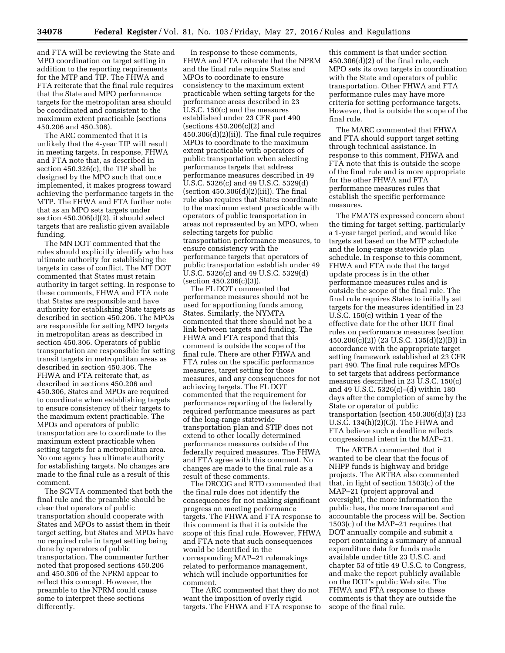and FTA will be reviewing the State and MPO coordination on target setting in addition to the reporting requirements for the MTP and TIP. The FHWA and FTA reiterate that the final rule requires that the State and MPO performance targets for the metropolitan area should be coordinated and consistent to the maximum extent practicable (sections 450.206 and 450.306).

The ARC commented that it is unlikely that the 4-year TIP will result in meeting targets. In response, FHWA and FTA note that, as described in section 450.326(c), the TIP shall be designed by the MPO such that once implemented, it makes progress toward achieving the performance targets in the MTP. The FHWA and FTA further note that as an MPO sets targets under section 450.306(d)(2), it should select targets that are realistic given available funding.

The MN DOT commented that the rules should explicitly identify who has ultimate authority for establishing the targets in case of conflict. The MT DOT commented that States must retain authority in target setting. In response to these comments, FHWA and FTA note that States are responsible and have authority for establishing State targets as described in section 450.206. The MPOs are responsible for setting MPO targets in metropolitan areas as described in section 450.306. Operators of public transportation are responsible for setting transit targets in metropolitan areas as described in section 450.306. The FHWA and FTA reiterate that, as described in sections 450.206 and 450.306, States and MPOs are required to coordinate when establishing targets to ensure consistency of their targets to the maximum extent practicable. The MPOs and operators of public transportation are to coordinate to the maximum extent practicable when setting targets for a metropolitan area. No one agency has ultimate authority for establishing targets. No changes are made to the final rule as a result of this comment.

The SCVTA commented that both the final rule and the preamble should be clear that operators of public transportation should cooperate with States and MPOs to assist them in their target setting, but States and MPOs have no required role in target setting being done by operators of public transportation. The commenter further noted that proposed sections 450.206 and 450.306 of the NPRM appear to reflect this concept. However, the preamble to the NPRM could cause some to interpret these sections differently.

In response to these comments, FHWA and FTA reiterate that the NPRM and the final rule require States and MPOs to coordinate to ensure consistency to the maximum extent practicable when setting targets for the performance areas described in 23 U.S.C. 150(c) and the measures established under 23 CFR part 490 (sections 450.206(c)(2) and 450.306(d)(2)(ii)). The final rule requires MPOs to coordinate to the maximum extent practicable with operators of public transportation when selecting performance targets that address performance measures described in 49 U.S.C. 5326(c) and 49 U.S.C. 5329(d) (section  $450.306(d)(2)(iii)$ ). The final rule also requires that States coordinate to the maximum extent practicable with operators of public transportation in areas not represented by an MPO, when selecting targets for public transportation performance measures, to ensure consistency with the performance targets that operators of public transportation establish under 49 U.S.C. 5326(c) and 49 U.S.C. 5329(d) (section 450.206(c)(3)).

The FL DOT commented that performance measures should not be used for apportioning funds among States. Similarly, the NYMTA commented that there should not be a link between targets and funding. The FHWA and FTA respond that this comment is outside the scope of the final rule. There are other FHWA and FTA rules on the specific performance measures, target setting for those measures, and any consequences for not achieving targets. The FL DOT commented that the requirement for performance reporting of the federally required performance measures as part of the long-range statewide transportation plan and STIP does not extend to other locally determined performance measures outside of the federally required measures. The FHWA and FTA agree with this comment. No changes are made to the final rule as a result of these comments.

The DRCOG and RTD commented that the final rule does not identify the consequences for not making significant progress on meeting performance targets. The FHWA and FTA response to this comment is that it is outside the scope of this final rule. However, FHWA and FTA note that such consequences would be identified in the corresponding MAP–21 rulemakings related to performance management, which will include opportunities for comment.

The ARC commented that they do not want the imposition of overly rigid targets. The FHWA and FTA response to

this comment is that under section 450.306(d)(2) of the final rule, each MPO sets its own targets in coordination with the State and operators of public transportation. Other FHWA and FTA performance rules may have more criteria for setting performance targets. However, that is outside the scope of the final rule.

The MARC commented that FHWA and FTA should support target setting through technical assistance. In response to this comment, FHWA and FTA note that this is outside the scope of the final rule and is more appropriate for the other FHWA and FTA performance measures rules that establish the specific performance measures.

The FMATS expressed concern about the timing for target setting, particularly a 1-year target period, and would like targets set based on the MTP schedule and the long-range statewide plan schedule. In response to this comment, FHWA and FTA note that the target update process is in the other performance measures rules and is outside the scope of the final rule. The final rule requires States to initially set targets for the measures identified in 23 U.S.C. 150(c) within 1 year of the effective date for the other DOT final rules on performance measures (section 450.206(c)(2)) (23 U.S.C. 135(d)(2)(B)) in accordance with the appropriate target setting framework established at 23 CFR part 490. The final rule requires MPOs to set targets that address performance measures described in 23 U.S.C. 150(c) and 49 U.S.C. 5326(c)–(d) within 180 days after the completion of same by the State or operator of public transportation (section 450.306(d)(3) (23 U.S.C. 134(h)(2)(C)). The FHWA and FTA believe such a deadline reflects congressional intent in the MAP–21.

The ARTBA commented that it wanted to be clear that the focus of NHPP funds is highway and bridge projects. The ARTBA also commented that, in light of section 1503(c) of the MAP–21 (project approval and oversight), the more information the public has, the more transparent and accountable the process will be. Section 1503(c) of the MAP–21 requires that DOT annually compile and submit a report containing a summary of annual expenditure data for funds made available under title 23 U.S.C. and chapter 53 of title 49 U.S.C. to Congress, and make the report publicly available on the DOT's public Web site. The FHWA and FTA response to these comments is that they are outside the scope of the final rule.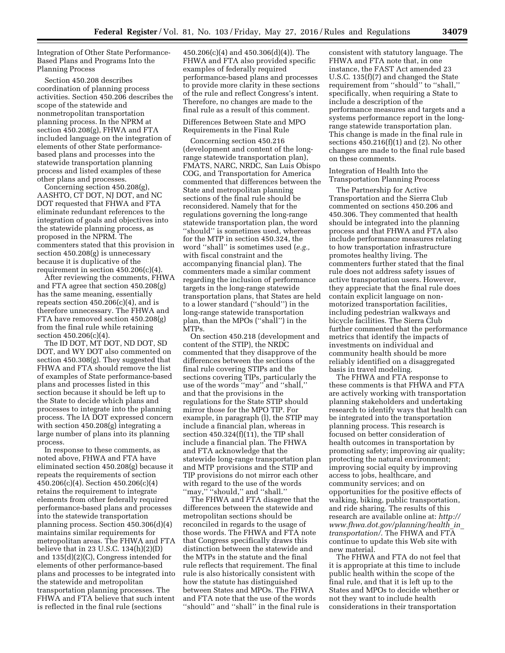Integration of Other State Performance-Based Plans and Programs Into the Planning Process

Section 450.208 describes coordination of planning process activities. Section 450.206 describes the scope of the statewide and nonmetropolitan transportation planning process. In the NPRM at section 450.208(g), FHWA and FTA included language on the integration of elements of other State performancebased plans and processes into the statewide transportation planning process and listed examples of these other plans and processes.

Concerning section 450.208(g), AASHTO, CT DOT, NJ DOT, and NC DOT requested that FHWA and FTA eliminate redundant references to the integration of goals and objectives into the statewide planning process, as proposed in the NPRM. The commenters stated that this provision in section 450.208(g) is unnecessary because it is duplicative of the requirement in section 450.206(c)(4).

After reviewing the comments, FHWA and FTA agree that section 450.208(g) has the same meaning, essentially repeats section  $450.206(c)(4)$ , and is therefore unnecessary. The FHWA and FTA have removed section 450.208(g) from the final rule while retaining section 450.206(c)(4).

The ID DOT, MT DOT, ND DOT, SD DOT, and WY DOT also commented on section 450.308(g). They suggested that FHWA and FTA should remove the list of examples of State performance-based plans and processes listed in this section because it should be left up to the State to decide which plans and processes to integrate into the planning process. The IA DOT expressed concern with section 450.208(g) integrating a large number of plans into its planning process.

In response to these comments, as noted above, FHWA and FTA have eliminated section 450.208(g) because it repeats the requirements of section 450.206(c)(4). Section 450.206(c)(4) retains the requirement to integrate elements from other federally required performance-based plans and processes into the statewide transportation planning process. Section 450.306(d)(4) maintains similar requirements for metropolitan areas. The FHWA and FTA believe that in 23 U.S.C.  $134(h)(2)(D)$ and 135(d)(2)(C), Congress intended for elements of other performance-based plans and processes to be integrated into the statewide and metropolitan transportation planning processes. The FHWA and FTA believe that such intent is reflected in the final rule (sections

450.206(c)(4) and 450.306(d)(4)). The FHWA and FTA also provided specific examples of federally required performance-based plans and processes to provide more clarity in these sections of the rule and reflect Congress's intent. Therefore, no changes are made to the final rule as a result of this comment.

Differences Between State and MPO Requirements in the Final Rule

Concerning section 450.216 (development and content of the longrange statewide transportation plan), FMATS, NARC, NRDC, San Luis Obispo COG, and Transportation for America commented that differences between the State and metropolitan planning sections of the final rule should be reconsidered. Namely that for the regulations governing the long-range statewide transportation plan, the word ''should'' is sometimes used, whereas for the MTP in section 450.324, the word ''shall'' is sometimes used (*e.g.,*  with fiscal constraint and the accompanying financial plan). The commenters made a similar comment regarding the inclusion of performance targets in the long-range statewide transportation plans, that States are held to a lower standard (''should'') in the long-range statewide transportation plan, than the MPOs (''shall'') in the MTPs.

On section 450.218 (development and content of the STIP), the NRDC commented that they disapprove of the differences between the sections of the final rule covering STIPs and the sections covering TIPs, particularly the use of the words ''may'' and ''shall,'' and that the provisions in the regulations for the State STIP should mirror those for the MPO TIP. For example, in paragraph (l), the STIP may include a financial plan, whereas in section 450.324(f)(11), the TIP shall include a financial plan. The FHWA and FTA acknowledge that the statewide long-range transportation plan and MTP provisions and the STIP and TIP provisions do not mirror each other with regard to the use of the words ''may,'' ''should,'' and ''shall.''

The FHWA and FTA disagree that the differences between the statewide and metropolitan sections should be reconciled in regards to the usage of those words. The FHWA and FTA note that Congress specifically draws this distinction between the statewide and the MTPs in the statute and the final rule reflects that requirement. The final rule is also historically consistent with how the statute has distinguished between States and MPOs. The FHWA and FTA note that the use of the words ''should'' and ''shall'' in the final rule is

consistent with statutory language. The FHWA and FTA note that, in one instance, the FAST Act amended 23 U.S.C. 135(f)(7) and changed the State requirement from ''should'' to ''shall,'' specifically, when requiring a State to include a description of the performance measures and targets and a systems performance report in the longrange statewide transportation plan. This change is made in the final rule in sections  $450.216(f)(1)$  and  $(2)$ . No other changes are made to the final rule based on these comments.

Integration of Health Into the Transportation Planning Process

The Partnership for Active Transportation and the Sierra Club commented on sections 450.206 and 450.306. They commented that health should be integrated into the planning process and that FHWA and FTA also include performance measures relating to how transportation infrastructure promotes healthy living. The commenters further stated that the final rule does not address safety issues of active transportation users. However, they appreciate that the final rule does contain explicit language on nonmotorized transportation facilities, including pedestrian walkways and bicycle facilities. The Sierra Club further commented that the performance metrics that identify the impacts of investments on individual and community health should be more reliably identified on a disaggregated basis in travel modeling.

The FHWA and FTA response to these comments is that FHWA and FTA are actively working with transportation planning stakeholders and undertaking research to identify ways that health can be integrated into the transportation planning process. This research is focused on better consideration of health outcomes in transportation by promoting safety; improving air quality; protecting the natural environment; improving social equity by improving access to jobs, healthcare, and community services; and on opportunities for the positive effects of walking, biking, public transportation, and ride sharing. The results of this research are available online at: *[http://](http://www.fhwa.dot.gov/planning/health_in_transportation/) [www.fhwa.dot.gov/planning/health](http://www.fhwa.dot.gov/planning/health_in_transportation/)*\_*in*\_ *[transportation/](http://www.fhwa.dot.gov/planning/health_in_transportation/)*. The FHWA and FTA continue to update this Web site with new material.

The FHWA and FTA do not feel that it is appropriate at this time to include public health within the scope of the final rule, and that it is left up to the States and MPOs to decide whether or not they want to include health considerations in their transportation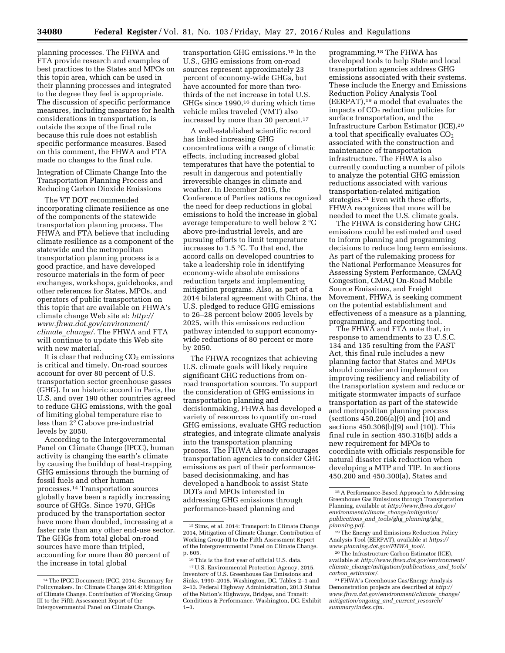planning processes. The FHWA and FTA provide research and examples of best practices to the States and MPOs on this topic area, which can be used in their planning processes and integrated to the degree they feel is appropriate. The discussion of specific performance measures, including measures for health considerations in transportation, is outside the scope of the final rule because this rule does not establish specific performance measures. Based on this comment, the FHWA and FTA made no changes to the final rule.

Integration of Climate Change Into the Transportation Planning Process and Reducing Carbon Dioxide Emissions

The VT DOT recommended incorporating climate resilience as one of the components of the statewide transportation planning process. The FHWA and FTA believe that including climate resilience as a component of the statewide and the metropolitan transportation planning process is a good practice, and have developed resource materials in the form of peer exchanges, workshops, guidebooks, and other references for States, MPOs, and operators of public transportation on this topic that are available on FHWA's climate change Web site at: *[http://](http://www.fhwa.dot.gov/environment/climate_change/) [www.fhwa.dot.gov/environment/](http://www.fhwa.dot.gov/environment/climate_change/) climate*\_*[change/](http://www.fhwa.dot.gov/environment/climate_change/)*. The FHWA and FTA will continue to update this Web site with new material.

It is clear that reducing  $CO<sub>2</sub>$  emissions is critical and timely. On-road sources account for over 80 percent of U.S. transportation sector greenhouse gasses (GHG). In an historic accord in Paris, the U.S. and over 190 other countries agreed to reduce GHG emissions, with the goal of limiting global temperature rise to less than 2° C above pre-industrial levels by 2050.

According to the Intergovernmental Panel on Climate Change (IPCC), human activity is changing the earth's climate by causing the buildup of heat-trapping GHG emissions through the burning of fossil fuels and other human processes.14 Transportation sources globally have been a rapidly increasing source of GHGs. Since 1970, GHGs produced by the transportation sector have more than doubled, increasing at a faster rate than any other end-use sector. The GHGs from total global on-road sources have more than tripled, accounting for more than 80 percent of the increase in total global

transportation GHG emissions.15 In the U.S., GHG emissions from on-road sources represent approximately 23 percent of economy-wide GHGs, but have accounted for more than twothirds of the net increase in total U.S. GHGs since 1990,16 during which time vehicle miles traveled (VMT) also increased by more than 30 percent.<sup>17</sup>

A well-established scientific record has linked increasing GHG concentrations with a range of climatic effects, including increased global temperatures that have the potential to result in dangerous and potentially irreversible changes in climate and weather. In December 2015, the Conference of Parties nations recognized the need for deep reductions in global emissions to hold the increase in global average temperature to well below 2 °C above pre-industrial levels, and are pursuing efforts to limit temperature increases to 1.5 °C. To that end, the accord calls on developed countries to take a leadership role in identifying economy-wide absolute emissions reduction targets and implementing mitigation programs. Also, as part of a 2014 bilateral agreement with China, the U.S. pledged to reduce GHG emissions to 26–28 percent below 2005 levels by 2025, with this emissions reduction pathway intended to support economywide reductions of 80 percent or more by 2050.

The FHWA recognizes that achieving U.S. climate goals will likely require significant GHG reductions from onroad transportation sources. To support the consideration of GHG emissions in transportation planning and decisionmaking, FHWA has developed a variety of resources to quantify on-road GHG emissions, evaluate GHG reduction strategies, and integrate climate analysis into the transportation planning process. The FHWA already encourages transportation agencies to consider GHG emissions as part of their performancebased decisionmaking, and has developed a handbook to assist State DOTs and MPOs interested in addressing GHG emissions through performance-based planning and

programming.18 The FHWA has developed tools to help State and local transportation agencies address GHG emissions associated with their systems. These include the Energy and Emissions Reduction Policy Analysis Tool (EERPAT),19 a model that evaluates the impacts of  $CO<sub>2</sub>$  reduction policies for surface transportation, and the Infrastructure Carbon Estimator (ICE),20 a tool that specifically evaluates CO<sub>2</sub> associated with the construction and maintenance of transportation infrastructure. The FHWA is also currently conducting a number of pilots to analyze the potential GHG emission reductions associated with various transportation-related mitigation strategies.21 Even with these efforts, FHWA recognizes that more will be needed to meet the U.S. climate goals.

The FHWA is considering how GHG emissions could be estimated and used to inform planning and programming decisions to reduce long term emissions. As part of the rulemaking process for the National Performance Measures for Assessing System Performance, CMAQ Congestion, CMAQ On-Road Mobile Source Emissions, and Freight Movement, FHWA is seeking comment on the potential establishment and effectiveness of a measure as a planning, programming, and reporting tool.

The FHWA and FTA note that, in response to amendments to 23 U.S.C. 134 and 135 resulting from the FAST Act, this final rule includes a new planning factor that States and MPOs should consider and implement on improving resiliency and reliability of the transportation system and reduce or mitigate stormwater impacts of surface transportation as part of the statewide and metropolitan planning process (sections 450.206(a)(9) and (10) and sections 450.306(b)(9) and (10)). This final rule in section 450.316(b) adds a new requirement for MPOs to coordinate with officials responsible for natural disaster risk reduction when developing a MTP and TIP. In sections 450.200 and 450.300(a), States and

<sup>14</sup>The IPCC Document: IPCC, 2014: Summary for Policymakers. In: Climate Change 2014: Mitigation of Climate Change. Contribution of Working Group III to the Fifth Assessment Report of the Intergovernmental Panel on Climate Change.

<sup>15</sup>Sims, et al. 2014: Transport: In Climate Change 2014, Mitigation of Climate Change. Contribution of Working Group III to the Fifth Assessment Report of the Intergovernmental Panel on Climate Change. p. 605.

<sup>16</sup>This is the first year of official U.S. data. 17U.S. Environmental Protection Agency, 2015. Inventory of U.S. Greenhouse Gas Emissions and Sinks, 1990–2015. Washington, DC. Tables 2–1 and 2–13. Federal Highway Administration, 2013 Status of the Nation's Highways, Bridges, and Transit: Conditions & Performance. Washington, DC. Exhibit 1–3.

<sup>18</sup>A Performance-Based Approach to Addressing Greenhouse Gas Emissions through Transportation Planning, available at *[http://www.fhwa.dot.gov/](http://www.fhwa.dot.gov/environment/climate_change/mitigation/publications_and_tools/ghg_planning/ghg_planning.pdf) [environment/climate](http://www.fhwa.dot.gov/environment/climate_change/mitigation/publications_and_tools/ghg_planning/ghg_planning.pdf)*\_*change/mitigation/ publications*\_*and*\_*tools/ghg*\_*[planning/ghg](http://www.fhwa.dot.gov/environment/climate_change/mitigation/publications_and_tools/ghg_planning/ghg_planning.pdf)*\_ *[planning.pdf](http://www.fhwa.dot.gov/environment/climate_change/mitigation/publications_and_tools/ghg_planning/ghg_planning.pdf)*.

<sup>19</sup>The Energy and Emissions Reduction Policy Analysis Tool (EERPAT), available at *[https://](https://www.planning.dot.gov/FHWA_tool/) [www.planning.dot.gov/FHWA](https://www.planning.dot.gov/FHWA_tool/)*\_*tool/*.

<sup>20</sup>The Infrastructure Carbon Estimator (ICE), available at *[http://www.fhwa.dot.gov/environment/](http://www.fhwa.dot.gov/environment/climate_change/mitigation/publications_and_tools/carbon_estimator/) climate*\_*[change/mitigation/publications](http://www.fhwa.dot.gov/environment/climate_change/mitigation/publications_and_tools/carbon_estimator/)*\_*and*\_*tools/ carbon*\_*[estimator/](http://www.fhwa.dot.gov/environment/climate_change/mitigation/publications_and_tools/carbon_estimator/)*.

<sup>21</sup>FHWA's Greenhouse Gas/Energy Analysis Demonstration projects are described at *[http://](http://www.fhwa.dot.gov/environment/climate_change/mitigation/ongoing_and_current_research/summary/index.cfm) [www.fhwa.dot.gov/environment/climate](http://www.fhwa.dot.gov/environment/climate_change/mitigation/ongoing_and_current_research/summary/index.cfm)*\_*change/ [mitigation/ongoing](http://www.fhwa.dot.gov/environment/climate_change/mitigation/ongoing_and_current_research/summary/index.cfm)*\_*and*\_*current*\_*research/ [summary/index.cfm](http://www.fhwa.dot.gov/environment/climate_change/mitigation/ongoing_and_current_research/summary/index.cfm)*.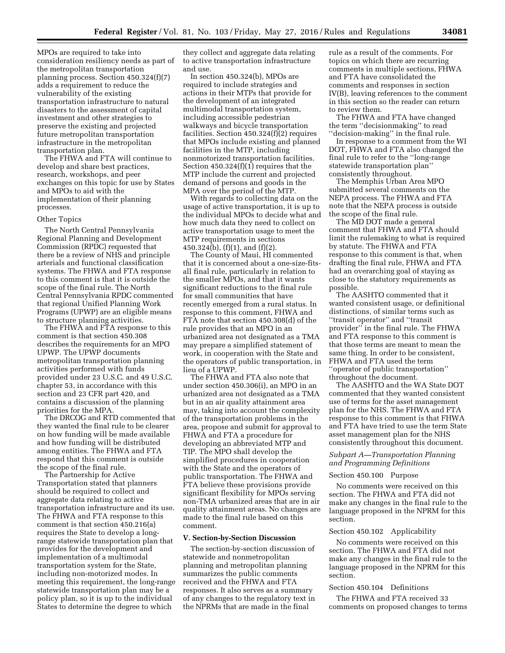MPOs are required to take into consideration resiliency needs as part of the metropolitan transportation planning process. Section 450.324(f)(7) adds a requirement to reduce the vulnerability of the existing transportation infrastructure to natural disasters to the assessment of capital investment and other strategies to preserve the existing and projected future metropolitan transportation infrastructure in the metropolitan transportation plan.

The FHWA and FTA will continue to develop and share best practices, research, workshops, and peer exchanges on this topic for use by States and MPOs to aid with the implementation of their planning processes.

#### Other Topics

The North Central Pennsylvania Regional Planning and Development Commission (RPDC) requested that there be a review of NHS and principle arterials and functional classification systems. The FHWA and FTA response to this comment is that it is outside the scope of the final rule. The North Central Pennsylvania RPDC commented that regional Unified Planning Work Programs (UPWP) are an eligible means to structure planning activities.

The FHWA and FTA response to this comment is that section 450.308 describes the requirements for an MPO UPWP. The UPWP documents metropolitan transportation planning activities performed with funds provided under 23 U.S.C. and 49 U.S.C. chapter 53, in accordance with this section and 23 CFR part 420, and contains a discussion of the planning priorities for the MPA.

The DRCOG and RTD commented that they wanted the final rule to be clearer on how funding will be made available and how funding will be distributed among entities. The FHWA and FTA respond that this comment is outside the scope of the final rule.

The Partnership for Active Transportation stated that planners should be required to collect and aggregate data relating to active transportation infrastructure and its use. The FHWA and FTA response to this comment is that section 450.216(a) requires the State to develop a longrange statewide transportation plan that provides for the development and implementation of a multimodal transportation system for the State, including non-motorized modes. In meeting this requirement, the long-range statewide transportation plan may be a policy plan, so it is up to the individual States to determine the degree to which

they collect and aggregate data relating to active transportation infrastructure and use.

In section 450.324(b), MPOs are required to include strategies and actions in their MTPs that provide for the development of an integrated multimodal transportation system, including accessible pedestrian walkways and bicycle transportation facilities. Section 450.324(f)(2) requires that MPOs include existing and planned facilities in the MTP, including nonmotorized transportation facilities. Section 450.324(f)(1) requires that the MTP include the current and projected demand of persons and goods in the MPA over the period of the MTP.

With regards to collecting data on the usage of active transportation, it is up to the individual MPOs to decide what and how much data they need to collect on active transportation usage to meet the MTP requirements in sections 450.324(b), (f)(1), and (f)(2).

The County of Maui, HI commented that it is concerned about a one-size-fitsall final rule, particularly in relation to the smaller MPOs, and that it wants significant reductions to the final rule for small communities that have recently emerged from a rural status. In response to this comment, FHWA and FTA note that section 450.308(d) of the rule provides that an MPO in an urbanized area not designated as a TMA may prepare a simplified statement of work, in cooperation with the State and the operators of public transportation, in lieu of a UPWP.

The FHWA and FTA also note that under section 450.306(i), an MPO in an urbanized area not designated as a TMA but in an air quality attainment area may, taking into account the complexity of the transportation problems in the area, propose and submit for approval to FHWA and FTA a procedure for developing an abbreviated MTP and TIP. The MPO shall develop the simplified procedures in cooperation with the State and the operators of public transportation. The FHWA and FTA believe these provisions provide significant flexibility for MPOs serving non-TMA urbanized areas that are in air quality attainment areas. No changes are made to the final rule based on this comment.

#### **V. Section-by-Section Discussion**

The section-by-section discussion of statewide and nonmetropolitan planning and metropolitan planning summarizes the public comments received and the FHWA and FTA responses. It also serves as a summary of any changes to the regulatory text in the NPRMs that are made in the final

rule as a result of the comments. For topics on which there are recurring comments in multiple sections, FHWA and FTA have consolidated the comments and responses in section IV(B), leaving references to the comment in this section so the reader can return to review them.

The FHWA and FTA have changed the term ''decisionmaking'' to read ''decision-making'' in the final rule.

In response to a comment from the WI DOT, FHWA and FTA also changed the final rule to refer to the ''long-range statewide transportation plan'' consistently throughout.

The Memphis Urban Area MPO submitted several comments on the NEPA process. The FHWA and FTA note that the NEPA process is outside the scope of the final rule.

The MD DOT made a general comment that FHWA and FTA should limit the rulemaking to what is required by statute. The FHWA and FTA response to this comment is that, when drafting the final rule, FHWA and FTA had an overarching goal of staying as close to the statutory requirements as possible.

The AASHTO commented that it wanted consistent usage, or definitional distinctions, of similar terms such as ''transit operator'' and ''transit provider'' in the final rule. The FHWA and FTA response to this comment is that those terms are meant to mean the same thing. In order to be consistent, FHWA and FTA used the term ''operator of public transportation'' throughout the document.

The AASHTO and the WA State DOT commented that they wanted consistent use of terms for the asset management plan for the NHS. The FHWA and FTA response to this comment is that FHWA and FTA have tried to use the term State asset management plan for the NHS consistently throughout this document.

#### *Subpart A—Transportation Planning and Programming Definitions*

#### Section 450.100 Purpose

No comments were received on this section. The FHWA and FTA did not make any changes in the final rule to the language proposed in the NPRM for this section.

#### Section 450.102 Applicability

No comments were received on this section. The FHWA and FTA did not make any changes in the final rule to the language proposed in the NPRM for this section.

#### Section 450.104 Definitions

The FHWA and FTA received 33 comments on proposed changes to terms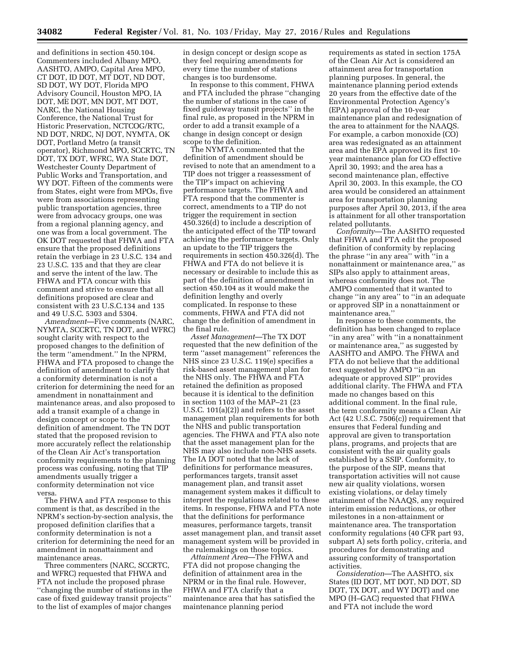and definitions in section 450.104. Commenters included Albany MPO, AASHTO, AMPO, Capital Area MPO, CT DOT, ID DOT, MT DOT, ND DOT, SD DOT, WY DOT, Florida MPO Advisory Council, Houston MPO, IA DOT, ME DOT, MN DOT, MT DOT, NARC, the National Housing Conference, the National Trust for Historic Preservation, NCTCOG/RTC, ND DOT, NRDC, NJ DOT, NYMTA, OK DOT, Portland Metro (a transit operator), Richmond MPO, SCCRTC, TN DOT, TX DOT, WFRC, WA State DOT, Westchester County Department of Public Works and Transportation, and WY DOT. Fifteen of the comments were from States, eight were from MPOs, five were from associations representing public transportation agencies, three were from advocacy groups, one was from a regional planning agency, and one was from a local government. The OK DOT requested that FHWA and FTA ensure that the proposed definitions retain the verbiage in 23 U.S.C. 134 and 23 U.S.C. 135 and that they are clear and serve the intent of the law. The FHWA and FTA concur with this comment and strive to ensure that all definitions proposed are clear and consistent with 23 U.S.C.134 and 135 and 49 U.S.C. 5303 and 5304.

*Amendment*—Five comments (NARC, NYMTA, SCCRTC, TN DOT, and WFRC) sought clarity with respect to the proposed changes to the definition of the term ''amendment.'' In the NPRM, FHWA and FTA proposed to change the definition of amendment to clarify that a conformity determination is not a criterion for determining the need for an amendment in nonattainment and maintenance areas, and also proposed to add a transit example of a change in design concept or scope to the definition of amendment. The TN DOT stated that the proposed revision to more accurately reflect the relationship of the Clean Air Act's transportation conformity requirements to the planning process was confusing, noting that TIP amendments usually trigger a conformity determination not vice versa.

The FHWA and FTA response to this comment is that, as described in the NPRM's section-by-section analysis, the proposed definition clarifies that a conformity determination is not a criterion for determining the need for an amendment in nonattainment and maintenance areas.

Three commenters (NARC, SCCRTC, and WFRC) requested that FHWA and FTA not include the proposed phrase ''changing the number of stations in the case of fixed guideway transit projects'' to the list of examples of major changes

in design concept or design scope as they feel requiring amendments for every time the number of stations changes is too burdensome.

In response to this comment, FHWA and FTA included the phrase ''changing the number of stations in the case of fixed guideway transit projects'' in the final rule, as proposed in the NPRM in order to add a transit example of a change in design concept or design scope to the definition.

The NYMTA commented that the definition of amendment should be revised to note that an amendment to a TIP does not trigger a reassessment of the TIP's impact on achieving performance targets. The FHWA and FTA respond that the commenter is correct, amendments to a TIP do not trigger the requirement in section 450.326(d) to include a description of the anticipated effect of the TIP toward achieving the performance targets. Only an update to the TIP triggers the requirements in section 450.326(d). The FHWA and FTA do not believe it is necessary or desirable to include this as part of the definition of amendment in section 450.104 as it would make the definition lengthy and overly complicated. In response to these comments, FHWA and FTA did not change the definition of amendment in the final rule.

*Asset Management*—The TX DOT requested that the new definition of the term ''asset management'' references the NHS since 23 U.S.C. 119(e) specifies a risk-based asset management plan for the NHS only. The FHWA and FTA retained the definition as proposed because it is identical to the definition in section 1103 of the MAP–21 (23 U.S.C. 101(a)(2)) and refers to the asset management plan requirements for both the NHS and public transportation agencies. The FHWA and FTA also note that the asset management plan for the NHS may also include non-NHS assets. The IA DOT noted that the lack of definitions for performance measures, performances targets, transit asset management plan, and transit asset management system makes it difficult to interpret the regulations related to these items. In response, FHWA and FTA note that the definitions for performance measures, performance targets, transit asset management plan, and transit asset management system will be provided in the rulemakings on those topics.

*Attainment Area*—The FHWA and FTA did not propose changing the definition of attainment area in the NPRM or in the final rule. However, FHWA and FTA clarify that a maintenance area that has satisfied the maintenance planning period

requirements as stated in section 175A of the Clean Air Act is considered an attainment area for transportation planning purposes. In general, the maintenance planning period extends 20 years from the effective date of the Environmental Protection Agency's (EPA) approval of the 10-year maintenance plan and redesignation of the area to attainment for the NAAQS. For example, a carbon monoxide (CO) area was redesignated as an attainment area and the EPA approved its first 10 year maintenance plan for CO effective April 30, 1993; and the area has a second maintenance plan, effective April 30, 2003. In this example, the CO area would be considered an attainment area for transportation planning purposes after April 30, 2013, if the area is attainment for all other transportation related pollutants.

*Conformity*—The AASHTO requested that FHWA and FTA edit the proposed definition of conformity by replacing the phrase ''in any area'' with ''in a nonattainment or maintenance area,'' as SIPs also apply to attainment areas, whereas conformity does not. The AMPO commented that it wanted to change ''in any area'' to ''in an adequate or approved SIP in a nonattainment or maintenance area.''

In response to these comments, the definition has been changed to replace ''in any area'' with ''in a nonattainment or maintenance area,'' as suggested by AASHTO and AMPO. The FHWA and FTA do not believe that the additional text suggested by AMPO ''in an adequate or approved SIP'' provides additional clarity. The FHWA and FTA made no changes based on this additional comment. In the final rule, the term conformity means a Clean Air Act (42 U.S.C. 7506(c)) requirement that ensures that Federal funding and approval are given to transportation plans, programs, and projects that are consistent with the air quality goals established by a SSIP. Conformity, to the purpose of the SIP, means that transportation activities will not cause new air quality violations, worsen existing violations, or delay timely attainment of the NAAQS, any required interim emission reductions, or other milestones in a non-attainment or maintenance area. The transportation conformity regulations (40 CFR part 93, subpart A) sets forth policy, criteria, and procedures for demonstrating and assuring conformity of transportation activities.

*Consideration*—The AASHTO, six States (ID DOT, MT DOT, ND DOT, SD DOT, TX DOT, and WY DOT) and one MPO (H–GAC) requested that FHWA and FTA not include the word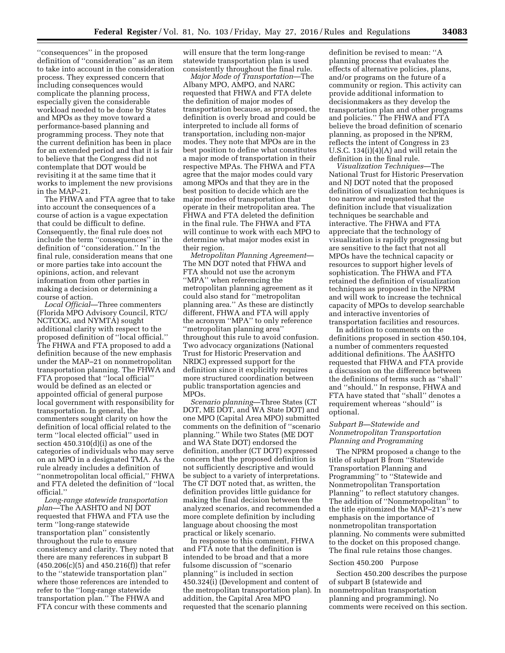''consequences'' in the proposed definition of ''consideration'' as an item to take into account in the consideration process. They expressed concern that including consequences would complicate the planning process, especially given the considerable workload needed to be done by States and MPOs as they move toward a performance-based planning and programming process. They note that the current definition has been in place for an extended period and that it is fair to believe that the Congress did not contemplate that DOT would be revisiting it at the same time that it works to implement the new provisions in the MAP–21.

The FHWA and FTA agree that to take into account the consequences of a course of action is a vague expectation that could be difficult to define. Consequently, the final rule does not include the term ''consequences'' in the definition of ''consideration.'' In the final rule, consideration means that one or more parties take into account the opinions, action, and relevant information from other parties in making a decision or determining a course of action.

*Local Official*—Three commenters (Florida MPO Advisory Council, RTC/ NCTCOG, and NYMTA) sought additional clarity with respect to the proposed definition of ''local official.'' The FHWA and FTA proposed to add a definition because of the new emphasis under the MAP–21 on nonmetropolitan transportation planning. The FHWA and FTA proposed that ''local official'' would be defined as an elected or appointed official of general purpose local government with responsibility for transportation. In general, the commenters sought clarity on how the definition of local official related to the term ''local elected official'' used in section 450.310(d)(i) as one of the categories of individuals who may serve on an MPO in a designated TMA. As the rule already includes a definition of ''nonmetropolitan local official,'' FHWA and FTA deleted the definition of ''local official.''

*Long-range statewide transportation plan*—The AASHTO and NJ DOT requested that FHWA and FTA use the term ''long-range statewide transportation plan'' consistently throughout the rule to ensure consistency and clarity. They noted that there are many references in subpart B  $(450.206(c)(5)$  and  $450.216(f)$  that refer to the ''statewide transportation plan'' where those references are intended to refer to the ''long-range statewide transportation plan.'' The FHWA and FTA concur with these comments and

will ensure that the term long-range statewide transportation plan is used consistently throughout the final rule.

*Major Mode of Transportation*—The Albany MPO, AMPO, and NARC requested that FHWA and FTA delete the definition of major modes of transportation because, as proposed, the definition is overly broad and could be interpreted to include all forms of transportation, including non-major modes. They note that MPOs are in the best position to define what constitutes a major mode of transportation in their respective MPAs. The FHWA and FTA agree that the major modes could vary among MPOs and that they are in the best position to decide which are the major modes of transportation that operate in their metropolitan area. The FHWA and FTA deleted the definition in the final rule. The FHWA and FTA will continue to work with each MPO to determine what major modes exist in their region.

*Metropolitan Planning Agreement*— The MN DOT noted that FHWA and FTA should not use the acronym ''MPA'' when referencing the metropolitan planning agreement as it could also stand for ''metropolitan planning area.'' As these are distinctly different, FHWA and FTA will apply the acronym ''MPA'' to only reference ''metropolitan planning area'' throughout this rule to avoid confusion. Two advocacy organizations (National Trust for Historic Preservation and NRDC) expressed support for the definition since it explicitly requires more structured coordination between public transportation agencies and MPOs.

*Scenario planning*—Three States (CT DOT, ME DOT, and WA State DOT) and one MPO (Capital Area MPO) submitted comments on the definition of ''scenario planning.'' While two States (ME DOT and WA State DOT) endorsed the definition, another (CT DOT) expressed concern that the proposed definition is not sufficiently descriptive and would be subject to a variety of interpretations. The CT DOT noted that, as written, the definition provides little guidance for making the final decision between the analyzed scenarios, and recommended a more complete definition by including language about choosing the most practical or likely scenario.

In response to this comment, FHWA and FTA note that the definition is intended to be broad and that a more fulsome discussion of ''scenario planning'' is included in section 450.324(i) (Development and content of the metropolitan transportation plan). In addition, the Capital Area MPO requested that the scenario planning

definition be revised to mean: ''A planning process that evaluates the effects of alternative policies, plans, and/or programs on the future of a community or region. This activity can provide additional information to decisionmakers as they develop the transportation plan and other programs and policies.'' The FHWA and FTA believe the broad definition of scenario planning, as proposed in the NPRM, reflects the intent of Congress in 23 U.S.C. 134(i)(4)(A) and will retain the definition in the final rule.

*Visualization Techniques*—The National Trust for Historic Preservation and NJ DOT noted that the proposed definition of visualization techniques is too narrow and requested that the definition include that visualization techniques be searchable and interactive. The FHWA and FTA appreciate that the technology of visualization is rapidly progressing but are sensitive to the fact that not all MPOs have the technical capacity or resources to support higher levels of sophistication. The FHWA and FTA retained the definition of visualization techniques as proposed in the NPRM and will work to increase the technical capacity of MPOs to develop searchable and interactive inventories of transportation facilities and resources.

In addition to comments on the definitions proposed in section 450.104, a number of commenters requested additional definitions. The AASHTO requested that FHWA and FTA provide a discussion on the difference between the definitions of terms such as ''shall'' and ''should.'' In response, FHWA and FTA have stated that ''shall'' denotes a requirement whereas ''should'' is optional.

#### *Subpart B—Statewide and Nonmetropolitan Transportation Planning and Programming*

The NPRM proposed a change to the title of subpart B from ''Statewide Transportation Planning and Programming'' to ''Statewide and Nonmetropolitan Transportation Planning'' to reflect statutory changes. The addition of ''Nonmetropolitan'' to the title epitomized the MAP–21's new emphasis on the importance of nonmetropolitan transportation planning. No comments were submitted to the docket on this proposed change. The final rule retains those changes.

#### Section 450.200 Purpose

Section 450.200 describes the purpose of subpart B (statewide and nonmetropolitan transportation planning and programming). No comments were received on this section.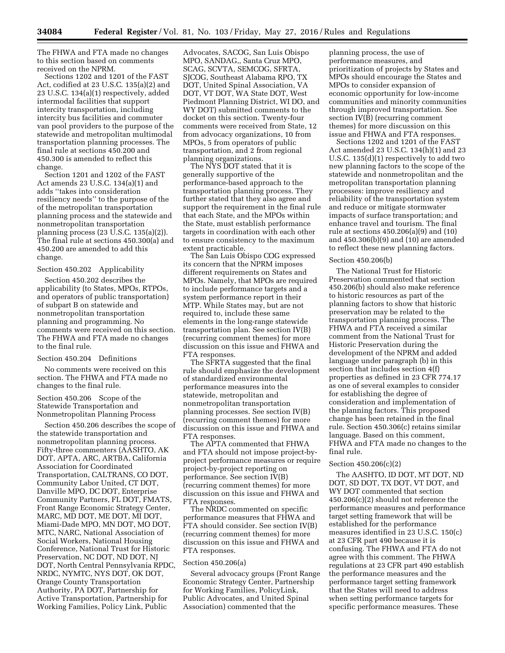The FHWA and FTA made no changes to this section based on comments received on the NPRM.

Sections 1202 and 1201 of the FAST Act, codified at 23 U.S.C. 135(a)(2) and 23 U.S.C. 134(a)(1) respectively, added intermodal facilities that support intercity transportation, including intercity bus facilities and commuter van pool providers to the purpose of the statewide and metropolitan multimodal transportation planning processes. The final rule at sections 450.200 and 450.300 is amended to reflect this change.

Section 1201 and 1202 of the FAST Act amends 23 U.S.C. 134(a)(1) and adds ''takes into consideration resiliency needs'' to the purpose of the of the metropolitan transportation planning process and the statewide and nonmetropolitan transportation planning process (23 U.S.C. 135(a)(2)). The final rule at sections 450.300(a) and 450.200 are amended to add this change.

# Section 450.202 Applicability

Section 450.202 describes the applicability (to States, MPOs, RTPOs, and operators of public transportation) of subpart B on statewide and nonmetropolitan transportation planning and programming. No comments were received on this section. The FHWA and FTA made no changes to the final rule.

#### Section 450.204 Definitions

No comments were received on this section. The FHWA and FTA made no changes to the final rule.

Section 450.206 Scope of the Statewide Transportation and Nonmetropolitan Planning Process

Section 450.206 describes the scope of the statewide transportation and nonmetropolitan planning process. Fifty-three commenters (AASHTO, AK DOT, APTA, ARC, ARTBA, California Association for Coordinated Transportation, CALTRANS, CO DOT, Community Labor United, CT DOT, Danville MPO, DC DOT, Enterprise Community Partners, FL DOT, FMATS, Front Range Economic Strategy Center, MARC, MD DOT, ME DOT, MI DOT, Miami-Dade MPO, MN DOT, MO DOT, MTC, NARC, National Association of Social Workers, National Housing Conference, National Trust for Historic Preservation, NC DOT, ND DOT, NJ DOT, North Central Pennsylvania RPDC, NRDC, NYMTC, NYS DOT, OK DOT, Orange County Transportation Authority, PA DOT, Partnership for Active Transportation, Partnership for Working Families, Policy Link, Public

Advocates, SACOG, San Luis Obispo MPO, SANDAG,, Santa Cruz MPO, SCAG, SCVTA, SEMCOG, SFRTA, SJCOG, Southeast Alabama RPO, TX DOT, United Spinal Association, VA DOT, VT DOT, WA State DOT, West Piedmont Planning District, WI DO, and WY DOT) submitted comments to the docket on this section. Twenty-four comments were received from State, 12 from advocacy organizations, 10 from MPOs, 5 from operators of public transportation, and 2 from regional planning organizations.

The NYS DOT stated that it is generally supportive of the performance-based approach to the transportation planning process. They further stated that they also agree and support the requirement in the final rule that each State, and the MPOs within the State, must establish performance targets in coordination with each other to ensure consistency to the maximum extent practicable.

The San Luis Obispo COG expressed its concern that the NPRM imposes different requirements on States and MPOs. Namely, that MPOs are required to include performance targets and a system performance report in their MTP. While States may, but are not required to, include these same elements in the long-range statewide transportation plan. See section IV(B) (recurring comment themes) for more discussion on this issue and FHWA and FTA responses.

The SFRTA suggested that the final rule should emphasize the development of standardized environmental performance measures into the statewide, metropolitan and nonmetropolitan transportation planning processes. See section IV(B) (recurring comment themes) for more discussion on this issue and FHWA and FTA responses.

The APTA commented that FHWA and FTA should not impose project-byproject performance measures or require project-by-project reporting on performance. See section IV(B) (recurring comment themes) for more discussion on this issue and FHWA and FTA responses.

The NRDC commented on specific performance measures that FHWA and FTA should consider. See section IV(B) (recurring comment themes) for more discussion on this issue and FHWA and FTA responses.

#### Section 450.206(a)

Several advocacy groups (Front Range Economic Strategy Center, Partnership for Working Families, PolicyLink, Public Advocates, and United Spinal Association) commented that the

planning process, the use of performance measures, and prioritization of projects by States and MPOs should encourage the States and MPOs to consider expansion of economic opportunity for low-income communities and minority communities through improved transportation. See section IV(B) (recurring comment themes) for more discussion on this issue and FHWA and FTA responses.

Sections 1202 and 1201 of the FAST Act amended 23 U.S.C. 134(h)(1) and 23 U.S.C. 135(d)(1) respectively to add two new planning factors to the scope of the statewide and nonmetropolitan and the metropolitan transportation planning processes: improve resiliency and reliability of the transportation system and reduce or mitigate stormwater impacts of surface transportation; and enhance travel and tourism. The final rule at sections 450.206(a)(9) and (10) and 450.306(b)(9) and (10) are amended to reflect these new planning factors.

#### Section 450.206(b)

The National Trust for Historic Preservation commented that section 450.206(b) should also make reference to historic resources as part of the planning factors to show that historic preservation may be related to the transportation planning process. The FHWA and FTA received a similar comment from the National Trust for Historic Preservation during the development of the NPRM and added language under paragraph (b) in this section that includes section 4(f) properties as defined in 23 CFR 774.17 as one of several examples to consider for establishing the degree of consideration and implementation of the planning factors. This proposed change has been retained in the final rule. Section 450.306(c) retains similar language. Based on this comment, FHWA and FTA made no changes to the final rule.

#### Section 450.206(c)(2)

The AASHTO, ID DOT, MT DOT, ND DOT, SD DOT, TX DOT, VT DOT, and WY DOT commented that section 450.206(c)(2) should not reference the performance measures and performance target setting framework that will be established for the performance measures identified in 23 U.S.C. 150(c) at 23 CFR part 490 because it is confusing. The FHWA and FTA do not agree with this comment. The FHWA regulations at 23 CFR part 490 establish the performance measures and the performance target setting framework that the States will need to address when setting performance targets for specific performance measures. These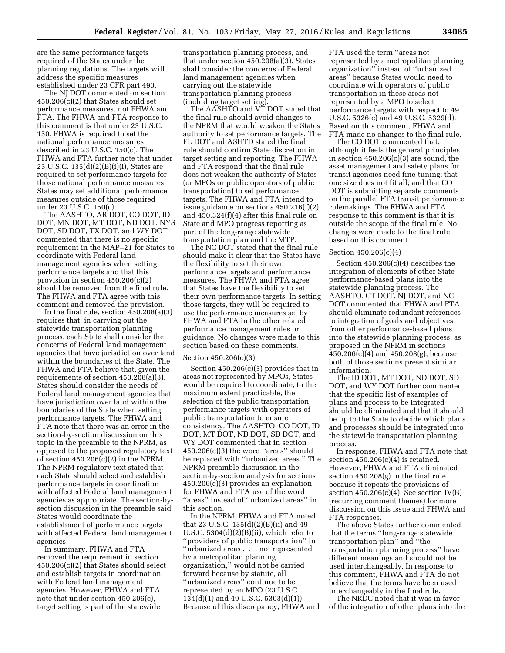are the same performance targets required of the States under the planning regulations. The targets will address the specific measures established under 23 CFR part 490.

The NJ DOT commented on section 450.206(c)(2) that States should set performance measures, not FHWA and FTA. The FHWA and FTA response to this comment is that under 23 U.S.C. 150, FHWA is required to set the national performance measures described in 23 U.S.C. 150(c). The FHWA and FTA further note that under 23 U.S.C. 135(d)(2)(B)(i)(I), States are required to set performance targets for those national performance measures. States may set additional performance measures outside of those required under 23 U.S.C. 150(c).

The AASHTO, AR DOT, CO DOT, ID DOT, MN DOT, MT DOT, ND DOT, NYS DOT, SD DOT, TX DOT, and WY DOT commented that there is no specific requirement in the MAP–21 for States to coordinate with Federal land management agencies when setting performance targets and that this provision in section 450.206(c)(2) should be removed from the final rule. The FHWA and FTA agree with this comment and removed the provision.

In the final rule, section 450.208(a)(3) requires that, in carrying out the statewide transportation planning process, each State shall consider the concerns of Federal land management agencies that have jurisdiction over land within the boundaries of the State. The FHWA and FTA believe that, given the requirements of section 450.208(a)(3), States should consider the needs of Federal land management agencies that have jurisdiction over land within the boundaries of the State when setting performance targets. The FHWA and FTA note that there was an error in the section-by-section discussion on this topic in the preamble to the NPRM, as opposed to the proposed regulatory text of section  $450.206(c)(2)$  in the NPRM. The NPRM regulatory text stated that each State should select and establish performance targets in coordination with affected Federal land management agencies as appropriate. The section-bysection discussion in the preamble said States would coordinate the establishment of performance targets with affected Federal land management agencies.

In summary, FHWA and FTA removed the requirement in section 450.206(c)(2) that States should select and establish targets in coordination with Federal land management agencies. However, FHWA and FTA note that under section 450.206(c), target setting is part of the statewide

transportation planning process, and that under section 450.208(a)(3), States shall consider the concerns of Federal land management agencies when carrying out the statewide transportation planning process (including target setting).

The AASHTO and VT DOT stated that the final rule should avoid changes to the NPRM that would weaken the States authority to set performance targets. The FL DOT and ASHTD stated the final rule should confirm State discretion in target setting and reporting. The FHWA and FTA respond that the final rule does not weaken the authority of States (or MPOs or public operators of public transportation) to set performance targets. The FHWA and FTA intend to issue guidance on sections 450.216(f)(2) and 450.324(f)(4) after this final rule on State and MPO progress reporting as part of the long-range statewide transportation plan and the MTP.

The NC DOT stated that the final rule should make it clear that the States have the flexibility to set their own performance targets and performance measures. The FHWA and FTA agree that States have the flexibility to set their own performance targets. In setting those targets, they will be required to use the performance measures set by FHWA and FTA in the other related performance management rules or guidance. No changes were made to this section based on these comments.

### Section 450.206(c)(3)

Section 450.206(c)(3) provides that in areas not represented by MPOs, States would be required to coordinate, to the maximum extent practicable, the selection of the public transportation performance targets with operators of public transportation to ensure consistency. The AASHTO, CO DOT, ID DOT, MT DOT, ND DOT, SD DOT, and WY DOT commented that in section  $450.206(c)(3)$  the word "areas" should be replaced with ''urbanized areas.'' The NPRM preamble discussion in the section-by-section analysis for sections 450.206(c)(3) provides an explanation for FHWA and FTA use of the word ''areas'' instead of ''urbanized areas'' in this section.

In the NPRM, FHWA and FTA noted that 23 U.S.C. 135(d)(2)(B)(ii) and 49 U.S.C.  $5304(d)(2)(B)(ii)$ , which refer to ''providers of public transportation'' in ''urbanized areas . . . not represented by a metropolitan planning organization,'' would not be carried forward because by statute, all ''urbanized areas'' continue to be represented by an MPO (23 U.S.C. 134(d)(1) and 49 U.S.C. 5303(d)(1)). Because of this discrepancy, FHWA and

FTA used the term ''areas not represented by a metropolitan planning organization'' instead of ''urbanized areas'' because States would need to coordinate with operators of public transportation in these areas not represented by a MPO to select performance targets with respect to 49 U.S.C. 5326(c) and 49 U.S.C. 5329(d). Based on this comment, FHWA and FTA made no changes to the final rule.

The CO DOT commented that, although it feels the general principles in section  $450.206(c)(3)$  are sound, the asset management and safety plans for transit agencies need fine-tuning; that one size does not fit all; and that CO DOT is submitting separate comments on the parallel FTA transit performance rulemakings. The FHWA and FTA response to this comment is that it is outside the scope of the final rule. No changes were made to the final rule based on this comment.

### Section 450.206(c)(4)

Section 450.206(c)(4) describes the integration of elements of other State performance-based plans into the statewide planning process. The AASHTO, CT DOT, NJ DOT, and NC DOT commented that FHWA and FTA should eliminate redundant references to integration of goals and objectives from other performance-based plans into the statewide planning process, as proposed in the NPRM in sections 450.206(c)(4) and 450.208(g), because both of those sections present similar information.

The ID DOT, MT DOT, ND DOT, SD DOT, and WY DOT further commented that the specific list of examples of plans and process to be integrated should be eliminated and that it should be up to the State to decide which plans and processes should be integrated into the statewide transportation planning process.

In response, FHWA and FTA note that section  $450.206(c)(4)$  is retained. However, FHWA and FTA eliminated section 450.208(g) in the final rule because it repeats the provisions of section  $450.206(c)(4)$ . See section IV(B) (recurring comment themes) for more discussion on this issue and FHWA and FTA responses.

The above States further commented that the terms ''long-range statewide transportation plan'' and ''the transportation planning process'' have different meanings and should not be used interchangeably. In response to this comment, FHWA and FTA do not believe that the terms have been used interchangeably in the final rule.

The NRDC noted that it was in favor of the integration of other plans into the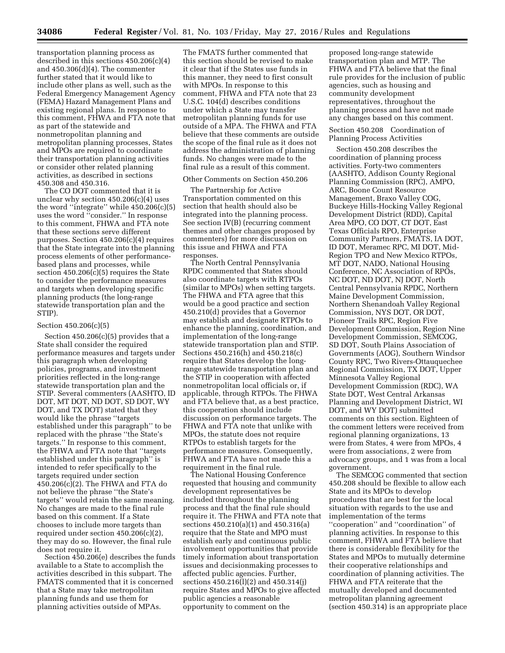transportation planning process as described in this sections 450.206(c)(4) and  $450.306(d)(4)$ . The commenter further stated that it would like to include other plans as well, such as the Federal Emergency Management Agency (FEMA) Hazard Management Plans and existing regional plans. In response to this comment, FHWA and FTA note that as part of the statewide and nonmetropolitan planning and metropolitan planning processes, States and MPOs are required to coordinate their transportation planning activities or consider other related planning activities, as described in sections 450.308 and 450.316.

The CO DOT commented that it is unclear why section 450.206(c)(4) uses the word ''integrate'' while 450.206(c)(5) uses the word ''consider.'' In response to this comment, FHWA and FTA note that these sections serve different purposes. Section 450.206(c)(4) requires that the State integrate into the planning process elements of other performancebased plans and processes, while section 450.206(c)(5) requires the State to consider the performance measures and targets when developing specific planning products (the long-range statewide transportation plan and the STIP).

### Section 450.206(c)(5)

Section  $450.206(c)(5)$  provides that a State shall consider the required performance measures and targets under this paragraph when developing policies, programs, and investment priorities reflected in the long-range statewide transportation plan and the STIP. Several commenters (AASHTO, ID DOT, MT DOT, ND DOT, SD DOT, WY DOT, and TX DOT) stated that they would like the phrase ''targets established under this paragraph'' to be replaced with the phrase ''the State's targets.'' In response to this comment, the FHWA and FTA note that ''targets established under this paragraph'' is intended to refer specifically to the targets required under section 450.206(c)(2). The FHWA and FTA do not believe the phrase ''the State's targets'' would retain the same meaning. No changes are made to the final rule based on this comment. If a State chooses to include more targets than required under section 450.206(c)(2), they may do so. However, the final rule does not require it.

Section 450.206(e) describes the funds available to a State to accomplish the activities described in this subpart. The FMATS commented that it is concerned that a State may take metropolitan planning funds and use them for planning activities outside of MPAs.

The FMATS further commented that this section should be revised to make it clear that if the States use funds in this manner, they need to first consult with MPOs. In response to this comment, FHWA and FTA note that 23 U.S.C. 104(d) describes conditions under which a State may transfer metropolitan planning funds for use outside of a MPA. The FHWA and FTA believe that these comments are outside the scope of the final rule as it does not address the administration of planning funds. No changes were made to the final rule as a result of this comment.

## Other Comments on Section 450.206

The Partnership for Active Transportation commented on this section that health should also be integrated into the planning process. See section IV(B) (recurring comment themes and other changes proposed by commenters) for more discussion on this issue and FHWA and FTA responses.

The North Central Pennsylvania RPDC commented that States should also coordinate targets with RTPOs (similar to MPOs) when setting targets. The FHWA and FTA agree that this would be a good practice and section 450.210(d) provides that a Governor may establish and designate RTPOs to enhance the planning, coordination, and implementation of the long-range statewide transportation plan and STIP. Sections 450.216(h) and 450.218(c) require that States develop the longrange statewide transportation plan and the STIP in cooperation with affected nonmetropolitan local officials or, if applicable, through RTPOs. The FHWA and FTA believe that, as a best practice, this cooperation should include discussion on performance targets. The FHWA and FTA note that unlike with MPOs, the statute does not require RTPOs to establish targets for the performance measures. Consequently, FHWA and FTA have not made this a requirement in the final rule.

The National Housing Conference requested that housing and community development representatives be included throughout the planning process and that the final rule should require it. The FHWA and FTA note that sections 450.210(a)(1) and 450.316(a) require that the State and MPO must establish early and continuous public involvement opportunities that provide timely information about transportation issues and decisionmaking processes to affected public agencies. Further, sections 450.216(l)(2) and 450.314(j) require States and MPOs to give affected public agencies a reasonable opportunity to comment on the

proposed long-range statewide transportation plan and MTP. The FHWA and FTA believe that the final rule provides for the inclusion of public agencies, such as housing and community development representatives, throughout the planning process and have not made any changes based on this comment.

## Section 450.208 Coordination of Planning Process Activities

Section 450.208 describes the coordination of planning process activities. Forty-two commenters (AASHTO, Addison County Regional Planning Commission (RPC), AMPO, ARC, Boone Count Resource Management, Braxo Valley COG, Buckeye Hills-Hocking Valley Regional Development District (RDD), Capital Area MPO, CO DOT, CT DOT, East Texas Officials RPO, Enterprise Community Partners, FMATS, IA DOT, ID DOT, Meramec RPC, MI DOT, Mid-Region TPO and New Mexico RTPOs, MT DOT, NADO, National Housing Conference, NC Association of RPOs, NC DOT, ND DOT, NJ DOT, North Central Pennsylvania RPDC, Northern Maine Development Commission, Northern Shenandoah Valley Regional Commission, NYS DOT, OR DOT, Pioneer Trails RPC, Region Five Development Commission, Region Nine Development Commission, SEMCOG, SD DOT, South Plains Association of Governments (AOG), Southern Windsor County RPC, Two Rivers-Ottauquechee Regional Commission, TX DOT, Upper Minnesota Valley Regional Development Commission (RDC), WA State DOT, West Central Arkansas Planning and Development District, WI DOT, and WY DOT) submitted comments on this section. Eighteen of the comment letters were received from regional planning organizations, 13 were from States, 4 were from MPOs, 4 were from associations, 2 were from advocacy groups, and 1 was from a local government.

The SEMCOG commented that section 450.208 should be flexible to allow each State and its MPOs to develop procedures that are best for the local situation with regards to the use and implementation of the terms ''cooperation'' and ''coordination'' of planning activities. In response to this comment, FHWA and FTA believe that there is considerable flexibility for the States and MPOs to mutually determine their cooperative relationships and coordination of planning activities. The FHWA and FTA reiterate that the mutually developed and documented metropolitan planning agreement (section 450.314) is an appropriate place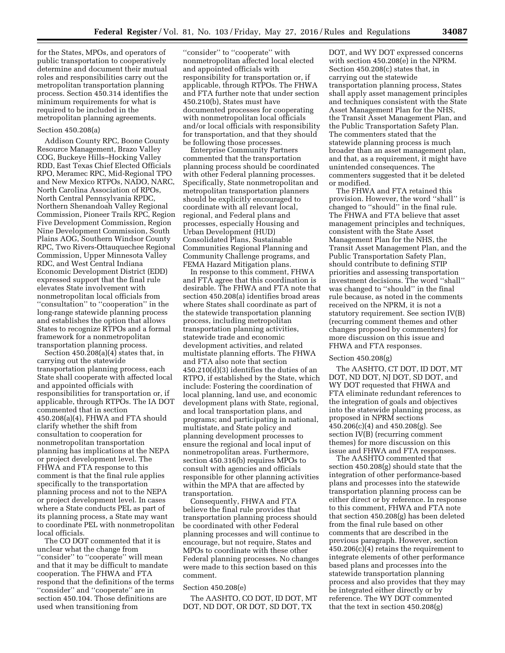for the States, MPOs, and operators of public transportation to cooperatively determine and document their mutual roles and responsibilities carry out the metropolitan transportation planning process. Section 450.314 identifies the minimum requirements for what is required to be included in the metropolitan planning agreements.

## Section 450.208(a)

Addison County RPC, Boone County Resource Management, Brazo Valley COG, Buckeye Hills–Hocking Valley RDD, East Texas Chief Elected Officials RPO, Meramec RPC, Mid-Regional TPO and New Mexico RTPOs, NADO, NARC, North Carolina Association of RPOs, North Central Pennsylvania RPDC, Northern Shenandoah Valley Regional Commission, Pioneer Trails RPC, Region Five Development Commission, Region Nine Development Commission, South Plains AOG, Southern Windsor County RPC, Two Rivers-Ottauquechee Regional Commission, Upper Minnesota Valley RDC, and West Central Indiana Economic Development District (EDD) expressed support that the final rule elevates State involvement with nonmetropolitan local officials from ''consultation'' to ''cooperation'' in the long-range statewide planning process and establishes the option that allows States to recognize RTPOs and a formal framework for a nonmetropolitan transportation planning process.

Section  $450.\overline{2}08(a)(4)$  states that, in carrying out the statewide transportation planning process, each State shall cooperate with affected local and appointed officials with responsibilities for transportation or, if applicable, through RTPOs. The IA DOT commented that in section 450.208(a)(4), FHWA and FTA should clarify whether the shift from consultation to cooperation for nonmetropolitan transportation planning has implications at the NEPA or project development level. The FHWA and FTA response to this comment is that the final rule applies specifically to the transportation planning process and not to the NEPA or project development level. In cases where a State conducts PEL as part of its planning process, a State may want to coordinate PEL with nonmetropolitan local officials.

The CO DOT commented that it is unclear what the change from "consider" to "cooperate" will mean and that it may be difficult to mandate cooperation. The FHWA and FTA respond that the definitions of the terms ''consider'' and ''cooperate'' are in section 450.104. Those definitions are used when transitioning from

''consider'' to ''cooperate'' with nonmetropolitan affected local elected and appointed officials with responsibility for transportation or, if applicable, through RTPOs. The FHWA and FTA further note that under section 450.210(b), States must have documented processes for cooperating with nonmetropolitan local officials and/or local officials with responsibility for transportation, and that they should be following those processes.

Enterprise Community Partners commented that the transportation planning process should be coordinated with other Federal planning processes. Specifically, State nonmetropolitan and metropolitan transportation planners should be explicitly encouraged to coordinate with all relevant local, regional, and Federal plans and processes, especially Housing and Urban Development (HUD) Consolidated Plans, Sustainable Communities Regional Planning and Community Challenge programs, and FEMA Hazard Mitigation plans.

In response to this comment, FHWA and FTA agree that this coordination is desirable. The FHWA and FTA note that section 450.208(a) identifies broad areas where States shall coordinate as part of the statewide transportation planning process, including metropolitan transportation planning activities, statewide trade and economic development activities, and related multistate planning efforts. The FHWA and FTA also note that section 450.210(d)(3) identifies the duties of an RTPO, if established by the State, which include: Fostering the coordination of local planning, land use, and economic development plans with State, regional, and local transportation plans, and programs; and participating in national, multistate, and State policy and planning development processes to ensure the regional and local input of nonmetropolitan areas. Furthermore, section 450.316(b) requires MPOs to consult with agencies and officials responsible for other planning activities within the MPA that are affected by transportation.

Consequently, FHWA and FTA believe the final rule provides that transportation planning process should be coordinated with other Federal planning processes and will continue to encourage, but not require, States and MPOs to coordinate with these other Federal planning processes. No changes were made to this section based on this comment.

### Section 450.208(e)

The AASHTO, CO DOT, ID DOT, MT DOT, ND DOT, OR DOT, SD DOT, TX

DOT, and WY DOT expressed concerns with section 450.208(e) in the NPRM. Section 450.208(c) states that, in carrying out the statewide transportation planning process, States shall apply asset management principles and techniques consistent with the State Asset Management Plan for the NHS, the Transit Asset Management Plan, and the Public Transportation Safety Plan. The commenters stated that the statewide planning process is much broader than an asset management plan, and that, as a requirement, it might have unintended consequences. The commenters suggested that it be deleted or modified.

The FHWA and FTA retained this provision. However, the word ''shall'' is changed to ''should'' in the final rule. The FHWA and FTA believe that asset management principles and techniques, consistent with the State Asset Management Plan for the NHS, the Transit Asset Management Plan, and the Public Transportation Safety Plan, should contribute to defining STIP priorities and assessing transportation investment decisions. The word ''shall'' was changed to ''should'' in the final rule because, as noted in the comments received on the NPRM, it is not a statutory requirement. See section IV(B) (recurring comment themes and other changes proposed by commenters) for more discussion on this issue and FHWA and FTA responses.

### Section 450.208(g)

The AASHTO, CT DOT, ID DOT, MT DOT, ND DOT, NJ DOT, SD DOT, and WY DOT requested that FHWA and FTA eliminate redundant references to the integration of goals and objectives into the statewide planning process, as proposed in NPRM sections 450.206(c)(4) and 450.208(g). See section IV(B) (recurring comment themes) for more discussion on this issue and FHWA and FTA responses.

The AASHTO commented that section 450.208(g) should state that the integration of other performance-based plans and processes into the statewide transportation planning process can be either direct or by reference. In response to this comment, FHWA and FTA note that section 450.208(g) has been deleted from the final rule based on other comments that are described in the previous paragraph. However, section 450.206(c)(4) retains the requirement to integrate elements of other performance based plans and processes into the statewide transportation planning process and also provides that they may be integrated either directly or by reference. The WY DOT commented that the text in section 450.208(g)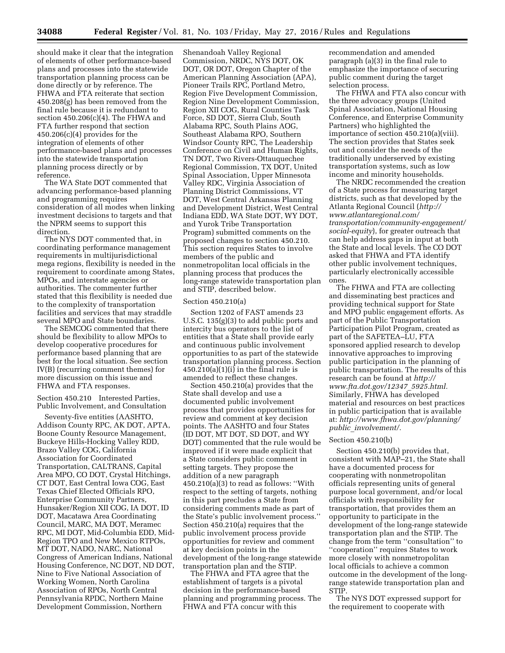should make it clear that the integration of elements of other performance-based plans and processes into the statewide transportation planning process can be done directly or by reference. The FHWA and FTA reiterate that section 450.208(g) has been removed from the final rule because it is redundant to section 450.206(c)(4). The FHWA and FTA further respond that section  $450.206(c)(4)$  provides for the integration of elements of other performance-based plans and processes into the statewide transportation planning process directly or by reference.

The WA State DOT commented that advancing performance-based planning and programming requires consideration of all modes when linking investment decisions to targets and that the NPRM seems to support this direction.

The NYS DOT commented that, in coordinating performance management requirements in multijurisdictional mega regions, flexibility is needed in the requirement to coordinate among States, MPOs, and interstate agencies or authorities. The commenter further stated that this flexibility is needed due to the complexity of transportation facilities and services that may straddle several MPO and State boundaries.

The SEMCOG commented that there should be flexibility to allow MPOs to develop cooperative procedures for performance based planning that are best for the local situation. See section IV(B) (recurring comment themes) for more discussion on this issue and FHWA and FTA responses.

## Section 450.210 Interested Parties, Public Involvement, and Consultation

Seventy-five entities (AASHTO, Addison County RPC, AK DOT, APTA, Boone County Resource Management, Buckeye Hills-Hocking Valley RDD, Brazo Valley COG, California Association for Coordinated Transportation, CALTRANS, Capital Area MPO, CO DOT, Crystal Hitchings, CT DOT, East Central Iowa COG, East Texas Chief Elected Officials RPO, Enterprise Community Partners, Hunsaker/Region XII COG, IA DOT, ID DOT, Macatawa Area Coordinating Council, MARC, MA DOT, Meramec RPC, MI DOT, Mid-Columbia EDD, Mid-Region TPO and New Mexico RTPOs, MT DOT, NADO, NARC, National Congress of American Indians, National Housing Conference, NC DOT, ND DOT, Nine to Five National Association of Working Women, North Carolina Association of RPOs, North Central Pennsylvania RPDC, Northern Maine Development Commission, Northern

Shenandoah Valley Regional Commission, NRDC, NYS DOT, OK DOT, OR DOT, Oregon Chapter of the American Planning Association (APA), Pioneer Trails RPC, Portland Metro, Region Five Development Commission, Region Nine Development Commission, Region XII COG, Rural Counties Task Force, SD DOT, Sierra Club, South Alabama RPC, South Plains AOG, Southeast Alabama RPO, Southern Windsor County RPC, The Leadership Conference on Civil and Human Rights, TN DOT, Two Rivers-Ottauquechee Regional Commission, TX DOT, United Spinal Association, Upper Minnesota Valley RDC, Virginia Association of Planning District Commissions, VT DOT, West Central Arkansas Planning and Development District, West Central Indiana EDD, WA State DOT, WY DOT, and Yurok Tribe Transportation Program) submitted comments on the proposed changes to section 450.210. This section requires States to involve members of the public and nonmetropolitan local officials in the planning process that produces the long-range statewide transportation plan and STIP, described below.

## Section 450.210(a)

Section 1202 of FAST amends 23 U.S.C. 135(g)(3) to add public ports and intercity bus operators to the list of entities that a State shall provide early and continuous public involvement opportunities to as part of the statewide transportation planning process. Section  $450.210(a)(1)(i)$  in the final rule is amended to reflect these changes.

Section 450.210(a) provides that the State shall develop and use a documented public involvement process that provides opportunities for review and comment at key decision points. The AASHTO and four States (ID DOT, MT DOT, SD DOT, and WY DOT) commented that the rule would be improved if it were made explicit that a State considers public comment in setting targets. They propose the addition of a new paragraph 450.210(a)(3) to read as follows: ''With respect to the setting of targets, nothing in this part precludes a State from considering comments made as part of the State's public involvement process.'' Section 450.210(a) requires that the public involvement process provide opportunities for review and comment at key decision points in the development of the long-range statewide transportation plan and the STIP.

The FHWA and FTA agree that the establishment of targets is a pivotal decision in the performance-based planning and programming process. The FHWA and FTA concur with this

recommendation and amended paragraph (a)(3) in the final rule to emphasize the importance of securing public comment during the target selection process.

The FHWA and FTA also concur with the three advocacy groups (United Spinal Association, National Housing Conference, and Enterprise Community Partners) who highlighted the importance of section 450.210(a)(viii). The section provides that States seek out and consider the needs of the traditionally underserved by existing transportation systems, such as low income and minority households.

The NRDC recommended the creation of a State process for measuring target districts, such as that developed by the Atlanta Regional Council (*[http://](http://www.atlantaregional.com/transportation/community-engagement/social-equity) [www.atlantaregional.com/](http://www.atlantaregional.com/transportation/community-engagement/social-equity) [transportation/community-engagement/](http://www.atlantaregional.com/transportation/community-engagement/social-equity) [social-equity](http://www.atlantaregional.com/transportation/community-engagement/social-equity)*), for greater outreach that can help address gaps in input at both the State and local levels. The CO DOT asked that FHWA and FTA identify other public involvement techniques, particularly electronically accessible ones.

The FHWA and FTA are collecting and disseminating best practices and providing technical support for State and MPO public engagement efforts. As part of the Public Transportation Participation Pilot Program, created as part of the SAFETEA–LU, FTA sponsored applied research to develop innovative approaches to improving public participation in the planning of public transportation. The results of this research can be found at *[http://](http://www.fta.dot.gov/12347_5925.html) [www.fta.dot.gov/12347](http://www.fta.dot.gov/12347_5925.html)*\_*5925.html.*  Similarly, FHWA has developed material and resources on best practices in public participation that is available at: *[http://www.fhwa.dot.gov/planning/](http://www.fhwa.dot.gov/planning/public_involvement/) public*\_*[involvement/.](http://www.fhwa.dot.gov/planning/public_involvement/)* 

## Section 450.210(b)

Section 450.210(b) provides that, consistent with MAP–21, the State shall have a documented process for cooperating with nonmetropolitan officials representing units of general purpose local government, and/or local officials with responsibility for transportation, that provides them an opportunity to participate in the development of the long-range statewide transportation plan and the STIP. The change from the term ''consultation'' to ''cooperation'' requires States to work more closely with nonmetropolitan local officials to achieve a common outcome in the development of the longrange statewide transportation plan and STIP.

The NYS DOT expressed support for the requirement to cooperate with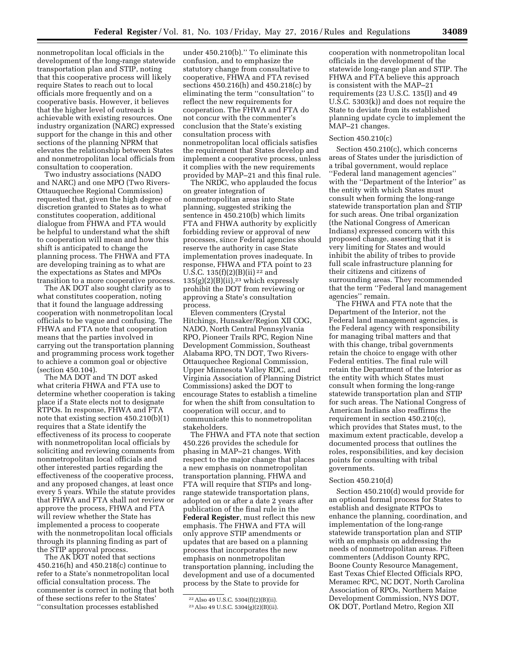nonmetropolitan local officials in the development of the long-range statewide transportation plan and STIP, noting that this cooperative process will likely require States to reach out to local officials more frequently and on a cooperative basis. However, it believes that the higher level of outreach is achievable with existing resources. One industry organization (NARC) expressed support for the change in this and other sections of the planning NPRM that elevates the relationship between States and nonmetropolitan local officials from consultation to cooperation.

Two industry associations (NADO and NARC) and one MPO (Two Rivers-Ottauquechee Regional Commission) requested that, given the high degree of discretion granted to States as to what constitutes cooperation, additional dialogue from FHWA and FTA would be helpful to understand what the shift to cooperation will mean and how this shift is anticipated to change the planning process. The FHWA and FTA are developing training as to what are the expectations as States and MPOs transition to a more cooperative process.

The AK DOT also sought clarity as to what constitutes cooperation, noting that it found the language addressing cooperation with nonmetropolitan local officials to be vague and confusing. The FHWA and FTA note that cooperation means that the parties involved in carrying out the transportation planning and programming process work together to achieve a common goal or objective (section 450.104).

The MA DOT and TN DOT asked what criteria FHWA and FTA use to determine whether cooperation is taking place if a State elects not to designate RTPOs. In response, FHWA and FTA note that existing section 450.210(b)(1) requires that a State identify the effectiveness of its process to cooperate with nonmetropolitan local officials by soliciting and reviewing comments from nonmetropolitan local officials and other interested parties regarding the effectiveness of the cooperative process, and any proposed changes, at least once every 5 years. While the statute provides that FHWA and FTA shall not review or approve the process, FHWA and FTA will review whether the State has implemented a process to cooperate with the nonmetropolitan local officials through its planning finding as part of the STIP approval process.

The AK DOT noted that sections 450.216(h) and 450.218(c) continue to refer to a State's nonmetropolitan local official consultation process. The commenter is correct in noting that both of these sections refer to the States' ''consultation processes established

under 450.210(b).'' To eliminate this confusion, and to emphasize the statutory change from consultative to cooperative, FHWA and FTA revised sections 450.216(h) and 450.218(c) by eliminating the term ''consultation'' to reflect the new requirements for cooperation. The FHWA and FTA do not concur with the commenter's conclusion that the State's existing consultation process with nonmetropolitan local officials satisfies the requirement that States develop and implement a cooperative process, unless it complies with the new requirements provided by MAP–21 and this final rule.

The NRDC, who applauded the focus on greater integration of nonmetropolitan areas into State planning, suggested striking the sentence in 450.210(b) which limits FTA and FHWA authority by explicitly forbidding review or approval of new processes, since Federal agencies should reserve the authority in case State implementation proves inadequate. In response, FHWA and FTA point to 23 U.S.C. 135 $(f)(2)(B)(ii)^{22}$  and  $135(g)(2)(B)(ii)$ ,<sup>23</sup> which expressly prohibit the DOT from reviewing or approving a State's consultation process.

Eleven commenters (Crystal Hitchings, Hunsaker/Region XII COG, NADO, North Central Pennsylvania RPO, Pioneer Trails RPC, Region Nine Development Commission, Southeast Alabama RPO, TN DOT, Two Rivers-Ottauquechee Regional Commission, Upper Minnesota Valley RDC, and Virginia Association of Planning District Commissions) asked the DOT to encourage States to establish a timeline for when the shift from consultation to cooperation will occur, and to communicate this to nonmetropolitan stakeholders.

The FHWA and FTA note that section 450.226 provides the schedule for phasing in MAP–21 changes. With respect to the major change that places a new emphasis on nonmetropolitan transportation planning, FHWA and FTA will require that STIPs and longrange statewide transportation plans, adopted on or after a date 2 years after publication of the final rule in the **Federal Register**, must reflect this new emphasis. The FHWA and FTA will only approve STIP amendments or updates that are based on a planning process that incorporates the new emphasis on nonmetropolitan transportation planning, including the development and use of a documented process by the State to provide for

cooperation with nonmetropolitan local officials in the development of the statewide long-range plan and STIP. The FHWA and FTA believe this approach is consistent with the MAP–21 requirements (23 U.S.C. 135(l) and 49 U.S.C. 5303(k)) and does not require the State to deviate from its established planning update cycle to implement the MAP–21 changes.

## Section 450.210(c)

Section 450.210(c), which concerns areas of States under the jurisdiction of a tribal government, would replace ''Federal land management agencies'' with the ''Department of the Interior'' as the entity with which States must consult when forming the long-range statewide transportation plan and STIP for such areas. One tribal organization (the National Congress of American Indians) expressed concern with this proposed change, asserting that it is very limiting for States and would inhibit the ability of tribes to provide full scale infrastructure planning for their citizens and citizens of surrounding areas. They recommended that the term ''Federal land management agencies'' remain.

The FHWA and FTA note that the Department of the Interior, not the Federal land management agencies, is the Federal agency with responsibility for managing tribal matters and that with this change, tribal governments retain the choice to engage with other Federal entities. The final rule will retain the Department of the Interior as the entity with which States must consult when forming the long-range statewide transportation plan and STIP for such areas. The National Congress of American Indians also reaffirms the requirement in section 450.210(c), which provides that States must, to the maximum extent practicable, develop a documented process that outlines the roles, responsibilities, and key decision points for consulting with tribal governments.

## Section 450.210(d)

Section 450.210(d) would provide for an optional formal process for States to establish and designate RTPOs to enhance the planning, coordination, and implementation of the long-range statewide transportation plan and STIP with an emphasis on addressing the needs of nonmetropolitan areas. Fifteen commenters (Addison County RPC, Boone County Resource Management, East Texas Chief Elected Officials RPO, Meramec RPC, NC DOT, North Carolina Association of RPOs, Northern Maine Development Commission, NYS DOT, OK DOT, Portland Metro, Region XII

<sup>22</sup>Also 49 U.S.C. 5304(f)(2)(B)(ii).

<sup>23</sup>Also 49 U.S.C. 5304(g)(2)(B)(ii).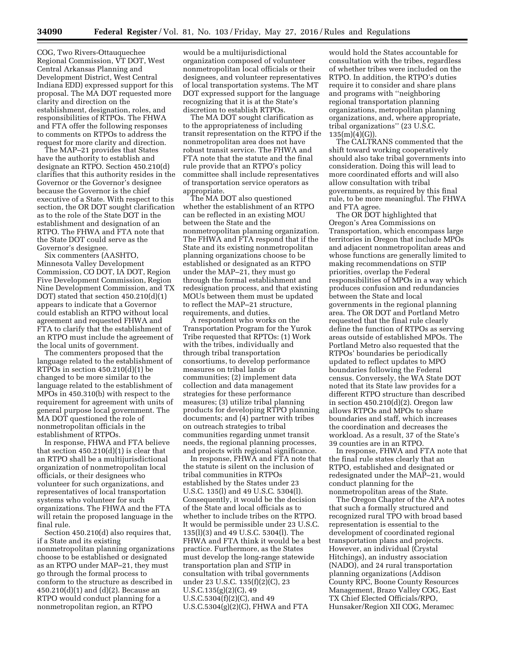COG, Two Rivers-Ottauquechee Regional Commission, VT DOT, West Central Arkansas Planning and Development District, West Central Indiana EDD) expressed support for this proposal. The MA DOT requested more clarity and direction on the establishment, designation, roles, and responsibilities of RTPOs. The FHWA and FTA offer the following responses to comments on RTPOs to address the request for more clarity and direction.

The MAP–21 provides that States have the authority to establish and designate an RTPO. Section 450.210(d) clarifies that this authority resides in the Governor or the Governor's designee because the Governor is the chief executive of a State. With respect to this section, the OR DOT sought clarification as to the role of the State DOT in the establishment and designation of an RTPO. The FHWA and FTA note that the State DOT could serve as the Governor's designee.

Six commenters (AASHTO, Minnesota Valley Development Commission, CO DOT, IA DOT, Region Five Development Commission, Region Nine Development Commission, and TX DOT) stated that section 450.210(d)(1) appears to indicate that a Governor could establish an RTPO without local agreement and requested FHWA and FTA to clarify that the establishment of an RTPO must include the agreement of the local units of government.

The commenters proposed that the language related to the establishment of RTPOs in section 450.210(d)(1) be changed to be more similar to the language related to the establishment of MPOs in 450.310(b) with respect to the requirement for agreement with units of general purpose local government. The MA DOT questioned the role of nonmetropolitan officials in the establishment of RTPOs.

In response, FHWA and FTA believe that section  $450.210(d)(1)$  is clear that an RTPO shall be a multijurisdictional organization of nonmetropolitan local officials, or their designees who volunteer for such organizations, and representatives of local transportation systems who volunteer for such organizations. The FHWA and the FTA will retain the proposed language in the final rule.

Section 450.210(d) also requires that, if a State and its existing nonmetropolitan planning organizations choose to be established or designated as an RTPO under MAP–21, they must go through the formal process to conform to the structure as described in 450.210(d)(1) and (d)(2). Because an RTPO would conduct planning for a nonmetropolitan region, an RTPO

would be a multijurisdictional organization composed of volunteer nonmetropolitan local officials or their designees, and volunteer representatives of local transportation systems. The MT DOT expressed support for the language recognizing that it is at the State's discretion to establish RTPOs.

The MA DOT sought clarification as to the appropriateness of including transit representation on the RTPO if the nonmetropolitan area does not have robust transit service. The FHWA and FTA note that the statute and the final rule provide that an RTPO's policy committee shall include representatives of transportation service operators as appropriate.

The MA DOT also questioned whether the establishment of an RTPO can be reflected in an existing MOU between the State and the nonmetropolitan planning organization. The FHWA and FTA respond that if the State and its existing nonmetropolitan planning organizations choose to be established or designated as an RTPO under the MAP–21, they must go through the formal establishment and redesignation process, and that existing MOUs between them must be updated to reflect the MAP–21 structure, requirements, and duties.

A respondent who works on the Transportation Program for the Yurok Tribe requested that RPTOs: (1) Work with the tribes, individually and through tribal transportation consortiums, to develop performance measures on tribal lands or communities; (2) implement data collection and data management strategies for these performance measures; (3) utilize tribal planning products for developing RTPO planning documents; and (4) partner with tribes on outreach strategies to tribal communities regarding unmet transit needs, the regional planning processes, and projects with regional significance.

In response, FHWA and FTA note that the statute is silent on the inclusion of tribal communities in RTPOs established by the States under 23 U.S.C. 135(l) and 49 U.S.C. 5304(l). Consequently, it would be the decision of the State and local officials as to whether to include tribes on the RTPO. It would be permissible under 23 U.S.C. 135(l)(3) and 49 U.S.C. 5304(l). The FHWA and FTA think it would be a best practice. Furthermore, as the States must develop the long-range statewide transportation plan and STIP in consultation with tribal governments under 23 U.S.C. 135(f)(2)(C), 23 U.S.C.135(g)(2)(C), 49 U.S.C.5304(f)(2)(C), and 49 U.S.C.5304(g)(2)(C), FHWA and FTA

would hold the States accountable for consultation with the tribes, regardless of whether tribes were included on the RTPO. In addition, the RTPO's duties require it to consider and share plans and programs with ''neighboring regional transportation planning organizations, metropolitan planning organizations, and, where appropriate, tribal organizations'' (23 U.S.C.  $135(m)(4)(G)$ ).

The CALTRANS commented that the shift toward working cooperatively should also take tribal governments into consideration. Doing this will lead to more coordinated efforts and will also allow consultation with tribal governments, as required by this final rule, to be more meaningful. The FHWA and FTA agree.

The OR DOT highlighted that Oregon's Area Commissions on Transportation, which encompass large territories in Oregon that include MPOs and adjacent nonmetropolitan areas and whose functions are generally limited to making recommendations on STIP priorities, overlap the Federal responsibilities of MPOs in a way which produces confusion and redundancies between the State and local governments in the regional planning area. The OR DOT and Portland Metro requested that the final rule clearly define the function of RTPOs as serving areas outside of established MPOs. The Portland Metro also requested that the RTPOs' boundaries be periodically updated to reflect updates to MPO boundaries following the Federal census. Conversely, the WA State DOT noted that its State law provides for a different RTPO structure than described in section  $450.210(d)(2)$ . Oregon law allows RTPOs and MPOs to share boundaries and staff, which increases the coordination and decreases the workload. As a result, 37 of the State's 39 counties are in an RTPO

In response, FHWA and FTA note that the final rule states clearly that an RTPO, established and designated or redesignated under the MAP–21, would conduct planning for the nonmetropolitan areas of the State.

The Oregon Chapter of the APA notes that such a formally structured and recognized rural TPO with broad based representation is essential to the development of coordinated regional transportation plans and projects. However, an individual (Crystal Hitchings), an industry association (NADO), and 24 rural transportation planning organizations (Addison County RPC, Boone County Resources Management, Brazo Valley COG, East TX Chief Elected Officials/RPO, Hunsaker/Region XII COG, Meramec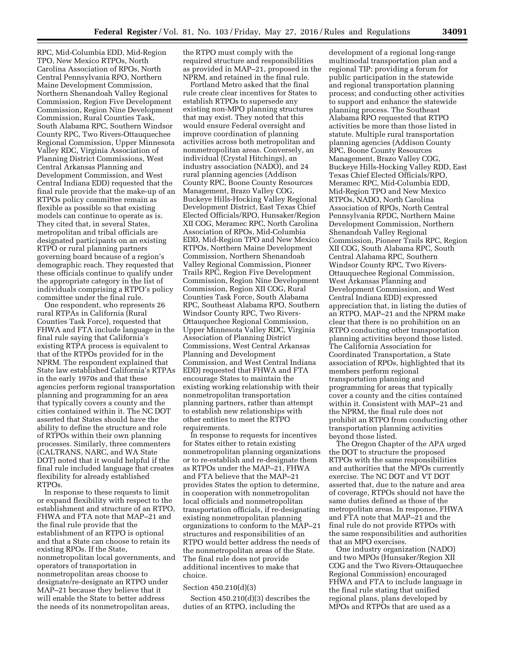RPC, Mid-Columbia EDD, Mid-Region TPO, New Mexico RTPOs, North Carolina Association of RPOs, North Central Pennsylvania RPO, Northern Maine Development Commission, Northern Shenandoah Valley Regional Commission, Region Five Development Commission, Region Nine Development Commission, Rural Counties Task, South Alabama RPC, Southern Windsor County RPC, Two Rivers-Ottauquechee Regional Commission, Upper Minnesota Valley RDC, Virginia Association of Planning District Commissions, West Central Arkansas Planning and Development Commission, and West Central Indiana EDD) requested that the final rule provide that the make-up of an RTPOs policy committee remain as flexible as possible so that existing models can continue to operate as is. They cited that, in several States, metropolitan and tribal officials are designated participants on an existing RTPO or rural planning partners governing board because of a region's demographic reach. They requested that these officials continue to qualify under the appropriate category in the list of individuals comprising a RTPO's policy committee under the final rule.

One respondent, who represents 26 rural RTPAs in California (Rural Counties Task Force), requested that FHWA and FTA include language in the final rule saying that California's existing RTPA process is equivalent to that of the RTPOs provided for in the NPRM. The respondent explained that State law established California's RTPAs in the early 1970s and that these agencies perform regional transportation planning and programming for an area that typically covers a county and the cities contained within it. The NC DOT asserted that States should have the ability to define the structure and role of RTPOs within their own planning processes. Similarly, three commenters (CALTRANS, NARC, and WA State DOT) noted that it would helpful if the final rule included language that creates flexibility for already established RTPOs.

In response to these requests to limit or expand flexibility with respect to the establishment and structure of an RTPO, FHWA and FTA note that MAP–21 and the final rule provide that the establishment of an RTPO is optional and that a State can choose to retain its existing RPOs. If the State, nonmetropolitan local governments, and operators of transportation in nonmetropolitan areas choose to designate/re-designate an RTPO under MAP–21 because they believe that it will enable the State to better address the needs of its nonmetropolitan areas,

the RTPO must comply with the required structure and responsibilities as provided in MAP–21, proposed in the NPRM, and retained in the final rule.

Portland Metro asked that the final rule create clear incentives for States to establish RTPOs to supersede any existing non-MPO planning structures that may exist. They noted that this would ensure Federal oversight and improve coordination of planning activities across both metropolitan and nonmetropolitan areas. Conversely, an individual (Crystal Hitchings), an industry association (NADO), and 24 rural planning agencies (Addison County RPC, Boone County Resources Management, Brazo Valley COG, Buckeye Hills-Hocking Valley Regional Development District, East Texas Chief Elected Officials/RPO, Hunsaker/Region XII COG, Meramec RPC, North Carolina Association of RPOs, Mid-Columbia EDD, Mid-Region TPO and New Mexico RTPOs, Northern Maine Development Commission, Northern Shenandoah Valley Regional Commission, Pioneer Trails RPC, Region Five Development Commission, Region Nine Development Commission, Region XII COG, Rural Counties Task Force, South Alabama RPC, Southeast Alabama RPO, Southern Windsor County RPC, Two Rivers-Ottauquechee Regional Commission, Upper Minnesota Valley RDC, Virginia Association of Planning District Commissions, West Central Arkansas Planning and Development Commission, and West Central Indiana EDD) requested that FHWA and FTA encourage States to maintain the existing working relationship with their nonmetropolitan transportation planning partners, rather than attempt to establish new relationships with other entities to meet the RTPO requirements.

In response to requests for incentives for States either to retain existing nonmetropolitan planning organizations or to re-establish and re-designate them as RTPOs under the MAP–21, FHWA and FTA believe that the MAP–21 provides States the option to determine, in cooperation with nonmetropolitan local officials and nonmetropolitan transportation officials, if re-designating existing nonmetropolitan planning organizations to conform to the MAP–21 structures and responsibilities of an RTPO would better address the needs of the nonmetropolitan areas of the State. The final rule does not provide additional incentives to make that choice.

## Section 450.210(d)(3)

Section 450.210(d)(3) describes the duties of an RTPO, including the

development of a regional long-range multimodal transportation plan and a regional TIP; providing a forum for public participation in the statewide and regional transportation planning process; and conducting other activities to support and enhance the statewide planning process. The Southeast Alabama RPO requested that RTPO activities be more than those listed in statute. Multiple rural transportation planning agencies (Addison County RPC, Boone County Resources Management, Brazo Valley COG, Buckeye Hills-Hocking Valley RDD, East Texas Chief Elected Officials/RPO, Meramec RPC, Mid-Columbia EDD, Mid-Region TPO and New Mexico RTPOs, NADO, North Carolina Association of RPOs, North Central Pennsylvania RPDC, Northern Maine Development Commission, Northern Shenandoah Valley Regional Commission, Pioneer Trails RPC, Region XII COG, South Alabama RPC, South Central Alabama RPC, Southern Windsor County RPC, Two Rivers-Ottauquechee Regional Commission, West Arkansas Planning and Development Commission, and West Central Indiana EDD) expressed appreciation that, in listing the duties of an RTPO, MAP–21 and the NPRM make clear that there is no prohibition on an RTPO conducting other transportation planning activities beyond those listed. The California Association for Coordinated Transportation, a State association of RPOs, highlighted that its members perform regional transportation planning and programming for areas that typically cover a county and the cities contained within it. Consistent with MAP–21 and the NPRM, the final rule does not prohibit an RTPO from conducting other transportation planning activities beyond those listed.

The Oregon Chapter of the APA urged the DOT to structure the proposed RTPOs with the same responsibilities and authorities that the MPOs currently exercise. The NC DOT and VT DOT asserted that, due to the nature and area of coverage, RTPOs should not have the same duties defined as those of the metropolitan areas. In response, FHWA and FTA note that MAP–21 and the final rule do not provide RTPOs with the same responsibilities and authorities that an MPO exercises.

One industry organization (NADO) and two MPOs (Hunsaker/Region XII COG and the Two Rivers-Ottauquechee Regional Commission) encouraged FHWA and FTA to include language in the final rule stating that unified regional plans, plans developed by MPOs and RTPOs that are used as a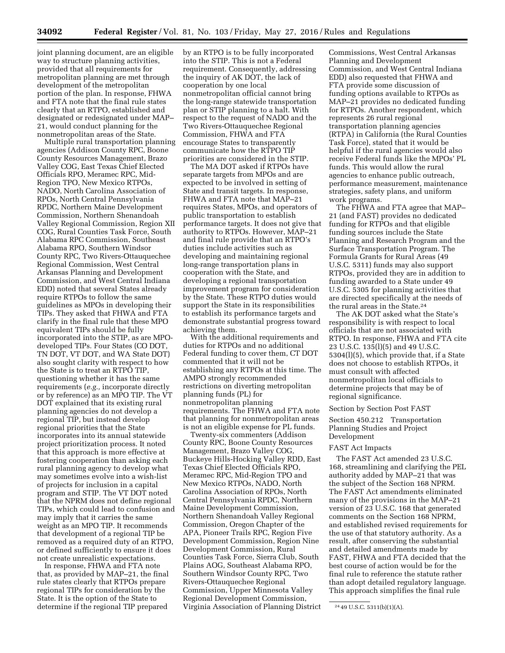joint planning document, are an eligible way to structure planning activities, provided that all requirements for metropolitan planning are met through development of the metropolitan portion of the plan. In response, FHWA and FTA note that the final rule states clearly that an RTPO, established and designated or redesignated under MAP– 21, would conduct planning for the nonmetropolitan areas of the State.

Multiple rural transportation planning agencies (Addison County RPC, Boone County Resources Management, Brazo Valley COG, East Texas Chief Elected Officials RPO, Meramec RPC, Mid-Region TPO, New Mexico RTPOs, NADO, North Carolina Association of RPOs, North Central Pennsylvania RPDC, Northern Maine Development Commission, Northern Shenandoah Valley Regional Commission, Region XII COG, Rural Counties Task Force, South Alabama RPC Commission, Southeast Alabama RPO, Southern Windsor County RPC, Two Rivers-Ottauquechee Regional Commission, West Central Arkansas Planning and Development Commission, and West Central Indiana EDD) noted that several States already require RTPOs to follow the same guidelines as MPOs in developing their TIPs. They asked that FHWA and FTA clarify in the final rule that these MPO equivalent TIPs should be fully incorporated into the STIP, as are MPOdeveloped TIPs. Four States (CO DOT, TN DOT, VT DOT, and WA State DOT) also sought clarity with respect to how the State is to treat an RTPO TIP, questioning whether it has the same requirements (*e.g.,* incorporate directly or by reference) as an MPO TIP. The VT DOT explained that its existing rural planning agencies do not develop a regional TIP, but instead develop regional priorities that the State incorporates into its annual statewide project prioritization process. It noted that this approach is more effective at fostering cooperation than asking each rural planning agency to develop what may sometimes evolve into a wish-list of projects for inclusion in a capital program and STIP. The VT DOT noted that the NPRM does not define regional TIPs, which could lead to confusion and may imply that it carries the same weight as an MPO TIP. It recommends that development of a regional TIP be removed as a required duty of an RTPO, or defined sufficiently to ensure it does not create unrealistic expectations.

In response, FHWA and FTA note that, as provided by MAP–21, the final rule states clearly that RTPOs prepare regional TIPs for consideration by the State. It is the option of the State to determine if the regional TIP prepared

by an RTPO is to be fully incorporated into the STIP. This is not a Federal requirement. Consequently, addressing the inquiry of AK DOT, the lack of cooperation by one local nonmetropolitan official cannot bring the long-range statewide transportation plan or STIP planning to a halt. With respect to the request of NADO and the Two Rivers-Ottauquechee Regional Commission, FHWA and FTA encourage States to transparently communicate how the RTPO TIP priorities are considered in the STIP.

The MA DOT asked if RTPOs have separate targets from MPOs and are expected to be involved in setting of State and transit targets. In response, FHWA and FTA note that MAP–21 requires States, MPOs, and operators of public transportation to establish performance targets. It does not give that authority to RTPOs. However, MAP–21 and final rule provide that an RTPO's duties include activities such as developing and maintaining regional long-range transportation plans in cooperation with the State, and developing a regional transportation improvement program for consideration by the State. These RTPO duties would support the State in its responsibilities to establish its performance targets and demonstrate substantial progress toward achieving them.

With the additional requirements and duties for RTPOs and no additional Federal funding to cover them, CT DOT commented that it will not be establishing any RTPOs at this time. The AMPO strongly recommended restrictions on diverting metropolitan planning funds (PL) for nonmetropolitan planning requirements. The FHWA and FTA note that planning for nonmetropolitan areas is not an eligible expense for PL funds.

Twenty-six commenters (Addison County RPC, Boone County Resources Management, Brazo Valley COG, Buckeye Hills-Hocking Valley RDD, East Texas Chief Elected Officials RPO, Meramec RPC, Mid-Region TPO and New Mexico RTPOs, NADO, North Carolina Association of RPOs, North Central Pennsylvania RPDC, Northern Maine Development Commission, Northern Shenandoah Valley Regional Commission, Oregon Chapter of the APA, Pioneer Trails RPC, Region Five Development Commission, Region Nine Development Commission, Rural Counties Task Force, Sierra Club, South Plains AOG, Southeast Alabama RPO, Southern Windsor County RPC, Two Rivers-Ottauquechee Regional Commission, Upper Minnesota Valley Regional Development Commission, Virginia Association of Planning District Commissions, West Central Arkansas Planning and Development Commission, and West Central Indiana EDD) also requested that FHWA and FTA provide some discussion of funding options available to RTPOs as MAP–21 provides no dedicated funding for RTPOs. Another respondent, which represents 26 rural regional transportation planning agencies (RTPA) in California (the Rural Counties Task Force), stated that it would be helpful if the rural agencies would also receive Federal funds like the MPOs' PL funds. This would allow the rural agencies to enhance public outreach, performance measurement, maintenance strategies, safety plans, and uniform work programs.

The FHWA and FTA agree that MAP– 21 (and FAST) provides no dedicated funding for RTPOs and that eligible funding sources include the State Planning and Research Program and the Surface Transportation Program. The Formula Grants for Rural Areas (49 U.S.C. 5311) funds may also support RTPOs, provided they are in addition to funding awarded to a State under 49 U.S.C. 5305 for planning activities that are directed specifically at the needs of the rural areas in the State.24

The AK DOT asked what the State's responsibility is with respect to local officials that are not associated with RTPO. In response, FHWA and FTA cite 23 U.S.C. 135(l)(5) and 49 U.S.C. 5304(l)(5), which provide that, if a State does not choose to establish RTPOs, it must consult with affected nonmetropolitan local officials to determine projects that may be of regional significance.

### Section by Section Post FAST

Section 450.212 Transportation Planning Studies and Project Development

### FAST Act Impacts

The FAST Act amended 23 U.S.C. 168, streamlining and clarifying the PEL authority added by MAP–21 that was the subject of the Section 168 NPRM. The FAST Act amendments eliminated many of the provisions in the MAP–21 version of 23 U.S.C. 168 that generated comments on the Section 168 NPRM, and established revised requirements for the use of that statutory authority. As a result, after conserving the substantial and detailed amendments made by FAST, FHWA and FTA decided that the best course of action would be for the final rule to reference the statute rather than adopt detailed regulatory language. This approach simplifies the final rule

<sup>24</sup> 49 U.S.C. 5311(b)(1)(A).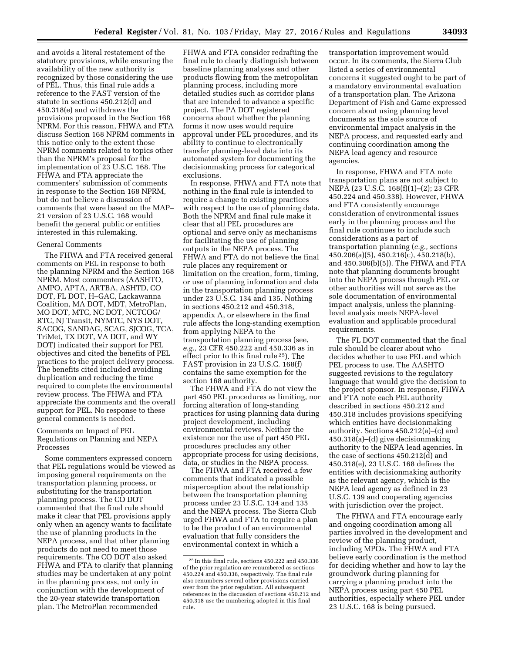FHWA and FTA consider redrafting the final rule to clearly distinguish between

and avoids a literal restatement of the statutory provisions, while ensuring the availability of the new authority is recognized by those considering the use of PEL. Thus, this final rule adds a reference to the FAST version of the statute in sections 450.212(d) and 450.318(e) and withdraws the provisions proposed in the Section 168 NPRM. For this reason, FHWA and FTA discuss Section 168 NPRM comments in this notice only to the extent those NPRM comments related to topics other than the NPRM's proposal for the implementation of 23 U.S.C. 168. The FHWA and FTA appreciate the commenters' submission of comments in response to the Section 168 NPRM, but do not believe a discussion of comments that were based on the MAP– 21 version of 23 U.S.C. 168 would benefit the general public or entities interested in this rulemaking.

## General Comments

The FHWA and FTA received general comments on PEL in response to both the planning NPRM and the Section 168 NPRM. Most commenters (AASHTO, AMPO, APTA, ARTBA, ASHTD, CO DOT, FL DOT, H–GAC, Lackawanna Coalition, MA DOT, MDT, MetroPlan, MO DOT, MTC, NC DOT, NCTCOG/ RTC, NJ Transit, NYMTC, NYS DOT, SACOG, SANDAG, SCAG, SJCOG, TCA, TriMet, TX DOT, VA DOT, and WY DOT) indicated their support for PEL objectives and cited the benefits of PEL practices to the project delivery process. The benefits cited included avoiding duplication and reducing the time required to complete the environmental review process. The FHWA and FTA appreciate the comments and the overall support for PEL. No response to these general comments is needed.

# Comments on Impact of PEL Regulations on Planning and NEPA Processes

Some commenters expressed concern that PEL regulations would be viewed as imposing general requirements on the transportation planning process, or substituting for the transportation planning process. The CO DOT commented that the final rule should make it clear that PEL provisions apply only when an agency wants to facilitate the use of planning products in the NEPA process, and that other planning products do not need to meet those requirements. The CO DOT also asked FHWA and FTA to clarify that planning studies may be undertaken at any point in the planning process, not only in conjunction with the development of the 20-year statewide transportation plan. The MetroPlan recommended

baseline planning analyses and other products flowing from the metropolitan planning process, including more detailed studies such as corridor plans that are intended to advance a specific project. The PA DOT registered concerns about whether the planning forms it now uses would require approval under PEL procedures, and its ability to continue to electronically transfer planning-level data into its automated system for documenting the decisionmaking process for categorical exclusions.

In response, FHWA and FTA note that nothing in the final rule is intended to require a change to existing practices with respect to the use of planning data. Both the NPRM and final rule make it clear that all PEL procedures are optional and serve only as mechanisms for facilitating the use of planning outputs in the NEPA process. The FHWA and FTA do not believe the final rule places any requirement or limitation on the creation, form, timing, or use of planning information and data in the transportation planning process under 23 U.S.C. 134 and 135. Nothing in sections 450.212 and 450.318, appendix A, or elsewhere in the final rule affects the long-standing exemption from applying NEPA to the transportation planning process (see, *e.g.,* 23 CFR 450.222 and 450.336 as in effect prior to this final rule 25). The FAST provision in 23 U.S.C. 168(f) contains the same exemption for the section 168 authority.

The FHWA and FTA do not view the part 450 PEL procedures as limiting, nor forcing alteration of long-standing practices for using planning data during project development, including environmental reviews. Neither the existence nor the use of part 450 PEL procedures precludes any other appropriate process for using decisions, data, or studies in the NEPA process.

The FHWA and FTA received a few comments that indicated a possible misperception about the relationship between the transportation planning process under 23 U.S.C. 134 and 135 and the NEPA process. The Sierra Club urged FHWA and FTA to require a plan to be the product of an environmental evaluation that fully considers the environmental context in which a

transportation improvement would occur. In its comments, the Sierra Club listed a series of environmental concerns it suggested ought to be part of a mandatory environmental evaluation of a transportation plan. The Arizona Department of Fish and Game expressed concern about using planning level documents as the sole source of environmental impact analysis in the NEPA process, and requested early and continuing coordination among the NEPA lead agency and resource agencies.

In response, FHWA and FTA note transportation plans are not subject to NEPA (23 U.S.C. 168(f)(1)–(2); 23 CFR 450.224 and 450.338). However, FHWA and FTA consistently encourage consideration of environmental issues early in the planning process and the final rule continues to include such considerations as a part of transportation planning (*e.g.,* sections 450.206(a)(5), 450.216(c), 450.218(b), and 450.306(b)(5)). The FHWA and FTA note that planning documents brought into the NEPA process through PEL or other authorities will not serve as the sole documentation of environmental impact analysis, unless the planninglevel analysis meets NEPA-level evaluation and applicable procedural requirements.

The FL DOT commented that the final rule should be clearer about who decides whether to use PEL and which PEL process to use. The AASHTO suggested revisions to the regulatory language that would give the decision to the project sponsor. In response, FHWA and FTA note each PEL authority described in sections 450.212 and 450.318 includes provisions specifying which entities have decisionmaking authority. Sections 450.212(a)–(c) and 450.318(a)–(d) give decisionmaking authority to the NEPA lead agencies. In the case of sections 450.212(d) and 450.318(e), 23 U.S.C. 168 defines the entities with decisionmaking authority as the relevant agency, which is the NEPA lead agency as defined in 23 U.S.C. 139 and cooperating agencies with jurisdiction over the project.

The FHWA and FTA encourage early and ongoing coordination among all parties involved in the development and review of the planning product, including MPOs. The FHWA and FTA believe early coordination is the method for deciding whether and how to lay the groundwork during planning for carrying a planning product into the NEPA process using part 450 PEL authorities, especially where PEL under 23 U.S.C. 168 is being pursued.

 $^{\rm 25}$  In this final rule, sections 450.222 and 450.336 of the prior regulation are renumbered as sections 450.224 and 450.338, respectively. The final rule also renumbers several other provisions carried over from the prior regulation. All subsequent references in the discussion of sections 450.212 and 450.318 use the numbering adopted in this final rule.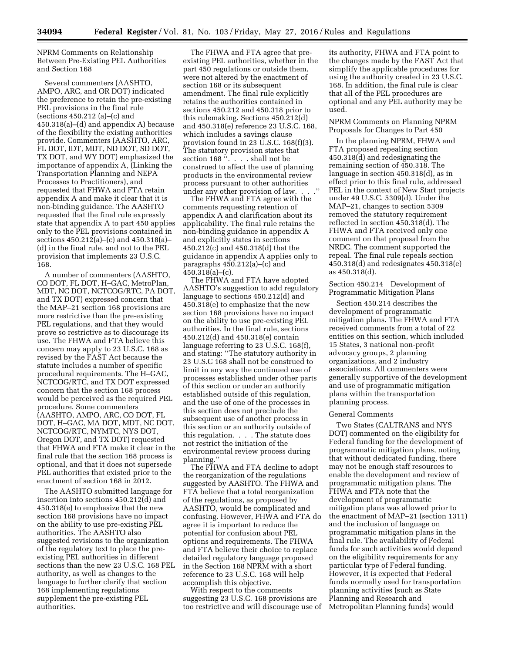NPRM Comments on Relationship Between Pre-Existing PEL Authorities and Section 168

Several commenters (AASHTO, AMPO, ARC, and OR DOT) indicated the preference to retain the pre-existing PEL provisions in the final rule (sections 450.212 (a)–(c) and 450.318(a)–(d) and appendix A) because of the flexibility the existing authorities provide. Commenters (AASHTO, ARC, FL DOT, IDT, MDT, ND DOT, SD DOT, TX DOT, and WY DOT) emphasized the importance of appendix A, (Linking the Transportation Planning and NEPA Processes to Practitioners), and requested that FHWA and FTA retain appendix A and make it clear that it is non-binding guidance. The AASHTO requested that the final rule expressly state that appendix A to part 450 applies only to the PEL provisions contained in sections 450.212(a)–(c) and 450.318(a)– (d) in the final rule, and not to the PEL provision that implements 23 U.S.C. 168.

A number of commenters (AASHTO, CO DOT, FL DOT, H–GAC, MetroPlan, MDT, NC DOT, NCTCOG/RTC, PA DOT, and TX DOT) expressed concern that the MAP–21 section 168 provisions are more restrictive than the pre-existing PEL regulations, and that they would prove so restrictive as to discourage its use. The FHWA and FTA believe this concern may apply to 23 U.S.C. 168 as revised by the FAST Act because the statute includes a number of specific procedural requirements. The H–GAC, NCTCOG/RTC, and TX DOT expressed concern that the section 168 process would be perceived as the required PEL procedure. Some commenters (AASHTO, AMPO, ARC, CO DOT, FL DOT, H–GAC, MA DOT, MDT, NC DOT, NCTCOG/RTC, NYMTC, NYS DOT, Oregon DOT, and TX DOT) requested that FHWA and FTA make it clear in the final rule that the section 168 process is optional, and that it does not supersede PEL authorities that existed prior to the enactment of section 168 in 2012.

The AASHTO submitted language for insertion into sections 450.212(d) and 450.318(e) to emphasize that the new section 168 provisions have no impact on the ability to use pre-existing PEL authorities. The AASHTO also suggested revisions to the organization of the regulatory text to place the preexisting PEL authorities in different sections than the new 23 U.S.C. 168 PEL authority, as well as changes to the language to further clarify that section 168 implementing regulations supplement the pre-existing PEL authorities.

The FHWA and FTA agree that preexisting PEL authorities, whether in the part 450 regulations or outside them, were not altered by the enactment of section 168 or its subsequent amendment. The final rule explicitly retains the authorities contained in sections 450.212 and 450.318 prior to this rulemaking. Sections 450.212(d) and 450.318(e) reference 23 U.S.C. 168, which includes a savings clause provision found in 23 U.S.C. 168(f)(3). The statutory provision states that section 168 ". . . . shall not be construed to affect the use of planning products in the environmental review process pursuant to other authorities under any other provision of law...

The FHWA and FTA agree with the comments requesting retention of appendix A and clarification about its applicability. The final rule retains the non-binding guidance in appendix A and explicitly states in sections 450.212(c) and 450.318(d) that the guidance in appendix A applies only to paragraphs 450.212(a)–(c) and  $450.318(a)$ –(c).

The FHWA and FTA have adopted AASHTO's suggestion to add regulatory language to sections 450.212(d) and 450.318(e) to emphasize that the new section 168 provisions have no impact on the ability to use pre-existing PEL authorities. In the final rule, sections 450.212(d) and 450.318(e) contain language referring to 23 U.S.C. 168(f), and stating: ''The statutory authority in 23 U.S.C 168 shall not be construed to limit in any way the continued use of processes established under other parts of this section or under an authority established outside of this regulation, and the use of one of the processes in this section does not preclude the subsequent use of another process in this section or an authority outside of this regulation. . . . The statute does not restrict the initiation of the environmental review process during planning.''

The FHWA and FTA decline to adopt the reorganization of the regulations suggested by AASHTO. The FHWA and FTA believe that a total reorganization of the regulations, as proposed by AASHTO, would be complicated and confusing. However, FHWA and FTA do agree it is important to reduce the potential for confusion about PEL options and requirements. The FHWA and FTA believe their choice to replace detailed regulatory language proposed in the Section 168 NPRM with a short reference to 23 U.S.C. 168 will help accomplish this objective.

With respect to the comments suggesting 23 U.S.C. 168 provisions are too restrictive and will discourage use of its authority, FHWA and FTA point to the changes made by the FAST Act that simplify the applicable procedures for using the authority created in 23 U.S.C. 168. In addition, the final rule is clear that all of the PEL procedures are optional and any PEL authority may be used.

NPRM Comments on Planning NPRM Proposals for Changes to Part 450

In the planning NPRM, FHWA and FTA proposed repealing section 450.318(d) and redesignating the remaining section of 450.318. The language in section 450.318(d), as in effect prior to this final rule, addressed PEL in the context of New Start projects under 49 U.S.C. 5309(d). Under the MAP–21, changes to section 5309 removed the statutory requirement reflected in section 450.318(d). The FHWA and FTA received only one comment on that proposal from the NRDC. The comment supported the repeal. The final rule repeals section 450.318(d) and redesignates 450.318(e) as 450.318(d).

Section 450.214 Development of Programmatic Mitigation Plans

Section 450.214 describes the development of programmatic mitigation plans. The FHWA and FTA received comments from a total of 22 entities on this section, which included 15 States, 3 national non-profit advocacy groups, 2 planning organizations, and 2 industry associations. All commenters were generally supportive of the development and use of programmatic mitigation plans within the transportation planning process.

### General Comments

Two States (CALTRANS and NYS DOT) commented on the eligibility for Federal funding for the development of programmatic mitigation plans, noting that without dedicated funding, there may not be enough staff resources to enable the development and review of programmatic mitigation plans. The FHWA and FTA note that the development of programmatic mitigation plans was allowed prior to the enactment of MAP–21 (section 1311) and the inclusion of language on programmatic mitigation plans in the final rule. The availability of Federal funds for such activities would depend on the eligibility requirements for any particular type of Federal funding. However, it is expected that Federal funds normally used for transportation planning activities (such as State Planning and Research and Metropolitan Planning funds) would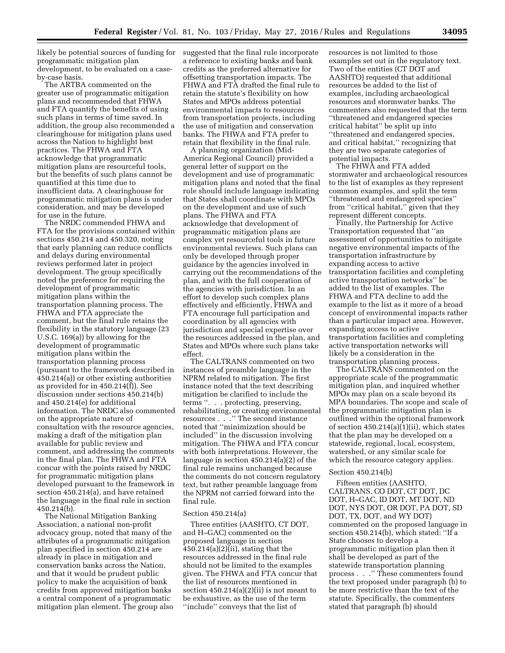likely be potential sources of funding for suggested that the final rule incorporate programmatic mitigation plan development, to be evaluated on a caseby-case basis.

The ARTBA commented on the greater use of programmatic mitigation plans and recommended that FHWA and FTA quantify the benefits of using such plans in terms of time saved. In addition, the group also recommended a clearinghouse for mitigation plans used across the Nation to highlight best practices. The FHWA and FTA acknowledge that programmatic mitigation plans are resourceful tools, but the benefits of such plans cannot be quantified at this time due to insufficient data. A clearinghouse for programmatic mitigation plans is under consideration, and may be developed for use in the future.

The NRDC commended FHWA and FTA for the provisions contained within sections 450.214 and 450.320, noting that early planning can reduce conflicts and delays during environmental reviews performed later in project development. The group specifically noted the preference for requiring the development of programmatic mitigation plans within the transportation planning process. The FHWA and FTA appreciate the comment, but the final rule retains the flexibility in the statutory language (23 U.S.C. 169(a)) by allowing for the development of programmatic mitigation plans within the transportation planning process (pursuant to the framework described in 450.214(a)) or other existing authorities as provided for in 450.214(f)). See discussion under sections 450.214(b) and 450.214(e) for additional information. The NRDC also commented on the appropriate nature of consultation with the resource agencies, making a draft of the mitigation plan available for public review and comment, and addressing the comments in the final plan. The FHWA and FTA concur with the points raised by NRDC for programmatic mitigation plans developed pursuant to the framework in section 450.214(a), and have retained the language in the final rule in section 450.214(b).

The National Mitigation Banking Association, a national non-profit advocacy group, noted that many of the attributes of a programmatic mitigation plan specified in section 450.214 are already in place in mitigation and conservation banks across the Nation, and that it would be prudent public policy to make the acquisition of bank credits from approved mitigation banks a central component of a programmatic mitigation plan element. The group also

a reference to existing banks and bank credits as the preferred alternative for offsetting transportation impacts. The FHWA and FTA drafted the final rule to retain the statute's flexibility on how States and MPOs address potential environmental impacts to resources from transportation projects, including the use of mitigation and conservation banks. The FHWA and FTA prefer to retain that flexibility in the final rule.

A planning organization (Mid-America Regional Council) provided a general letter of support on the development and use of programmatic mitigation plans and noted that the final rule should include language indicating that States shall coordinate with MPOs on the development and use of such plans. The FHWA and FTA acknowledge that development of programmatic mitigation plans are complex yet resourceful tools in future environmental reviews. Such plans can only be developed through proper guidance by the agencies involved in carrying out the recommendations of the plan, and with the full cooperation of the agencies with jurisdiction. In an effort to develop such complex plans effectively and efficiently, FHWA and FTA encourage full participation and coordination by all agencies with jurisdiction and special expertise over the resources addressed in the plan, and States and MPOs where such plans take effect.

The CALTRANS commented on two instances of preamble language in the NPRM related to mitigation. The first instance noted that the text describing mitigation be clarified to include the terms ''. . . protecting, preserving, rehabilitating, or creating environmental resources . . .'' The second instance noted that ''minimization should be included'' in the discussion involving mitigation. The FHWA and FTA concur with both interpretations. However, the language in section 450.214(a)(2) of the final rule remains unchanged because the comments do not concern regulatory text, but rather preamble language from the NPRM not carried forward into the final rule.

## Section 450.214(a)

Three entities (AASHTO, CT DOT, and H–GAC) commented on the proposed language in section  $450.214(a)(2)(ii)$ , stating that the resources addressed in the final rule should not be limited to the examples given. The FHWA and FTA concur that the list of resources mentioned in section  $450.214(a)(2)(ii)$  is not meant to be exhaustive, as the use of the term ''include'' conveys that the list of

resources is not limited to those examples set out in the regulatory text. Two of the entities (CT DOT and AASHTO) requested that additional resources be added to the list of examples, including archaeological resources and stormwater banks. The commenters also requested that the term ''threatened and endangered species critical habitat'' be split up into ''threatened and endangered species, and critical habitat,'' recognizing that they are two separate categories of potential impacts.

The FHWA and FTA added stormwater and archaeological resources to the list of examples as they represent common examples, and split the term ''threatened and endangered species'' from "critical habitat," given that they represent different concepts.

Finally, the Partnership for Active Transportation requested that ''an assessment of opportunities to mitigate negative environmental impacts of the transportation infrastructure by expanding access to active transportation facilities and completing active transportation networks'' be added to the list of examples. The FHWA and FTA decline to add the example to the list as it more of a broad concept of environmental impacts rather than a particular impact area. However, expanding access to active transportation facilities and completing active transportation networks will likely be a consideration in the transportation planning process.

The CALTRANS commented on the appropriate scale of the programmatic mitigation plan, and inquired whether MPOs may plan on a scale beyond its MPA boundaries. The scope and scale of the programmatic mitigation plan is outlined within the optional framework of section 450.214(a)(1)(ii), which states that the plan may be developed on a statewide, regional, local, ecosystem, watershed, or any similar scale for which the resource category applies.

### Section 450.214(b)

Fifteen entities (AASHTO, CALTRANS, CO DOT, CT DOT, DC DOT, H–GAC, ID DOT, MT DOT, ND DOT, NYS DOT, OR DOT, PA DOT, SD DOT, TX, DOT, and WY DOT) commented on the proposed language in section 450.214(b), which stated: ''If a State chooses to develop a programmatic mitigation plan then it shall be developed as part of the statewide transportation planning process . . .'' These commenters found the text proposed under paragraph (b) to be more restrictive than the text of the statute. Specifically, the commenters stated that paragraph (b) should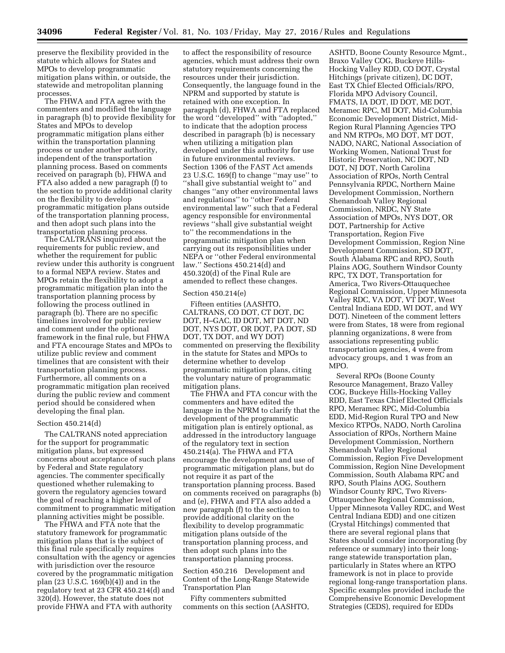preserve the flexibility provided in the statute which allows for States and MPOs to develop programmatic mitigation plans within, or outside, the statewide and metropolitan planning processes.

The FHWA and FTA agree with the commenters and modified the language in paragraph (b) to provide flexibility for States and MPOs to develop programmatic mitigation plans either within the transportation planning process or under another authority, independent of the transportation planning process. Based on comments received on paragraph (b), FHWA and FTA also added a new paragraph (f) to the section to provide additional clarity on the flexibility to develop programmatic mitigation plans outside of the transportation planning process, and then adopt such plans into the transportation planning process.

The CALTRANS inquired about the requirements for public review, and whether the requirement for public review under this authority is congruent to a formal NEPA review. States and MPOs retain the flexibility to adopt a programmatic mitigation plan into the transportation planning process by following the process outlined in paragraph (b). There are no specific timelines involved for public review and comment under the optional framework in the final rule, but FHWA and FTA encourage States and MPOs to utilize public review and comment timelines that are consistent with their transportation planning process. Furthermore, all comments on a programmatic mitigation plan received during the public review and comment period should be considered when developing the final plan.

#### Section 450.214(d)

The CALTRANS noted appreciation for the support for programmatic mitigation plans, but expressed concerns about acceptance of such plans by Federal and State regulatory agencies. The commenter specifically questioned whether rulemaking to govern the regulatory agencies toward the goal of reaching a higher level of commitment to programmatic mitigation planning activities might be possible.

The FHWA and FTA note that the statutory framework for programmatic mitigation plans that is the subject of this final rule specifically requires consultation with the agency or agencies with jurisdiction over the resource covered by the programmatic mitigation plan (23 U.S.C. 169(b)(4)) and in the regulatory text at 23 CFR 450.214(d) and 320(d). However, the statute does not provide FHWA and FTA with authority

to affect the responsibility of resource agencies, which must address their own statutory requirements concerning the resources under their jurisdiction. Consequently, the language found in the NPRM and supported by statute is retained with one exception. In paragraph (d), FHWA and FTA replaced the word ''developed'' with ''adopted,'' to indicate that the adoption process described in paragraph (b) is necessary when utilizing a mitigation plan developed under this authority for use in future environmental reviews. Section 1306 of the FAST Act amends 23 U.S.C. 169(f) to change ''may use'' to ''shall give substantial weight to'' and changes ''any other environmental laws and regulations'' to ''other Federal environmental law'' such that a Federal agency responsible for environmental reviews ''shall give substantial weight to'' the recommendations in the programmatic mitigation plan when carrying out its responsibilities under NEPA or ''other Federal environmental law.'' Sections 450.214(d) and 450.320(d) of the Final Rule are amended to reflect these changes.

## Section 450.214(e)

Fifteen entities (AASHTO, CALTRANS, CO DOT, CT DOT, DC DOT, H–GAC, ID DOT, MT DOT, ND DOT, NYS DOT, OR DOT, PA DOT, SD DOT, TX DOT, and WY DOT) commented on preserving the flexibility in the statute for States and MPOs to determine whether to develop programmatic mitigation plans, citing the voluntary nature of programmatic mitigation plans.

The FHWA and FTA concur with the commenters and have edited the language in the NPRM to clarify that the development of the programmatic mitigation plan is entirely optional, as addressed in the introductory language of the regulatory text in section 450.214(a). The FHWA and FTA encourage the development and use of programmatic mitigation plans, but do not require it as part of the transportation planning process. Based on comments received on paragraphs (b) and (e), FHWA and FTA also added a new paragraph (f) to the section to provide additional clarity on the flexibility to develop programmatic mitigation plans outside of the transportation planning process, and then adopt such plans into the transportation planning process.

Section 450.216 Development and Content of the Long-Range Statewide Transportation Plan

Fifty commenters submitted comments on this section (AASHTO,

ASHTD, Boone County Resource Mgmt., Braxo Valley COG, Buckeye Hills-Hocking Valley RDD, CO DOT, Crystal Hitchings (private citizen), DC DOT, East TX Chief Elected Officials/RPO, Florida MPO Advisory Council, FMATS, IA DOT, ID DOT, ME DOT, Meramec RPC, MI DOT, Mid-Columbia Economic Development District, Mid-Region Rural Planning Agencies TPO and NM RTPOs, MO DOT, MT DOT, NADO, NARC, National Association of Working Women, National Trust for Historic Preservation, NC DOT, ND DOT, NJ DOT, North Carolina Association of RPOs, North Central Pennsylvania RPDC, Northern Maine Development Commission, Northern Shenandoah Valley Regional Commission, NRDC, NY State Association of MPOs, NYS DOT, OR DOT, Partnership for Active Transportation, Region Five Development Commission, Region Nine Development Commission, SD DOT, South Alabama RPC and RPO, South Plains AOG, Southern Windsor County RPC, TX DOT, Transportation for America, Two Rivers-Ottauquechee Regional Commission, Upper Minnesota Valley RDC, VA DOT, VT DOT, West Central Indiana EDD, WI DOT, and WY DOT). Nineteen of the comment letters were from States, 18 were from regional planning organizations, 8 were from associations representing public transportation agencies, 4 were from advocacy groups, and 1 was from an MPO.

Several RPOs (Boone County Resource Management, Brazo Valley COG, Buckeye Hills-Hocking Valley RDD, East Texas Chief Elected Officials RPO, Meramec RPC, Mid-Columbia EDD, Mid-Region Rural TPO and New Mexico RTPOs, NADO, North Carolina Association of RPOs, Northern Maine Development Commission, Northern Shenandoah Valley Regional Commission, Region Five Development Commission, Region Nine Development Commission, South Alabama RPC and RPO, South Plains AOG, Southern Windsor County RPC, Two Rivers-Ottauquechee Regional Commission, Upper Minnesota Valley RDC, and West Central Indiana EDD) and one citizen (Crystal Hitchings) commented that there are several regional plans that States should consider incorporating (by reference or summary) into their longrange statewide transportation plan, particularly in States where an RTPO framework is not in place to provide regional long-range transportation plans. Specific examples provided include the Comprehensive Economic Development Strategies (CEDS), required for EDDs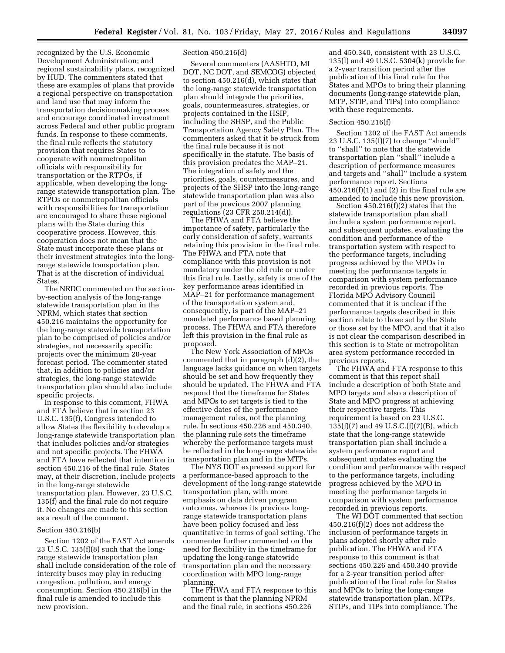recognized by the U.S. Economic Development Administration; and regional sustainability plans, recognized by HUD. The commenters stated that these are examples of plans that provide a regional perspective on transportation and land use that may inform the transportation decisionmaking process and encourage coordinated investment across Federal and other public program funds. In response to these comments, the final rule reflects the statutory provision that requires States to cooperate with nonmetropolitan officials with responsibility for transportation or the RTPOs, if applicable, when developing the longrange statewide transportation plan. The RTPOs or nonmetropolitan officials with responsibilities for transportation are encouraged to share these regional plans with the State during this cooperative process. However, this cooperation does not mean that the State must incorporate these plans or their investment strategies into the longrange statewide transportation plan. That is at the discretion of individual States.

The NRDC commented on the sectionby-section analysis of the long-range statewide transportation plan in the NPRM, which states that section 450.216 maintains the opportunity for the long-range statewide transportation plan to be comprised of policies and/or strategies, not necessarily specific projects over the minimum 20-year forecast period. The commenter stated that, in addition to policies and/or strategies, the long-range statewide transportation plan should also include specific projects.

In response to this comment, FHWA and FTA believe that in section 23 U.S.C. 135(f), Congress intended to allow States the flexibility to develop a long-range statewide transportation plan that includes policies and/or strategies and not specific projects. The FHWA and FTA have reflected that intention in section 450.216 of the final rule. States may, at their discretion, include projects in the long-range statewide transportation plan. However, 23 U.S.C. 135(f) and the final rule do not require it. No changes are made to this section as a result of the comment.

## Section 450.216(b)

Section 1202 of the FAST Act amends 23 U.S.C. 135(f)(8) such that the longrange statewide transportation plan shall include consideration of the role of intercity buses may play in reducing congestion, pollution, and energy consumption. Section 450.216(b) in the final rule is amended to include this new provision.

## Section 450.216(d)

Several commenters (AASHTO, MI DOT, NC DOT, and SEMCOG) objected to section 450.216(d), which states that the long-range statewide transportation plan should integrate the priorities, goals, countermeasures, strategies, or projects contained in the HSIP, including the SHSP, and the Public Transportation Agency Safety Plan. The commenters asked that it be struck from the final rule because it is not specifically in the statute. The basis of this provision predates the MAP–21. The integration of safety and the priorities, goals, countermeasures, and projects of the SHSP into the long-range statewide transportation plan was also part of the previous 2007 planning regulations (23 CFR 250.214(d)).

The FHWA and FTA believe the importance of safety, particularly the early consideration of safety, warrants retaining this provision in the final rule. The FHWA and FTA note that compliance with this provision is not mandatory under the old rule or under this final rule. Lastly, safety is one of the key performance areas identified in MAP–21 for performance management of the transportation system and, consequently, is part of the MAP–21 mandated performance based planning process. The FHWA and FTA therefore left this provision in the final rule as proposed.

The New York Association of MPOs commented that in paragraph (d)(2), the language lacks guidance on when targets should be set and how frequently they should be updated. The FHWA and FTA respond that the timeframe for States and MPOs to set targets is tied to the effective dates of the performance management rules, not the planning rule. In sections 450.226 and 450.340, the planning rule sets the timeframe whereby the performance targets must be reflected in the long-range statewide transportation plan and in the MTPs.

The NYS DOT expressed support for a performance-based approach to the development of the long-range statewide transportation plan, with more emphasis on data driven program outcomes, whereas its previous longrange statewide transportation plans have been policy focused and less quantitative in terms of goal setting. The commenter further commented on the need for flexibility in the timeframe for updating the long-range statewide transportation plan and the necessary coordination with MPO long-range planning.

The FHWA and FTA response to this comment is that the planning NPRM and the final rule, in sections 450.226

and 450.340, consistent with 23 U.S.C. 135(l) and 49 U.S.C. 5304(k) provide for a 2-year transition period after the publication of this final rule for the States and MPOs to bring their planning documents (long-range statewide plan, MTP, STIP, and TIPs) into compliance with these requirements.

## Section 450.216(f)

Section 1202 of the FAST Act amends 23 U.S.C. 135(f)(7) to change ''should'' to ''shall'' to note that the statewide transportation plan ''shall'' include a description of performance measures and targets and ''shall'' include a system performance report. Sections  $450.216(f)(1)$  and  $(2)$  in the final rule are amended to include this new provision.

Section 450.216(f)(2) states that the statewide transportation plan shall include a system performance report, and subsequent updates, evaluating the condition and performance of the transportation system with respect to the performance targets, including progress achieved by the MPOs in meeting the performance targets in comparison with system performance recorded in previous reports. The Florida MPO Advisory Council commented that it is unclear if the performance targets described in this section relate to those set by the State or those set by the MPO, and that it also is not clear the comparison described in this section is to State or metropolitan area system performance recorded in previous reports.

The FHWA and FTA response to this comment is that this report shall include a description of both State and MPO targets and also a description of State and MPO progress at achieving their respective targets. This requirement is based on 23 U.S.C. 135(f)(7) and 49 U.S.C.(f)(7)(B), which state that the long-range statewide transportation plan shall include a system performance report and subsequent updates evaluating the condition and performance with respect to the performance targets, including progress achieved by the MPO in meeting the performance targets in comparison with system performance recorded in previous reports.

The WI DOT commented that section 450.216(f)(2) does not address the inclusion of performance targets in plans adopted shortly after rule publication. The FHWA and FTA response to this comment is that sections 450.226 and 450.340 provide for a 2-year transition period after publication of the final rule for States and MPOs to bring the long-range statewide transportation plan, MTPs, STIPs, and TIPs into compliance. The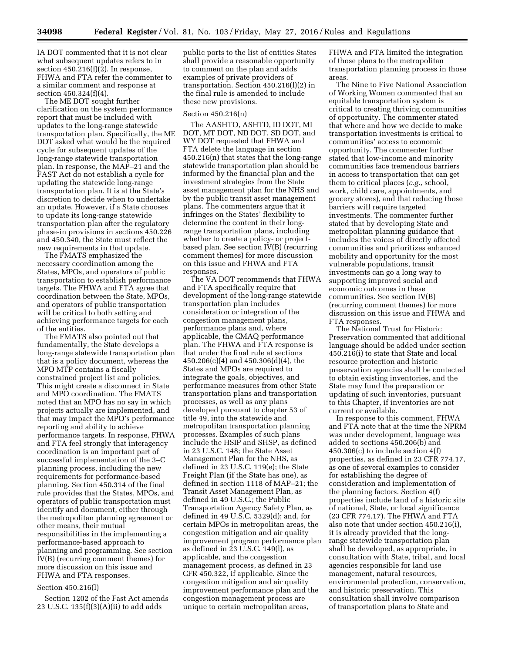IA DOT commented that it is not clear what subsequent updates refers to in section  $450.216(f)(2)$ . In response, FHWA and FTA refer the commenter to a similar comment and response at section 450.324(f)(4).

The ME DOT sought further clarification on the system performance report that must be included with updates to the long-range statewide transportation plan. Specifically, the ME DOT asked what would be the required cycle for subsequent updates of the long-range statewide transportation plan. In response, the MAP–21 and the FAST Act do not establish a cycle for updating the statewide long-range transportation plan. It is at the State's discretion to decide when to undertake an update. However, if a State chooses to update its long-range statewide transportation plan after the regulatory phase-in provisions in sections 450.226 and 450.340, the State must reflect the new requirements in that update.

The FMATS emphasized the necessary coordination among the States, MPOs, and operators of public transportation to establish performance targets. The FHWA and FTA agree that coordination between the State, MPOs, and operators of public transportation will be critical to both setting and achieving performance targets for each of the entities.

The FMATS also pointed out that fundamentally, the State develops a long-range statewide transportation plan that is a policy document, whereas the MPO MTP contains a fiscally constrained project list and policies. This might create a disconnect in State and MPO coordination. The FMATS noted that an MPO has no say in which projects actually are implemented, and that may impact the MPO's performance reporting and ability to achieve performance targets. In response, FHWA and FTA feel strongly that interagency coordination is an important part of successful implementation of the 3–C planning process, including the new requirements for performance-based planning. Section 450.314 of the final rule provides that the States, MPOs, and operators of public transportation must identify and document, either through the metropolitan planning agreement or other means, their mutual responsibilities in the implementing a performance-based approach to planning and programming. See section IV(B) (recurring comment themes) for more discussion on this issue and FHWA and FTA responses.

## Section 450.216(l)

Section 1202 of the Fast Act amends 23 U.S.C. 135(f)(3)(A)(ii) to add adds

public ports to the list of entities States shall provide a reasonable opportunity to comment on the plan and adds examples of private providers of transportation. Section 450.216(l)(2) in the final rule is amended to include these new provisions.

## Section 450.216(n)

The AASHTO, ASHTD, ID DOT, MI DOT, MT DOT, ND DOT, SD DOT, and WY DOT requested that FHWA and FTA delete the language in section 450.216(n) that states that the long-range statewide transportation plan should be informed by the financial plan and the investment strategies from the State asset management plan for the NHS and by the public transit asset management plans. The commenters argue that it infringes on the States' flexibility to determine the content in their longrange transportation plans, including whether to create a policy- or projectbased plan. See section IV(B) (recurring comment themes) for more discussion on this issue and FHWA and FTA responses.

The VA DOT recommends that FHWA and FTA specifically require that development of the long-range statewide transportation plan includes consideration or integration of the congestion management plans, performance plans and, where applicable, the CMAQ performance plan. The FHWA and FTA response is that under the final rule at sections 450.206(c)(4) and 450.306(d)(4), the States and MPOs are required to integrate the goals, objectives, and performance measures from other State transportation plans and transportation processes, as well as any plans developed pursuant to chapter 53 of title 49, into the statewide and metropolitan transportation planning processes. Examples of such plans include the HSIP and SHSP, as defined in 23 U.S.C. 148; the State Asset Management Plan for the NHS, as defined in 23 U.S.C. 119(e); the State Freight Plan (if the State has one), as defined in section 1118 of MAP–21; the Transit Asset Management Plan, as defined in 49 U.S.C.; the Public Transportation Agency Safety Plan, as defined in 49 U.S.C. 5329(d); and, for certain MPOs in metropolitan areas, the congestion mitigation and air quality improvement program performance plan as defined in 23 U.S.C. 149(l), as applicable, and the congestion management process, as defined in 23 CFR 450.322, if applicable. Since the congestion mitigation and air quality improvement performance plan and the congestion management process are unique to certain metropolitan areas,

FHWA and FTA limited the integration of those plans to the metropolitan transportation planning process in those areas.

The Nine to Five National Association of Working Women commented that an equitable transportation system is critical to creating thriving communities of opportunity. The commenter stated that where and how we decide to make transportation investments is critical to communities' access to economic opportunity. The commenter further stated that low-income and minority communities face tremendous barriers in access to transportation that can get them to critical places (*e.g.,* school, work, child care, appointments, and grocery stores), and that reducing those barriers will require targeted investments. The commenter further stated that by developing State and metropolitan planning guidance that includes the voices of directly affected communities and prioritizes enhanced mobility and opportunity for the most vulnerable populations, transit investments can go a long way to supporting improved social and economic outcomes in these communities. See section IV(B) (recurring comment themes) for more discussion on this issue and FHWA and FTA responses.

The National Trust for Historic Preservation commented that additional language should be added under section 450.216(i) to state that State and local resource protection and historic preservation agencies shall be contacted to obtain existing inventories, and the State may fund the preparation or updating of such inventories, pursuant to this Chapter, if inventories are not current or available.

In response to this comment, FHWA and FTA note that at the time the NPRM was under development, language was added to sections 450.206(b) and 450.306(c) to include section 4(f) properties, as defined in 23 CFR 774.17, as one of several examples to consider for establishing the degree of consideration and implementation of the planning factors. Section 4(f) properties include land of a historic site of national, State, or local significance (23 CFR 774.17). The FHWA and FTA also note that under section 450.216(i), it is already provided that the longrange statewide transportation plan shall be developed, as appropriate, in consultation with State, tribal, and local agencies responsible for land use management, natural resources, environmental protection, conservation, and historic preservation. This consultation shall involve comparison of transportation plans to State and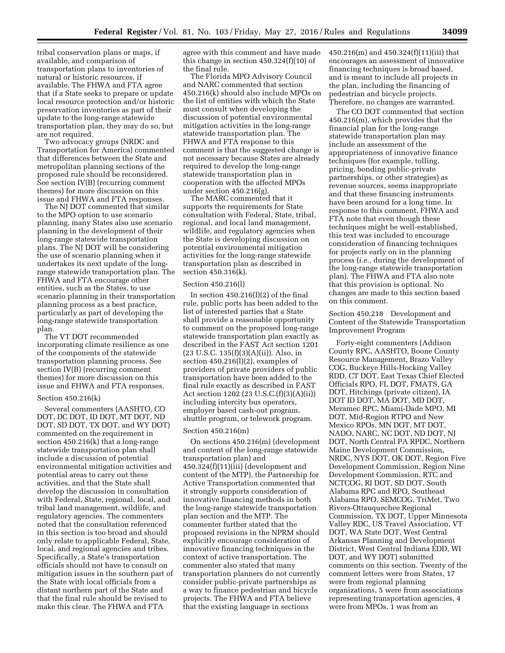tribal conservation plans or maps, if available, and comparison of transportation plans to inventories of natural or historic resources, if available. The FHWA and FTA agree that if a State seeks to prepare or update local resource protection and/or historic preservation inventories as part of their update to the long-range statewide transportation plan, they may do so, but are not required.

Two advocacy groups (NRDC and Transportation for America) commented that differences between the State and metropolitan planning sections of the proposed rule should be reconsidered. See section IV(B) (recurring comment themes) for more discussion on this issue and FHWA and FTA responses.

The NJ DOT commented that similar to the MPO option to use scenario planning, many States also use scenario planning in the development of their long-range statewide transportation plans. The NJ DOT will be considering the use of scenario planning when it undertakes its next update of the longrange statewide transportation plan. The FHWA and FTA encourage other entities, such as the States, to use scenario planning in their transportation planning process as a best practice, particularly as part of developing the long-range statewide transportation plan.

The VT DOT recommended incorporating climate resilience as one of the components of the statewide transportation planning process. See section IV(B) (recurring comment themes) for more discussion on this issue and FHWA and FTA responses.

## Section 450.216(k)

Several commenters (AASHTO, CO DOT, DC DOT, ID DOT, MT DOT, ND DOT, SD DOT, TX DOT, and WY DOT) commented on the requirement in section 450.216(k) that a long-range statewide transportation plan shall include a discussion of potential environmental mitigation activities and potential areas to carry out these activities, and that the State shall develop the discussion in consultation with Federal, State, regional, local, and tribal land management, wildlife, and regulatory agencies. The commenters noted that the consultation referenced in this section is too broad and should only relate to applicable Federal, State, local, and regional agencies and tribes. Specifically, a State's transportation officials should not have to consult on mitigation issues in the southern part of the State with local officials from a distant northern part of the State and that the final rule should be revised to make this clear. The FHWA and FTA

agree with this comment and have made this change in section 450.324(f)(10) of the final rule.

The Florida MPO Advisory Council and NARC commented that section 450.216(k) should also include MPOs on the list of entities with which the State must consult when developing the discussion of potential environmental mitigation activities in the long-range statewide transportation plan. The FHWA and FTA response to this comment is that the suggested change is not necessary because States are already required to develop the long-range statewide transportation plan in cooperation with the affected MPOs under section 450.216(g).

The MARC commented that it supports the requirements for State consultation with Federal, State, tribal, regional, and local land management, wildlife, and regulatory agencies when the State is developing discussion on potential environmental mitigation activities for the long-range statewide transportation plan as described in section 450.316(k).

## Section 450.216(l)

In section  $450.216(1)(2)$  of the final rule, public ports has been added to the list of interested parties that a State shall provide a reasonable opportunity to comment on the proposed long-range statewide transportation plan exactly as described in the FAST Act section 1201 (23 U.S.C. 135(f)(3)(A)(ii)). Also, in section 450.216(l)(2), examples of providers of private providers of public transportation have been added to the final rule exactly as described in FAST Act section 1202 (23 U.S.C.(f)(3)(A)(ii)) including intercity bus operators, employer based cash-out program, shuttle program, or telework program.

## Section 450.216(m)

On sections 450.216(m) (development and content of the long-range statewide transportation plan) and 450.324(f)(11)(iii) (development and content of the MTP), the Partnership for Active Transportation commented that it strongly supports consideration of innovative financing methods in both the long-range statewide transportation plan section and the MTP. The commenter further stated that the proposed revisions in the NPRM should explicitly encourage consideration of innovative financing techniques in the context of active transportation. The commenter also stated that many transportation planners do not currently consider public-private partnerships as a way to finance pedestrian and bicycle projects. The FHWA and FTA believe that the existing language in sections

450.216(m) and 450.324(f)(11)(iii) that encourages an assessment of innovative financing techniques is broad based, and is meant to include all projects in the plan, including the financing of pedestrian and bicycle projects. Therefore, no changes are warranted.

The CO DOT commented that section 450.216(m), which provides that the financial plan for the long-range statewide transportation plan may include an assessment of the appropriateness of innovative finance techniques (for example, tolling, pricing, bonding public-private partnerships, or other strategies) as revenue sources, seems inappropriate and that these financing instruments have been around for a long time. In response to this comment, FHWA and FTA note that even though these techniques might be well-established, this text was included to encourage consideration of financing techniques for projects early on in the planning process (*i.e.,* during the development of the long-range statewide transportation plan). The FHWA and FTA also note that this provision is optional. No changes are made to this section based on this comment.

Section 450.218 Development and Content of the Statewide Transportation Improvement Program

Forty-eight commenters (Addison County RPC, AASHTO, Boone County Resource Management, Brazo Valley COG, Buckeye Hills-Hocking Valley RDD, CT DOT, East Texas Chief Elected Officials RPO, FL DOT, FMATS, GA DOT, Hitchings (private citizen), IA DOT ID DOT, MA DOT, MD DOT, Meramec RPC, Miami-Dade MPO, MI DOT, Mid-Region RTPO and New Mexico RPOs, MN DOT, MT DOT, NADO, NARC, NC DOT, ND DOT, NJ DOT, North Central PA RPDC, Northern Maine Development Commission, NRDC, NYS DOT, OK DOT, Region Five Development Commission, Region Nine Development Commission, RTC and NCTCOG, RI DOT, SD DOT, South Alabama RPC and RPO, Southeast Alabama RPO, SEMCOG, TriMet, Two Rivers-Ottauquechee Regional Commission, TX DOT, Upper Minnesota Valley RDC, US Travel Association, VT DOT, WA State DOT, West Central Arkansas Planning and Development District, West Central Indiana EDD, WI DOT, and WY DOT) submitted comments on this section. Twenty of the comment letters were from States, 17 were from regional planning organizations, 5 were from associations representing transportation agencies, 4 were from MPOs, 1 was from an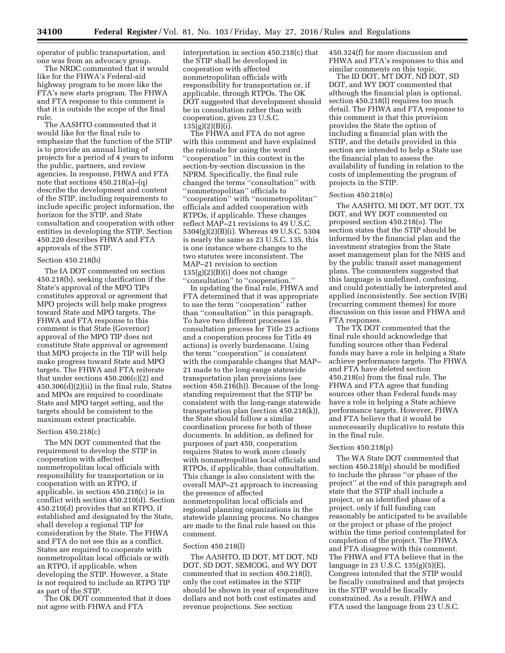operator of public transportation, and one was from an advocacy group.

The NRDC commented that it would like for the FHWA's Federal-aid highway program to be more like the FTA's new starts program. The FHWA and FTA response to this comment is that it is outside the scope of the final rule.

The AASHTO commented that it would like for the final rule to emphasize that the function of the STIP is to provide an annual listing of projects for a period of 4 years to inform the public, partners, and review agencies. In response, FHWA and FTA note that sections 450.218(a)–(q) describe the development and content of the STIP, including requirements to include specific project information, the horizon for the STIP, and State consultation and cooperation with other entities in developing the STIP. Section 450.220 describes FHWA and FTA approvals of the STIP.

#### Section 450.218(b)

The IA DOT commented on section 450.218(b), seeking clarification if the State's approval of the MPO TIPs constitutes approval or agreement that MPO projects will help make progress toward State and MPO targets. The FHWA and FTA response to this comment is that State (Governor) approval of the MPO TIP does not constitute State approval or agreement that MPO projects in the TIP will help make progress toward State and MPO targets. The FHWA and FTA reiterate that under sections 450.206(c)(2) and 450.306(d)(2)(ii) in the final rule, States and MPOs are required to coordinate State and MPO target setting, and the targets should be consistent to the maximum extent practicable.

#### Section 450.218(c)

The MN DOT commented that the requirement to develop the STIP in cooperation with affected nonmetropolitan local officials with responsibility for transportation or in cooperation with an RTPO, if applicable, in section 450.218(c) is in conflict with section 450.210(d). Section 450.210(d) provides that an RTPO, if established and designated by the State, shall develop a regional TIP for consideration by the State. The FHWA and FTA do not see this as a conflict. States are required to cooperate with nonmetropolitan local officials or with an RTPO, if applicable, when developing the STIP. However, a State is not required to include an RTPO TIP as part of the STIP.

The OK DOT commented that it does not agree with FHWA and FTA

interpretation in section 450.218(c) that the STIP shall be developed in cooperation with affected nonmetropolitan officials with responsibility for transportation or, if applicable, through RTPOs. The OK DOT suggested that development should be in consultation rather than with cooperation, given 23 U.S.C.  $135(g)(2)(B)(i)$ .

The FHWA and FTA do not agree with this comment and have explained the rationale for using the word ''cooperation'' in this context in the section-by-section discussion in the NPRM. Specifically, the final rule changed the terms ''consultation'' with ''nonmetropolitan'' officials to ''cooperation'' with ''nonmetropolitan'' officials and added cooperation with RTPOs, if applicable. These changes reflect MAP–21 revisions to 49 U.S.C. 5304(g)(2)(B)(i). Whereas 49 U.S.C. 5304 is nearly the same as 23 U.S.C. 135, this is one instance where changes to the two statutes were inconsistent. The MAP–21 revision to section  $135(g)(2)(B)(i)$  does not change ''consultation'' to ''cooperation.''

In updating the final rule, FHWA and FTA determined that it was appropriate to use the term ''cooperation'' rather than ''consultation'' in this paragraph. To have two different processes (a consultation process for Title 23 actions and a cooperation process for Title 49 actions) is overly burdensome. Using the term ''cooperation'' is consistent with the comparable changes that MAP– 21 made to the long-range statewide transportation plan provisions (see section 450.216(h)). Because of the longstanding requirement that the STIP be consistent with the long-range statewide transportation plan (section 450.218(k)), the State should follow a similar coordination process for both of these documents. In addition, as defined for purposes of part 450, cooperation requires States to work more closely with nonmetropolitan local officials and RTPOs, if applicable, than consultation. This change is also consistent with the overall MAP–21 approach to increasing the presence of affected nonmetropolitan local officials and regional planning organizations in the statewide planning process. No changes are made to the final rule based on this comment.

## Section 450.218(l)

The AASHTO, ID DOT, MT DOT, ND DOT, SD DOT, SEMCOG, and WY DOT commented that in section 450.218(l), only the cost estimates in the STIP should be shown in year of expenditure dollars and not both cost estimates and revenue projections. See section

450.324(f) for more discussion and FHWA and FTA's responses to this and similar comments on this topic.

The ID DOT, MT DOT, ND DOT, SD DOT, and WY DOT commented that although the financial plan is optional, section 450.218(l) requires too much detail. The FHWA and FTA response to this comment is that this provision provides the State the option of including a financial plan with the STIP, and the details provided in this section are intended to help a State use the financial plan to assess the availability of funding in relation to the costs of implementing the program of projects in the STIP.

## Section 450.218(o)

The AASHTO, MI DOT, MT DOT, TX DOT, and WY DOT commented on proposed section 450.218(o). The section states that the STIP should be informed by the financial plan and the investment strategies from the State asset management plan for the NHS and by the public transit asset management plans. The commenters suggested that this language is undefined, confusing, and could potentially be interpreted and applied inconsistently. See section IV(B) (recurring comment themes) for more discussion on this issue and FHWA and FTA responses.

The TX DOT commented that the final rule should acknowledge that funding sources other than Federal funds may have a role in helping a State achieve performance targets. The FHWA and FTA have deleted section 450.218(o) from the final rule. The FHWA and FTA agree that funding sources other than Federal funds may have a role in helping a State achieve performance targets. However, FHWA and FTA believe that it would be unnecessarily duplicative to restate this in the final rule.

## Section 450.218(p)

The WA State DOT commented that section 450.218(p) should be modified to include the phrase ''or phase of the project'' at the end of this paragraph and state that the STIP shall include a project, or an identified phase of a project, only if full funding can reasonably be anticipated to be available or the project or phase of the project within the time period contemplated for completion of the project. The FHWA and FTA disagree with this comment. The FHWA and FTA believe that in the language in 23 U.S.C. 135(g)(5)(E), Congress intended that the STIP would be fiscally constrained and that projects in the STIP would be fiscally constrained. As a result, FHWA and FTA used the language from 23 U.S.C.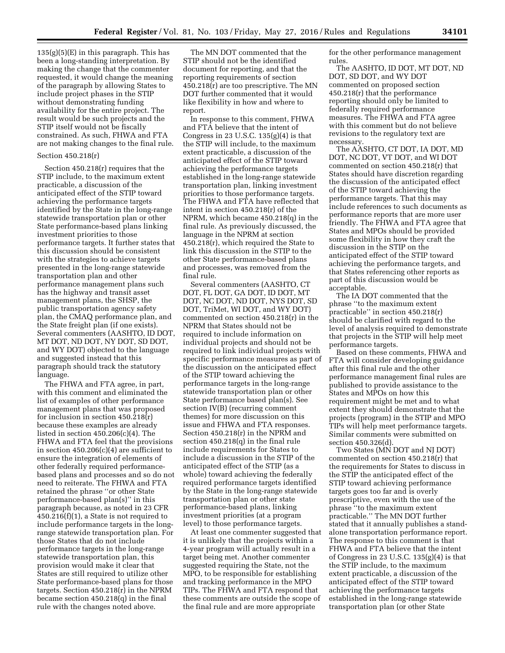$135(g)(5)(E)$  in this paragraph. This has been a long-standing interpretation. By making the change that the commenter requested, it would change the meaning of the paragraph by allowing States to include project phases in the STIP without demonstrating funding availability for the entire project. The result would be such projects and the STIP itself would not be fiscally constrained. As such, FHWA and FTA are not making changes to the final rule.

### Section 450.218(r)

Section 450.218(r) requires that the STIP include, to the maximum extent practicable, a discussion of the anticipated effect of the STIP toward achieving the performance targets identified by the State in the long-range statewide transportation plan or other State performance-based plans linking investment priorities to those performance targets. It further states that this discussion should be consistent with the strategies to achieve targets presented in the long-range statewide transportation plan and other performance management plans such has the highway and transit asset management plans, the SHSP, the public transportation agency safety plan, the CMAQ performance plan, and the State freight plan (if one exists). Several commenters (AASHTO, ID DOT, MT DOT, ND DOT, NY DOT, SD DOT, and WY DOT) objected to the language and suggested instead that this paragraph should track the statutory language.

The FHWA and FTA agree, in part, with this comment and eliminated the list of examples of other performance management plans that was proposed for inclusion in section 450.218(r) because these examples are already listed in section  $450.206(c)(4)$ . The FHWA and FTA feel that the provisions in section 450.206(c)(4) are sufficient to ensure the integration of elements of other federally required performancebased plans and processes and so do not need to reiterate. The FHWA and FTA retained the phrase ''or other State performance-based plan(s)'' in this paragraph because, as noted in 23 CFR 450.216(f)(1), a State is not required to include performance targets in the longrange statewide transportation plan. For those States that do not include performance targets in the long-range statewide transportation plan, this provision would make it clear that States are still required to utilize other State performance-based plans for those targets. Section 450.218(r) in the NPRM became section 450.218(q) in the final rule with the changes noted above.

The MN DOT commented that the STIP should not be the identified document for reporting, and that the reporting requirements of section 450.218(r) are too prescriptive. The MN DOT further commented that it would like flexibility in how and where to report.

In response to this comment, FHWA and FTA believe that the intent of Congress in 23 U.S.C.  $135(g)(4)$  is that the STIP will include, to the maximum extent practicable, a discussion of the anticipated effect of the STIP toward achieving the performance targets established in the long-range statewide transportation plan, linking investment priorities to those performance targets. The FHWA and FTA have reflected that intent in section 450.218(r) of the NPRM, which became 450.218(q) in the final rule. As previously discussed, the language in the NPRM at section 450.218(r), which required the State to link this discussion in the STIP to the other State performance-based plans and processes, was removed from the final rule.

Several commenters (AASHTO, CT DOT, FL DOT, GA DOT, ID DOT, MT DOT, NC DOT, ND DOT, NYS DOT, SD DOT, TriMet, WI DOT, and WY DOT) commented on section 450.218(r) in the NPRM that States should not be required to include information on individual projects and should not be required to link individual projects with specific performance measures as part of the discussion on the anticipated effect of the STIP toward achieving the performance targets in the long-range statewide transportation plan or other State performance based plan(s). See section IV(B) (recurring comment themes) for more discussion on this issue and FHWA and FTA responses. Section 450.218(r) in the NPRM and section 450.218(q) in the final rule include requirements for States to include a discussion in the STIP of the anticipated effect of the STIP (as a whole) toward achieving the federally required performance targets identified by the State in the long-range statewide transportation plan or other state performance-based plans, linking investment priorities (at a program level) to those performance targets.

At least one commenter suggested that it is unlikely that the projects within a 4-year program will actually result in a target being met. Another commenter suggested requiring the State, not the MPO, to be responsible for establishing and tracking performance in the MPO TIPs. The FHWA and FTA respond that these comments are outside the scope of the final rule and are more appropriate

for the other performance management rules.

The AASHTO, ID DOT, MT DOT, ND DOT, SD DOT, and WY DOT commented on proposed section 450.218(r) that the performance reporting should only be limited to federally required performance measures. The FHWA and FTA agree with this comment but do not believe revisions to the regulatory text are necessary.

The AASHTO, CT DOT, IA DOT, MD DOT, NC DOT, VT DOT, and WI DOT commented on section 450.218(r) that States should have discretion regarding the discussion of the anticipated effect of the STIP toward achieving the performance targets. That this may include references to such documents as performance reports that are more user friendly. The FHWA and FTA agree that States and MPOs should be provided some flexibility in how they craft the discussion in the STIP on the anticipated effect of the STIP toward achieving the performance targets, and that States referencing other reports as part of this discussion would be acceptable.

The IA DOT commented that the phrase ''to the maximum extent practicable'' in section 450.218(r) should be clarified with regard to the level of analysis required to demonstrate that projects in the STIP will help meet performance targets.

Based on these comments, FHWA and FTA will consider developing guidance after this final rule and the other performance management final rules are published to provide assistance to the States and MPOs on how this requirement might be met and to what extent they should demonstrate that the projects (program) in the STIP and MPO TIPs will help meet performance targets. Similar comments were submitted on section 450.326(d).

Two States (MN DOT and NJ DOT) commented on section 450.218(r) that the requirements for States to discuss in the STIP the anticipated effect of the STIP toward achieving performance targets goes too far and is overly prescriptive, even with the use of the phrase ''to the maximum extent practicable.'' The MN DOT further stated that it annually publishes a standalone transportation performance report. The response to this comment is that FHWA and FTA believe that the intent of Congress in 23 U.S.C. 135(g)(4) is that the STIP include, to the maximum extent practicable, a discussion of the anticipated effect of the STIP toward achieving the performance targets established in the long-range statewide transportation plan (or other State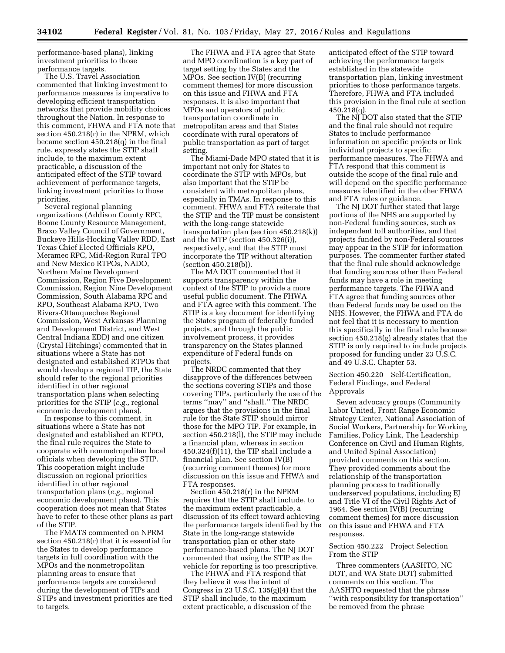performance-based plans), linking investment priorities to those performance targets.

The U.S. Travel Association commented that linking investment to performance measures is imperative to developing efficient transportation networks that provide mobility choices throughout the Nation. In response to this comment, FHWA and FTA note that section 450.218(r) in the NPRM, which became section 450.218(q) in the final rule, expressly states the STIP shall include, to the maximum extent practicable, a discussion of the anticipated effect of the STIP toward achievement of performance targets, linking investment priorities to those priorities.

Several regional planning organizations (Addison County RPC, Boone County Resource Management, Braxo Valley Council of Government, Buckeye Hills-Hocking Valley RDD, East Texas Chief Elected Officials RPO, Meramec RPC, Mid-Region Rural TPO and New Mexico RTPOs, NADO, Northern Maine Development Commission, Region Five Development Commission, Region Nine Development Commission, South Alabama RPC and RPO, Southeast Alabama RPO, Two Rivers-Ottauquechee Regional Commission, West Arkansas Planning and Development District, and West Central Indiana EDD) and one citizen (Crystal Hitchings) commented that in situations where a State has not designated and established RTPOs that would develop a regional TIP, the State should refer to the regional priorities identified in other regional transportation plans when selecting priorities for the STIP (*e.g.,* regional economic development plans).

In response to this comment, in situations where a State has not designated and established an RTPO, the final rule requires the State to cooperate with nonmetropolitan local officials when developing the STIP. This cooperation might include discussion on regional priorities identified in other regional transportation plans (*e.g.,* regional economic development plans). This cooperation does not mean that States have to refer to these other plans as part of the STIP.

The FMATS commented on NPRM section 450.218(r) that it is essential for the States to develop performance targets in full coordination with the MPOs and the nonmetropolitan planning areas to ensure that performance targets are considered during the development of TIPs and STIPs and investment priorities are tied to targets.

The FHWA and FTA agree that State and MPO coordination is a key part of target setting by the States and the MPOs. See section IV(B) (recurring comment themes) for more discussion on this issue and FHWA and FTA responses. It is also important that MPOs and operators of public transportation coordinate in metropolitan areas and that States coordinate with rural operators of public transportation as part of target setting.

The Miami-Dade MPO stated that it is important not only for States to coordinate the STIP with MPOs, but also important that the STIP be consistent with metropolitan plans, especially in TMAs. In response to this comment, FHWA and FTA reiterate that the STIP and the TIP must be consistent with the long-range statewide transportation plan (section 450.218(k)) and the MTP (section 450.326(i)), respectively, and that the STIP must incorporate the TIP without alteration (section 450.218(b)).

The MA DOT commented that it supports transparency within the context of the STIP to provide a more useful public document. The FHWA and FTA agree with this comment. The STIP is a key document for identifying the States program of federally funded projects, and through the public involvement process, it provides transparency on the States planned expenditure of Federal funds on projects.

The NRDC commented that they disapprove of the differences between the sections covering STIPs and those covering TIPs, particularly the use of the terms ''may'' and ''shall.'' The NRDC argues that the provisions in the final rule for the State STIP should mirror those for the MPO TIP. For example, in section 450.218(l), the STIP may include a financial plan, whereas in section  $450.324(f)(11)$ , the TIP shall include a financial plan. See section IV(B) (recurring comment themes) for more discussion on this issue and FHWA and FTA responses.

Section 450.218(r) in the NPRM requires that the STIP shall include, to the maximum extent practicable, a discussion of its effect toward achieving the performance targets identified by the State in the long-range statewide transportation plan or other state performance-based plans. The NJ DOT commented that using the STIP as the vehicle for reporting is too prescriptive.

The FHWA and FTA respond that they believe it was the intent of Congress in 23 U.S.C. 135(g)(4) that the STIP shall include, to the maximum extent practicable, a discussion of the

anticipated effect of the STIP toward achieving the performance targets established in the statewide transportation plan, linking investment priorities to those performance targets. Therefore, FHWA and FTA included this provision in the final rule at section 450.218(q).

The NJ DOT also stated that the STIP and the final rule should not require States to include performance information on specific projects or link individual projects to specific performance measures. The FHWA and FTA respond that this comment is outside the scope of the final rule and will depend on the specific performance measures identified in the other FHWA and FTA rules or guidance.

The NJ DOT further stated that large portions of the NHS are supported by non-Federal funding sources, such as independent toll authorities, and that projects funded by non-Federal sources may appear in the STIP for information purposes. The commenter further stated that the final rule should acknowledge that funding sources other than Federal funds may have a role in meeting performance targets. The FHWA and FTA agree that funding sources other than Federal funds may be used on the NHS. However, the FHWA and FTA do not feel that it is necessary to mention this specifically in the final rule because section 450.218(g) already states that the STIP is only required to include projects proposed for funding under 23 U.S.C. and 49 U.S.C. Chapter 53.

Section 450.220 Self-Certification, Federal Findings, and Federal Approvals

Seven advocacy groups (Community Labor United, Front Range Economic Strategy Center, National Association of Social Workers, Partnership for Working Families, Policy Link, The Leadership Conference on Civil and Human Rights, and United Spinal Association) provided comments on this section. They provided comments about the relationship of the transportation planning process to traditionally underserved populations, including EJ and Title VI of the Civil Rights Act of 1964. See section IV(B) (recurring comment themes) for more discussion on this issue and FHWA and FTA responses.

Section 450.222 Project Selection From the STIP

Three commenters (AASHTO, NC DOT, and WA State DOT) submitted comments on this section. The AASHTO requested that the phrase ''with responsibility for transportation'' be removed from the phrase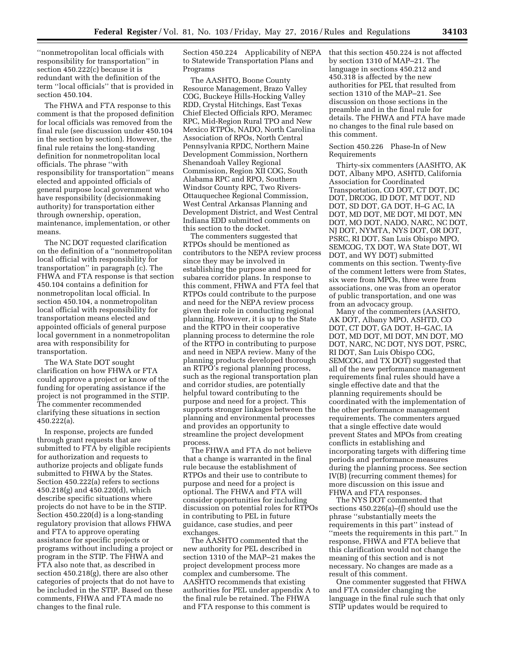''nonmetropolitan local officials with responsibility for transportation'' in section 450.222(c) because it is redundant with the definition of the term ''local officials'' that is provided in section 450.104.

The FHWA and FTA response to this comment is that the proposed definition for local officials was removed from the final rule (see discussion under 450.104 in the section by section). However, the final rule retains the long-standing definition for nonmetropolitan local officials. The phrase ''with responsibility for transportation'' means elected and appointed officials of general purpose local government who have responsibility (decisionmaking authority) for transportation either through ownership, operation, maintenance, implementation, or other means.

The NC DOT requested clarification on the definition of a ''nonmetropolitan local official with responsibility for transportation'' in paragraph (c). The FHWA and FTA response is that section 450.104 contains a definition for nonmetropolitan local official. In section 450.104, a nonmetropolitan local official with responsibility for transportation means elected and appointed officials of general purpose local government in a nonmetropolitan area with responsibility for transportation.

The WA State DOT sought clarification on how FHWA or FTA could approve a project or know of the funding for operating assistance if the project is not programmed in the STIP. The commenter recommended clarifying these situations in section 450.222(a).

In response, projects are funded through grant requests that are submitted to FTA by eligible recipients for authorization and requests to authorize projects and obligate funds submitted to FHWA by the States. Section 450.222(a) refers to sections 450.218(g) and 450.220(d), which describe specific situations where projects do not have to be in the STIP. Section 450.220(d) is a long-standing regulatory provision that allows FHWA and FTA to approve operating assistance for specific projects or programs without including a project or program in the STIP. The FHWA and FTA also note that, as described in section 450.218(g), there are also other categories of projects that do not have to be included in the STIP. Based on these comments, FHWA and FTA made no changes to the final rule.

Section 450.224 Applicability of NEPA to Statewide Transportation Plans and Programs

The AASHTO, Boone County Resource Management, Brazo Valley COG, Buckeye Hills-Hocking Valley RDD, Crystal Hitchings, East Texas Chief Elected Officials RPO, Meramec RPC, Mid-Region Rural TPO and New Mexico RTPOs, NADO, North Carolina Association of RPOs, North Central Pennsylvania RPDC, Northern Maine Development Commission, Northern Shenandoah Valley Regional Commission, Region XII COG, South Alabama RPC and RPO, Southern Windsor County RPC, Two Rivers-Ottauquechee Regional Commission, West Central Arkansas Planning and Development District, and West Central Indiana EDD submitted comments on this section to the docket.

The commenters suggested that RTPOs should be mentioned as contributors to the NEPA review process since they may be involved in establishing the purpose and need for subarea corridor plans. In response to this comment, FHWA and FTA feel that RTPOs could contribute to the purpose and need for the NEPA review process given their role in conducting regional planning. However, it is up to the State and the RTPO in their cooperative planning process to determine the role of the RTPO in contributing to purpose and need in NEPA review. Many of the planning products developed thorough an RTPO's regional planning process, such as the regional transportation plan and corridor studies, are potentially helpful toward contributing to the purpose and need for a project. This supports stronger linkages between the planning and environmental processes and provides an opportunity to streamline the project development process.

The FHWA and FTA do not believe that a change is warranted in the final rule because the establishment of RTPOs and their use to contribute to purpose and need for a project is optional. The FHWA and FTA will consider opportunities for including discussion on potential roles for RTPOs in contributing to PEL in future guidance, case studies, and peer exchanges.

The AASHTO commented that the new authority for PEL described in section 1310 of the MAP–21 makes the project development process more complex and cumbersome. The AASHTO recommends that existing authorities for PEL under appendix A to the final rule be retained. The FHWA and FTA response to this comment is

that this section 450.224 is not affected by section 1310 of MAP–21. The language in sections 450.212 and 450.318 is affected by the new authorities for PEL that resulted from section 1310 of the MAP–21. See discussion on those sections in the preamble and in the final rule for details. The FHWA and FTA have made no changes to the final rule based on this comment.

## Section 450.226 Phase-In of New Requirements

Thirty-six commenters (AASHTO, AK DOT, Albany MPO, ASHTD, California Association for Coordinated Transportation, CO DOT, CT DOT, DC DOT, DRCOG, ID DOT, MT DOT, ND DOT, SD DOT, GA DOT, H–G AC, IA DOT, MD DOT, ME DOT, MI DOT, MN DOT, MO DOT, NADO, NARC, NC DOT, NJ DOT, NYMTA, NYS DOT, OR DOT, PSRC, RI DOT, San Luis Obispo MPO, SEMCOG, TX DOT, WA State DOT, WI DOT, and WY DOT) submitted comments on this section. Twenty-five of the comment letters were from States, six were from MPOs, three were from associations, one was from an operator of public transportation, and one was from an advocacy group.

Many of the commenters (AASHTO, AK DOT, Albany MPO, ASHTD, CO DOT, CT DOT, GA DOT, H–GAC, IA DOT, MD DOT, MI DOT, MN DOT, MO DOT, NARC, NC DOT, NYS DOT, PSRC, RI DOT, San Luis Obispo COG, SEMCOG, and TX DOT) suggested that all of the new performance management requirements final rules should have a single effective date and that the planning requirements should be coordinated with the implementation of the other performance management requirements. The commenters argued that a single effective date would prevent States and MPOs from creating conflicts in establishing and incorporating targets with differing time periods and performance measures during the planning process. See section IV(B) (recurring comment themes) for more discussion on this issue and FHWA and FTA responses.

The NYS DOT commented that sections 450.226(a)–(f) should use the phrase ''substantially meets the requirements in this part'' instead of ''meets the requirements in this part.'' In response, FHWA and FTA believe that this clarification would not change the meaning of this section and is not necessary. No changes are made as a result of this comment.

One commenter suggested that FHWA and FTA consider changing the language in the final rule such that only STIP updates would be required to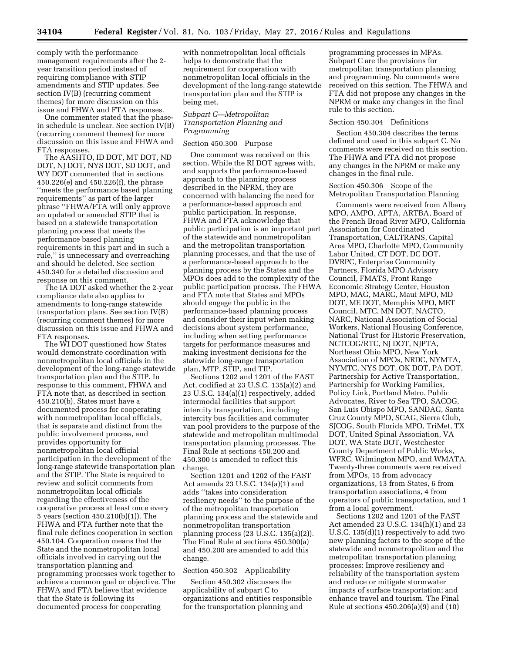comply with the performance management requirements after the 2 year transition period instead of requiring compliance with STIP amendments and STIP updates. See section IV(B) (recurring comment themes) for more discussion on this issue and FHWA and FTA responses.

One commenter stated that the phasein schedule is unclear. See section IV(B) (recurring comment themes) for more discussion on this issue and FHWA and FTA responses.

The AASHTO, ID DOT, MT DOT, ND DOT, NJ DOT, NYS DOT, SD DOT, and WY DOT commented that in sections 450.226(e) and 450.226(f), the phrase ''meets the performance based planning requirements'' as part of the larger phrase ''FHWA/FTA will only approve an updated or amended STIP that is based on a statewide transportation planning process that meets the performance based planning requirements in this part and in such a rule,'' is unnecessary and overreaching and should be deleted. See section 450.340 for a detailed discussion and response on this comment.

The IA DOT asked whether the 2-year compliance date also applies to amendments to long-range statewide transportation plans. See section IV(B) (recurring comment themes) for more discussion on this issue and FHWA and FTA responses.

The WI DOT questioned how States would demonstrate coordination with nonmetropolitan local officials in the development of the long-range statewide transportation plan and the STIP. In response to this comment, FHWA and FTA note that, as described in section 450.210(b), States must have a documented process for cooperating with nonmetropolitan local officials, that is separate and distinct from the public involvement process, and provides opportunity for nonmetropolitan local official participation in the development of the long-range statewide transportation plan and the STIP. The State is required to review and solicit comments from nonmetropolitan local officials regarding the effectiveness of the cooperative process at least once every 5 years (section 450.210(b)(1)). The FHWA and FTA further note that the final rule defines cooperation in section 450.104. Cooperation means that the State and the nonmetropolitan local officials involved in carrying out the transportation planning and programming processes work together to achieve a common goal or objective. The FHWA and FTA believe that evidence that the State is following its documented process for cooperating

with nonmetropolitan local officials helps to demonstrate that the requirement for cooperation with nonmetropolitan local officials in the development of the long-range statewide transportation plan and the STIP is being met.

## *Subpart C—Metropolitan Transportation Planning and Programming*

# Section 450.300 Purpose

One comment was received on this section. While the RI DOT agrees with, and supports the performance-based approach to the planning process described in the NPRM, they are concerned with balancing the need for a performance-based approach and public participation. In response, FHWA and FTA acknowledge that public participation is an important part of the statewide and nonmetropolitan and the metropolitan transportation planning processes, and that the use of a performance-based approach to the planning process by the States and the MPOs does add to the complexity of the public participation process. The FHWA and FTA note that States and MPOs should engage the public in the performance-based planning process and consider their input when making decisions about system performance, including when setting performance targets for performance measures and making investment decisions for the statewide long-range transportation plan, MTP, STIP, and TIP.

Sections 1202 and 1201 of the FAST Act, codified at 23 U.S.C. 135(a)(2) and 23 U.S.C. 134(a)(1) respectively, added intermodal facilities that support intercity transportation, including intercity bus facilities and commuter van pool providers to the purpose of the statewide and metropolitan multimodal transportation planning processes. The Final Rule at sections 450.200 and 450.300 is amended to reflect this change.

Section 1201 and 1202 of the FAST Act amends 23 U.S.C. 134(a)(1) and adds ''takes into consideration resiliency needs'' to the purpose of the of the metropolitan transportation planning process and the statewide and nonmetropolitan transportation planning process (23 U.S.C. 135(a)(2)). The Final Rule at sections 450.300(a) and 450.200 are amended to add this change.

# Section 450.302 Applicability

Section 450.302 discusses the applicability of subpart C to organizations and entities responsible for the transportation planning and

programming processes in MPAs. Subpart C are the provisions for metropolitan transportation planning and programming. No comments were received on this section. The FHWA and FTA did not propose any changes in the NPRM or make any changes in the final rule to this section.

#### Section 450.304 Definitions

Section 450.304 describes the terms defined and used in this subpart C. No comments were received on this section. The FHWA and FTA did not propose any changes in the NPRM or make any changes in the final rule.

Section 450.306 Scope of the Metropolitan Transportation Planning

Comments were received from Albany MPO, AMPO, APTA, ARTBA, Board of the French Broad River MPO, California Association for Coordinated Transportation, CALTRANS, Capital Area MPO, Charlotte MPO, Community Labor United, CT DOT, DC DOT, DVRPC, Enterprise Community Partners, Florida MPO Advisory Council, FMATS, Front Range Economic Strategy Center, Houston MPO, MAG, MARC, Maui MPO, MD DOT, ME DOT, Memphis MPO, MET Council, MTC, MN DOT, NACTO, NARC, National Association of Social Workers, National Housing Conference, National Trust for Historic Preservation, NCTCOG/RTC, NJ DOT, NJPTA, Northeast Ohio MPO, New York Association of MPOs, NRDC, NYMTA, NYMTC, NYS DOT, OK DOT, PA DOT, Partnership for Active Transportation, Partnership for Working Families, Policy Link, Portland Metro, Public Advocates, River to Sea TPO, SACOG, San Luis Obispo MPO, SANDAG, Santa Cruz County MPO, SCAG, Sierra Club, SJCOG, South Florida MPO, TriMet, TX DOT, United Spinal Association, VA DOT, WA State DOT, Westchester County Department of Public Works, WFRC, Wilmington MPO, and WMATA. Twenty-three comments were received from MPOs, 15 from advocacy organizations, 13 from States, 6 from transportation associations, 4 from operators of public transportation, and 1 from a local government.

Sections 1202 and 1201 of the FAST Act amended 23 U.S.C. 134(h)(1) and 23 U.S.C. 135(d)(1) respectively to add two new planning factors to the scope of the statewide and nonmetropolitan and the metropolitan transportation planning processes: Improve resiliency and reliability of the transportation system and reduce or mitigate stormwater impacts of surface transportation; and enhance travel and tourism. The Final Rule at sections 450.206(a)(9) and (10)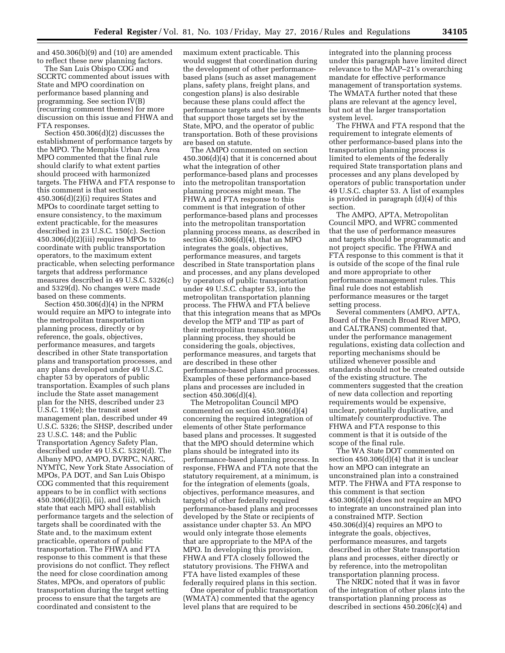and 450.306(b)(9) and (10) are amended to reflect these new planning factors.

The San Luis Obispo COG and SCCRTC commented about issues with State and MPO coordination on performance based planning and programming. See section IV(B) (recurring comment themes) for more discussion on this issue and FHWA and FTA responses.

Section 450.306(d)(2) discusses the establishment of performance targets by the MPO. The Memphis Urban Area MPO commented that the final rule should clarify to what extent parties should proceed with harmonized targets. The FHWA and FTA response to this comment is that section 450.306(d)(2)(i) requires States and MPOs to coordinate target setting to ensure consistency, to the maximum extent practicable, for the measures described in 23 U.S.C. 150(c). Section 450.306(d)(2)(iii) requires MPOs to coordinate with public transportation operators, to the maximum extent practicable, when selecting performance targets that address performance measures described in 49 U.S.C. 5326(c) and 5329(d). No changes were made based on these comments.

Section 450.306(d)(4) in the NPRM would require an MPO to integrate into the metropolitan transportation planning process, directly or by reference, the goals, objectives, performance measures, and targets described in other State transportation plans and transportation processes, and any plans developed under 49 U.S.C. chapter 53 by operators of public transportation. Examples of such plans include the State asset management plan for the NHS, described under 23 U.S.C. 119(e); the transit asset management plan, described under 49 U.S.C. 5326; the SHSP, described under 23 U.S.C. 148; and the Public Transportation Agency Safety Plan, described under 49 U.S.C. 5329(d). The Albany MPO, AMPO, DVRPC, NARC, NYMTC, New York State Association of MPOs, PA DOT, and San Luis Obispo COG commented that this requirement appears to be in conflict with sections 450.306(d)(2)(i), (ii), and (iii), which state that each MPO shall establish performance targets and the selection of targets shall be coordinated with the State and, to the maximum extent practicable, operators of public transportation. The FHWA and FTA response to this comment is that these provisions do not conflict. They reflect the need for close coordination among States, MPOs, and operators of public transportation during the target setting process to ensure that the targets are coordinated and consistent to the

maximum extent practicable. This would suggest that coordination during the development of other performancebased plans (such as asset management plans, safety plans, freight plans, and congestion plans) is also desirable because these plans could affect the performance targets and the investments that support those targets set by the State, MPO, and the operator of public transportation. Both of these provisions are based on statute.

The AMPO commented on section 450.306(d)(4) that it is concerned about what the integration of other performance-based plans and processes into the metropolitan transportation planning process might mean. The FHWA and FTA response to this comment is that integration of other performance-based plans and processes into the metropolitan transportation planning process means, as described in section 450.306(d)(4), that an MPO integrates the goals, objectives, performance measures, and targets described in State transportation plans and processes, and any plans developed by operators of public transportation under 49 U.S.C. chapter 53, into the metropolitan transportation planning process. The FHWA and FTA believe that this integration means that as MPOs develop the MTP and TIP as part of their metropolitan transportation planning process, they should be considering the goals, objectives, performance measures, and targets that are described in these other performance-based plans and processes. Examples of these performance-based plans and processes are included in section 450.306(d)(4).

The Metropolitan Council MPO commented on section 450.306(d)(4) concerning the required integration of elements of other State performance based plans and processes. It suggested that the MPO should determine which plans should be integrated into its performance-based planning process. In response, FHWA and FTA note that the statutory requirement, at a minimum, is for the integration of elements (goals, objectives, performance measures, and targets) of other federally required performance-based plans and processes developed by the State or recipients of assistance under chapter 53. An MPO would only integrate those elements that are appropriate to the MPA of the MPO. In developing this provision, FHWA and FTA closely followed the statutory provisions. The FHWA and FTA have listed examples of these federally required plans in this section.

One operator of public transportation (WMATA) commented that the agency level plans that are required to be

integrated into the planning process under this paragraph have limited direct relevance to the MAP–21's overarching mandate for effective performance management of transportation systems. The WMATA further noted that these plans are relevant at the agency level, but not at the larger transportation system level.

The FHWA and FTA respond that the requirement to integrate elements of other performance-based plans into the transportation planning process is limited to elements of the federally required State transportation plans and processes and any plans developed by operators of public transportation under 49 U.S.C. chapter 53. A list of examples is provided in paragraph (d)(4) of this section.

The AMPO, APTA, Metropolitan Council MPO, and WFRC commented that the use of performance measures and targets should be programmatic and not project specific. The FHWA and FTA response to this comment is that it is outside of the scope of the final rule and more appropriate to other performance management rules. This final rule does not establish performance measures or the target setting process.

Several commenters (AMPO, APTA, Board of the French Broad River MPO, and CALTRANS) commented that, under the performance management regulations, existing data collection and reporting mechanisms should be utilized whenever possible and standards should not be created outside of the existing structure. The commenters suggested that the creation of new data collection and reporting requirements would be expensive, unclear, potentially duplicative, and ultimately counterproductive. The FHWA and FTA response to this comment is that it is outside of the scope of the final rule.

The WA State DOT commented on section 450.306(d)(4) that it is unclear how an MPO can integrate an unconstrained plan into a constrained MTP. The FHWA and FTA response to this comment is that section 450.306(d)(4) does not require an MPO to integrate an unconstrained plan into a constrained MTP. Section  $450.306(d)(4)$  requires an MPO to integrate the goals, objectives, performance measures, and targets described in other State transportation plans and processes, either directly or by reference, into the metropolitan transportation planning process.

The NRDC noted that it was in favor of the integration of other plans into the transportation planning process as described in sections 450.206(c)(4) and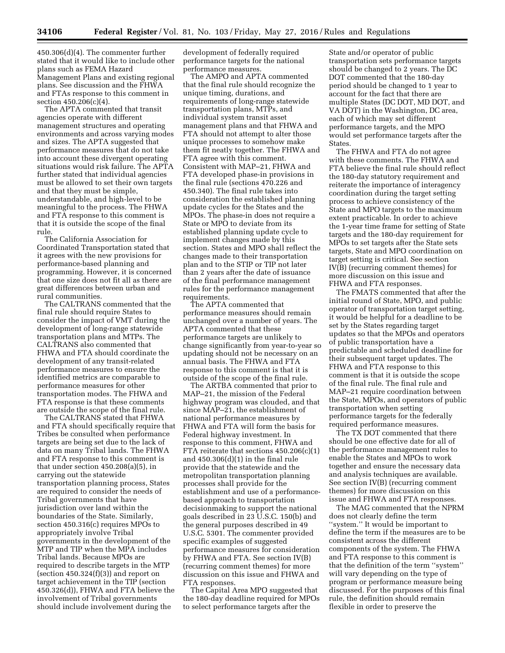450.306(d)(4). The commenter further stated that it would like to include other plans such as FEMA Hazard Management Plans and existing regional plans. See discussion and the FHWA and FTAs response to this comment in section 450.206(c)(4).

The APTA commented that transit agencies operate with different management structures and operating environments and across varying modes and sizes. The APTA suggested that performance measures that do not take into account these divergent operating situations would risk failure. The APTA further stated that individual agencies must be allowed to set their own targets and that they must be simple, understandable, and high-level to be meaningful to the process. The FHWA and FTA response to this comment is that it is outside the scope of the final rule.

The California Association for Coordinated Transportation stated that it agrees with the new provisions for performance-based planning and programming. However, it is concerned that one size does not fit all as there are great differences between urban and rural communities.

The CALTRANS commented that the final rule should require States to consider the impact of VMT during the development of long-range statewide transportation plans and MTPs. The CALTRANS also commented that FHWA and FTA should coordinate the development of any transit-related performance measures to ensure the identified metrics are comparable to performance measures for other transportation modes. The FHWA and FTA response is that these comments are outside the scope of the final rule.

The CALTRANS stated that FHWA and FTA should specifically require that Tribes be consulted when performance targets are being set due to the lack of data on many Tribal lands. The FHWA and FTA response to this comment is that under section 450.208(a)(5), in carrying out the statewide transportation planning process, States are required to consider the needs of Tribal governments that have jurisdiction over land within the boundaries of the State. Similarly, section 450.316(c) requires MPOs to appropriately involve Tribal governments in the development of the MTP and TIP when the MPA includes Tribal lands. Because MPOs are required to describe targets in the MTP (section  $450.324(f)(3)$ ) and report on target achievement in the TIP (section 450.326(d)), FHWA and FTA believe the involvement of Tribal governments should include involvement during the

development of federally required performance targets for the national performance measures.

The AMPO and APTA commented that the final rule should recognize the unique timing, durations, and requirements of long-range statewide transportation plans, MTPs, and individual system transit asset management plans and that FHWA and FTA should not attempt to alter those unique processes to somehow make them fit neatly together. The FHWA and FTA agree with this comment. Consistent with MAP–21, FHWA and FTA developed phase-in provisions in the final rule (sections 470.226 and 450.340). The final rule takes into consideration the established planning update cycles for the States and the MPOs. The phase-in does not require a State or MPO to deviate from its established planning update cycle to implement changes made by this section. States and MPO shall reflect the changes made to their transportation plan and to the STIP or TIP not later than 2 years after the date of issuance of the final performance management rules for the performance management requirements.

The APTA commented that performance measures should remain unchanged over a number of years. The APTA commented that these performance targets are unlikely to change significantly from year-to-year so updating should not be necessary on an annual basis. The FHWA and FTA response to this comment is that it is outside of the scope of the final rule.

The ARTBA commented that prior to MAP–21, the mission of the Federal highway program was clouded, and that since MAP–21, the establishment of national performance measures by FHWA and FTA will form the basis for Federal highway investment. In response to this comment, FHWA and FTA reiterate that sections 450.206(c)(1) and  $450.306(d)(1)$  in the final rule provide that the statewide and the metropolitan transportation planning processes shall provide for the establishment and use of a performancebased approach to transportation decisionmaking to support the national goals described in 23 U.S.C. 150(b) and the general purposes described in 49 U.S.C. 5301. The commenter provided specific examples of suggested performance measures for consideration by FHWA and FTA. See section IV(B) (recurring comment themes) for more discussion on this issue and FHWA and FTA responses.

The Capital Area MPO suggested that the 180-day deadline required for MPOs to select performance targets after the

State and/or operator of public transportation sets performance targets should be changed to 2 years. The DC DOT commented that the 180-day period should be changed to 1 year to account for the fact that there are multiple States (DC DOT, MD DOT, and VA DOT) in the Washington, DC area, each of which may set different performance targets, and the MPO would set performance targets after the States.

The FHWA and FTA do not agree with these comments. The FHWA and FTA believe the final rule should reflect the 180-day statutory requirement and reiterate the importance of interagency coordination during the target setting process to achieve consistency of the State and MPO targets to the maximum extent practicable. In order to achieve the 1-year time frame for setting of State targets and the 180-day requirement for MPOs to set targets after the State sets targets, State and MPO coordination on target setting is critical. See section IV(B) (recurring comment themes) for more discussion on this issue and FHWA and FTA responses.

The FMATS commented that after the initial round of State, MPO, and public operator of transportation target setting, it would be helpful for a deadline to be set by the States regarding target updates so that the MPOs and operators of public transportation have a predictable and scheduled deadline for their subsequent target updates. The FHWA and FTA response to this comment is that it is outside the scope of the final rule. The final rule and MAP–21 require coordination between the State, MPOs, and operators of public transportation when setting performance targets for the federally required performance measures.

The TX DOT commented that there should be one effective date for all of the performance management rules to enable the States and MPOs to work together and ensure the necessary data and analysis techniques are available. See section IV(B) (recurring comment themes) for more discussion on this issue and FHWA and FTA responses.

The MAG commented that the NPRM does not clearly define the term ''system.'' It would be important to define the term if the measures are to be consistent across the different components of the system. The FHWA and FTA response to this comment is that the definition of the term ''system'' will vary depending on the type of program or performance measure being discussed. For the purposes of this final rule, the definition should remain flexible in order to preserve the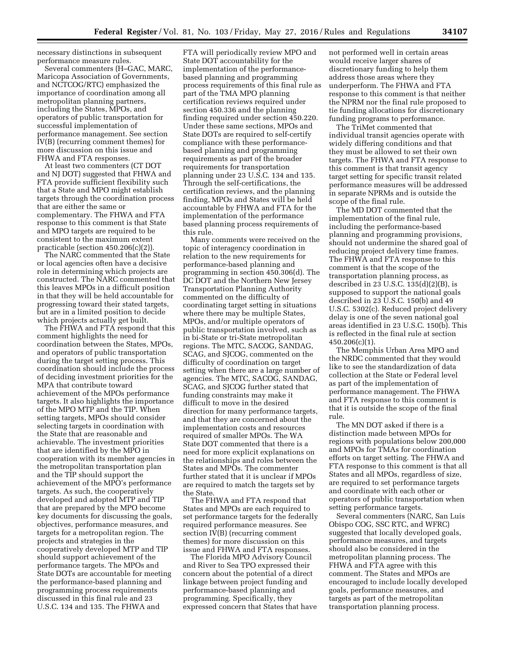necessary distinctions in subsequent performance measure rules.

Several commenters (H–GAC, MARC, Maricopa Association of Governments, and NCTCOG/RTC) emphasized the importance of coordination among all metropolitan planning partners, including the States, MPOs, and operators of public transportation for successful implementation of performance management. See section IV(B) (recurring comment themes) for more discussion on this issue and FHWA and FTA responses.

At least two commenters (CT DOT and NJ DOT) suggested that FHWA and FTA provide sufficient flexibility such that a State and MPO might establish targets through the coordination process that are either the same or complementary. The FHWA and FTA response to this comment is that State and MPO targets are required to be consistent to the maximum extent practicable (section 450.206(c)(2)).

The NARC commented that the State or local agencies often have a decisive role in determining which projects are constructed. The NARC commented that this leaves MPOs in a difficult position in that they will be held accountable for progressing toward their stated targets, but are in a limited position to decide which projects actually get built.

The FHWA and FTA respond that this comment highlights the need for coordination between the States, MPOs, and operators of public transportation during the target setting process. This coordination should include the process of deciding investment priorities for the MPA that contribute toward achievement of the MPOs performance targets. It also highlights the importance of the MPO MTP and the TIP. When setting targets, MPOs should consider selecting targets in coordination with the State that are reasonable and achievable. The investment priorities that are identified by the MPO in cooperation with its member agencies in the metropolitan transportation plan and the TIP should support the achievement of the MPO's performance targets. As such, the cooperatively developed and adopted MTP and TIP that are prepared by the MPO become key documents for discussing the goals, objectives, performance measures, and targets for a metropolitan region. The projects and strategies in the cooperatively developed MTP and TIP should support achievement of the performance targets. The MPOs and State DOTs are accountable for meeting the performance-based planning and programming process requirements discussed in this final rule and 23 U.S.C. 134 and 135. The FHWA and

FTA will periodically review MPO and State DOT accountability for the implementation of the performancebased planning and programming process requirements of this final rule as part of the TMA MPO planning certification reviews required under section 450.336 and the planning finding required under section 450.220. Under these same sections, MPOs and State DOTs are required to self-certify compliance with these performancebased planning and programming requirements as part of the broader requirements for transportation planning under 23 U.S.C. 134 and 135. Through the self-certifications, the certification reviews, and the planning finding, MPOs and States will be held accountable by FHWA and FTA for the implementation of the performance based planning process requirements of this rule.

Many comments were received on the topic of interagency coordination in relation to the new requirements for performance-based planning and programming in section 450.306(d). The DC DOT and the Northern New Jersey Transportation Planning Authority commented on the difficulty of coordinating target setting in situations where there may be multiple States, MPOs, and/or multiple operators of public transportation involved, such as in bi-State or tri-State metropolitan regions. The MTC, SACOG, SANDAG, SCAG, and SJCOG, commented on the difficulty of coordination on target setting when there are a large number of agencies. The MTC, SACOG, SANDAG, SCAG, and SJCOG further stated that funding constraints may make it difficult to move in the desired direction for many performance targets, and that they are concerned about the implementation costs and resources required of smaller MPOs. The WA State DOT commented that there is a need for more explicit explanations on the relationships and roles between the States and MPOs. The commenter further stated that it is unclear if MPOs are required to match the targets set by the State.

The FHWA and FTA respond that States and MPOs are each required to set performance targets for the federally required performance measures. See section IV(B) (recurring comment themes) for more discussion on this issue and FHWA and FTA responses.

The Florida MPO Advisory Council and River to Sea TPO expressed their concern about the potential of a direct linkage between project funding and performance-based planning and programming. Specifically, they expressed concern that States that have

not performed well in certain areas would receive larger shares of discretionary funding to help them address those areas where they underperform. The FHWA and FTA response to this comment is that neither the NPRM nor the final rule proposed to tie funding allocations for discretionary funding programs to performance.

The TriMet commented that individual transit agencies operate with widely differing conditions and that they must be allowed to set their own targets. The FHWA and FTA response to this comment is that transit agency target setting for specific transit related performance measures will be addressed in separate NPRMs and is outside the scope of the final rule.

The MD DOT commented that the implementation of the final rule, including the performance-based planning and programming provisions, should not undermine the shared goal of reducing project delivery time frames. The FHWA and FTA response to this comment is that the scope of the transportation planning process, as described in 23 U.S.C. 135(d)(2)(B), is supposed to support the national goals described in 23 U.S.C. 150(b) and 49 U.S.C. 5302(c). Reduced project delivery delay is one of the seven national goal areas identified in 23 U.S.C. 150(b). This is reflected in the final rule at section 450.206(c)(1).

The Memphis Urban Area MPO and the NRDC commented that they would like to see the standardization of data collection at the State or Federal level as part of the implementation of performance management. The FHWA and FTA response to this comment is that it is outside the scope of the final rule.

The MN DOT asked if there is a distinction made between MPOs for regions with populations below 200,000 and MPOs for TMAs for coordination efforts on target setting. The FHWA and FTA response to this comment is that all States and all MPOs, regardless of size, are required to set performance targets and coordinate with each other or operators of public transportation when setting performance targets.

Several commenters (NARC, San Luis Obispo COG, SSC RTC, and WFRC) suggested that locally developed goals, performance measures, and targets should also be considered in the metropolitan planning process. The FHWA and FTA agree with this comment. The States and MPOs are encouraged to include locally developed goals, performance measures, and targets as part of the metropolitan transportation planning process.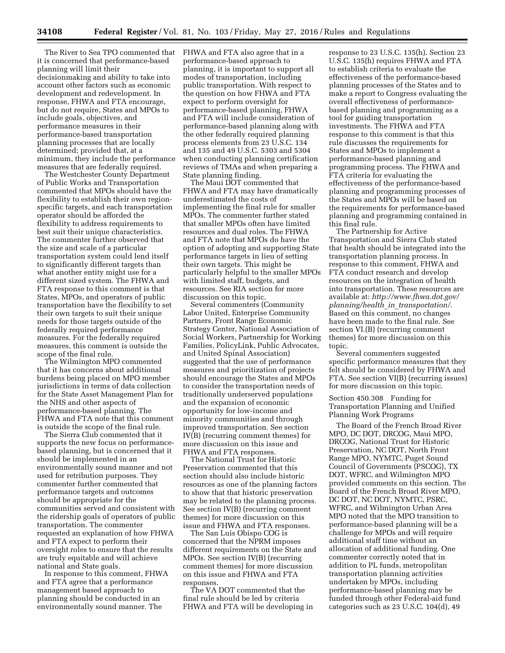The River to Sea TPO commented that it is concerned that performance-based planning will limit their decisionmaking and ability to take into account other factors such as economic development and redevelopment. In response, FHWA and FTA encourage, but do not require, States and MPOs to include goals, objectives, and performance measures in their performance-based transportation planning processes that are locally determined; provided that, at a minimum, they include the performance measures that are federally required.

The Westchester County Department of Public Works and Transportation commented that MPOs should have the flexibility to establish their own regionspecific targets, and each transportation operator should be afforded the flexibility to address requirements to best suit their unique characteristics. The commenter further observed that the size and scale of a particular transportation system could lend itself to significantly different targets than what another entity might use for a different sized system. The FHWA and FTA response to this comment is that States, MPOs, and operators of public transportation have the flexibility to set their own targets to suit their unique needs for those targets outside of the federally required performance measures. For the federally required measures, this comment is outside the scope of the final rule.

The Wilmington MPO commented that it has concerns about additional burdens being placed on MPO member jurisdictions in terms of data collection for the State Asset Management Plan for the NHS and other aspects of performance-based planning. The FHWA and FTA note that this comment is outside the scope of the final rule.

The Sierra Club commented that it supports the new focus on performancebased planning, but is concerned that it should be implemented in an environmentally sound manner and not used for retribution purposes. They commenter further commented that performance targets and outcomes should be appropriate for the communities served and consistent with the ridership goals of operators of public transportation. The commenter requested an explanation of how FHWA and FTA expect to perform their oversight roles to ensure that the results are truly equitable and will achieve national and State goals.

In response to this comment, FHWA and FTA agree that a performance management based approach to planning should be conducted in an environmentally sound manner. The

FHWA and FTA also agree that in a performance-based approach to planning, it is important to support all modes of transportation, including public transportation. With respect to the question on how FHWA and FTA expect to perform oversight for performance-based planning, FHWA and FTA will include consideration of performance-based planning along with the other federally required planning process elements from 23 U.S.C. 134 and 135 and 49 U.S.C. 5303 and 5304 when conducting planning certification reviews of TMAs and when preparing a State planning finding.

The Maui DOT commented that FHWA and FTA may have dramatically underestimated the costs of implementing the final rule for smaller MPOs. The commenter further stated that smaller MPOs often have limited resources and dual roles. The FHWA and FTA note that MPOs do have the option of adopting and supporting State performance targets in lieu of setting their own targets. This might be particularly helpful to the smaller MPOs with limited staff, budgets, and resources. See RIA section for more discussion on this topic.

Several commenters (Community Labor United, Enterprise Community Partners, Front Range Economic Strategy Center, National Association of Social Workers, Partnership for Working Families, PolicyLink, Public Advocates, and United Spinal Association) suggested that the use of performance measures and prioritization of projects should encourage the States and MPOs to consider the transportation needs of traditionally underserved populations and the expansion of economic opportunity for low-income and minority communities and through improved transportation. See section IV(B) (recurring comment themes) for more discussion on this issue and FHWA and FTA responses.

The National Trust for Historic Preservation commented that this section should also include historic resources as one of the planning factors to show that that historic preservation may be related to the planning process. See section IV(B) (recurring comment themes) for more discussion on this issue and FHWA and FTA responses.

The San Luis Obispo COG is concerned that the NPRM imposes different requirements on the State and MPOs. See section IV(B) (recurring comment themes) for more discussion on this issue and FHWA and FTA responses.

The VA DOT commented that the final rule should be led by criteria FHWA and FTA will be developing in response to 23 U.S.C. 135(h). Section 23 U.S.C. 135(h) requires FHWA and FTA to establish criteria to evaluate the effectiveness of the performance-based planning processes of the States and to make a report to Congress evaluating the overall effectiveness of performancebased planning and programming as a tool for guiding transportation investments. The FHWA and FTA response to this comment is that this rule discusses the requirements for States and MPOs to implement a performance-based planning and programming process. The FHWA and FTA criteria for evaluating the effectiveness of the performance-based planning and programming processes of the States and MPOs will be based on the requirements for performance-based planning and programming contained in this final rule.

The Partnership for Active Transportation and Sierra Club stated that health should be integrated into the transportation planning process. In response to this comment, FHWA and FTA conduct research and develop resources on the integration of health into transportation. These resources are available at: *[http://www.fhwa.dot.gov/](http://www.fhwa.dot.gov/planning/health_in_transportation/) [planning/health](http://www.fhwa.dot.gov/planning/health_in_transportation/)*\_*in*\_*transportation/*. Based on this comment, no changes have been made to the final rule. See section VI.(B) (recurring comment themes) for more discussion on this topic.

Several commenters suggested specific performance measures that they felt should be considered by FHWA and FTA. See section VI(B) (recurring issues) for more discussion on this topic.

Section 450.308 Funding for Transportation Planning and Unified Planning Work Programs

The Board of the French Broad River MPO, DC DOT, DRCOG, Maui MPO, DRCOG, National Trust for Historic Preservation, NC DOT, North Front Range MPO, NYMTC, Puget Sound Council of Governments (PSCOG), TX DOT, WFRC, and Wilmington MPO provided comments on this section. The Board of the French Broad River MPO, DC DOT, NC DOT, NYMTC, PSRC, WFRC, and Wilmington Urban Area MPO noted that the MPO transition to performance-based planning will be a challenge for MPOs and will require additional staff time without an allocation of additional funding. One commenter correctly noted that in addition to PL funds, metropolitan transportation planning activities undertaken by MPOs, including performance-based planning may be funded through other Federal-aid fund categories such as 23 U.S.C. 104(d), 49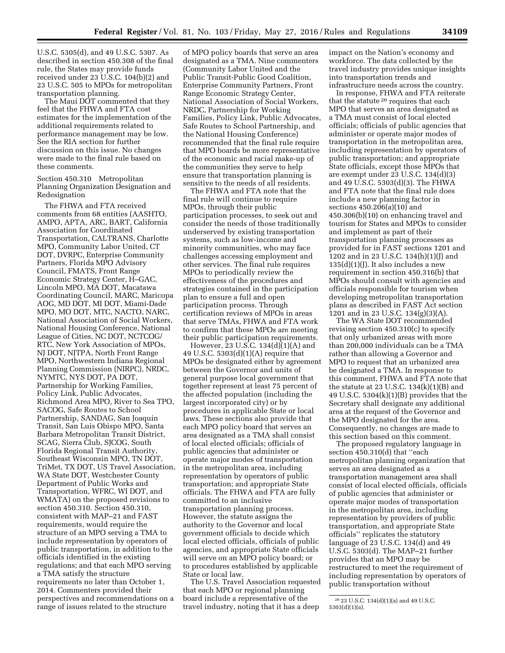U.S.C. 5305(d), and 49 U.S.C. 5307. As described in section 450.308 of the final rule, the States may provide funds received under 23 U.S.C. 104(b)(2) and 23 U.S.C. 505 to MPOs for metropolitan transportation planning.

The Maui DOT commented that they feel that the FHWA and FTA cost estimates for the implementation of the additional requirements related to performance management may be low. See the RIA section for further discussion on this issue. No changes were made to the final rule based on these comments.

Section 450.310 Metropolitan Planning Organization Designation and Redesignation

The FHWA and FTA received comments from 68 entities (AASHTO, AMPO, APTA, ARC, BART, California Association for Coordinated Transportation, CALTRANS, Charlotte MPO, Community Labor United, CT DOT, DVRPC, Enterprise Community Partners, Florida MPO Advisory Council, FMATS, Front Range Economic Strategy Center, H–GAC, Lincoln MPO, MA DOT, Macatawa Coordinating Council, MARC, Maricopa AOG, MD DOT, MI DOT, Miami-Dade MPO, MO DOT, MTC, NACTO, NARC, National Association of Social Workers, National Housing Conference, National League of Cities, NC DOT, NCTCOG/ RTC, New York Association of MPOs, NJ DOT, NJTPA, North Front Range MPO, Northwestern Indiana Regional Planning Commission (NIRPC), NRDC, NYMTC, NYS DOT, PA DOT, Partnership for Working Families, Policy Link, Public Advocates, Richmond Area MPO, River to Sea TPO, SACOG, Safe Routes to School Partnership, SANDAG, San Joaquin Transit, San Luis Obispo MPO, Santa Barbara Metropolitan Transit District, SCAG, Sierra Club, SJCOG, South Florida Regional Transit Authority, Southeast Wisconsin MPO, TN DOT, TriMet, TX DOT, US Travel Association, WA State DOT, Westchester County Department of Public Works and Transportation, WFRC, WI DOT, and WMATA) on the proposed revisions to section 450.310. Section 450.310, consistent with MAP–21 and FAST requirements, would require the structure of an MPO serving a TMA to include representation by operators of public transportation, in addition to the officials identified in the existing regulations; and that each MPO serving a TMA satisfy the structure requirements no later than October 1, 2014. Commenters provided their perspectives and recommendations on a range of issues related to the structure

of MPO policy boards that serve an area designated as a TMA. Nine commenters (Community Labor United and the Public Transit-Public Good Coalition, Enterprise Community Partners, Front Range Economic Strategy Center, National Association of Social Workers, NRDC, Partnership for Working Families, Policy Link, Public Advocates, Safe Routes to School Partnership, and the National Housing Conference) recommended that the final rule require that MPO boards be more representative of the economic and racial make-up of the communities they serve to help ensure that transportation planning is sensitive to the needs of all residents.

The FHWA and FTA note that the final rule will continue to require MPOs, through their public participation processes, to seek out and consider the needs of those traditionally underserved by existing transportation systems, such as low-income and minority communities, who may face challenges accessing employment and other services. The final rule requires MPOs to periodically review the effectiveness of the procedures and strategies contained in the participation plan to ensure a full and open participation process. Through certification reviews of MPOs in areas that serve TMAs, FHWA and FTA work to confirm that these MPOs are meeting their public participation requirements.

However,  $23 \text{ U.S.C. } 134 \text{ (d)}(1) \text{ (A)}$  and 49 U.S.C. 5303(d)(1)(A) require that MPOs be designated either by agreement between the Governor and units of general purpose local government that together represent at least 75 percent of the affected population (including the largest incorporated city) or by procedures in applicable State or local laws. These sections also provide that each MPO policy board that serves an area designated as a TMA shall consist of local elected officials; officials of public agencies that administer or operate major modes of transportation in the metropolitan area, including representation by operators of public transportation; and appropriate State officials. The FHWA and FTA are fully committed to an inclusive transportation planning process. However, the statute assigns the authority to the Governor and local government officials to decide which local elected officials, officials of public agencies, and appropriate State officials will serve on an MPO policy board; or to procedures established by applicable State or local law.

The U.S. Travel Association requested that each MPO or regional planning board include a representative of the travel industry, noting that it has a deep

impact on the Nation's economy and workforce. The data collected by the travel industry provides unique insights into transportation trends and infrastructure needs across the country.

In response, FHWA and FTA reiterate that the statute 26 requires that each MPO that serves an area designated as a TMA must consist of local elected officials; officials of public agencies that administer or operate major modes of transportation in the metropolitan area, including representation by operators of public transportation; and appropriate State officials, except those MPOs that are exempt under 23 U.S.C. 134(d)(3) and 49 U.S.C. 5303(d)(3). The FHWA and FTA note that the final rule does include a new planning factor in sections 450.206(a)(10) and 450.306(b)(10) on enhancing travel and tourism for States and MPOs to consider and implement as part of their transportation planning processes as provided for in FAST sections 1201 and 1202 and in 23 U.S.C. 134(h)(1)(J) and  $135(d)(1)(J)$ . It also includes a new requirement in section 450.316(b) that MPOs should consult with agencies and officials responsible for tourism when developing metropolitan transportation plans as described in FAST Act section 1201 and in 23 U.S.C. 134(g)(3)(A).

The WA State DOT recommended revising section 450.310(c) to specify that only urbanized areas with more than 200,000 individuals can be a TMA rather than allowing a Governor and MPO to request that an urbanized area be designated a TMA. In response to this comment, FHWA and FTA note that the statute at 23 U.S.C.  $134(k)(1)(B)$  and 49 U.S.C. 5304(k)(1)(B) provides that the Secretary shall designate any additional area at the request of the Governor and the MPO designated for the area. Consequently, no changes are made to this section based on this comment.

The proposed regulatory language in section 450.310(d) that ''each metropolitan planning organization that serves an area designated as a transportation management area shall consist of local elected officials, officials of public agencies that administer or operate major modes of transportation in the metropolitan area, including representation by providers of public transportation, and appropriate State officials'' replicates the statutory language of 23 U.S.C. 134(d) and 49 U.S.C. 5303(d). The MAP–21 further provides that an MPO may be restructured to meet the requirement of including representation by operators of public transportation without

<sup>26</sup> 23 U.S.C. 134(d)(1)(a) and 49 U.S.C. 5303(d)(1)(a).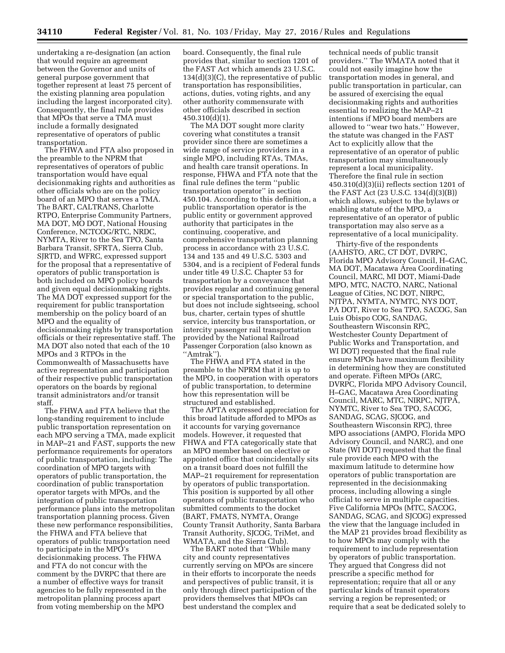undertaking a re-designation (an action that would require an agreement between the Governor and units of general purpose government that together represent at least 75 percent of the existing planning area population including the largest incorporated city). Consequently, the final rule provides that MPOs that serve a TMA must include a formally designated representative of operators of public transportation.

The FHWA and FTA also proposed in the preamble to the NPRM that representatives of operators of public transportation would have equal decisionmaking rights and authorities as other officials who are on the policy board of an MPO that serves a TMA. The BART, CALTRANS, Charlotte RTPO, Enterprise Community Partners, MA DOT, MO DOT, National Housing Conference, NCTCOG/RTC, NRDC, NYMTA, River to the Sea TPO, Santa Barbara Transit, SFRTA, Sierra Club, SJRTD, and WFRC, expressed support for the proposal that a representative of operators of public transportation is both included on MPO policy boards and given equal decisionmaking rights. The MA DOT expressed support for the requirement for public transportation membership on the policy board of an MPO and the equality of decisionmaking rights by transportation officials or their representative staff. The MA DOT also noted that each of the 10 MPOs and 3 RTPOs in the Commonwealth of Massachusetts have active representation and participation of their respective public transportation operators on the boards by regional transit administrators and/or transit staff.

The FHWA and FTA believe that the long-standing requirement to include public transportation representation on each MPO serving a TMA, made explicit in MAP–21 and FAST, supports the new performance requirements for operators of public transportation, including: The coordination of MPO targets with operators of public transportation, the coordination of public transportation operator targets with MPOs, and the integration of public transportation performance plans into the metropolitan transportation planning process. Given these new performance responsibilities, the FHWA and FTA believe that operators of public transportation need to participate in the MPO's decisionmaking process. The FHWA and FTA do not concur with the comment by the DVRPC that there are a number of effective ways for transit agencies to be fully represented in the metropolitan planning process apart from voting membership on the MPO

board. Consequently, the final rule provides that, similar to section 1201 of the FAST Act which amends 23 U.S.C. 134(d)(3)(C), the representative of public transportation has responsibilities, actions, duties, voting rights, and any other authority commensurate with other officials described in section 450.310(d)(1).

The MA DOT sought more clarity covering what constitutes a transit provider since there are sometimes a wide range of service providers in a single MPO, including RTAs, TMAs, and health care transit operations. In response, FHWA and FTA note that the final rule defines the term ''public transportation operator'' in section 450.104. According to this definition, a public transportation operator is the public entity or government approved authority that participates in the continuing, cooperative, and comprehensive transportation planning process in accordance with 23 U.S.C. 134 and 135 and 49 U.S.C. 5303 and 5304, and is a recipient of Federal funds under title 49 U.S.C. Chapter 53 for transportation by a conveyance that provides regular and continuing general or special transportation to the public, but does not include sightseeing, school bus, charter, certain types of shuttle service, intercity bus transportation, or intercity passenger rail transportation provided by the National Railroad Passenger Corporation (also known as ''Amtrak'').

The FHWA and FTA stated in the preamble to the NPRM that it is up to the MPO, in cooperation with operators of public transportation, to determine how this representation will be structured and established.

The APTA expressed appreciation for this broad latitude afforded to MPOs as it accounts for varying governance models. However, it requested that FHWA and FTA categorically state that an MPO member based on elective or appointed office that coincidentally sits on a transit board does not fulfill the MAP–21 requirement for representation by operators of public transportation. This position is supported by all other operators of public transportation who submitted comments to the docket (BART, FMATS, NYMTA, Orange County Transit Authority, Santa Barbara Transit Authority, SJCOG, TriMet, and WMATA, and the Sierra Club).

The BART noted that ''While many city and county representatives currently serving on MPOs are sincere in their efforts to incorporate the needs and perspectives of public transit, it is only through direct participation of the providers themselves that MPOs can best understand the complex and

technical needs of public transit providers.'' The WMATA noted that it could not easily imagine how the transportation modes in general, and public transportation in particular, can be assured of exercising the equal decisionmaking rights and authorities essential to realizing the MAP–21 intentions if MPO board members are allowed to ''wear two hats.'' However, the statute was changed in the FAST Act to explicitly allow that the representative of an operator of public transportation may simultaneously represent a local municipality. Therefore the final rule in section 450.310(d)(3)(ii) reflects section 1201 of the FAST Act (23 U.S.C. 134(d)(3)(B)) which allows, subject to the bylaws or enabling statute of the MPO, a representative of an operator of public transportation may also serve as a representative of a local municipality.

Thirty-five of the respondents (AAHSTO, ARC, CT DOT, DVRPC, Florida MPO Advisory Council, H–GAC, MA DOT, Macatawa Area Coordinating Council, MARC, MI DOT, Miami-Dade MPO, MTC, NACTO, NARC, National League of Cities, NC DOT, NIRPC, NJTPA, NYMTA, NYMTC, NYS DOT, PA DOT, River to Sea TPO, SACOG, San Luis Obispo COG, SANDAG, Southeastern Wisconsin RPC, Westchester County Department of Public Works and Transportation, and WI DOT) requested that the final rule ensure MPOs have maximum flexibility in determining how they are constituted and operate. Fifteen MPOs (ARC, DVRPC, Florida MPO Advisory Council, H–GAC, Macatawa Area Coordinating Council, MARC, MTC, NIRPC, NJTPA, NYMTC, River to Sea TPO, SACOG, SANDAG, SCAG, SJCOG, and Southeastern Wisconsin RPC), three MPO associations (AMPO, Florida MPO Advisory Council, and NARC), and one State (WI DOT) requested that the final rule provide each MPO with the maximum latitude to determine how operators of public transportation are represented in the decisionmaking process, including allowing a single official to serve in multiple capacities. Five California MPOs (MTC, SACOG, SANDAG, SCAG, and SJCOG) expressed the view that the language included in the MAP 21 provides broad flexibility as to how MPOs may comply with the requirement to include representation by operators of public transportation. They argued that Congress did not prescribe a specific method for representation; require that all or any particular kinds of transit operators serving a region be represented; or require that a seat be dedicated solely to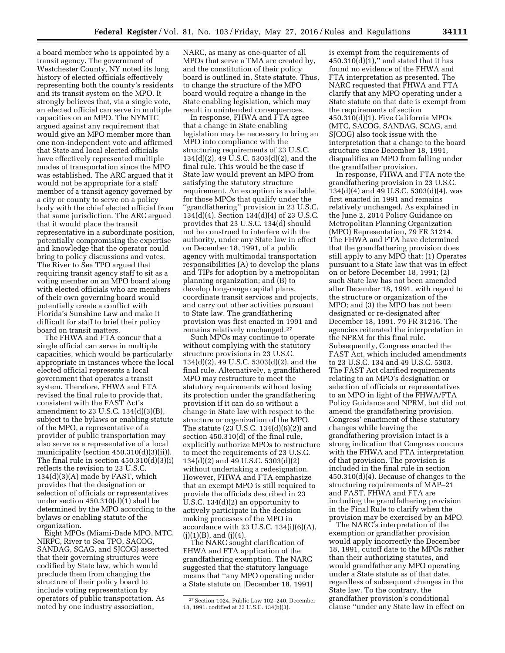a board member who is appointed by a transit agency. The government of Westchester County, NY noted its long history of elected officials effectively representing both the county's residents and its transit system on the MPO. It strongly believes that, via a single vote, an elected official can serve in multiple capacities on an MPO. The NYMTC argued against any requirement that would give an MPO member more than one non-independent vote and affirmed that State and local elected officials have effectively represented multiple modes of transportation since the MPO was established. The ARC argued that it would not be appropriate for a staff member of a transit agency governed by a city or county to serve on a policy body with the chief elected official from that same jurisdiction. The ARC argued that it would place the transit representative in a subordinate position, potentially compromising the expertise and knowledge that the operator could bring to policy discussions and votes. The River to Sea TPO argued that requiring transit agency staff to sit as a voting member on an MPO board along with elected officials who are members of their own governing board would potentially create a conflict with Florida's Sunshine Law and make it difficult for staff to brief their policy board on transit matters.

The FHWA and FTA concur that a single official can serve in multiple capacities, which would be particularly appropriate in instances where the local elected official represents a local government that operates a transit system. Therefore, FHWA and FTA revised the final rule to provide that, consistent with the FAST Act's amendment to 23 U.S.C. 134(d)(3)(B), subject to the bylaws or enabling statute of the MPO, a representative of a provider of public transportation may also serve as a representative of a local municipality (section 450.310(d)(3)(ii)). The final rule in section 450.310(d)(3)(i) reflects the revision to 23 U.S.C. 134(d)(3)(A) made by FAST, which provides that the designation or selection of officials or representatives under section  $450.310(d)(1)$  shall be determined by the MPO according to the bylaws or enabling statute of the organization.

Eight MPOs (Miami-Dade MPO, MTC, NIRPC, River to Sea TPO, SACOG, SANDAG, SCAG, and SJCOG) asserted that their governing structures were codified by State law, which would preclude them from changing the structure of their policy board to include voting representation by operators of public transportation. As noted by one industry association,

NARC, as many as one-quarter of all MPOs that serve a TMA are created by, and the constitution of their policy board is outlined in, State statute. Thus, to change the structure of the MPO board would require a change in the State enabling legislation, which may result in unintended consequences.

In response, FHWA and FTA agree that a change in State enabling legislation may be necessary to bring an MPO into compliance with the structuring requirements of 23 U.S.C. 134(d)(2), 49 U.S.C. 5303(d)(2), and the final rule. This would be the case if State law would prevent an MPO from satisfying the statutory structure requirement. An exception is available for those MPOs that qualify under the ''grandfathering'' provision in 23 U.S.C. 134(d)(4). Section 134(d)(4) of 23 U.S.C. provides that 23 U.S.C. 134(d) should not be construed to interfere with the authority, under any State law in effect on December 18, 1991, of a public agency with multimodal transportation responsibilities (A) to develop the plans and TIPs for adoption by a metropolitan planning organization; and (B) to develop long-range capital plans, coordinate transit services and projects, and carry out other activities pursuant to State law. The grandfathering provision was first enacted in 1991 and remains relatively unchanged.27

Such MPOs may continue to operate without complying with the statutory structure provisions in 23 U.S.C. 134(d)(2), 49 U.S.C. 5303(d)(2), and the final rule. Alternatively, a grandfathered MPO may restructure to meet the statutory requirements without losing its protection under the grandfathering provision if it can do so without a change in State law with respect to the structure or organization of the MPO. The statute (23 U.S.C. 134(d)(6)(2)) and section 450.310(d) of the final rule, explicitly authorize MPOs to restructure to meet the requirements of 23 U.S.C. 134(d)(2) and 49 U.S.C. 5303(d)(2) without undertaking a redesignation. However, FHWA and FTA emphasize that an exempt MPO is still required to provide the officials described in 23 U.S.C. 134(d)(2) an opportunity to actively participate in the decision making processes of the MPO in accordance with 23 U.S.C.  $134(i)(6)(A)$ ,  $(j)(1)(B)$ , and  $(j)(4)$ .

The NARC sought clarification of FHWA and FTA application of the grandfathering exemption. The NARC suggested that the statutory language means that ''any MPO operating under a State statute on [December 18, 1991]

is exempt from the requirements of  $450.310(d)(1)$ ," and stated that it has found no evidence of the FHWA and FTA interpretation as presented. The NARC requested that FHWA and FTA clarify that any MPO operating under a State statute on that date is exempt from the requirements of section 450.310(d)(1). Five California MPOs (MTC, SACOG, SANDAG, SCAG, and SJCOG) also took issue with the interpretation that a change to the board structure since December 18, 1991, disqualifies an MPO from falling under the grandfather provision.

In response, FHWA and FTA note the grandfathering provision in 23 U.S.C. 134(d)(4) and 49 U.S.C. 5303(d)(4), was first enacted in 1991 and remains relatively unchanged. As explained in the June 2, 2014 Policy Guidance on Metropolitan Planning Organization (MPO) Representation, 79 FR 31214. The FHWA and FTA have determined that the grandfathering provision does still apply to any MPO that: (1) Operates pursuant to a State law that was in effect on or before December 18, 1991; (2) such State law has not been amended after December 18, 1991, with regard to the structure or organization of the MPO; and (3) the MPO has not been designated or re-designated after December 18, 1991. 79 FR 31216. The agencies reiterated the interpretation in the NPRM for this final rule. Subsequently, Congress enacted the FAST Act, which included amendments to 23 U.S.C. 134 and 49 U.S.C. 5303. The FAST Act clarified requirements relating to an MPO's designation or selection of officials or representatives to an MPO in light of the FHWA/FTA Policy Guidance and NPRM, but did not amend the grandfathering provision. Congress' enactment of these statutory changes while leaving the grandfathering provision intact is a strong indication that Congress concurs with the FHWA and FTA interpretation of that provision. The provision is included in the final rule in section 450.310(d)(4). Because of changes to the structuring requirements of MAP–21 and FAST, FHWA and FTA are including the grandfathering provision in the Final Rule to clarify when the provision may be exercised by an MPO.

The NARC's interpretation of the exemption or grandfather provision would apply incorrectly the December 18, 1991, cutoff date to the MPOs rather than their authorizing statutes, and would grandfather any MPO operating under a State statute as of that date, regardless of subsequent changes in the State law. To the contrary, the grandfather provision's conditional clause ''under any State law in effect on

<sup>27</sup>Section 1024, Public Law 102–240, December 18, 1991. codified at 23 U.S.C. 134(b)(3).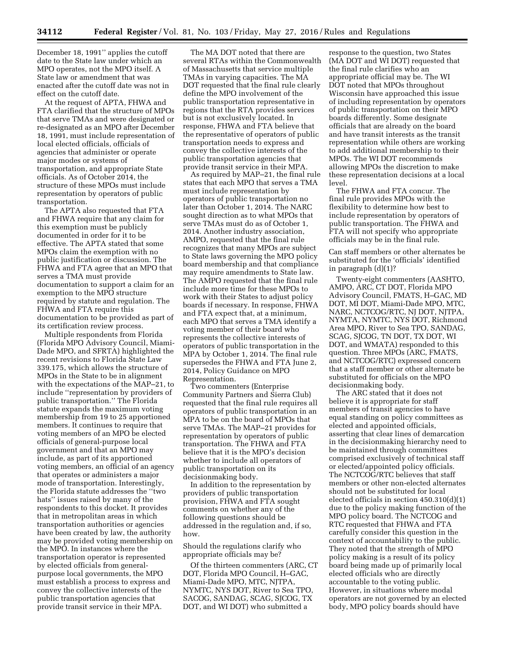December 18, 1991'' applies the cutoff date to the State law under which an MPO operates, not the MPO itself. A State law or amendment that was enacted after the cutoff date was not in effect on the cutoff date.

At the request of APTA, FHWA and FTA clarified that the structure of MPOs that serve TMAs and were designated or re-designated as an MPO after December 18, 1991, must include representation of local elected officials, officials of agencies that administer or operate major modes or systems of transportation, and appropriate State officials. As of October 2014, the structure of these MPOs must include representation by operators of public transportation.

The APTA also requested that FTA and FHWA require that any claim for this exemption must be publicly documented in order for it to be effective. The APTA stated that some MPOs claim the exemption with no public justification or discussion. The FHWA and FTA agree that an MPO that serves a TMA must provide documentation to support a claim for an exemption to the MPO structure required by statute and regulation. The FHWA and FTA require this documentation to be provided as part of its certification review process.

Multiple respondents from Florida (Florida MPO Advisory Council, Miami-Dade MPO, and SFRTA) highlighted the recent revisions to Florida State Law 339.175, which allows the structure of MPOs in the State to be in alignment with the expectations of the MAP–21, to include ''representation by providers of public transportation.'' The Florida statute expands the maximum voting membership from 19 to 25 apportioned members. It continues to require that voting members of an MPO be elected officials of general-purpose local government and that an MPO may include, as part of its apportioned voting members, an official of an agency that operates or administers a major mode of transportation. Interestingly, the Florida statute addresses the ''two hats'' issues raised by many of the respondents to this docket. It provides that in metropolitan areas in which transportation authorities or agencies have been created by law, the authority may be provided voting membership on the MPO. In instances where the transportation operator is represented by elected officials from generalpurpose local governments, the MPO must establish a process to express and convey the collective interests of the public transportation agencies that provide transit service in their MPA.

The MA DOT noted that there are several RTAs within the Commonwealth of Massachusetts that service multiple TMAs in varying capacities. The MA DOT requested that the final rule clearly define the MPO involvement of the public transportation representative in regions that the RTA provides services but is not exclusively located. In response, FHWA and FTA believe that the representative of operators of public transportation needs to express and convey the collective interests of the public transportation agencies that provide transit service in their MPA.

As required by MAP–21, the final rule states that each MPO that serves a TMA must include representation by operators of public transportation no later than October 1, 2014. The NARC sought direction as to what MPOs that serve TMAs must do as of October 1, 2014. Another industry association, AMPO, requested that the final rule recognizes that many MPOs are subject to State laws governing the MPO policy board membership and that compliance may require amendments to State law. The AMPO requested that the final rule include more time for these MPOs to work with their States to adjust policy boards if necessary. In response, FHWA and FTA expect that, at a minimum, each MPO that serves a TMA identify a voting member of their board who represents the collective interests of operators of public transportation in the MPA by October 1, 2014. The final rule supersedes the FHWA and FTA June 2, 2014, Policy Guidance on MPO Representation.

Two commenters (Enterprise Community Partners and Sierra Club) requested that the final rule requires all operators of public transportation in an MPA to be on the board of MPOs that serve TMAs. The MAP–21 provides for representation by operators of public transportation. The FHWA and FTA believe that it is the MPO's decision whether to include all operators of public transportation on its decisionmaking body.

In addition to the representation by providers of public transportation provision, FHWA and FTA sought comments on whether any of the following questions should be addressed in the regulation and, if so, how.

Should the regulations clarify who appropriate officials may be?

Of the thirteen commenters (ARC, CT DOT, Florida MPO Council, H–GAC, Miami-Dade MPO, MTC, NJTPA, NYMTC, NYS DOT, River to Sea TPO, SACOG, SANDAG, SCAG, SJCOG, TX DOT, and WI DOT) who submitted a

response to the question, two States (MA DOT and WI DOT) requested that the final rule clarifies who an appropriate official may be. The WI DOT noted that MPOs throughout Wisconsin have approached this issue of including representation by operators of public transportation on their MPO boards differently. Some designate officials that are already on the board and have transit interests as the transit representation while others are working to add additional membership to their MPOs. The WI DOT recommends allowing MPOs the discretion to make these representation decisions at a local level.

The FHWA and FTA concur. The final rule provides MPOs with the flexibility to determine how best to include representation by operators of public transportation. The FHWA and FTA will not specify who appropriate officials may be in the final rule.

Can staff members or other alternates be substituted for the 'officials' identified in paragraph (d)(1)?

Twenty-eight commenters (AASHTO, AMPO, ARC, CT DOT, Florida MPO Advisory Council, FMATS, H–GAC, MD DOT, MI DOT, Miami-Dade MPO, MTC, NARC, NCTCOG/RTC, NJ DOT, NJTPA, NYMTA, NYMTC, NYS DOT, Richmond Area MPO, River to Sea TPO, SANDAG, SCAG, SJCOG, TN DOT, TX DOT, WI DOT, and WMATA) responded to this question. Three MPOs (ARC, FMATS, and NCTCOG/RTC) expressed concern that a staff member or other alternate be substituted for officials on the MPO decisionmaking body.

The ARC stated that it does not believe it is appropriate for staff members of transit agencies to have equal standing on policy committees as elected and appointed officials, asserting that clear lines of demarcation in the decisionmaking hierarchy need to be maintained through committees comprised exclusively of technical staff or elected/appointed policy officials. The NCTCOG/RTC believes that staff members or other non-elected alternates should not be substituted for local elected officials in section 450.310(d)(1) due to the policy making function of the MPO policy board. The NCTCOG and RTC requested that FHWA and FTA carefully consider this question in the context of accountability to the public. They noted that the strength of MPO policy making is a result of its policy board being made up of primarily local elected officials who are directly accountable to the voting public. However, in situations where modal operators are not governed by an elected body, MPO policy boards should have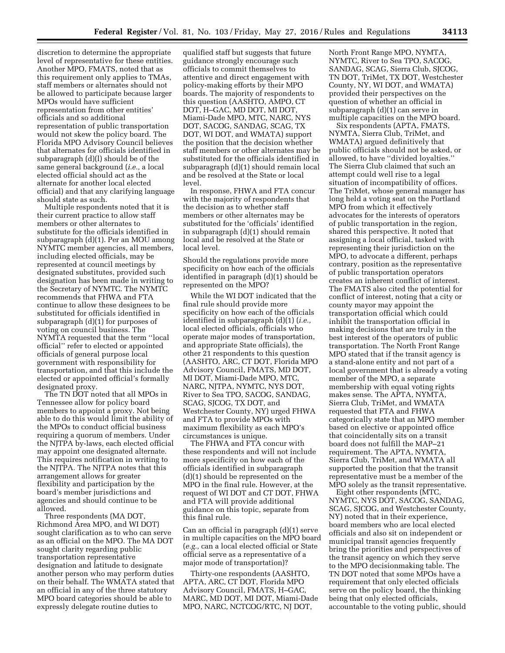discretion to determine the appropriate level of representative for these entities. Another MPO, FMATS, noted that as this requirement only applies to TMAs, staff members or alternates should not be allowed to participate because larger MPOs would have sufficient representation from other entities' officials and so additional representation of public transportation would not skew the policy board. The Florida MPO Advisory Council believes that alternates for officials identified in subparagraph (d)(l) should be of the same general background (*i.e.,* a local elected official should act as the alternate for another local elected official) and that any clarifying language should state as such.

Multiple respondents noted that it is their current practice to allow staff members or other alternates to substitute for the officials identified in subparagraph (d)(1). Per an MOU among NYMTC member agencies, all members, including elected officials, may be represented at council meetings by designated substitutes, provided such designation has been made in writing to the Secretary of NYMTC. The NYMTC recommends that FHWA and FTA continue to allow these designees to be substituted for officials identified in subparagraph (d)(1) for purposes of voting on council business. The NYMTA requested that the term ''local official'' refer to elected or appointed officials of general purpose local government with responsibility for transportation, and that this include the elected or appointed official's formally designated proxy.

The TN DOT noted that all MPOs in Tennessee allow for policy board members to appoint a proxy. Not being able to do this would limit the ability of the MPOs to conduct official business requiring a quorum of members. Under the NJTPA by-laws, each elected official may appoint one designated alternate. This requires notification in writing to the NJTPA. The NJTPA notes that this arrangement allows for greater flexibility and participation by the board's member jurisdictions and agencies and should continue to be allowed.

Three respondents (MA DOT, Richmond Area MPO, and WI DOT) sought clarification as to who can serve as an official on the MPO. The MA DOT sought clarity regarding public transportation representative designation and latitude to designate another person who may perform duties on their behalf. The WMATA stated that an official in any of the three statutory MPO board categories should be able to expressly delegate routine duties to

qualified staff but suggests that future guidance strongly encourage such officials to commit themselves to attentive and direct engagement with policy-making efforts by their MPO boards. The majority of respondents to this question (AASHTO, AMPO, CT DOT, H–GAC, MD DOT, MI DOT, Miami-Dade MPO, MTC, NARC, NYS DOT, SACOG, SANDAG, SCAG, TX DOT, WI DOT, and WMATA) support the position that the decision whether staff members or other alternates may be substituted for the officials identified in subparagraph (d)(1) should remain local and be resolved at the State or local level.

In response, FHWA and FTA concur with the majority of respondents that the decision as to whether staff members or other alternates may be substituted for the 'officials' identified in subparagraph (d)(1) should remain local and be resolved at the State or local level.

Should the regulations provide more specificity on how each of the officials identified in paragraph (d)(1) should be represented on the MPO?

While the WI DOT indicated that the final rule should provide more specificity on how each of the officials identified in subparagraph (d)(1) (*i.e.,*  local elected officials, officials who operate major modes of transportation, and appropriate State officials), the other 21 respondents to this question (AASHTO, ARC, CT DOT, Florida MPO Advisory Council, FMATS, MD DOT, MI DOT, Miami-Dade MPO, MTC, NARC, NJTPA, NYMTC, NYS DOT, River to Sea TPO, SACOG, SANDAG, SCAG, SJCOG, TX DOT, and Westchester County, NY) urged FHWA and FTA to provide MPOs with maximum flexibility as each MPO's circumstances is unique.

The FHWA and FTA concur with these respondents and will not include more specificity on how each of the officials identified in subparagraph (d)(1) should be represented on the MPO in the final rule. However, at the request of WI DOT and CT DOT, FHWA and FTA will provide additional guidance on this topic, separate from this final rule.

Can an official in paragraph (d)(1) serve in multiple capacities on the MPO board (*e.g.,* can a local elected official or State official serve as a representative of a major mode of transportation)?

Thirty-one respondents (AASHTO, APTA, ARC, CT DOT, Florida MPO Advisory Council, FMATS, H–GAC, MARC, MD DOT, MI DOT, Miami-Dade MPO, NARC, NCTCOG/RTC, NJ DOT,

North Front Range MPO, NYMTA, NYMTC, River to Sea TPO, SACOG, SANDAG, SCAG, Sierra Club, SJCOG, TN DOT, TriMet, TX DOT, Westchester County, NY, WI DOT, and WMATA) provided their perspectives on the question of whether an official in subparagraph (d)(1) can serve in multiple capacities on the MPO board.

Six respondents (APTA, FMATS, NYMTA, Sierra Club, TriMet, and WMATA) argued definitively that public officials should not be asked, or allowed, to have ''divided loyalties.'' The Sierra Club claimed that such an attempt could well rise to a legal situation of incompatibility of offices. The TriMet, whose general manager has long held a voting seat on the Portland MPO from which it effectively advocates for the interests of operators of public transportation in the region, shared this perspective. It noted that assigning a local official, tasked with representing their jurisdiction on the MPO, to advocate a different, perhaps contrary, position as the representative of public transportation operators creates an inherent conflict of interest. The FMATS also cited the potential for conflict of interest, noting that a city or county mayor may appoint the transportation official which could inhibit the transportation official in making decisions that are truly in the best interest of the operators of public transportation. The North Front Range MPO stated that if the transit agency is a stand-alone entity and not part of a local government that is already a voting member of the MPO, a separate membership with equal voting rights makes sense. The APTA, NYMTA, Sierra Club, TriMet, and WMATA requested that FTA and FHWA categorically state that an MPO member based on elective or appointed office that coincidentally sits on a transit board does not fulfill the MAP–21 requirement. The APTA, NYMTA, Sierra Club, TriMet, and WMATA all supported the position that the transit representative must be a member of the MPO solely as the transit representative.

Eight other respondents (MTC, NYMTC, NYS DOT, SACOG, SANDAG, SCAG, SJCOG, and Westchester County, NY) noted that in their experience, board members who are local elected officials and also sit on independent or municipal transit agencies frequently bring the priorities and perspectives of the transit agency on which they serve to the MPO decisionmaking table. The TN DOT noted that some MPOs have a requirement that only elected officials serve on the policy board, the thinking being that only elected officials, accountable to the voting public, should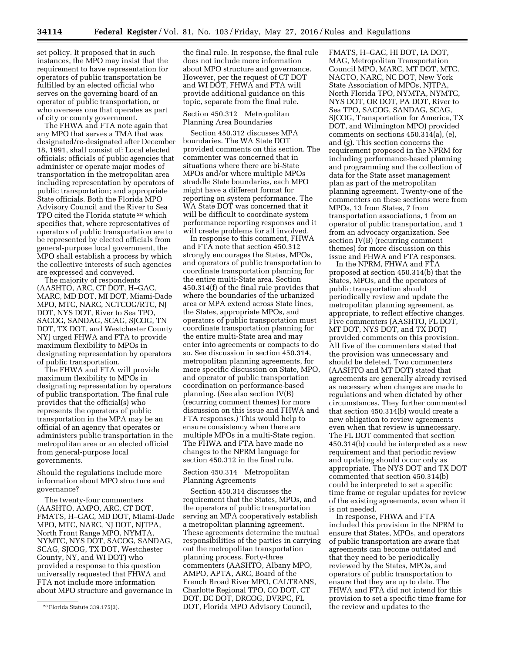set policy. It proposed that in such instances, the MPO may insist that the requirement to have representation for operators of public transportation be fulfilled by an elected official who serves on the governing board of an operator of public transportation, or who oversees one that operates as part of city or county government.

The FHWA and FTA note again that any MPO that serves a TMA that was designated/re-designated after December 18, 1991, shall consist of: Local elected officials; officials of public agencies that administer or operate major modes of transportation in the metropolitan area including representation by operators of public transportation; and appropriate State officials. Both the Florida MPO Advisory Council and the River to Sea TPO cited the Florida statute 28 which specifies that, where representatives of operators of public transportation are to be represented by elected officials from general-purpose local government, the MPO shall establish a process by which the collective interests of such agencies are expressed and conveyed.

The majority of respondents (AASHTO, ARC, CT DOT, H–GAC, MARC, MD DOT, MI DOT, Miami-Dade MPO, MTC, NARC, NCTCOG/RTC, NJ DOT, NYS DOT, River to Sea TPO, SACOG, SANDAG, SCAG, SJCOG, TN DOT, TX DOT, and Westchester County NY) urged FHWA and FTA to provide maximum flexibility to MPOs in designating representation by operators of public transportation.

The FHWA and FTA will provide maximum flexibility to MPOs in designating representation by operators of public transportation. The final rule provides that the official(s) who represents the operators of public transportation in the MPA may be an official of an agency that operates or administers public transportation in the metropolitan area or an elected official from general-purpose local governments.

Should the regulations include more information about MPO structure and governance?

The twenty-four commenters (AASHTO, AMPO, ARC, CT DOT, FMATS, H–GAC, MD DOT, Miami-Dade MPO, MTC, NARC, NJ DOT, NJTPA, North Front Range MPO, NYMTA, NYMTC, NYS DOT, SACOG, SANDAG, SCAG, SJCOG, TX DOT, Westchester County, NY, and WI DOT) who provided a response to this question universally requested that FHWA and FTA not include more information about MPO structure and governance in

the final rule. In response, the final rule does not include more information about MPO structure and governance. However, per the request of CT DOT and WI DOT, FHWA and FTA will provide additional guidance on this topic, separate from the final rule.

## Section 450.312 Metropolitan Planning Area Boundaries

Section 450.312 discusses MPA boundaries. The WA State DOT provided comments on this section. The commenter was concerned that in situations where there are bi-State MPOs and/or where multiple MPOs straddle State boundaries, each MPO might have a different format for reporting on system performance. The WA State DOT was concerned that it will be difficult to coordinate system performance reporting responses and it will create problems for all involved.

In response to this comment, FHWA and FTA note that section 450.312 strongly encourages the States, MPOs, and operators of public transportation to coordinate transportation planning for the entire multi-State area. Section 450.314(f) of the final rule provides that where the boundaries of the urbanized area or MPA extend across State lines, the States, appropriate MPOs, and operators of public transportation must coordinate transportation planning for the entire multi-State area and may enter into agreements or compacts to do so. See discussion in section 450.314, metropolitan planning agreements, for more specific discussion on State, MPO, and operator of public transportation coordination on performance-based planning. (See also section IV(B) (recurring comment themes) for more discussion on this issue and FHWA and FTA responses.) This would help to ensure consistency when there are multiple MPOs in a multi-State region. The FHWA and FTA have made no changes to the NPRM language for section 450.312 in the final rule.

## Section 450.314 Metropolitan Planning Agreements

Section 450.314 discusses the requirement that the States, MPOs, and the operators of public transportation serving an MPA cooperatively establish a metropolitan planning agreement. These agreements determine the mutual responsibilities of the parties in carrying out the metropolitan transportation planning process. Forty-three commenters (AASHTO, Albany MPO, AMPO, APTA, ARC, Board of the French Broad River MPO, CALTRANS, Charlotte Regional TPO, CO DOT, CT DOT, DC DOT, DRCOG, DVRPC, FL DOT, Florida MPO Advisory Council,

FMATS, H–GAC, HI DOT, IA DOT, MAG, Metropolitan Transportation Council MPO, MARC, MT DOT, MTC, NACTO, NARC, NC DOT, New York State Association of MPOs, NJTPA, North Florida TPO, NYMTA, NYMTC, NYS DOT, OR DOT, PA DOT, River to Sea TPO, SACOG, SANDAG, SCAG, SJCOG, Transportation for America, TX DOT, and Wilmington MPO) provided comments on sections 450.314(a), (e), and (g). This section concerns the requirement proposed in the NPRM for including performance-based planning and programming and the collection of data for the State asset management plan as part of the metropolitan planning agreement. Twenty-one of the commenters on these sections were from MPOs, 13 from States, 7 from transportation associations, 1 from an operator of public transportation, and 1 from an advocacy organization. See section IV(B) (recurring comment themes) for more discussion on this issue and FHWA and FTA responses.

In the NPRM, FHWA and FTA proposed at section 450.314(b) that the States, MPOs, and the operators of public transportation should periodically review and update the metropolitan planning agreement, as appropriate, to reflect effective changes. Five commenters (AASHTO, FL DOT, MT DOT, NYS DOT, and TX DOT) provided comments on this provision. All five of the commenters stated that the provision was unnecessary and should be deleted. Two commenters (AASHTO and MT DOT) stated that agreements are generally already revised as necessary when changes are made to regulations and when dictated by other circumstances. They further commented that section 450.314(b) would create a new obligation to review agreements even when that review is unnecessary. The FL DOT commented that section 450.314(b) could be interpreted as a new requirement and that periodic review and updating should occur only as appropriate. The NYS DOT and TX DOT commented that section 450.314(b) could be interpreted to set a specific time frame or regular updates for review of the existing agreements, even when it is not needed.

In response, FHWA and FTA included this provision in the NPRM to ensure that States, MPOs, and operators of public transportation are aware that agreements can become outdated and that they need to be periodically reviewed by the States, MPOs, and operators of public transportation to ensure that they are up to date. The FHWA and FTA did not intend for this provision to set a specific time frame for the review and updates to the

<sup>28</sup>Florida Statute 339.175(3).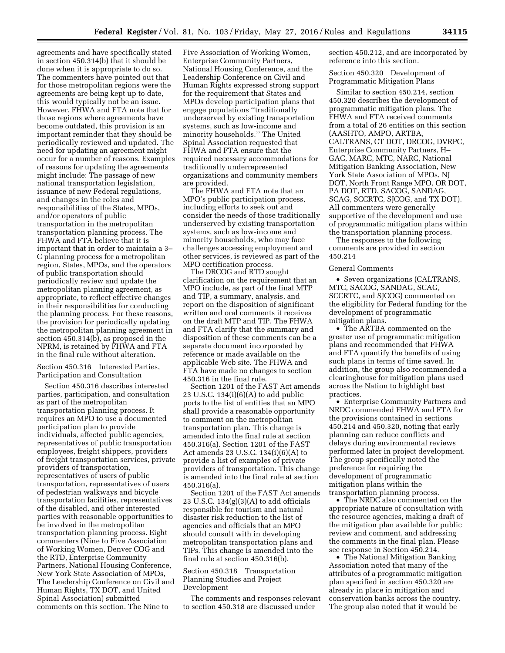agreements and have specifically stated in section 450.314(b) that it should be done when it is appropriate to do so. The commenters have pointed out that for those metropolitan regions were the agreements are being kept up to date, this would typically not be an issue. However, FHWA and FTA note that for those regions where agreements have become outdated, this provision is an important reminder that they should be periodically reviewed and updated. The need for updating an agreement might occur for a number of reasons. Examples of reasons for updating the agreements might include: The passage of new national transportation legislation, issuance of new Federal regulations, and changes in the roles and responsibilities of the States, MPOs, and/or operators of public transportation in the metropolitan transportation planning process. The FHWA and FTA believe that it is important that in order to maintain a 3– C planning process for a metropolitan region, States, MPOs, and the operators of public transportation should periodically review and update the metropolitan planning agreement, as appropriate, to reflect effective changes in their responsibilities for conducting the planning process. For these reasons, the provision for periodically updating the metropolitan planning agreement in section 450.314(b), as proposed in the NPRM, is retained by FHWA and FTA in the final rule without alteration.

# Section 450.316 Interested Parties, Participation and Consultation

Section 450.316 describes interested parties, participation, and consultation as part of the metropolitan transportation planning process. It requires an MPO to use a documented participation plan to provide individuals, affected public agencies, representatives of public transportation employees, freight shippers, providers of freight transportation services, private providers of transportation, representatives of users of public transportation, representatives of users of pedestrian walkways and bicycle transportation facilities, representatives of the disabled, and other interested parties with reasonable opportunities to be involved in the metropolitan transportation planning process. Eight commenters (Nine to Five Association of Working Women, Denver COG and the RTD, Enterprise Community Partners, National Housing Conference, New York State Association of MPOs, The Leadership Conference on Civil and Human Rights, TX DOT, and United Spinal Association) submitted comments on this section. The Nine to

Five Association of Working Women, Enterprise Community Partners, National Housing Conference, and the Leadership Conference on Civil and Human Rights expressed strong support for the requirement that States and MPOs develop participation plans that engage populations ''traditionally underserved by existing transportation systems, such as low-income and minority households.'' The United Spinal Association requested that FHWA and FTA ensure that the required necessary accommodations for traditionally underrepresented organizations and community members are provided.

The FHWA and FTA note that an MPO's public participation process, including efforts to seek out and consider the needs of those traditionally underserved by existing transportation systems, such as low-income and minority households, who may face challenges accessing employment and other services, is reviewed as part of the MPO certification process.

The DRCOG and RTD sought clarification on the requirement that an MPO include, as part of the final MTP and TIP, a summary, analysis, and report on the disposition of significant written and oral comments it receives on the draft MTP and TIP. The FHWA and FTA clarify that the summary and disposition of these comments can be a separate document incorporated by reference or made available on the applicable Web site. The FHWA and FTA have made no changes to section 450.316 in the final rule.

Section 1201 of the FAST Act amends 23 U.S.C. 134(i)(6)(A) to add public ports to the list of entities that an MPO shall provide a reasonable opportunity to comment on the metropolitan transportation plan. This change is amended into the final rule at section 450.316(a). Section 1201 of the FAST Act amends 23 U.S.C. 134(i)(6)(A) to provide a list of examples of private providers of transportation. This change is amended into the final rule at section 450.316(a).

Section 1201 of the FAST Act amends 23 U.S.C. 134(g)(3)(A) to add officials responsible for tourism and natural disaster risk reduction to the list of agencies and officials that an MPO should consult with in developing metropolitan transportation plans and TIPs. This change is amended into the final rule at section 450.316(b).

## Section 450.318 Transportation Planning Studies and Project Development

The comments and responses relevant to section 450.318 are discussed under

section 450.212, and are incorporated by reference into this section.

Section 450.320 Development of Programmatic Mitigation Plans

Similar to section 450.214, section 450.320 describes the development of programmatic mitigation plans. The FHWA and FTA received comments from a total of 26 entities on this section (AASHTO, AMPO, ARTBA, CALTRANS, CT DOT, DRCOG, DVRPC, Enterprise Community Partners, H– GAC, MARC, MTC, NARC, National Mitigation Banking Association, New York State Association of MPOs, NJ DOT, North Front Range MPO, OR DOT, PA DOT, RTD, SACOG, SANDAG, SCAG, SCCRTC, SJCOG, and TX DOT). All commenters were generally supportive of the development and use of programmatic mitigation plans within the transportation planning process.

The responses to the following comments are provided in section 450.214

#### General Comments

• Seven organizations (CALTRANS, MTC, SACOG, SANDAG, SCAG, SCCRTC, and SJCOG) commented on the eligibility for Federal funding for the development of programmatic mitigation plans.

• The ARTBA commented on the greater use of programmatic mitigation plans and recommended that FHWA and FTA quantify the benefits of using such plans in terms of time saved. In addition, the group also recommended a clearinghouse for mitigation plans used across the Nation to highlight best practices.

• Enterprise Community Partners and NRDC commended FHWA and FTA for the provisions contained in sections 450.214 and 450.320, noting that early planning can reduce conflicts and delays during environmental reviews performed later in project development. The group specifically noted the preference for requiring the development of programmatic mitigation plans within the transportation planning process.

• The NRDC also commented on the appropriate nature of consultation with the resource agencies, making a draft of the mitigation plan available for public review and comment, and addressing the comments in the final plan. Please see response in Section 450.214.

• The National Mitigation Banking Association noted that many of the attributes of a programmatic mitigation plan specified in section 450.320 are already in place in mitigation and conservation banks across the country. The group also noted that it would be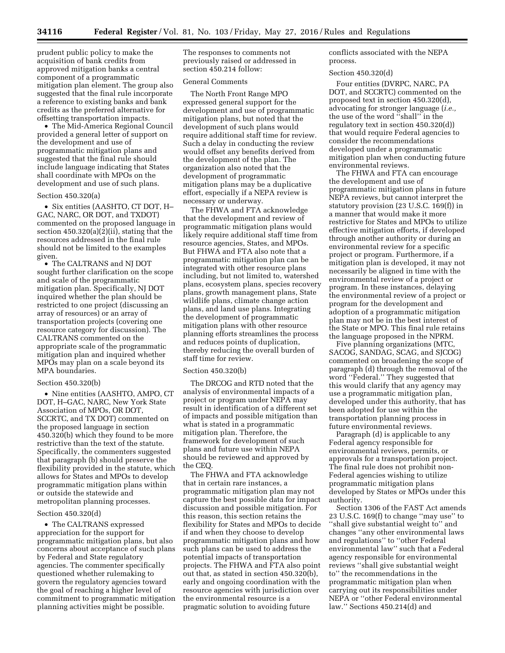prudent public policy to make the acquisition of bank credits from approved mitigation banks a central component of a programmatic mitigation plan element. The group also suggested that the final rule incorporate a reference to existing banks and bank credits as the preferred alternative for offsetting transportation impacts.

• The Mid-America Regional Council provided a general letter of support on the development and use of programmatic mitigation plans and suggested that the final rule should include language indicating that States shall coordinate with MPOs on the development and use of such plans.

### Section 450.320(a)

• Six entities (AASHTO, CT DOT, H– GAC, NARC, OR DOT, and TXDOT) commented on the proposed language in section 450.320(a)(2)(ii), stating that the resources addressed in the final rule should not be limited to the examples given.

• The CALTRANS and NJ DOT sought further clarification on the scope and scale of the programmatic mitigation plan. Specifically, NJ DOT inquired whether the plan should be restricted to one project (discussing an array of resources) or an array of transportation projects (covering one resource category for discussion). The CALTRANS commented on the appropriate scale of the programmatic mitigation plan and inquired whether MPOs may plan on a scale beyond its MPA boundaries.

## Section 450.320(b)

• Nine entities (AASHTO, AMPO, CT DOT, H–GAC, NARC, New York State Association of MPOs, OR DOT, SCCRTC, and TX DOT) commented on the proposed language in section 450.320(b) which they found to be more restrictive than the text of the statute. Specifically, the commenters suggested that paragraph (b) should preserve the flexibility provided in the statute, which allows for States and MPOs to develop programmatic mitigation plans within or outside the statewide and metropolitan planning processes.

### Section 450.320(d)

• The CALTRANS expressed appreciation for the support for programmatic mitigation plans, but also concerns about acceptance of such plans by Federal and State regulatory agencies. The commenter specifically questioned whether rulemaking to govern the regulatory agencies toward the goal of reaching a higher level of commitment to programmatic mitigation planning activities might be possible.

The responses to comments not previously raised or addressed in section 450.214 follow:

## General Comments

The North Front Range MPO expressed general support for the development and use of programmatic mitigation plans, but noted that the development of such plans would require additional staff time for review. Such a delay in conducting the review would offset any benefits derived from the development of the plan. The organization also noted that the development of programmatic mitigation plans may be a duplicative effort, especially if a NEPA review is necessary or underway.

The FHWA and FTA acknowledge that the development and review of programmatic mitigation plans would likely require additional staff time from resource agencies, States, and MPOs. But FHWA and FTA also note that a programmatic mitigation plan can be integrated with other resource plans including, but not limited to, watershed plans, ecosystem plans, species recovery plans, growth management plans, State wildlife plans, climate change action plans, and land use plans. Integrating the development of programmatic mitigation plans with other resource planning efforts streamlines the process and reduces points of duplication, thereby reducing the overall burden of staff time for review.

#### Section 450.320(b)

The DRCOG and RTD noted that the analysis of environmental impacts of a project or program under NEPA may result in identification of a different set of impacts and possible mitigation than what is stated in a programmatic mitigation plan. Therefore, the framework for development of such plans and future use within NEPA should be reviewed and approved by the CEQ.

The FHWA and FTA acknowledge that in certain rare instances, a programmatic mitigation plan may not capture the best possible data for impact discussion and possible mitigation. For this reason, this section retains the flexibility for States and MPOs to decide if and when they choose to develop programmatic mitigation plans and how such plans can be used to address the potential impacts of transportation projects. The FHWA and FTA also point out that, as stated in section 450.320(b), early and ongoing coordination with the resource agencies with jurisdiction over the environmental resource is a pragmatic solution to avoiding future

conflicts associated with the NEPA process.

#### Section 450.320(d)

Four entities (DVRPC, NARC, PA DOT, and SCCRTC) commented on the proposed text in section 450.320(d), advocating for stronger language (*i.e.,*  the use of the word ''shall'' in the regulatory text in section 450.320(d)) that would require Federal agencies to consider the recommendations developed under a programmatic mitigation plan when conducting future environmental reviews.

The FHWA and FTA can encourage the development and use of programmatic mitigation plans in future NEPA reviews, but cannot interpret the statutory provision (23 U.S.C. 169(f)) in a manner that would make it more restrictive for States and MPOs to utilize effective mitigation efforts, if developed through another authority or during an environmental review for a specific project or program. Furthermore, if a mitigation plan is developed, it may not necessarily be aligned in time with the environmental review of a project or program. In these instances, delaying the environmental review of a project or program for the development and adoption of a programmatic mitigation plan may not be in the best interest of the State or MPO. This final rule retains the language proposed in the NPRM.

Five planning organizations (MTC, SACOG, SANDAG, SCAG, and SJCOG) commented on broadening the scope of paragraph (d) through the removal of the word ''Federal.'' They suggested that this would clarify that any agency may use a programmatic mitigation plan, developed under this authority, that has been adopted for use within the transportation planning process in future environmental reviews.

Paragraph (d) is applicable to any Federal agency responsible for environmental reviews, permits, or approvals for a transportation project. The final rule does not prohibit non-Federal agencies wishing to utilize programmatic mitigation plans developed by States or MPOs under this authority.

Section 1306 of the FAST Act amends 23 U.S.C. 169(f) to change ''may use'' to ''shall give substantial weight to'' and changes ''any other environmental laws and regulations'' to ''other Federal environmental law'' such that a Federal agency responsible for environmental reviews ''shall give substantial weight to'' the recommendations in the programmatic mitigation plan when carrying out its responsibilities under NEPA or ''other Federal environmental law.'' Sections 450.214(d) and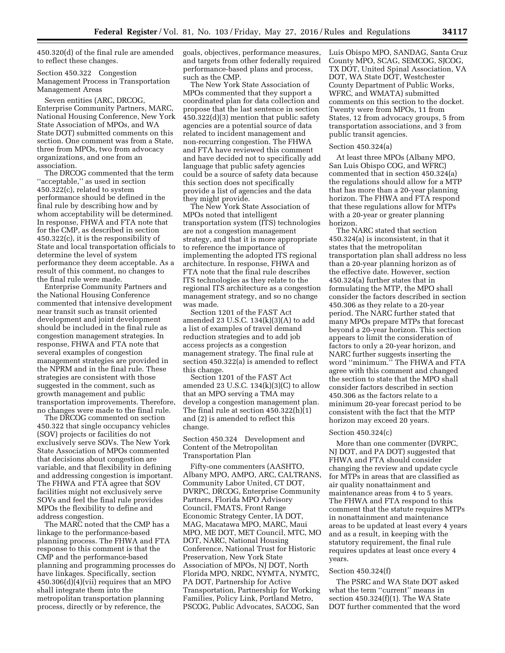450.320(d) of the final rule are amended to reflect these changes.

Section 450.322 Congestion Management Process in Transportation Management Areas

Seven entities (ARC, DRCOG, Enterprise Community Partners, MARC, National Housing Conference, New York State Association of MPOs, and WA State DOT) submitted comments on this section. One comment was from a State, three from MPOs, two from advocacy organizations, and one from an association.

The DRCOG commented that the term ''acceptable,'' as used in section 450.322(c), related to system performance should be defined in the final rule by describing how and by whom acceptability will be determined. In response, FHWA and FTA note that for the CMP, as described in section 450.322(c), it is the responsibility of State and local transportation officials to determine the level of system performance they deem acceptable. As a result of this comment, no changes to the final rule were made.

Enterprise Community Partners and the National Housing Conference commented that intensive development near transit such as transit oriented development and joint development should be included in the final rule as congestion management strategies. In response, FHWA and FTA note that several examples of congestion management strategies are provided in the NPRM and in the final rule. These strategies are consistent with those suggested in the comment, such as growth management and public transportation improvements. Therefore, no changes were made to the final rule.

The DRCOG commented on section 450.322 that single occupancy vehicles (SOV) projects or facilities do not exclusively serve SOVs. The New York State Association of MPOs commented that decisions about congestion are variable, and that flexibility in defining and addressing congestion is important. The FHWA and FTA agree that SOV facilities might not exclusively serve SOVs and feel the final rule provides MPOs the flexibility to define and address congestion.

The MARC noted that the CMP has a linkage to the performance-based planning process. The FHWA and FTA response to this comment is that the CMP and the performance-based planning and programming processes do have linkages. Specifically, section 450.306(d)(4)(vii) requires that an MPO shall integrate them into the metropolitan transportation planning process, directly or by reference, the

goals, objectives, performance measures, and targets from other federally required performance-based plans and process, such as the CMP.

The New York State Association of MPOs commented that they support a coordinated plan for data collection and propose that the last sentence in section 450.322(d)(3) mention that public safety agencies are a potential source of data related to incident management and non-recurring congestion. The FHWA and FTA have reviewed this comment and have decided not to specifically add language that public safety agencies could be a source of safety data because this section does not specifically provide a list of agencies and the data they might provide.

The New York State Association of MPOs noted that intelligent transportation system (ITS) technologies are not a congestion management strategy, and that it is more appropriate to reference the importance of implementing the adopted ITS regional architecture. In response, FHWA and FTA note that the final rule describes ITS technologies as they relate to the regional ITS architecture as a congestion management strategy, and so no change was made.

Section 1201 of the FAST Act amended 23 U.S.C. 134(k)(3)(A) to add a list of examples of travel demand reduction strategies and to add job access projects as a congestion management strategy. The final rule at section 450.322(a) is amended to reflect this change.

Section 1201 of the FAST Act amended 23 U.S.C.  $134(k)(3)(C)$  to allow that an MPO serving a TMA may develop a congestion management plan. The final rule at section 450.322(h)(1) and (2) is amended to reflect this change.

Section 450.324 Development and Content of the Metropolitan Transportation Plan

Fifty-one commenters (AASHTO, Albany MPO, AMPO, ARC, CALTRANS, Community Labor United, CT DOT, DVRPC, DRCOG, Enterprise Community Partners, Florida MPO Advisory Council, FMATS, Front Range Economic Strategy Center, IA DOT, MAG, Macatawa MPO, MARC, Maui MPO, ME DOT, MET Council, MTC, MO DOT, NARC, National Housing Conference, National Trust for Historic Preservation, New York State Association of MPOs, NJ DOT, North Florida MPO, NRDC, NYMTA, NYMTC, PA DOT, Partnership for Active Transportation, Partnership for Working Families, Policy Link, Portland Metro, PSCOG, Public Advocates, SACOG, San

Luis Obispo MPO, SANDAG, Santa Cruz County MPO, SCAG, SEMCOG, SJCOG, TX DOT, United Spinal Association, VA DOT, WA State DOT, Westchester County Department of Public Works, WFRC, and WMATA) submitted comments on this section to the docket. Twenty were from MPOs, 11 from States, 12 from advocacy groups, 5 from transportation associations, and 3 from public transit agencies.

#### Section 450.324(a)

At least three MPOs (Albany MPO, San Luis Obispo COG, and WFRC) commented that in section 450.324(a) the regulations should allow for a MTP that has more than a 20-year planning horizon. The FHWA and FTA respond that these regulations allow for MTPs with a 20-year or greater planning horizon.

The NARC stated that section 450.324(a) is inconsistent, in that it states that the metropolitan transportation plan shall address no less than a 20-year planning horizon as of the effective date. However, section 450.324(a) further states that in formulating the MTP, the MPO shall consider the factors described in section 450.306 as they relate to a 20-year period. The NARC further stated that many MPOs prepare MTPs that forecast beyond a 20-year horizon. This section appears to limit the consideration of factors to only a 20-year horizon, and NARC further suggests inserting the word ''minimum.'' The FHWA and FTA agree with this comment and changed the section to state that the MPO shall consider factors described in section 450.306 as the factors relate to a minimum 20-year forecast period to be consistent with the fact that the MTP horizon may exceed 20 years.

#### Section 450.324(c)

More than one commenter (DVRPC, NJ DOT, and PA DOT) suggested that FHWA and FTA should consider changing the review and update cycle for MTPs in areas that are classified as air quality nonattainment and maintenance areas from 4 to 5 years. The FHWA and FTA respond to this comment that the statute requires MTPs in nonattainment and maintenance areas to be updated at least every 4 years and as a result, in keeping with the statutory requirement, the final rule requires updates at least once every 4 years.

## Section 450.324(f)

The PSRC and WA State DOT asked what the term ''current'' means in section 450.324(f)(1). The WA State DOT further commented that the word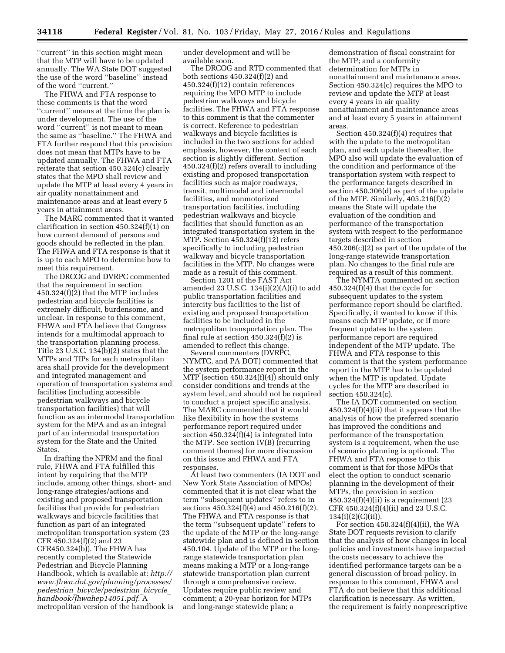''current'' in this section might mean that the MTP will have to be updated annually. The WA State DOT suggested the use of the word ''baseline'' instead of the word ''current.''

The FHWA and FTA response to these comments is that the word ''current'' means at the time the plan is under development. The use of the word ''current'' is not meant to mean the same as ''baseline.'' The FHWA and FTA further respond that this provision does not mean that MTPs have to be updated annually. The FHWA and FTA reiterate that section 450.324(c) clearly states that the MPO shall review and update the MTP at least every 4 years in air quality nonattainment and maintenance areas and at least every 5 years in attainment areas.

The MARC commented that it wanted clarification in section 450.324(f)(1) on how current demand of persons and goods should be reflected in the plan. The FHWA and FTA response is that it is up to each MPO to determine how to meet this requirement.

The DRCOG and DVRPC commented that the requirement in section 450.324(f)(2) that the MTP includes pedestrian and bicycle facilities is extremely difficult, burdensome, and unclear. In response to this comment, FHWA and FTA believe that Congress intends for a multimodal approach to the transportation planning process. Title 23 U.S.C. 134(b)(2) states that the MTPs and TIPs for each metropolitan area shall provide for the development and integrated management and operation of transportation systems and facilities (including accessible pedestrian walkways and bicycle transportation facilities) that will function as an intermodal transportation system for the MPA and as an integral part of an intermodal transportation system for the State and the United States.

In drafting the NPRM and the final rule, FHWA and FTA fulfilled this intent by requiring that the MTP include, among other things, short- and long-range strategies/actions and existing and proposed transportation facilities that provide for pedestrian walkways and bicycle facilities that function as part of an integrated metropolitan transportation system (23 CFR 450.324(f)(2) and 23 CFR450.324(b)). The FHWA has recently completed the Statewide Pedestrian and Bicycle Planning Handbook, which is available at: *[http://](http://www.fhwa.dot.gov/planning/processes/pedestrian_bicycle/pedestrian_bicycle_handbook/fhwahep14051.pdf)  [www.fhwa.dot.gov/planning/processes/](http://www.fhwa.dot.gov/planning/processes/pedestrian_bicycle/pedestrian_bicycle_handbook/fhwahep14051.pdf) pedestrian*\_*[bicycle/pedestrian](http://www.fhwa.dot.gov/planning/processes/pedestrian_bicycle/pedestrian_bicycle_handbook/fhwahep14051.pdf)*\_*bicycle*\_ *[handbook/fhwahep14051.pdf](http://www.fhwa.dot.gov/planning/processes/pedestrian_bicycle/pedestrian_bicycle_handbook/fhwahep14051.pdf)*. A metropolitan version of the handbook is under development and will be available soon.

The DRCOG and RTD commented that both sections 450.324(f)(2) and 450.324(f)(12) contain references requiring the MPO MTP to include pedestrian walkways and bicycle facilities. The FHWA and FTA response to this comment is that the commenter is correct. Reference to pedestrian walkways and bicycle facilities is included in the two sections for added emphasis, however, the context of each section is slightly different. Section 450.324(f)(2) refers overall to including existing and proposed transportation facilities such as major roadways, transit, multimodal and intermodal facilities, and nonmotorized transportation facilities, including pedestrian walkways and bicycle facilities that should function as an integrated transportation system in the MTP. Section 450.324(f)(12) refers specifically to including pedestrian walkway and bicycle transportation facilities in the MTP. No changes were made as a result of this comment.

Section 1201 of the FAST Act amended 23 U.S.C. 134(i)(2)(A)(i) to add public transportation facilities and intercity bus facilities to the list of existing and proposed transportation facilities to be included in the metropolitan transportation plan. The final rule at section 450.324(f)(2) is amended to reflect this change.

Several commenters (DVRPC, NYMTC, and PA DOT) commented that the system performance report in the MTP (section 450.324(f)(4)) should only consider conditions and trends at the system level, and should not be required to conduct a project specific analysis. The MARC commented that it would like flexibility in how the systems performance report required under section 450.324(f)(4) is integrated into the MTP. See section IV(B) (recurring comment themes) for more discussion on this issue and FHWA and FTA responses.

At least two commenters (IA DOT and New York State Association of MPOs) commented that it is not clear what the term ''subsequent updates'' refers to in sections 450.324(f)(4) and 450.216(f)(2). The FHWA and FTA response is that the term ''subsequent update'' refers to the update of the MTP or the long-range statewide plan and is defined in section 450.104. Update of the MTP or the longrange statewide transportation plan means making a MTP or a long-range statewide transportation plan current through a comprehensive review. Updates require public review and comment; a 20-year horizon for MTPs and long-range statewide plan; a

demonstration of fiscal constraint for the MTP; and a conformity determination for MTPs in nonattainment and maintenance areas. Section 450.324(c) requires the MPO to review and update the MTP at least every 4 years in air quality nonattainment and maintenance areas and at least every 5 years in attainment areas.

Section 450.324(f)(4) requires that with the update to the metropolitan plan, and each update thereafter, the MPO also will update the evaluation of the condition and performance of the transportation system with respect to the performance targets described in section 450.306(d) as part of the update of the MTP. Similarly, 405.216(f)(2) means the State will update the evaluation of the condition and performance of the transportation system with respect to the performance targets described in section 450.206(c)(2) as part of the update of the long-range statewide transportation plan. No changes to the final rule are required as a result of this comment.

The NYMTA commented on section  $450.324(f)(4)$  that the cycle for subsequent updates to the system performance report should be clarified. Specifically, it wanted to know if this means each MTP update, or if more frequent updates to the system performance report are required independent of the MTP update. The FHWA and FTA response to this comment is that the system performance report in the MTP has to be updated when the MTP is updated. Update cycles for the MTP are described in section 450.324(c).

The IA DOT commented on section 450.324(f)(4)(ii) that it appears that the analysis of how the preferred scenario has improved the conditions and performance of the transportation system is a requirement, when the use of scenario planning is optional. The FHWA and FTA response to this comment is that for those MPOs that elect the option to conduct scenario planning in the development of their MTPs, the provision in section  $450.324(f)(4)(ii)$  is a requirement (23) CFR 450.324(f)(4)(ii) and 23 U.S.C. 134(i)(2)(C)(ii)).

For section  $450.324(f)(4)(ii)$ , the WA State DOT requests revision to clarify that the analysis of how changes in local policies and investments have impacted the costs necessary to achieve the identified performance targets can be a general discussion of broad policy. In response to this comment, FHWA and FTA do not believe that this additional clarification is necessary. As written, the requirement is fairly nonprescriptive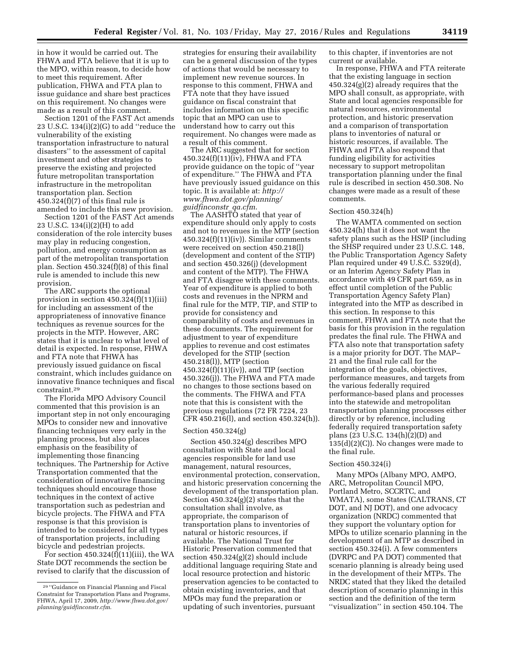in how it would be carried out. The FHWA and FTA believe that it is up to the MPO, within reason, to decide how to meet this requirement. After publication, FHWA and FTA plan to issue guidance and share best practices on this requirement. No changes were made as a result of this comment.

Section 1201 of the FAST Act amends 23 U.S.C. 134(i)(2)(G) to add ''reduce the vulnerability of the existing transportation infrastructure to natural disasters'' to the assessment of capital investment and other strategies to preserve the existing and projected future metropolitan transportation infrastructure in the metropolitan transportation plan. Section  $450.324(f)(7)$  of this final rule is amended to include this new provision.

Section 1201 of the FAST Act amends 23 U.S.C. 134(i)(2)(H) to add consideration of the role intercity buses may play in reducing congestion, pollution, and energy consumption as part of the metropolitan transportation plan. Section 450.324(f)(8) of this final rule is amended to include this new provision.

The ARC supports the optional provision in section 450.324(f)(11)(iii) for including an assessment of the appropriateness of innovative finance techniques as revenue sources for the projects in the MTP. However, ARC states that it is unclear to what level of detail is expected. In response, FHWA and FTA note that FHWA has previously issued guidance on fiscal constraint, which includes guidance on innovative finance techniques and fiscal constraint.29

The Florida MPO Advisory Council commented that this provision is an important step in not only encouraging MPOs to consider new and innovative financing techniques very early in the planning process, but also places emphasis on the feasibility of implementing those financing techniques. The Partnership for Active Transportation commented that the consideration of innovative financing techniques should encourage those techniques in the context of active transportation such as pedestrian and bicycle projects. The FHWA and FTA response is that this provision is intended to be considered for all types of transportation projects, including bicycle and pedestrian projects.

For section 450.324(f)(11)(iii), the WA State DOT recommends the section be revised to clarify that the discussion of

strategies for ensuring their availability can be a general discussion of the types of actions that would be necessary to implement new revenue sources. In response to this comment, FHWA and FTA note that they have issued guidance on fiscal constraint that includes information on this specific topic that an MPO can use to understand how to carry out this requirement. No changes were made as a result of this comment.

The ARC suggested that for section 450.324(f)(11)(iv), FHWA and FTA provide guidance on the topic of ''year of expenditure.'' The FHWA and FTA have previously issued guidance on this topic. It is available at: *[http://](http://www.fhwa.dot.gov/planning/guidfinconstr_qa.cfm) [www.fhwa.dot.gov/planning/](http://www.fhwa.dot.gov/planning/guidfinconstr_qa.cfm) [guidfinconstr](http://www.fhwa.dot.gov/planning/guidfinconstr_qa.cfm)*\_*qa.cfm*.

The AASHTO stated that year of expenditure should only apply to costs and not to revenues in the MTP (section 450.324(f)(11)(iv)). Similar comments were received on section 450.218(l) (development and content of the STIP) and section 450.326(j) (development and content of the MTP). The FHWA and FTA disagree with these comments. Year of expenditure is applied to both costs and revenues in the NPRM and final rule for the MTP, TIP, and STIP to provide for consistency and comparability of costs and revenues in these documents. The requirement for adjustment to year of expenditure applies to revenue and cost estimates developed for the STIP (section 450.218(l)), MTP (section 450.324(f)(11)(iv)), and TIP (section 450.326(j)). The FHWA and FTA made no changes to those sections based on the comments. The FHWA and FTA note that this is consistent with the previous regulations (72 FR 7224, 23 CFR 450.216(l), and section 450.324(h)).

## Section 450.324(g)

Section 450.324(g) describes MPO consultation with State and local agencies responsible for land use management, natural resources, environmental protection, conservation, and historic preservation concerning the development of the transportation plan. Section 450.324(g)(2) states that the consultation shall involve, as appropriate, the comparison of transportation plans to inventories of natural or historic resources, if available. The National Trust for Historic Preservation commented that section 450.324(g)(2) should include additional language requiring State and local resource protection and historic preservation agencies to be contacted to obtain existing inventories, and that MPOs may fund the preparation or updating of such inventories, pursuant

to this chapter, if inventories are not current or available.

In response, FHWA and FTA reiterate that the existing language in section 450.324(g)(2) already requires that the MPO shall consult, as appropriate, with State and local agencies responsible for natural resources, environmental protection, and historic preservation and a comparison of transportation plans to inventories of natural or historic resources, if available. The FHWA and FTA also respond that funding eligibility for activities necessary to support metropolitan transportation planning under the final rule is described in section 450.308. No changes were made as a result of these comments.

### Section 450.324(h)

The WAMTA commented on section 450.324(h) that it does not want the safety plans such as the HSIP (including the SHSP required under 23 U.S.C. 148, the Public Transportation Agency Safety Plan required under 49 U.S.C. 5329(d), or an Interim Agency Safety Plan in accordance with 49 CFR part 659, as in effect until completion of the Public Transportation Agency Safety Plan) integrated into the MTP as described in this section. In response to this comment, FHWA and FTA note that the basis for this provision in the regulation predates the final rule. The FHWA and FTA also note that transportation safety is a major priority for DOT. The MAP– 21 and the final rule call for the integration of the goals, objectives, performance measures, and targets from the various federally required performance-based plans and processes into the statewide and metropolitan transportation planning processes either directly or by reference, including federally required transportation safety plans (23 U.S.C. 134(h)(2)(D) and  $135(d)(2)(C)$ ). No changes were made to the final rule.

### Section 450.324(i)

Many MPOs (Albany MPO, AMPO, ARC, Metropolitan Council MPO, Portland Metro, SCCRTC, and WMATA), some States (CALTRANS, CT DOT, and NJ DOT), and one advocacy organization (NRDC) commented that they support the voluntary option for MPOs to utilize scenario planning in the development of an MTP as described in section 450.324(i). A few commenters (DVRPC and PA DOT) commented that scenario planning is already being used in the development of their MTPs. The NRDC stated that they liked the detailed description of scenario planning in this section and the definition of the term ''visualization'' in section 450.104. The

<sup>29</sup> ''Guidance on Financial Planning and Fiscal Constraint for Transportation Plans and Programs, FHWA, April 17, 2009, *[http://www.fhwa.dot.gov/](http://www.fhwa.dot.gov/planning/guidfinconstr.cfm) [planning/guidfinconstr.cfm](http://www.fhwa.dot.gov/planning/guidfinconstr.cfm)*.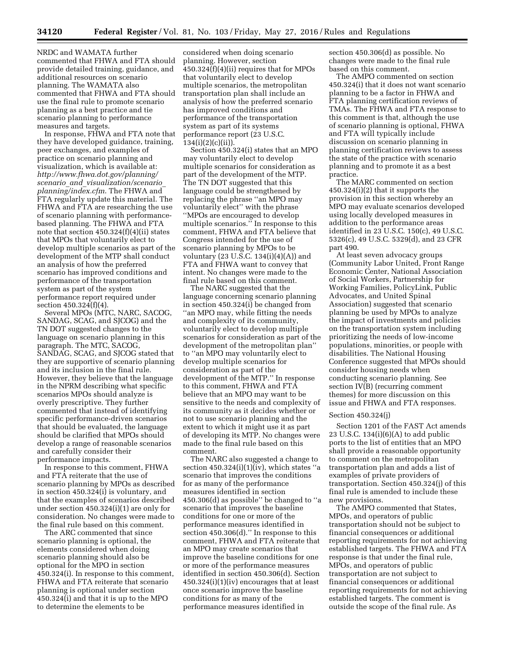NRDC and WAMATA further commented that FHWA and FTA should provide detailed training, guidance, and additional resources on scenario planning. The WAMATA also commented that FHWA and FTA should use the final rule to promote scenario planning as a best practice and tie scenario planning to performance measures and targets.

In response, FHWA and FTA note that they have developed guidance, training, peer exchanges, and examples of practice on scenario planning and visualization, which is available at: *[http://www.fhwa.dot.gov/planning/](http://www.fhwa.dot.gov/planning/scenario_and_visualization/scenario_planning/index.cfm) scenario*\_*and*\_*[visualization/scenario](http://www.fhwa.dot.gov/planning/scenario_and_visualization/scenario_planning/index.cfm)*\_ *[planning/index.cfm](http://www.fhwa.dot.gov/planning/scenario_and_visualization/scenario_planning/index.cfm)*. The FHWA and FTA regularly update this material. The FHWA and FTA are researching the use of scenario planning with performancebased planning. The FHWA and FTA note that section 450.324(f)(4)(ii) states that MPOs that voluntarily elect to develop multiple scenarios as part of the development of the MTP shall conduct an analysis of how the preferred scenario has improved conditions and performance of the transportation system as part of the system performance report required under section 450.324(f)(4).

Several MPOs (MTC, NARC, SACOG, SANDAG, SCAG, and SJCOG) and the TN DOT suggested changes to the language on scenario planning in this paragraph. The MTC, SACOG, SANDAG, SCAG, and SJCOG stated that they are supportive of scenario planning and its inclusion in the final rule. However, they believe that the language in the NPRM describing what specific scenarios MPOs should analyze is overly prescriptive. They further commented that instead of identifying specific performance-driven scenarios that should be evaluated, the language should be clarified that MPOs should develop a range of reasonable scenarios and carefully consider their performance impacts.

In response to this comment, FHWA and FTA reiterate that the use of scenario planning by MPOs as described in section 450.324(i) is voluntary, and that the examples of scenarios described under section 450.324(i)(1) are only for consideration. No changes were made to the final rule based on this comment.

The ARC commented that since scenario planning is optional, the elements considered when doing scenario planning should also be optional for the MPO in section 450.324(i). In response to this comment, FHWA and FTA reiterate that scenario planning is optional under section 450.324(i) and that it is up to the MPO to determine the elements to be

considered when doing scenario planning. However, section 450.324(f)(4)(ii) requires that for MPOs that voluntarily elect to develop multiple scenarios, the metropolitan transportation plan shall include an analysis of how the preferred scenario has improved conditions and performance of the transportation system as part of its systems performance report (23 U.S.C.  $134(i)(2)(c)(ii)$ 

Section 450.324(i) states that an MPO may voluntarily elect to develop multiple scenarios for consideration as part of the development of the MTP. The TN DOT suggested that this language could be strengthened by replacing the phrase ''an MPO may voluntarily elect'' with the phrase ''MPOs are encouraged to develop multiple scenarios.'' In response to this comment, FHWA and FTA believe that Congress intended for the use of scenario planning by MPOs to be voluntary (23 U.S.C. 134(i)(4)(A)) and FTA and FHWA want to convey that intent. No changes were made to the final rule based on this comment.

The NARC suggested that the language concerning scenario planning in section 450.324(i) be changed from ''an MPO may, while fitting the needs and complexity of its community, voluntarily elect to develop multiple scenarios for consideration as part of the development of the metropolitan plan'' to ''an MPO may voluntarily elect to develop multiple scenarios for consideration as part of the development of the MTP.'' In response to this comment, FHWA and FTA believe that an MPO may want to be sensitive to the needs and complexity of its community as it decides whether or not to use scenario planning and the extent to which it might use it as part of developing its MTP. No changes were made to the final rule based on this comment.

The NARC also suggested a change to section 450.324(i)(1)(iv), which states ''a scenario that improves the conditions for as many of the performance measures identified in section 450.306(d) as possible'' be changed to ''a scenario that improves the baseline conditions for one or more of the performance measures identified in section 450.306(d).'' In response to this comment, FHWA and FTA reiterate that an MPO may create scenarios that improve the baseline conditions for one or more of the performance measures identified in section 450.306(d). Section 450.324(i)(1)(iv) encourages that at least once scenario improve the baseline conditions for as many of the performance measures identified in

section 450.306(d) as possible. No changes were made to the final rule based on this comment.

The AMPO commented on section 450.324(i) that it does not want scenario planning to be a factor in FHWA and FTA planning certification reviews of TMAs. The FHWA and FTA response to this comment is that, although the use of scenario planning is optional, FHWA and FTA will typically include discussion on scenario planning in planning certification reviews to assess the state of the practice with scenario planning and to promote it as a best practice.

The MARC commented on section 450.324(i)(2) that it supports the provision in this section whereby an MPO may evaluate scenarios developed using locally developed measures in addition to the performance areas identified in 23 U.S.C. 150(c), 49 U.S.C. 5326(c), 49 U.S.C. 5329(d), and 23 CFR part 490.

At least seven advocacy groups (Community Labor United, Front Range Economic Center, National Association of Social Workers, Partnership for Working Families, PolicyLink, Public Advocates, and United Spinal Association) suggested that scenario planning be used by MPOs to analyze the impact of investments and policies on the transportation system including prioritizing the needs of low-income populations, minorities, or people with disabilities. The National Housing Conference suggested that MPOs should consider housing needs when conducting scenario planning. See section IV(B) (recurring comment themes) for more discussion on this issue and FHWA and FTA responses.

#### Section 450.324(j)

Section 1201 of the FAST Act amends 23 U.S.C.  $134(i)(6)(A)$  to add public ports to the list of entities that an MPO shall provide a reasonable opportunity to comment on the metropolitan transportation plan and adds a list of examples of private providers of transportation. Section 450.324(j) of this final rule is amended to include these new provisions.

The AMPO commented that States, MPOs, and operators of public transportation should not be subject to financial consequences or additional reporting requirements for not achieving established targets. The FHWA and FTA response is that under the final rule, MPOs, and operators of public transportation are not subject to financial consequences or additional reporting requirements for not achieving established targets. The comment is outside the scope of the final rule. As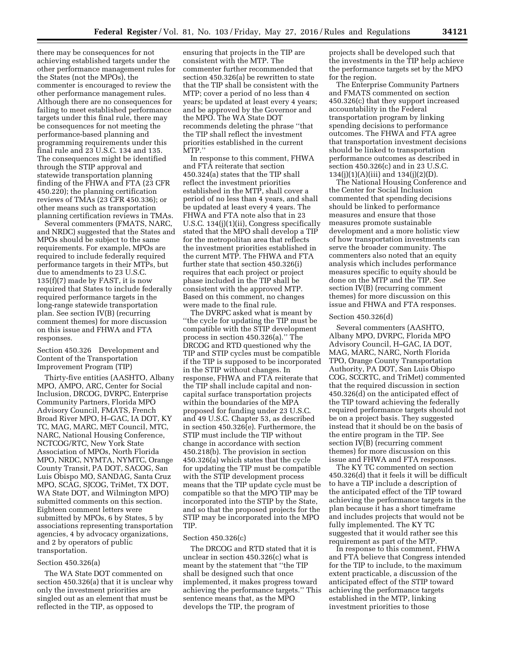there may be consequences for not achieving established targets under the other performance management rules for the States (not the MPOs), the commenter is encouraged to review the other performance management rules. Although there are no consequences for failing to meet established performance targets under this final rule, there may be consequences for not meeting the performance-based planning and programming requirements under this final rule and 23 U.S.C. 134 and 135. The consequences might be identified through the STIP approval and statewide transportation planning finding of the FHWA and FTA (23 CFR 450.220); the planning certification reviews of TMAs (23 CFR 450.336); or other means such as transportation planning certification reviews in TMAs.

Several commenters (FMATS, NARC, and NRDC) suggested that the States and MPOs should be subject to the same requirements. For example, MPOs are required to include federally required performance targets in their MTPs, but due to amendments to 23 U.S.C. 135(f)(7) made by FAST, it is now required that States to include federally required performance targets in the long-range statewide transportation plan. See section IV(B) (recurring comment themes) for more discussion on this issue and FHWA and FTA responses.

Section 450.326 Development and Content of the Transportation Improvement Program (TIP)

Thirty-five entities (AASHTO, Albany MPO, AMPO, ARC, Center for Social Inclusion, DRCOG, DVRPC, Enterprise Community Partners, Florida MPO Advisory Council, FMATS, French Broad River MPO, H–GAC, IA DOT, KY TC, MAG, MARC, MET Council, MTC, NARC, National Housing Conference, NCTCOG/RTC, New York State Association of MPOs, North Florida MPO, NRDC, NYMTA, NYMTC, Orange County Transit, PA DOT, SACOG, San Luis Obispo MO, SANDAG, Santa Cruz MPO, SCAG, SJCOG, TriMet, TX DOT, WA State DOT, and Wilmington MPO) submitted comments on this section. Eighteen comment letters were submitted by MPOs, 6 by States, 5 by associations representing transportation agencies, 4 by advocacy organizations, and 2 by operators of public transportation.

#### Section 450.326(a)

The WA State DOT commented on section 450.326(a) that it is unclear why only the investment priorities are singled out as an element that must be reflected in the TIP, as opposed to

ensuring that projects in the TIP are consistent with the MTP. The commenter further recommended that section 450.326(a) be rewritten to state that the TIP shall be consistent with the MTP; cover a period of no less than 4 years; be updated at least every 4 years; and be approved by the Governor and the MPO. The WA State DOT recommends deleting the phrase ''that the TIP shall reflect the investment priorities established in the current MTP.''

In response to this comment, FHWA and FTA reiterate that section 450.324(a) states that the TIP shall reflect the investment priorities established in the MTP, shall cover a period of no less than 4 years, and shall be updated at least every 4 years. The FHWA and FTA note also that in 23 U.S.C. 134(j)(1)(ii), Congress specifically stated that the MPO shall develop a TIP for the metropolitan area that reflects the investment priorities established in the current MTP. The FHWA and FTA further state that section 450.326(i) requires that each project or project phase included in the TIP shall be consistent with the approved MTP. Based on this comment, no changes were made to the final rule.

The DVRPC asked what is meant by ''the cycle for updating the TIP must be compatible with the STIP development process in section 450.326(a).'' The DRCOG and RTD questioned why the TIP and STIP cycles must be compatible if the TIP is supposed to be incorporated in the STIP without changes. In response, FHWA and FTA reiterate that the TIP shall include capital and noncapital surface transportation projects within the boundaries of the MPA proposed for funding under 23 U.S.C. and 49 U.S.C. Chapter 53, as described in section 450.326(e). Furthermore, the STIP must include the TIP without change in accordance with section 450.218(b). The provision in section 450.326(a) which states that the cycle for updating the TIP must be compatible with the STIP development process means that the TIP update cycle must be compatible so that the MPO TIP may be incorporated into the STIP by the State, and so that the proposed projects for the STIP may be incorporated into the MPO TIP.

### Section 450.326(c)

The DRCOG and RTD stated that it is unclear in section 450.326(c) what is meant by the statement that ''the TIP shall be designed such that once implemented, it makes progress toward achieving the performance targets.'' This sentence means that, as the MPO develops the TIP, the program of

projects shall be developed such that the investments in the TIP help achieve the performance targets set by the MPO for the region.

The Enterprise Community Partners and FMATS commented on section 450.326(c) that they support increased accountability in the Federal transportation program by linking spending decisions to performance outcomes. The FHWA and FTA agree that transportation investment decisions should be linked to transportation performance outcomes as described in section 450.326(c) and in 23 U.S.C. 134(j)(1)(A)(iii) and 134(j)(2)(D).

The National Housing Conference and the Center for Social Inclusion commented that spending decisions should be linked to performance measures and ensure that those measures promote sustainable development and a more holistic view of how transportation investments can serve the broader community. The commenters also noted that an equity analysis which includes performance measures specific to equity should be done on the MTP and the TIP. See section IV(B) (recurring comment themes) for more discussion on this issue and FHWA and FTA responses.

## Section 450.326(d)

Several commenters (AASHTO, Albany MPO, DVRPC, Florida MPO Advisory Council, H–GAC, IA DOT, MAG, MARC, NARC, North Florida TPO, Orange County Transportation Authority, PA DOT, San Luis Obispo COG, SCCRTC, and TriMet) commented that the required discussion in section 450.326(d) on the anticipated effect of the TIP toward achieving the federally required performance targets should not be on a project basis. They suggested instead that it should be on the basis of the entire program in the TIP. See section IV(B) (recurring comment themes) for more discussion on this issue and FHWA and FTA responses.

The KY TC commented on section 450.326(d) that it feels it will be difficult to have a TIP include a description of the anticipated effect of the TIP toward achieving the performance targets in the plan because it has a short timeframe and includes projects that would not be fully implemented. The KY TC suggested that it would rather see this requirement as part of the MTP.

In response to this comment, FHWA and FTA believe that Congress intended for the TIP to include, to the maximum extent practicable, a discussion of the anticipated effect of the STIP toward achieving the performance targets established in the MTP, linking investment priorities to those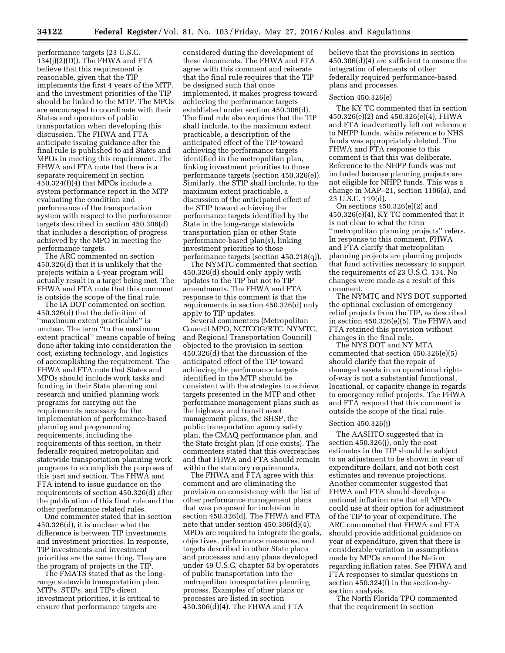performance targets (23 U.S.C.  $134(j)(2)(D)$ . The FHWA and FTA believe that this requirement is reasonable, given that the TIP implements the first 4 years of the MTP, and the investment priorities of the TIP should be linked to the MTP. The MPOs are encouraged to coordinate with their States and operators of public transportation when developing this discussion. The FHWA and FTA anticipate issuing guidance after the final rule is published to aid States and MPOs in meeting this requirement. The FHWA and FTA note that there is a separate requirement in section 450.324(f)(4) that MPOs include a system performance report in the MTP evaluating the condition and performance of the transportation system with respect to the performance targets described in section 450.306(d) that includes a description of progress achieved by the MPO in meeting the performance targets.

The ARC commented on section 450.326(d) that it is unlikely that the projects within a 4-year program will actually result in a target being met. The FHWA and FTA note that this comment is outside the scope of the final rule.

The IA DOT commented on section 450.326(d) that the definition of ''maximum extent practicable'' is unclear. The term ''to the maximum extent practical'' means capable of being done after taking into consideration the cost, existing technology, and logistics of accomplishing the requirement. The FHWA and FTA note that States and MPOs should include work tasks and funding in their State planning and research and unified planning work programs for carrying out the requirements necessary for the implementation of performance-based planning and programming requirements, including the requirements of this section, in their federally required metropolitan and statewide transportation planning work programs to accomplish the purposes of this part and section. The FHWA and FTA intend to issue guidance on the requirements of section 450.326(d) after the publication of this final rule and the other performance related rules.

One commenter stated that in section 450.326(d), it is unclear what the difference is between TIP investments and investment priorities. In response, TIP investments and investment priorities are the same thing. They are the program of projects in the TIP.

The FMATS stated that as the longrange statewide transportation plan, MTPs, STIPs, and TIPs direct investment priorities, it is critical to ensure that performance targets are

considered during the development of these documents. The FHWA and FTA agree with this comment and reiterate that the final rule requires that the TIP be designed such that once implemented, it makes progress toward achieving the performance targets established under section 450.306(d). The final rule also requires that the TIP shall include, to the maximum extent practicable, a description of the anticipated effect of the TIP toward achieving the performance targets identified in the metropolitan plan, linking investment priorities to those performance targets (section 450.326(e)). Similarly, the STIP shall include, to the maximum extent practicable, a discussion of the anticipated effect of the STIP toward achieving the performance targets identified by the State in the long-range statewide transportation plan or other State performance-based plan(s), linking investment priorities to those performance targets (section 450.218(q)).

The NYMTC commented that section 450.326(d) should only apply with updates to the TIP but not to TIP amendments. The FHWA and FTA response to this comment is that the requirements in section 450.326(d) only apply to TIP updates.

Several commenters (Metropolitan Council MPO, NCTCOG/RTC, NYMTC, and Regional Transportation Council) objected to the provision in section 450.326(d) that the discussion of the anticipated effect of the TIP toward achieving the performance targets identified in the MTP should be consistent with the strategies to achieve targets presented in the MTP and other performance management plans such as the highway and transit asset management plans, the SHSP, the public transportation agency safety plan, the CMAQ performance plan, and the State freight plan (if one exists). The commenters stated that this overreaches and that FHWA and FTA should remain within the statutory requirements.

The FHWA and FTA agree with this comment and are eliminating the provision on consistency with the list of other performance management plans that was proposed for inclusion in section 450.326(d). The FHWA and FTA note that under section 450.306(d)(4), MPOs are required to integrate the goals, objectives, performance measures, and targets described in other State plans and processes and any plans developed under 49 U.S.C. chapter 53 by operators of public transportation into the metropolitan transportation planning process. Examples of other plans or processes are listed in section 450.306(d)(4). The FHWA and FTA

believe that the provisions in section 450.306(d)(4) are sufficient to ensure the integration of elements of other federally required performance-based plans and processes.

### Section 450.326(e)

The KY TC commented that in section 450.326(e)(2) and 450.326(e)(4), FHWA and FTA inadvertently left out reference to NHPP funds, while reference to NHS funds was appropriately deleted. The FHWA and FTA response to this comment is that this was deliberate. Reference to the NHPP funds was not included because planning projects are not eligible for NHPP funds. This was a change in MAP–21, section 1106(a), and 23 U.S.C. 119(d).

On sections 450.326(e)(2) and 450.326(e)(4), KY TC commented that it is not clear to what the term ''metropolitan planning projects'' refers. In response to this comment, FHWA and FTA clarify that metropolitan planning projects are planning projects that fund activities necessary to support the requirements of 23 U.S.C. 134. No changes were made as a result of this comment.

The NYMTC and NYS DOT supported the optional exclusion of emergency relief projects from the TIP, as described in section 450.326(e)(5). The FHWA and FTA retained this provision without changes in the final rule.

The NYS DOT and NY MTA commented that section 450.326(e)(5) should clarify that the repair of damaged assets in an operational rightof-way is not a substantial functional, locational, or capacity change in regards to emergency relief projects. The FHWA and FTA respond that this comment is outside the scope of the final rule.

#### Section 450.326(j)

The AASHTO suggested that in section 450.326(j), only the cost estimates in the TIP should be subject to an adjustment to be shown in year of expenditure dollars, and not both cost estimates and revenue projections. Another commenter suggested that FHWA and FTA should develop a national inflation rate that all MPOs could use at their option for adjustment of the TIP to year of expenditure. The ARC commented that FHWA and FTA should provide additional guidance on year of expenditure, given that there is considerable variation in assumptions made by MPOs around the Nation regarding inflation rates. See FHWA and FTA responses to similar questions in section 450.324(f) in the section-bysection analysis.

The North Florida TPO commented that the requirement in section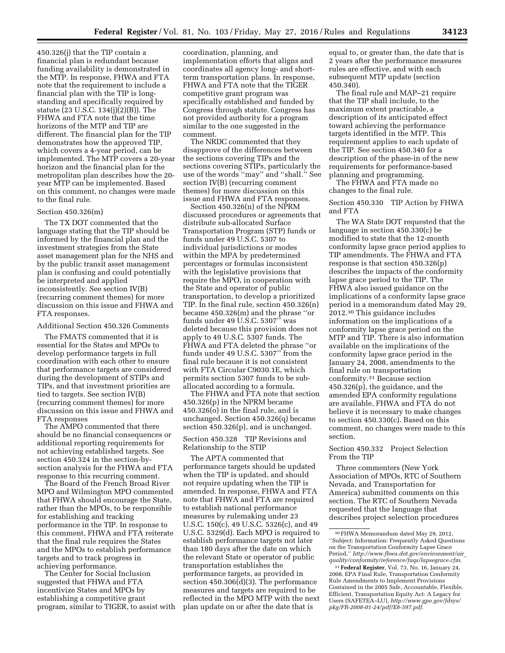450.326(j) that the TIP contain a financial plan is redundant because funding availability is demonstrated in the MTP. In response, FHWA and FTA note that the requirement to include a financial plan with the TIP is longstanding and specifically required by statute (23 U.S.C. 134(j)(2)(B)). The FHWA and FTA note that the time horizons of the MTP and TIP are different. The financial plan for the TIP demonstrates how the approved TIP, which covers a 4-year period, can be implemented. The MTP covers a 20-year horizon and the financial plan for the metropolitan plan describes how the 20 year MTP can be implemented. Based on this comment, no changes were made to the final rule.

### Section 450.326(m)

The TX DOT commented that the language stating that the TIP should be informed by the financial plan and the investment strategies from the State asset management plan for the NHS and by the public transit asset management plan is confusing and could potentially be interpreted and applied inconsistently. See section IV(B) (recurring comment themes) for more discussion on this issue and FHWA and FTA responses.

#### Additional Section 450.326 Comments

The FMATS commented that it is essential for the States and MPOs to develop performance targets in full coordination with each other to ensure that performance targets are considered during the development of STIPs and TIPs, and that investment priorities are tied to targets. See section IV(B) (recurring comment themes) for more discussion on this issue and FHWA and FTA responses

The AMPO commented that there should be no financial consequences or additional reporting requirements for not achieving established targets. See section 450.324 in the section-bysection analysis for the FHWA and FTA response to this recurring comment.

The Board of the French Broad River MPO and Wilmington MPO commented that FHWA should encourage the State, rather than the MPOs, to be responsible for establishing and tracking performance in the TIP. In response to this comment, FHWA and FTA reiterate that the final rule requires the States and the MPOs to establish performance targets and to track progress in achieving performance.

The Center for Social Inclusion suggested that FHWA and FTA incentivize States and MPOs by establishing a competitive grant program, similar to TIGER, to assist with coordination, planning, and implementation efforts that aligns and coordinates all agency long- and shortterm transportation plans. In response, FHWA and FTA note that the TIGER competitive grant program was specifically established and funded by Congress through statute. Congress has not provided authority for a program similar to the one suggested in the comment.

The NRDC commented that they disapprove of the differences between the sections covering TIPs and the sections covering STIPs, particularly the use of the words ''may'' and ''shall.'' See section IV(B) (recurring comment themes) for more discussion on this issue and FHWA and FTA responses.

Section 450.326(n) of the NPRM discussed procedures or agreements that distribute sub-allocated Surface Transportation Program (STP) funds or funds under 49 U.S.C. 5307 to individual jurisdictions or modes within the MPA by predetermined percentages or formulas inconsistent with the legislative provisions that require the MPO, in cooperation with the State and operator of public transportation, to develop a prioritized TIP. In the final rule, section 450.326(n) became 450.326(m) and the phrase ''or funds under 49 U.S.C. 5307'' was deleted because this provision does not apply to 49 U.S.C. 5307 funds. The FHWA and FTA deleted the phrase ''or funds under 49 U.S.C. 5307'' from the final rule because it is not consistent with FTA Circular C9030.1E, which permits section 5307 funds to be suballocated according to a formula.

The FHWA and FTA note that section 450.326(p) in the NPRM became 450.326(o) in the final rule, and is unchanged. Section 450.326(q) became section 450.326(p), and is unchanged.

## Section 450.328 TIP Revisions and Relationship to the STIP

The APTA commented that performance targets should be updated when the TIP is updated, and should not require updating when the TIP is amended. In response, FHWA and FTA note that FHWA and FTA are required to establish national performance measures by rulemaking under 23 U.S.C. 150(c), 49 U.S.C. 5326(c), and 49 U.S.C. 5329(d). Each MPO is required to establish performance targets not later than 180 days after the date on which the relevant State or operator of public transportation establishes the performance targets, as provided in section 450.306(d)(3). The performance measures and targets are required to be reflected in the MPO MTP with the next plan update on or after the date that is

equal to, or greater than, the date that is 2 years after the performance measures rules are effective, and with each subsequent MTP update (section 450.340).

The final rule and MAP–21 require that the TIP shall include, to the maximum extent practicable, a description of its anticipated effect toward achieving the performance targets identified in the MTP. This requirement applies to each update of the TIP. See section 450.340 for a description of the phase-in of the new requirements for performance-based planning and programming.

The FHWA and FTA made no changes to the final rule.

Section 450.330 TIP Action by FHWA and FTA

The WA State DOT requested that the language in section 450.330(c) be modified to state that the 12-month conformity lapse grace period applies to TIP amendments. The FHWA and FTA response is that section 450.326(p) describes the impacts of the conformity lapse grace period to the TIP. The FHWA also issued guidance on the implications of a conformity lapse grace period in a memorandum dated May 29, 2012.30 This guidance includes information on the implications of a conformity lapse grace period on the MTP and TIP. There is also information available on the implications of the conformity lapse grace period in the January 24, 2008, amendments to the final rule on transportation conformity.31 Because section 450.326(p), the guidance, and the amended EPA conformity regulations are available, FHWA and FTA do not believe it is necessary to make changes to section 450.330(c). Based on this comment, no changes were made to this section.

## Section 450.332 Project Selection From the TIP

Three commenters (New York Association of MPOs, RTC of Southern Nevada, and Transportation for America) submitted comments on this section. The RTC of Southern Nevada requested that the language that describes project selection procedures

<sup>30</sup>FHWA Memorandum dated May 29, 2012, ''Subject: Information: Frequently Asked Questions on the Transportation Conformity Lapse Grace Period,'' *[http://www.fhwa.dot.gov/environment/air](http://www.fhwa.dot.gov/environment/air_quality/conformity/reference/faqs/lapsegrace.cfm)*\_ *[quality/conformity/reference/faqs/lapsegrace.cfm](http://www.fhwa.dot.gov/environment/air_quality/conformity/reference/faqs/lapsegrace.cfm)*.

<sup>31</sup>**Federal Register**, Vol. 73, No. 16, January 24, 2008, EPA Final Rule, Transportation Conformity Rule Amendments to Implement Provisions Contained in the 2005 Safe, Accountable, Flexible, Efficient, Transportation Equity Act: A Legacy for Users (SAFETEA–LU), *[http://www.gpo.gov/fdsys/](http://www.gpo.gov/fdsys/pkg/FR-2008-01-24/pdf/E8-597.pdf) [pkg/FR-2008-01-24/pdf/E8-597.pdf](http://www.gpo.gov/fdsys/pkg/FR-2008-01-24/pdf/E8-597.pdf)*.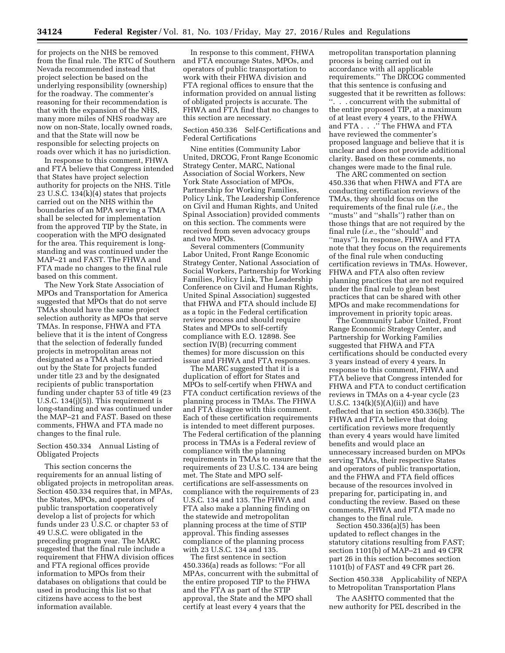for projects on the NHS be removed from the final rule. The RTC of Southern Nevada recommended instead that project selection be based on the underlying responsibility (ownership) for the roadway. The commenter's reasoning for their recommendation is that with the expansion of the NHS, many more miles of NHS roadway are now on non-State, locally owned roads, and that the State will now be responsible for selecting projects on roads over which it has no jurisdiction.

In response to this comment, FHWA and FTA believe that Congress intended that States have project selection authority for projects on the NHS. Title 23 U.S.C. 134(k)(4) states that projects carried out on the NHS within the boundaries of an MPA serving a TMA shall be selected for implementation from the approved TIP by the State, in cooperation with the MPO designated for the area. This requirement is longstanding and was continued under the MAP–21 and FAST. The FHWA and FTA made no changes to the final rule based on this comment.

The New York State Association of MPOs and Transportation for America suggested that MPOs that do not serve TMAs should have the same project selection authority as MPOs that serve TMAs. In response, FHWA and FTA believe that it is the intent of Congress that the selection of federally funded projects in metropolitan areas not designated as a TMA shall be carried out by the State for projects funded under title 23 and by the designated recipients of public transportation funding under chapter 53 of title 49 (23 U.S.C. 134(j)(5)). This requirement is long-standing and was continued under the MAP–21 and FAST. Based on these comments, FHWA and FTA made no changes to the final rule.

## Section 450.334 Annual Listing of Obligated Projects

This section concerns the requirements for an annual listing of obligated projects in metropolitan areas. Section 450.334 requires that, in MPAs, the States, MPOs, and operators of public transportation cooperatively develop a list of projects for which funds under 23 U.S.C. or chapter 53 of 49 U.S.C. were obligated in the preceding program year. The MARC suggested that the final rule include a requirement that FHWA division offices and FTA regional offices provide information to MPOs from their databases on obligations that could be used in producing this list so that citizens have access to the best information available.

In response to this comment, FHWA and FTA encourage States, MPOs, and operators of public transportation to work with their FHWA division and FTA regional offices to ensure that the information provided on annual listing of obligated projects is accurate. The FHWA and FTA find that no changes to this section are necessary.

## Section 450.336 Self-Certifications and Federal Certifications

Nine entities (Community Labor United, DRCOG, Front Range Economic Strategy Center, MARC, National Association of Social Workers, New York State Association of MPOs, Partnership for Working Families, Policy Link, The Leadership Conference on Civil and Human Rights, and United Spinal Association) provided comments on this section. The comments were received from seven advocacy groups and two MPOs.

Several commenters (Community Labor United, Front Range Economic Strategy Center, National Association of Social Workers, Partnership for Working Families, Policy Link, The Leadership Conference on Civil and Human Rights, United Spinal Association) suggested that FHWA and FTA should include EJ as a topic in the Federal certification review process and should require States and MPOs to self-certify compliance with E.O. 12898. See section IV(B) (recurring comment themes) for more discussion on this issue and FHWA and FTA responses.

The MARC suggested that it is a duplication of effort for States and MPOs to self-certify when FHWA and FTA conduct certification reviews of the planning process in TMAs. The FHWA and FTA disagree with this comment. Each of these certification requirements is intended to meet different purposes. The Federal certification of the planning process in TMAs is a Federal review of compliance with the planning requirements in TMAs to ensure that the requirements of 23 U.S.C. 134 are being met. The State and MPO selfcertifications are self-assessments on compliance with the requirements of 23 U.S.C. 134 and 135. The FHWA and FTA also make a planning finding on the statewide and metropolitan planning process at the time of STIP approval. This finding assesses compliance of the planning process with 23 U.S.C. 134 and 135.

The first sentence in section 450.336(a) reads as follows: ''For all MPAs, concurrent with the submittal of the entire proposed TIP to the FHWA and the FTA as part of the STIP approval, the State and the MPO shall certify at least every 4 years that the

metropolitan transportation planning process is being carried out in accordance with all applicable requirements.'' The DRCOG commented that this sentence is confusing and suggested that it be rewritten as follows: ''. . . concurrent with the submittal of the entire proposed TIP, at a maximum of at least every 4 years, to the FHWA and FTA . . .'' The FHWA and FTA have reviewed the commenter's proposed language and believe that it is unclear and does not provide additional clarity. Based on these comments, no changes were made to the final rule.

The ARC commented on section 450.336 that when FHWA and FTA are conducting certification reviews of the TMAs, they should focus on the requirements of the final rule (*i.e.,* the ''musts'' and ''shalls'') rather than on those things that are not required by the final rule (*i.e.,* the ''should'' and ''mays''). In response, FHWA and FTA note that they focus on the requirements of the final rule when conducting certification reviews in TMAs. However, FHWA and FTA also often review planning practices that are not required under the final rule to glean best practices that can be shared with other MPOs and make recommendations for improvement in priority topic areas.

The Community Labor United, Front Range Economic Strategy Center, and Partnership for Working Families suggested that FHWA and FTA certifications should be conducted every 3 years instead of every 4 years. In response to this comment, FHWA and FTA believe that Congress intended for FHWA and FTA to conduct certification reviews in TMAs on a 4-year cycle (23 U.S.C.  $134(k)(5)(A)(ii)$  and have reflected that in section 450.336(b). The FHWA and FTA believe that doing certification reviews more frequently than every 4 years would have limited benefits and would place an unnecessary increased burden on MPOs serving TMAs, their respective States and operators of public transportation, and the FHWA and FTA field offices because of the resources involved in preparing for, participating in, and conducting the review. Based on these comments, FHWA and FTA made no changes to the final rule.

Section 450.336(a)(5) has been updated to reflect changes in the statutory citations resulting from FAST; section 1101(b) of MAP–21 and 49 CFR part 26 in this section becomes section 1101(b) of FAST and 49 CFR part 26.

Section 450.338 Applicability of NEPA to Metropolitan Transportation Plans

The AASHTO commented that the new authority for PEL described in the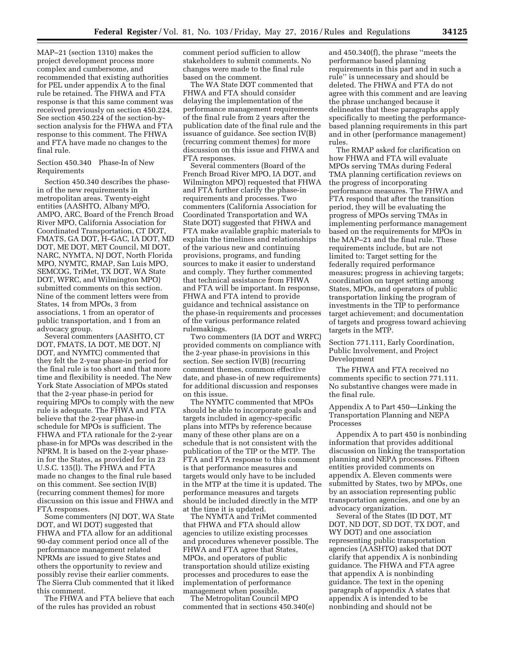MAP–21 (section 1310) makes the project development process more complex and cumbersome, and recommended that existing authorities for PEL under appendix A to the final rule be retained. The FHWA and FTA response is that this same comment was received previously on section 450.224. See section 450.224 of the section-bysection analysis for the FHWA and FTA response to this comment. The FHWA and FTA have made no changes to the final rule.

## Section 450.340 Phase-In of New Requirements

Section 450.340 describes the phasein of the new requirements in metropolitan areas. Twenty-eight entities (AASHTO, Albany MPO, AMPO, ARC, Board of the French Broad River MPO, California Association for Coordinated Transportation, CT DOT, FMATS, GA DOT, H–GAC, IA DOT, MD DOT, ME DOT, MET Council, MI DOT, NARC, NYMTA, NJ DOT, North Florida MPO, NYMTC, RMAP, San Luis MPO, SEMCOG, TriMet, TX DOT, WA State DOT, WFRC, and Wilmington MPO) submitted comments on this section. Nine of the comment letters were from States, 14 from MPOs, 3 from associations, 1 from an operator of public transportation, and 1 from an advocacy group.

Several commenters (AASHTO, CT DOT, FMATS, IA DOT, ME DOT, NJ DOT, and NYMTC) commented that they felt the 2-year phase-in period for the final rule is too short and that more time and flexibility is needed. The New York State Association of MPOs stated that the 2-year phase-in period for requiring MPOs to comply with the new rule is adequate. The FHWA and FTA believe that the 2-year phase-in schedule for MPOs is sufficient. The FHWA and FTA rationale for the 2-year phase-in for MPOs was described in the NPRM. It is based on the 2-year phasein for the States, as provided for in 23 U.S.C. 135(l). The FHWA and FTA made no changes to the final rule based on this comment. See section IV(B) (recurring comment themes) for more discussion on this issue and FHWA and FTA responses.

Some commenters (NJ DOT, WA State DOT, and WI DOT) suggested that FHWA and FTA allow for an additional 90-day comment period once all of the performance management related NPRMs are issued to give States and others the opportunity to review and possibly revise their earlier comments. The Sierra Club commented that it liked this comment.

The FHWA and FTA believe that each of the rules has provided an robust

comment period sufficien to allow stakeholders to submit comments. No changes were made to the final rule based on the comment.

The WA State DOT commented that FHWA and FTA should consider delaying the implementation of the performance management requirements of the final rule from 2 years after the publication date of the final rule and the issuance of guidance. See section IV(B) (recurring comment themes) for more discussion on this issue and FHWA and FTA responses.

Several commenters (Board of the French Broad River MPO, IA DOT, and Wilmington MPO) requested that FHWA and FTA further clarify the phase-in requirements and processes. Two commenters (California Association for Coordinated Transportation and WA State DOT) suggested that FHWA and FTA make available graphic materials to explain the timelines and relationships of the various new and continuing provisions, programs, and funding sources to make it easier to understand and comply. They further commented that technical assistance from FHWA and FTA will be important. In response, FHWA and FTA intend to provide guidance and technical assistance on the phase-in requirements and processes of the various performance related rulemakings.

Two commenters (IA DOT and WRFC) provided comments on compliance with the 2-year phase-in provisions in this section. See section IV(B) (recurring comment themes, common effective date, and phase-in of new requirements) for additional discussion and responses on this issue.

The NYMTC commented that MPOs should be able to incorporate goals and targets included in agency-specific plans into MTPs by reference because many of these other plans are on a schedule that is not consistent with the publication of the TIP or the MTP. The FTA and FTA response to this comment is that performance measures and targets would only have to be included in the MTP at the time it is updated. The performance measures and targets should be included directly in the MTP at the time it is updated.

The NYMTA and TriMet commented that FHWA and FTA should allow agencies to utilize existing processes and procedures whenever possible. The FHWA and FTA agree that States, MPOs, and operators of public transportation should utilize existing processes and procedures to ease the implementation of performance management when possible.

The Metropolitan Council MPO commented that in sections 450.340(e) and 450.340(f), the phrase ''meets the performance based planning requirements in this part and in such a rule'' is unnecessary and should be deleted. The FHWA and FTA do not agree with this comment and are leaving the phrase unchanged because it delineates that these paragraphs apply specifically to meeting the performancebased planning requirements in this part and in other (performance management) rules.

The RMAP asked for clarification on how FHWA and FTA will evaluate MPOs serving TMAs during Federal TMA planning certification reviews on the progress of incorporating performance measures. The FHWA and FTA respond that after the transition period, they will be evaluating the progress of MPOs serving TMAs in implementing performance management based on the requirements for MPOs in the MAP–21 and the final rule. These requirements include, but are not limited to: Target setting for the federally required performance measures; progress in achieving targets; coordination on target setting among States, MPOs, and operators of public transportation linking the program of investments in the TIP to performance target achievement; and documentation of targets and progress toward achieving targets in the MTP.

Section 771.111, Early Coordination, Public Involvement, and Project Development

The FHWA and FTA received no comments specific to section 771.111. No substantive changes were made in the final rule.

Appendix A to Part 450—Linking the Transportation Planning and NEPA Processes

Appendix A to part 450 is nonbinding information that provides additional discussion on linking the transportation planning and NEPA processes. Fifteen entities provided comments on appendix A. Eleven comments were submitted by States, two by MPOs, one by an association representing public transportation agencies, and one by an advocacy organization.

Several of the States (ID DOT, MT DOT, ND DOT, SD DOT, TX DOT, and WY DOT) and one association representing public transportation agencies (AASHTO) asked that DOT clarify that appendix A is nonbinding guidance. The FHWA and FTA agree that appendix A is nonbinding guidance. The text in the opening paragraph of appendix A states that appendix A is intended to be nonbinding and should not be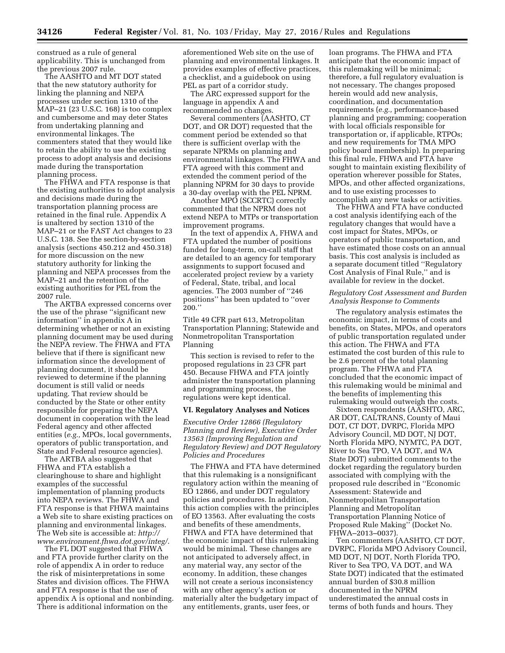construed as a rule of general applicability. This is unchanged from the previous 2007 rule.

The AASHTO and MT DOT stated that the new statutory authority for linking the planning and NEPA processes under section 1310 of the MAP–21 (23 U.S.C. 168) is too complex and cumbersome and may deter States from undertaking planning and environmental linkages. The commenters stated that they would like to retain the ability to use the existing process to adopt analysis and decisions made during the transportation planning process.

The FHWA and FTA response is that the existing authorities to adopt analysis and decisions made during the transportation planning process are retained in the final rule. Appendix A is unaltered by section 1310 of the MAP–21 or the FAST Act changes to 23 U.S.C. 138. See the section-by-section analysis (sections 450.212 and 450.318) for more discussion on the new statutory authority for linking the planning and NEPA processes from the MAP–21 and the retention of the existing authorities for PEL from the 2007 rule.

The ARTBA expressed concerns over the use of the phrase ''significant new information'' in appendix A in determining whether or not an existing planning document may be used during the NEPA review. The FHWA and FTA believe that if there is significant new information since the development of planning document, it should be reviewed to determine if the planning document is still valid or needs updating. That review should be conducted by the State or other entity responsible for preparing the NEPA document in cooperation with the lead Federal agency and other affected entities (*e.g.,* MPOs, local governments, operators of public transportation, and State and Federal resource agencies).

The ARTBA also suggested that FHWA and FTA establish a clearinghouse to share and highlight examples of the successful implementation of planning products into NEPA reviews. The FHWA and FTA response is that FHWA maintains a Web site to share existing practices on planning and environmental linkages. The Web site is accessible at: *[http://](http://www.environment.fhwa.dot.gov/integ/) [www.environment.fhwa.dot.gov/integ/](http://www.environment.fhwa.dot.gov/integ/)*.

The FL DOT suggested that FHWA and FTA provide further clarity on the role of appendix A in order to reduce the risk of misinterpretations in some States and division offices. The FHWA and FTA response is that the use of appendix A is optional and nonbinding. There is additional information on the

aforementioned Web site on the use of planning and environmental linkages. It provides examples of effective practices, a checklist, and a guidebook on using PEL as part of a corridor study.

The ARC expressed support for the language in appendix A and recommended no changes.

Several commenters (AASHTO, CT DOT, and OR DOT) requested that the comment period be extended so that there is sufficient overlap with the separate NPRMs on planning and environmental linkages. The FHWA and FTA agreed with this comment and extended the comment period of the planning NPRM for 30 days to provide a 30-day overlap with the PEL NPRM.

Another MPO (SCCRTC) correctly commented that the NPRM does not extend NEPA to MTPs or transportation improvement programs.

In the text of appendix A, FHWA and FTA updated the number of positions funded for long-term, on-call staff that are detailed to an agency for temporary assignments to support focused and accelerated project review by a variety of Federal, State, tribal, and local agencies. The 2003 number of ''246 positions'' has been updated to ''over 200.''

Title 49 CFR part 613, Metropolitan Transportation Planning; Statewide and Nonmetropolitan Transportation Planning

This section is revised to refer to the proposed regulations in 23 CFR part 450. Because FHWA and FTA jointly administer the transportation planning and programming process, the regulations were kept identical.

#### **VI. Regulatory Analyses and Notices**

*Executive Order 12866 (Regulatory Planning and Review), Executive Order 13563 (Improving Regulation and Regulatory Review) and DOT Regulatory Policies and Procedures* 

The FHWA and FTA have determined that this rulemaking is a nonsignificant regulatory action within the meaning of EO 12866, and under DOT regulatory policies and procedures. In addition, this action complies with the principles of EO 13563. After evaluating the costs and benefits of these amendments, FHWA and FTA have determined that the economic impact of this rulemaking would be minimal. These changes are not anticipated to adversely affect, in any material way, any sector of the economy. In addition, these changes will not create a serious inconsistency with any other agency's action or materially alter the budgetary impact of any entitlements, grants, user fees, or

loan programs. The FHWA and FTA anticipate that the economic impact of this rulemaking will be minimal; therefore, a full regulatory evaluation is not necessary. The changes proposed herein would add new analysis, coordination, and documentation requirements (*e.g.,* performance-based planning and programming; cooperation with local officials responsible for transportation or, if applicable, RTPOs; and new requirements for TMA MPO policy board membership). In preparing this final rule, FHWA and FTA have sought to maintain existing flexibility of operation wherever possible for States, MPOs, and other affected organizations, and to use existing processes to accomplish any new tasks or activities.

The FHWA and FTA have conducted a cost analysis identifying each of the regulatory changes that would have a cost impact for States, MPOs, or operators of public transportation, and have estimated those costs on an annual basis. This cost analysis is included as a separate document titled ''Regulatory Cost Analysis of Final Rule,'' and is available for review in the docket.

## *Regulatory Cost Assessment and Burden Analysis Response to Comments*

The regulatory analysis estimates the economic impact, in terms of costs and benefits, on States, MPOs, and operators of public transportation regulated under this action. The FHWA and FTA estimated the cost burden of this rule to be 2.6 percent of the total planning program. The FHWA and FTA concluded that the economic impact of this rulemaking would be minimal and the benefits of implementing this rulemaking would outweigh the costs.

Sixteen respondents (AASHTO, ARC, AR DOT, CALTRANS, County of Maui DOT, CT DOT, DVRPC, Florida MPO Advisory Council, MD DOT, NJ DOT, North Florida MPO, NYMTC, PA DOT, River to Sea TPO, VA DOT, and WA State DOT) submitted comments to the docket regarding the regulatory burden associated with complying with the proposed rule described in ''Economic Assessment: Statewide and Nonmetropolitan Transportation Planning and Metropolitan Transportation Planning Notice of Proposed Rule Making'' (Docket No. FHWA–2013–0037).

Ten commenters (AASHTO, CT DOT, DVRPC, Florida MPO Advisory Council, MD DOT, NJ DOT, North Florida TPO, River to Sea TPO, VA DOT, and WA State DOT) indicated that the estimated annual burden of \$30.8 million documented in the NPRM underestimated the annual costs in terms of both funds and hours. They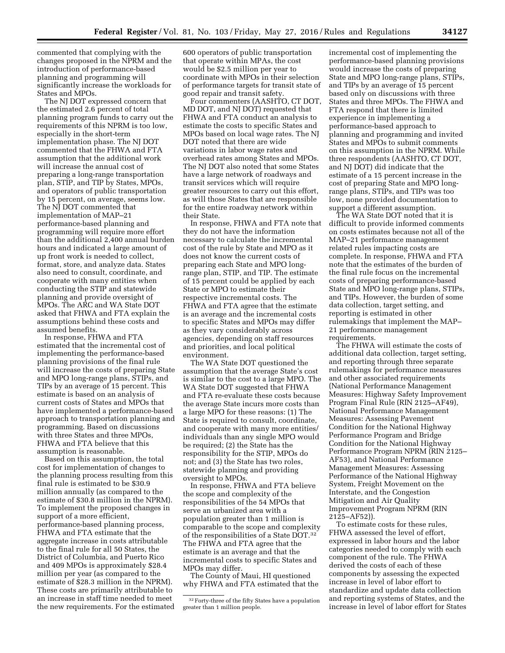commented that complying with the changes proposed in the NPRM and the introduction of performance-based planning and programming will significantly increase the workloads for States and MPOs.

The NJ DOT expressed concern that the estimated 2.6 percent of total planning program funds to carry out the requirements of this NPRM is too low, especially in the short-term implementation phase. The NJ DOT commented that the FHWA and FTA assumption that the additional work will increase the annual cost of preparing a long-range transportation plan, STIP, and TIP by States, MPOs, and operators of public transportation by 15 percent, on average, seems low. The NJ DOT commented that implementation of MAP–21 performance-based planning and programming will require more effort than the additional 2,400 annual burden hours and indicated a large amount of up front work is needed to collect, format, store, and analyze data. States also need to consult, coordinate, and cooperate with many entities when conducting the STIP and statewide planning and provide oversight of MPOs. The ARC and WA State DOT asked that FHWA and FTA explain the assumptions behind these costs and assumed benefits.

In response, FHWA and FTA estimated that the incremental cost of implementing the performance-based planning provisions of the final rule will increase the costs of preparing State and MPO long-range plans, STIPs, and TIPs by an average of 15 percent. This estimate is based on an analysis of current costs of States and MPOs that have implemented a performance-based approach to transportation planning and programming. Based on discussions with three States and three MPOs, FHWA and FTA believe that this assumption is reasonable.

Based on this assumption, the total cost for implementation of changes to the planning process resulting from this final rule is estimated to be \$30.9 million annually (as compared to the estimate of \$30.8 million in the NPRM). To implement the proposed changes in support of a more efficient, performance-based planning process, FHWA and FTA estimate that the aggregate increase in costs attributable to the final rule for all 50 States, the District of Columbia, and Puerto Rico and 409 MPOs is approximately \$28.4 million per year (as compared to the estimate of \$28.3 million in the NPRM). These costs are primarily attributable to an increase in staff time needed to meet the new requirements. For the estimated

600 operators of public transportation that operate within MPAs, the cost would be \$2.5 million per year to coordinate with MPOs in their selection of performance targets for transit state of good repair and transit safety.

Four commenters (AASHTO, CT DOT, MD DOT, and NJ DOT) requested that FHWA and FTA conduct an analysis to estimate the costs to specific States and MPOs based on local wage rates. The NJ DOT noted that there are wide variations in labor wage rates and overhead rates among States and MPOs. The NJ DOT also noted that some States have a large network of roadways and transit services which will require greater resources to carry out this effort, as will those States that are responsible for the entire roadway network within their State.

In response, FHWA and FTA note that they do not have the information necessary to calculate the incremental cost of the rule by State and MPO as it does not know the current costs of preparing each State and MPO longrange plan, STIP, and TIP. The estimate of 15 percent could be applied by each State or MPO to estimate their respective incremental costs. The FHWA and FTA agree that the estimate is an average and the incremental costs to specific States and MPOs may differ as they vary considerably across agencies, depending on staff resources and priorities, and local political environment.

The WA State DOT questioned the assumption that the average State's cost is similar to the cost to a large MPO. The WA State DOT suggested that FHWA and FTA re-evaluate these costs because the average State incurs more costs than a large MPO for these reasons: (1) The State is required to consult, coordinate, and cooperate with many more entities/ individuals than any single MPO would be required; (2) the State has the responsibility for the STIP, MPOs do not; and (3) the State has two roles, statewide planning and providing oversight to MPOs.

In response, FHWA and FTA believe the scope and complexity of the responsibilities of the 54 MPOs that serve an urbanized area with a population greater than 1 million is comparable to the scope and complexity of the responsibilities of a State DOT.32 The FHWA and FTA agree that the estimate is an average and that the incremental costs to specific States and MPOs may differ.

The County of Maui, HI questioned why FHWA and FTA estimated that the incremental cost of implementing the performance-based planning provisions would increase the costs of preparing State and MPO long-range plans, STIPs, and TIPs by an average of 15 percent based only on discussions with three States and three MPOs. The FHWA and FTA respond that there is limited experience in implementing a performance-based approach to planning and programming and invited States and MPOs to submit comments on this assumption in the NPRM. While three respondents (AASHTO, CT DOT, and NJ DOT) did indicate that the estimate of a 15 percent increase in the cost of preparing State and MPO longrange plans, STIPs, and TIPs was too low, none provided documentation to support a different assumption.

The WA State DOT noted that it is difficult to provide informed comments on costs estimates because not all of the MAP–21 performance management related rules impacting costs are complete. In response, FHWA and FTA note that the estimates of the burden of the final rule focus on the incremental costs of preparing performance-based State and MPO long-range plans, STIPs, and TIPs. However, the burden of some data collection, target setting, and reporting is estimated in other rulemakings that implement the MAP– 21 performance management requirements.

The FHWA will estimate the costs of additional data collection, target setting, and reporting through three separate rulemakings for performance measures and other associated requirements (National Performance Management Measures: Highway Safety Improvement Program Final Rule (RIN 2125–AF49), National Performance Management Measures: Assessing Pavement Condition for the National Highway Performance Program and Bridge Condition for the National Highway Performance Program NPRM (RIN 2125– AF53), and National Performance Management Measures: Assessing Performance of the National Highway System, Freight Movement on the Interstate, and the Congestion Mitigation and Air Quality Improvement Program NPRM (RIN 2125–AF52)).

To estimate costs for these rules, FHWA assessed the level of effort, expressed in labor hours and the labor categories needed to comply with each component of the rule. The FHWA derived the costs of each of these components by assessing the expected increase in level of labor effort to standardize and update data collection and reporting systems of States, and the increase in level of labor effort for States

<sup>32</sup>Forty-three of the fifty States have a population greater than 1 million people.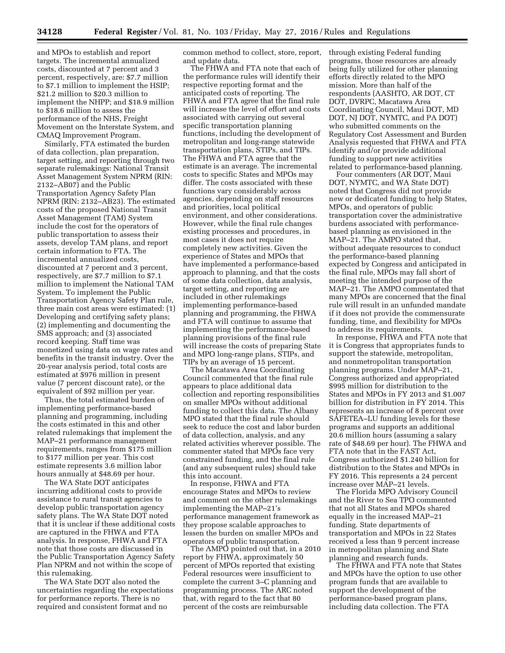and MPOs to establish and report targets. The incremental annualized costs, discounted at 7 percent and 3 percent, respectively, are: \$7.7 million to \$7.1 million to implement the HSIP; \$21.2 million to \$20.3 million to implement the NHPP; and \$18.9 million to \$18.6 million to assess the performance of the NHS, Freight Movement on the Interstate System, and CMAQ Improvement Program.

Similarly, FTA estimated the burden of data collection, plan preparation, target setting, and reporting through two separate rulemakings: National Transit Asset Management System NPRM (RIN: 2132–AB07) and the Public Transportation Agency Safety Plan NPRM (RIN: 2132–AB23). The estimated costs of the proposed National Transit Asset Management (TAM) System include the cost for the operators of public transportation to assess their assets, develop TAM plans, and report certain information to FTA. The incremental annualized costs, discounted at 7 percent and 3 percent, respectively, are \$7.7 million to \$7.1 million to implement the National TAM System. To implement the Public Transportation Agency Safety Plan rule, three main cost areas were estimated: (1) Developing and certifying safety plans; (2) implementing and documenting the SMS approach; and (3) associated record keeping. Staff time was monetized using data on wage rates and benefits in the transit industry. Over the 20-year analysis period, total costs are estimated at \$976 million in present value (7 percent discount rate), or the equivalent of \$92 million per year.

Thus, the total estimated burden of implementing performance-based planning and programming, including the costs estimated in this and other related rulemakings that implement the MAP–21 performance management requirements, ranges from \$175 million to \$177 million per year. This cost estimate represents 3.6 million labor hours annually at \$48.69 per hour.

The WA State DOT anticipates incurring additional costs to provide assistance to rural transit agencies to develop public transportation agency safety plans. The WA State DOT noted that it is unclear if these additional costs are captured in the FHWA and FTA analysis. In response, FHWA and FTA note that those costs are discussed in the Public Transportation Agency Safety Plan NPRM and not within the scope of this rulemaking.

The WA State DOT also noted the uncertainties regarding the expectations for performance reports. There is no required and consistent format and no

common method to collect, store, report, and update data.

The FHWA and FTA note that each of the performance rules will identify their respective reporting format and the anticipated costs of reporting. The FHWA and FTA agree that the final rule will increase the level of effort and costs associated with carrying out several specific transportation planning functions, including the development of metropolitan and long-range statewide transportation plans, STIPs, and TIPs. The FHWA and FTA agree that the estimate is an average. The incremental costs to specific States and MPOs may differ. The costs associated with these functions vary considerably across agencies, depending on staff resources and priorities, local political environment, and other considerations. However, while the final rule changes existing processes and procedures, in most cases it does not require completely new activities. Given the experience of States and MPOs that have implemented a performance-based approach to planning, and that the costs of some data collection, data analysis, target setting, and reporting are included in other rulemakings implementing performance-based planning and programming, the FHWA and FTA will continue to assume that implementing the performance-based planning provisions of the final rule will increase the costs of preparing State and MPO long-range plans, STIPs, and TIPs by an average of 15 percent.

The Macatawa Area Coordinating Council commented that the final rule appears to place additional data collection and reporting responsibilities on smaller MPOs without additional funding to collect this data. The Albany MPO stated that the final rule should seek to reduce the cost and labor burden of data collection, analysis, and any related activities wherever possible. The commenter stated that MPOs face very constrained funding, and the final rule (and any subsequent rules) should take this into account.

In response, FHWA and FTA encourage States and MPOs to review and comment on the other rulemakings implementing the MAP–21's performance management framework as they propose scalable approaches to lessen the burden on smaller MPOs and operators of public transportation.

The AMPO pointed out that, in a 2010 report by FHWA, approximately 50 percent of MPOs reported that existing Federal resources were insufficient to complete the current 3–C planning and programming process. The ARC noted that, with regard to the fact that 80 percent of the costs are reimbursable

through existing Federal funding programs, those resources are already being fully utilized for other planning efforts directly related to the MPO mission. More than half of the respondents (AASHTO, AR DOT, CT DOT, DVRPC, Macatawa Area Coordinating Council, Maui DOT, MD DOT, NJ DOT, NYMTC, and PA DOT) who submitted comments on the Regulatory Cost Assessment and Burden Analysis requested that FHWA and FTA identify and/or provide additional funding to support new activities related to performance-based planning.

Four commenters (AR DOT, Maui DOT, NYMTC, and WA State DOT) noted that Congress did not provide new or dedicated funding to help States, MPOs, and operators of public transportation cover the administrative burdens associated with performancebased planning as envisioned in the MAP–21. The AMPO stated that, without adequate resources to conduct the performance-based planning expected by Congress and anticipated in the final rule, MPOs may fall short of meeting the intended purpose of the MAP–21. The AMPO commentated that many MPOs are concerned that the final rule will result in an unfunded mandate if it does not provide the commensurate funding, time, and flexibility for MPOs to address its requirements.

In response, FHWA and FTA note that it is Congress that appropriates funds to support the statewide, metropolitan, and nonmetropolitan transportation planning programs. Under MAP–21, Congress authorized and appropriated \$995 million for distribution to the States and MPOs in FY 2013 and \$1.007 billion for distribution in FY 2014. This represents an increase of 8 percent over SAFETEA–LU funding levels for these programs and supports an additional 20.6 million hours (assuming a salary rate of \$48.69 per hour). The FHWA and FTA note that in the FAST Act, Congress authorized \$1.240 billion for distribution to the States and MPOs in FY 2016. This represents a 24 percent increase over MAP–21 levels.

The Florida MPO Advisory Council and the River to Sea TPO commented that not all States and MPOs shared equally in the increased MAP–21 funding. State departments of transportation and MPOs in 22 States received a less than 9 percent increase in metropolitan planning and State planning and research funds.

The FHWA and FTA note that States and MPOs have the option to use other program funds that are available to support the development of the performance-based program plans, including data collection. The FTA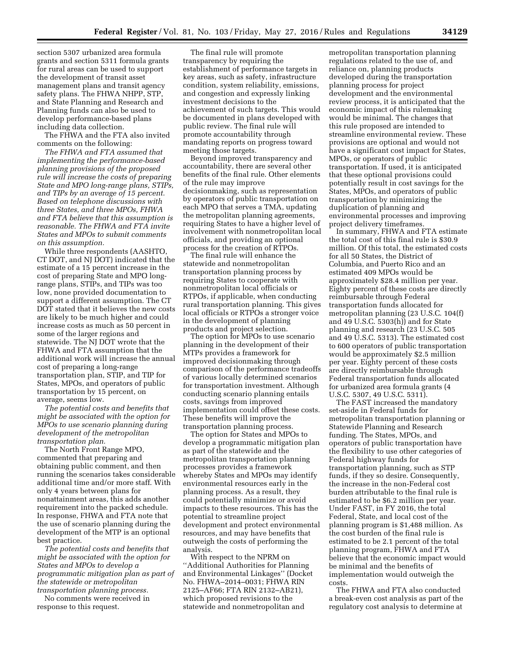section 5307 urbanized area formula grants and section 5311 formula grants for rural areas can be used to support the development of transit asset management plans and transit agency safety plans. The FHWA NHPP, STP, and State Planning and Research and Planning funds can also be used to develop performance-based plans including data collection.

The FHWA and the FTA also invited comments on the following:

*The FHWA and FTA assumed that implementing the performance-based planning provisions of the proposed rule will increase the costs of preparing State and MPO long-range plans, STIPs, and TIPs by an average of 15 percent. Based on telephone discussions with three States, and three MPOs, FHWA and FTA believe that this assumption is reasonable. The FHWA and FTA invite States and MPOs to submit comments on this assumption.* 

While three respondents (AASHTO, CT DOT, and NJ DOT) indicated that the estimate of a 15 percent increase in the cost of preparing State and MPO longrange plans, STIPs, and TIPs was too low, none provided documentation to support a different assumption. The CT DOT stated that it believes the new costs are likely to be much higher and could increase costs as much as 50 percent in some of the larger regions and statewide. The NJ DOT wrote that the FHWA and FTA assumption that the additional work will increase the annual cost of preparing a long-range transportation plan, STIP, and TIP for States, MPOs, and operators of public transportation by 15 percent, on average, seems low.

*The potential costs and benefits that might be associated with the option for MPOs to use scenario planning during development of the metropolitan transportation plan.* 

The North Front Range MPO, commented that preparing and obtaining public comment, and then running the scenarios takes considerable additional time and/or more staff. With only 4 years between plans for nonattainment areas, this adds another requirement into the packed schedule. In response, FHWA and FTA note that the use of scenario planning during the development of the MTP is an optional best practice.

*The potential costs and benefits that might be associated with the option for States and MPOs to develop a programmatic mitigation plan as part of the statewide or metropolitan transportation planning process.* 

No comments were received in response to this request.

The final rule will promote transparency by requiring the establishment of performance targets in key areas, such as safety, infrastructure condition, system reliability, emissions, and congestion and expressly linking investment decisions to the achievement of such targets. This would be documented in plans developed with public review. The final rule will promote accountability through mandating reports on progress toward meeting those targets.

Beyond improved transparency and accountability, there are several other benefits of the final rule. Other elements of the rule may improve decisionmaking, such as representation by operators of public transportation on each MPO that serves a TMA, updating the metropolitan planning agreements, requiring States to have a higher level of involvement with nonmetropolitan local officials, and providing an optional process for the creation of RTPOs.

The final rule will enhance the statewide and nonmetropolitan transportation planning process by requiring States to cooperate with nonmetropolitan local officials or RTPOs, if applicable, when conducting rural transportation planning. This gives local officials or RTPOs a stronger voice in the development of planning products and project selection.

The option for MPOs to use scenario planning in the development of their MTPs provides a framework for improved decisionmaking through comparison of the performance tradeoffs of various locally determined scenarios for transportation investment. Although conducting scenario planning entails costs, savings from improved implementation could offset these costs. These benefits will improve the transportation planning process.

The option for States and MPOs to develop a programmatic mitigation plan as part of the statewide and the metropolitan transportation planning processes provides a framework whereby States and MPOs may identify environmental resources early in the planning process. As a result, they could potentially minimize or avoid impacts to these resources. This has the potential to streamline project development and protect environmental resources, and may have benefits that outweigh the costs of performing the analysis.

With respect to the NPRM on ''Additional Authorities for Planning and Environmental Linkages'' (Docket No. FHWA–2014–0031; FHWA RIN 2125–AF66; FTA RIN 2132–AB21), which proposed revisions to the statewide and nonmetropolitan and

metropolitan transportation planning regulations related to the use of, and reliance on, planning products developed during the transportation planning process for project development and the environmental review process, it is anticipated that the economic impact of this rulemaking would be minimal. The changes that this rule proposed are intended to streamline environmental review. These provisions are optional and would not have a significant cost impact for States, MPOs, or operators of public transportation. If used, it is anticipated that these optional provisions could potentially result in cost savings for the States, MPOs, and operators of public transportation by minimizing the duplication of planning and environmental processes and improving project delivery timeframes.

In summary, FHWA and FTA estimate the total cost of this final rule is \$30.9 million. Of this total, the estimated costs for all 50 States, the District of Columbia, and Puerto Rico and an estimated 409 MPOs would be approximately \$28.4 million per year. Eighty percent of these costs are directly reimbursable through Federal transportation funds allocated for metropolitan planning (23 U.S.C. 104(f) and 49 U.S.C. 5303(h)) and for State planning and research (23 U.S.C. 505 and 49 U.S.C. 5313). The estimated cost to 600 operators of public transportation would be approximately \$2.5 million per year. Eighty percent of these costs are directly reimbursable through Federal transportation funds allocated for urbanized area formula grants (4 U.S.C. 5307, 49 U.S.C. 5311).

The FAST increased the mandatory set-aside in Federal funds for metropolitan transportation planning or Statewide Planning and Research funding. The States, MPOs, and operators of public transportation have the flexibility to use other categories of Federal highway funds for transportation planning, such as STP funds, if they so desire. Consequently, the increase in the non-Federal cost burden attributable to the final rule is estimated to be \$6.2 million per year. Under FAST, in FY 2016, the total Federal, State, and local cost of the planning program is \$1,488 million. As the cost burden of the final rule is estimated to be 2.1 percent of the total planning program, FHWA and FTA believe that the economic impact would be minimal and the benefits of implementation would outweigh the costs.

The FHWA and FTA also conducted a break-even cost analysis as part of the regulatory cost analysis to determine at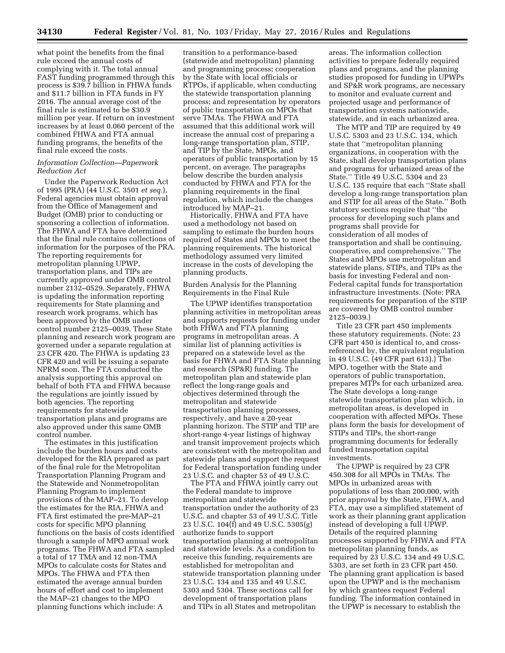what point the benefits from the final rule exceed the annual costs of complying with it. The total annual FAST funding programmed through this process is \$39.7 billion in FHWA funds and \$11.7 billion in FTA funds in FY 2016. The annual average cost of the final rule is estimated to be \$30.9 million per year. If return on investment

increases by at least 0.060 percent of the combined FHWA and FTA annual funding programs, the benefits of the final rule exceed the costs.

## *Information Collection—Paperwork Reduction Act*

Under the Paperwork Reduction Act of 1995 (PRA) (44 U.S.C. 3501 *et seq.*), Federal agencies must obtain approval from the Office of Management and Budget (OMB) prior to conducting or sponsoring a collection of information. The FHWA and FTA have determined that the final rule contains collections of information for the purposes of the PRA. The reporting requirements for metropolitan planning UPWP, transportation plans, and TIPs are currently approved under OMB control number 2132–0529. Separately, FHWA is updating the information reporting requirements for State planning and research work programs, which has been approved by the OMB under control number 2125–0039. These State planning and research work program are governed under a separate regulation at 23 CFR 420. The FHWA is updating 23 CFR 420 and will be issuing a separate NPRM soon. The FTA conducted the analysis supporting this approval on behalf of both FTA and FHWA because the regulations are jointly issued by both agencies. The reporting requirements for statewide transportation plans and programs are also approved under this same OMB control number.

The estimates in this justification include the burden hours and costs developed for the RIA prepared as part of the final rule for the Metropolitan Transportation Planning Program and the Statewide and Nonmetropolitan Planning Program to implement provisions of the MAP–21. To develop the estimates for the RIA, FHWA and FTA first estimated the pre-MAP–21 costs for specific MPO planning functions on the basis of costs identified through a sample of MPO annual work programs. The FHWA and FTA sampled a total of 17 TMA and 12 non-TMA MPOs to calculate costs for States and MPOs. The FHWA and FTA then estimated the average annual burden hours of effort and cost to implement the MAP–21 changes to the MPO planning functions which include: A

transition to a performance-based (statewide and metropolitan) planning and programming process; cooperation by the State with local officials or RTPOs, if applicable, when conducting the statewide transportation planning process; and representation by operators of public transportation on MPOs that serve TMAs. The FHWA and FTA assumed that this additional work will increase the annual cost of preparing a long-range transportation plan, STIP, and TIP by the State, MPOs, and operators of public transportation by 15 percent, on average. The paragraphs below describe the burden analysis conducted by FHWA and FTA for the planning requirements in the final regulation, which include the changes introduced by MAP–21.

Historically, FHWA and FTA have used a methodology not based on sampling to estimate the burden hours required of States and MPOs to meet the planning requirements. The historical methodology assumed very limited increase in the costs of developing the planning products.

Burden Analysis for the Planning Requirements in the Final Rule

The UPWP identifies transportation planning activities in metropolitan areas and supports requests for funding under both FHWA and FTA planning programs in metropolitan areas. A similar list of planning activities is prepared on a statewide level as the basis for FHWA and FTA State planning and research (SP&R) funding. The metropolitan plan and statewide plan reflect the long-range goals and objectives determined through the metropolitan and statewide transportation planning processes, respectively, and have a 20-year planning horizon. The STIP and TIP are short-range 4-year listings of highway and transit improvement projects which are consistent with the metropolitan and statewide plans and support the request for Federal transportation funding under 23 U.S.C. and chapter 53 of 49 U.S.C.

The FTA and FHWA jointly carry out the Federal mandate to improve metropolitan and statewide transportation under the authority of 23 U.S.C. and chapter 53 of 49 U.S.C. Title 23 U.S.C. 104(f) and 49 U.S.C. 5305(g) authorize funds to support transportation planning at metropolitan and statewide levels. As a condition to receive this funding, requirements are established for metropolitan and statewide transportation planning under 23 U.S.C. 134 and 135 and 49 U.S.C. 5303 and 5304. These sections call for development of transportation plans and TIPs in all States and metropolitan

areas. The information collection activities to prepare federally required plans and programs, and the planning studies proposed for funding in UPWPs and SP&R work programs, are necessary to monitor and evaluate current and projected usage and performance of transportation systems nationwide, statewide, and in each urbanized area.

The MTP and TIP are required by 49 U.S.C. 5303 and 23 U.S.C. 134, which state that ''metropolitan planning organizations, in cooperation with the State, shall develop transportation plans and programs for urbanized areas of the State.'' Title 49 U.S.C. 5304 and 23 U.S.C. 135 require that each ''State shall develop a long-range transportation plan and STIP for all areas of the State.'' Both statutory sections require that ''the process for developing such plans and programs shall provide for consideration of all modes of transportation and shall be continuing, cooperative, and comprehensive.'' The States and MPOs use metropolitan and statewide plans, STIPs, and TIPs as the basis for investing Federal and non-Federal capital funds for transportation infrastructure investments. (Note: PRA requirements for preparation of the STIP are covered by OMB control number 2125–0039.)

Title 23 CFR part 450 implements these statutory requirements. (Note: 23 CFR part 450 is identical to, and crossreferenced by, the equivalent regulation in 49 U.S.C. (49 CFR part 613).) The MPO, together with the State and operators of public transportation, prepares MTPs for each urbanized area. The State develops a long-range statewide transportation plan which, in metropolitan areas, is developed in cooperation with affected MPOs. These plans form the basis for development of STIPs and TIPs, the short-range programming documents for federally funded transportation capital investments.

The UPWP is required by 23 CFR 450.308 for all MPOs in TMAs. The MPOs in urbanized areas with populations of less than 200,000, with prior approval by the State, FHWA, and FTA, may use a simplified statement of work as their planning grant application instead of developing a full UPWP. Details of the required planning processes supported by FHWA and FTA metropolitan planning funds, as required by 23 U.S.C. 134 and 49 U.S.C. 5303, are set forth in 23 CFR part 450. The planning grant application is based upon the UPWP and is the mechanism by which grantees request Federal funding. The information contained in the UPWP is necessary to establish the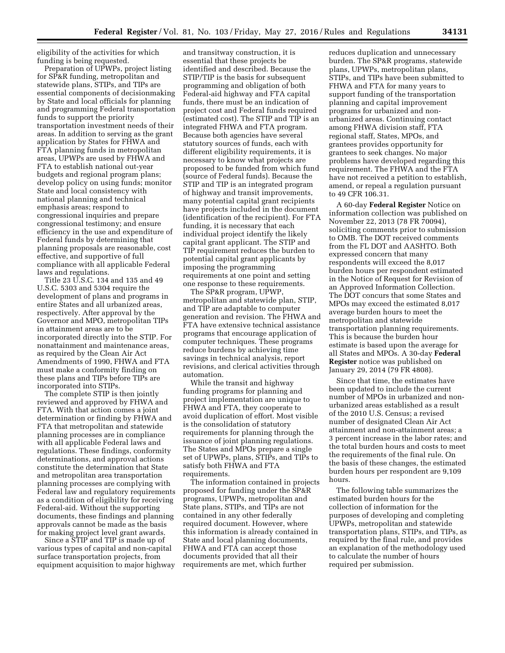eligibility of the activities for which funding is being requested.

Preparation of UPWPs, project listing for SP&R funding, metropolitan and statewide plans, STIPs, and TIPs are essential components of decisionmaking by State and local officials for planning and programming Federal transportation funds to support the priority transportation investment needs of their areas. In addition to serving as the grant application by States for FHWA and FTA planning funds in metropolitan areas, UPWPs are used by FHWA and FTA to establish national out-year budgets and regional program plans; develop policy on using funds; monitor State and local consistency with national planning and technical emphasis areas; respond to congressional inquiries and prepare congressional testimony; and ensure efficiency in the use and expenditure of Federal funds by determining that planning proposals are reasonable, cost effective, and supportive of full compliance with all applicable Federal laws and regulations.

Title 23 U.S.C. 134 and 135 and 49 U.S.C. 5303 and 5304 require the development of plans and programs in entire States and all urbanized areas, respectively. After approval by the Governor and MPO, metropolitan TIPs in attainment areas are to be incorporated directly into the STIP. For nonattainment and maintenance areas, as required by the Clean Air Act Amendments of 1990, FHWA and FTA must make a conformity finding on these plans and TIPs before TIPs are incorporated into STIPs.

The complete STIP is then jointly reviewed and approved by FHWA and FTA. With that action comes a joint determination or finding by FHWA and FTA that metropolitan and statewide planning processes are in compliance with all applicable Federal laws and regulations. These findings, conformity determinations, and approval actions constitute the determination that State and metropolitan area transportation planning processes are complying with Federal law and regulatory requirements as a condition of eligibility for receiving Federal-aid. Without the supporting documents, these findings and planning approvals cannot be made as the basis for making project level grant awards.

Since a STIP and TIP is made up of various types of capital and non-capital surface transportation projects, from equipment acquisition to major highway

and transitway construction, it is essential that these projects be identified and described. Because the STIP/TIP is the basis for subsequent programming and obligation of both Federal-aid highway and FTA capital funds, there must be an indication of project cost and Federal funds required (estimated cost). The STIP and TIP is an integrated FHWA and FTA program. Because both agencies have several statutory sources of funds, each with different eligibility requirements, it is necessary to know what projects are proposed to be funded from which fund (source of Federal funds). Because the STIP and TIP is an integrated program of highway and transit improvements, many potential capital grant recipients have projects included in the document (identification of the recipient). For FTA funding, it is necessary that each individual project identify the likely capital grant applicant. The STIP and TIP requirement reduces the burden to potential capital grant applicants by imposing the programming requirements at one point and setting one response to these requirements.

The SP&R program, UPWP, metropolitan and statewide plan, STIP, and TIP are adaptable to computer generation and revision. The FHWA and FTA have extensive technical assistance programs that encourage application of computer techniques. These programs reduce burdens by achieving time savings in technical analysis, report revisions, and clerical activities through automation.

While the transit and highway funding programs for planning and project implementation are unique to FHWA and FTA, they cooperate to avoid duplication of effort. Most visible is the consolidation of statutory requirements for planning through the issuance of joint planning regulations. The States and MPOs prepare a single set of UPWPs, plans, STIPs, and TIPs to satisfy both FHWA and FTA requirements.

The information contained in projects proposed for funding under the SP&R programs, UPWPs, metropolitan and State plans, STIPs, and TIPs are not contained in any other federally required document. However, where this information is already contained in State and local planning documents, FHWA and FTA can accept those documents provided that all their requirements are met, which further

reduces duplication and unnecessary burden. The SP&R programs, statewide plans, UPWPs, metropolitan plans, STIPs, and TIPs have been submitted to FHWA and FTA for many years to support funding of the transportation planning and capital improvement programs for urbanized and nonurbanized areas. Continuing contact among FHWA division staff, FTA regional staff, States, MPOs, and grantees provides opportunity for grantees to seek changes. No major problems have developed regarding this requirement. The FHWA and the FTA have not received a petition to establish, amend, or repeal a regulation pursuant to 49 CFR 106.31.

A 60-day **Federal Register** Notice on information collection was published on November 22, 2013 (78 FR 70094), soliciting comments prior to submission to OMB. The DOT received comments from the FL DOT and AASHTO. Both expressed concern that many respondents will exceed the 8,017 burden hours per respondent estimated in the Notice of Request for Revision of an Approved Information Collection. The DOT concurs that some States and MPOs may exceed the estimated 8,017 average burden hours to meet the metropolitan and statewide transportation planning requirements. This is because the burden hour estimate is based upon the average for all States and MPOs. A 30-day **Federal Register** notice was published on January 29, 2014 (79 FR 4808).

Since that time, the estimates have been updated to include the current number of MPOs in urbanized and nonurbanized areas established as a result of the 2010 U.S. Census; a revised number of designated Clean Air Act attainment and non-attainment areas; a 3 percent increase in the labor rates; and the total burden hours and costs to meet the requirements of the final rule. On the basis of these changes, the estimated burden hours per respondent are 9,109 hours.

The following table summarizes the estimated burden hours for the collection of information for the purposes of developing and completing UPWPs, metropolitan and statewide transportation plans, STIPs, and TIPs, as required by the final rule, and provides an explanation of the methodology used to calculate the number of hours required per submission.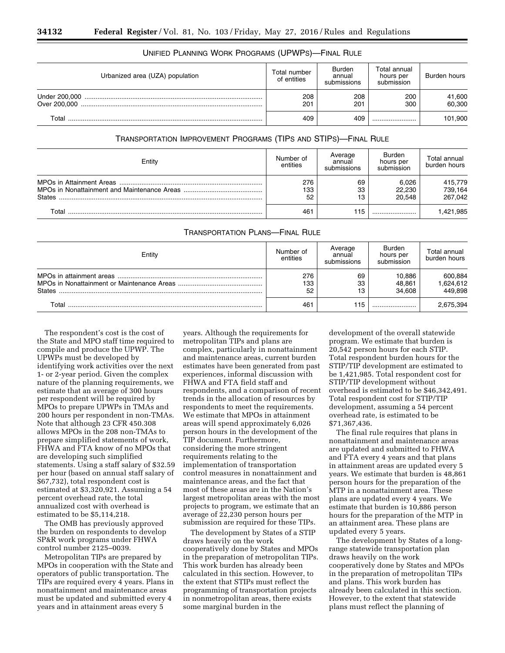| Urbanized area (UZA) population | Total number<br>of entities | <b>Burden</b><br>annual<br>submissions | Total annual<br>hours per<br>submission | Burden hours     |
|---------------------------------|-----------------------------|----------------------------------------|-----------------------------------------|------------------|
| Over 200,000                    | 208<br>201                  | 208<br>201                             | 200<br>300                              | 41,600<br>60,300 |
| Total                           | 409                         | 409                                    |                                         | 101,900          |

# UNIFIED PLANNING WORK PROGRAMS (UPWPS)—FINAL RULE

## TRANSPORTATION IMPROVEMENT PROGRAMS (TIPS AND STIPS)—FINAL RULE

| Entity        | Number of<br>entities | Average<br>annual<br>submissions | <b>Burden</b><br>hours per<br>submission | Total annual<br>burden hours  |
|---------------|-----------------------|----------------------------------|------------------------------------------|-------------------------------|
| <b>States</b> | 276<br>133<br>52      | 69<br>33<br>13                   | 6.026<br>22.230<br>20.548                | 415,779<br>739,164<br>267.042 |
| $\tau$ otal   | 46 <sup>4</sup>       | 115                              |                                          | .421,985                      |

## TRANSPORTATION PLANS—FINAL RULE

| Entity | Number of<br>entities | Average<br>annual<br>submissions | Burden<br>hours per<br>submission | Total annual<br>burden hours    |
|--------|-----------------------|----------------------------------|-----------------------------------|---------------------------------|
| States | 276<br>133<br>52      | 69<br>33<br>13                   | 10,886<br>48,861<br>34.608        | 600,884<br>1,624,612<br>449,898 |
| Total  | 461                   | 115                              |                                   | 2,675,394                       |

The respondent's cost is the cost of the State and MPO staff time required to compile and produce the UPWP. The UPWPs must be developed by identifying work activities over the next 1- or 2-year period. Given the complex nature of the planning requirements, we estimate that an average of 300 hours per respondent will be required by MPOs to prepare UPWPs in TMAs and 200 hours per respondent in non-TMAs. Note that although 23 CFR 450.308 allows MPOs in the 208 non-TMAs to prepare simplified statements of work, FHWA and FTA know of no MPOs that are developing such simplified statements. Using a staff salary of \$32.59 per hour (based on annual staff salary of \$67,732), total respondent cost is estimated at \$3,320,921. Assuming a 54 percent overhead rate, the total annualized cost with overhead is estimated to be \$5,114,218.

The OMB has previously approved the burden on respondents to develop SP&R work programs under FHWA control number 2125–0039.

Metropolitan TIPs are prepared by MPOs in cooperation with the State and operators of public transportation. The TIPs are required every 4 years. Plans in nonattainment and maintenance areas must be updated and submitted every 4 years and in attainment areas every 5

years. Although the requirements for metropolitan TIPs and plans are complex, particularly in nonattainment and maintenance areas, current burden estimates have been generated from past experiences, informal discussion with FHWA and FTA field staff and respondents, and a comparison of recent trends in the allocation of resources by respondents to meet the requirements. We estimate that MPOs in attainment areas will spend approximately 6,026 person hours in the development of the TIP document. Furthermore, considering the more stringent requirements relating to the implementation of transportation control measures in nonattainment and maintenance areas, and the fact that most of these areas are in the Nation's largest metropolitan areas with the most projects to program, we estimate that an average of 22,230 person hours per submission are required for these TIPs.

The development by States of a STIP draws heavily on the work cooperatively done by States and MPOs in the preparation of metropolitan TIPs. This work burden has already been calculated in this section. However, to the extent that STIPs must reflect the programming of transportation projects in nonmetropolitan areas, there exists some marginal burden in the

development of the overall statewide program. We estimate that burden is 20,542 person hours for each STIP. Total respondent burden hours for the STIP/TIP development are estimated to be 1,421,985. Total respondent cost for STIP/TIP development without overhead is estimated to be \$46,342,491. Total respondent cost for STIP/TIP development, assuming a 54 percent overhead rate, is estimated to be \$71,367,436.

The final rule requires that plans in nonattainment and maintenance areas are updated and submitted to FHWA and FTA every 4 years and that plans in attainment areas are updated every 5 years. We estimate that burden is 48,861 person hours for the preparation of the MTP in a nonattainment area. These plans are updated every 4 years. We estimate that burden is 10,886 person hours for the preparation of the MTP in an attainment area. These plans are updated every 5 years.

The development by States of a longrange statewide transportation plan draws heavily on the work cooperatively done by States and MPOs in the preparation of metropolitan TIPs and plans. This work burden has already been calculated in this section. However, to the extent that statewide plans must reflect the planning of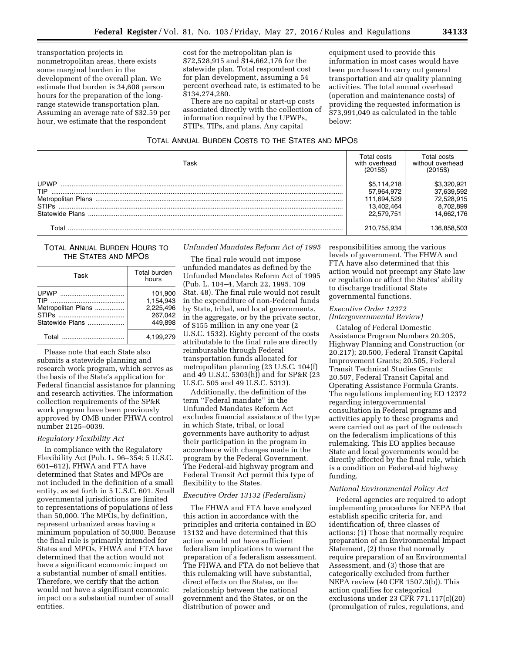transportation projects in nonmetropolitan areas, there exists some marginal burden in the development of the overall plan. We estimate that burden is 34,608 person hours for the preparation of the longrange statewide transportation plan. Assuming an average rate of \$32.59 per hour, we estimate that the respondent

cost for the metropolitan plan is \$72,528,915 and \$14,662,176 for the statewide plan. Total respondent cost for plan development, assuming a 54 percent overhead rate, is estimated to be \$134,274,280.

There are no capital or start-up costs associated directly with the collection of information required by the UPWPs, STIPs, TIPs, and plans. Any capital

equipment used to provide this information in most cases would have been purchased to carry out general transportation and air quality planning activities. The total annual overhead (operation and maintenance costs) of providing the requested information is \$73,991,049 as calculated in the table below:

## TOTAL ANNUAL BURDEN COSTS TO THE STATES AND MPOS

| ⊺ask            | Total costs.<br>with overhead<br>(2015\$) | Total costs<br>without overhead<br>(2015\$) |
|-----------------|-------------------------------------------|---------------------------------------------|
| <b>UPWP</b>     | \$5.114.218                               | \$3,320,921                                 |
| <b>TIP</b>      | 57.964.972                                | 37.639.592                                  |
|                 | 111.694.529                               | 72.528.915                                  |
| <b>STIPS</b>    | 13.402.464                                | 8.702.899                                   |
| Statewide Plans | 22.579.751                                | 14.662.176                                  |
| ั∩tal           | 210.755.934                               | .36.858.503                                 |

## TOTAL ANNUAL BURDEN HOURS TO THE STATES AND MPOS

| Task                                                | Total burden<br>hours                                   |
|-----------------------------------------------------|---------------------------------------------------------|
| <b>TIP</b><br>Metropolitan Plans<br>Statewide Plans | 101.900<br>1,154,943<br>2.225.496<br>267.042<br>449.898 |
| Total                                               | 4.199.279                                               |

Please note that each State also submits a statewide planning and research work program, which serves as the basis of the State's application for Federal financial assistance for planning and research activities. The information collection requirements of the SP&R work program have been previously approved by OMB under FHWA control number 2125–0039.

## *Regulatory Flexibility Act*

In compliance with the Regulatory Flexibility Act (Pub. L. 96–354; 5 U.S.C. 601–612), FHWA and FTA have determined that States and MPOs are not included in the definition of a small entity, as set forth in 5 U.S.C. 601. Small governmental jurisdictions are limited to representations of populations of less than 50,000. The MPOs, by definition, represent urbanized areas having a minimum population of 50,000. Because the final rule is primarily intended for States and MPOs, FHWA and FTA have determined that the action would not have a significant economic impact on a substantial number of small entities. Therefore, we certify that the action would not have a significant economic impact on a substantial number of small entities.

*Unfunded Mandates Reform Act of 1995* 

The final rule would not impose unfunded mandates as defined by the Unfunded Mandates Reform Act of 1995 (Pub. L. 104–4, March 22, 1995, 109 Stat. 48). The final rule would not result in the expenditure of non-Federal funds by State, tribal, and local governments, in the aggregate, or by the private sector, of \$155 million in any one year (2 U.S.C. 1532). Eighty percent of the costs attributable to the final rule are directly reimbursable through Federal transportation funds allocated for metropolitan planning (23 U.S.C. 104(f) and 49 U.S.C. 5303(h)) and for SP&R (23 U.S.C. 505 and 49 U.S.C. 5313).

Additionally, the definition of the term ''Federal mandate'' in the Unfunded Mandates Reform Act excludes financial assistance of the type in which State, tribal, or local governments have authority to adjust their participation in the program in accordance with changes made in the program by the Federal Government. The Federal-aid highway program and Federal Transit Act permit this type of flexibility to the States.

## *Executive Order 13132 (Federalism)*

The FHWA and FTA have analyzed this action in accordance with the principles and criteria contained in EO 13132 and have determined that this action would not have sufficient federalism implications to warrant the preparation of a federalism assessment. The FHWA and FTA do not believe that this rulemaking will have substantial, direct effects on the States, on the relationship between the national government and the States, or on the distribution of power and

responsibilities among the various levels of government. The FHWA and FTA have also determined that this action would not preempt any State law or regulation or affect the States' ability to discharge traditional State governmental functions.

## *Executive Order 12372 (Intergovernmental Review)*

Catalog of Federal Domestic Assistance Program Numbers 20.205, Highway Planning and Construction (or 20.217); 20.500, Federal Transit Capital Improvement Grants; 20.505, Federal Transit Technical Studies Grants; 20.507, Federal Transit Capital and Operating Assistance Formula Grants. The regulations implementing EO 12372 regarding intergovernmental consultation in Federal programs and activities apply to these programs and were carried out as part of the outreach on the federalism implications of this rulemaking. This EO applies because State and local governments would be directly affected by the final rule, which is a condition on Federal-aid highway funding.

## *National Environmental Policy Act*

Federal agencies are required to adopt implementing procedures for NEPA that establish specific criteria for, and identification of, three classes of actions: (1) Those that normally require preparation of an Environmental Impact Statement, (2) those that normally require preparation of an Environmental Assessment, and (3) those that are categorically excluded from further NEPA review (40 CFR 1507.3(b)). This action qualifies for categorical exclusions under 23 CFR 771.117(c)(20) (promulgation of rules, regulations, and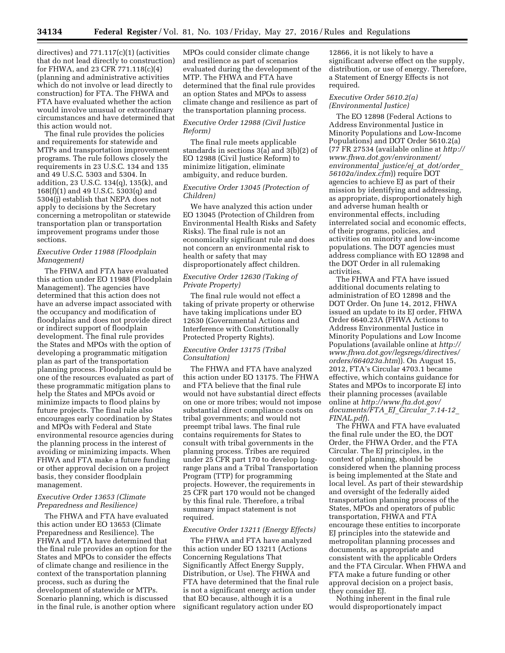directives) and 771.117(c)(1) (activities that do not lead directly to construction) for FHWA, and 23 CFR 771.118(c)(4) (planning and administrative activities which do not involve or lead directly to construction) for FTA. The FHWA and FTA have evaluated whether the action would involve unusual or extraordinary circumstances and have determined that this action would not.

The final rule provides the policies and requirements for statewide and MTPs and transportation improvement programs. The rule follows closely the requirements in 23 U.S.C. 134 and 135 and 49 U.S.C. 5303 and 5304. In addition, 23 U.S.C. 134(q), 135(k), and 168(f)(1) and 49 U.S.C. 5303(q) and 5304(j) establish that NEPA does not apply to decisions by the Secretary concerning a metropolitan or statewide transportation plan or transportation improvement programs under those sections.

## *Executive Order 11988 (Floodplain Management)*

The FHWA and FTA have evaluated this action under EO 11988 (Floodplain Management). The agencies have determined that this action does not have an adverse impact associated with the occupancy and modification of floodplains and does not provide direct or indirect support of floodplain development. The final rule provides the States and MPOs with the option of developing a programmatic mitigation plan as part of the transportation planning process. Floodplains could be one of the resources evaluated as part of these programmatic mitigation plans to help the States and MPOs avoid or minimize impacts to flood plains by future projects. The final rule also encourages early coordination by States and MPOs with Federal and State environmental resource agencies during the planning process in the interest of avoiding or minimizing impacts. When FHWA and FTA make a future funding or other approval decision on a project basis, they consider floodplain management.

## *Executive Order 13653 (Climate Preparedness and Resilience)*

The FHWA and FTA have evaluated this action under EO 13653 (Climate Preparedness and Resilience). The FHWA and FTA have determined that the final rule provides an option for the States and MPOs to consider the effects of climate change and resilience in the context of the transportation planning process, such as during the development of statewide or MTPs. Scenario planning, which is discussed in the final rule, is another option where

MPOs could consider climate change and resilience as part of scenarios evaluated during the development of the MTP. The FHWA and FTA have determined that the final rule provides an option States and MPOs to assess climate change and resilience as part of the transportation planning process.

## *Executive Order 12988 (Civil Justice Reform)*

The final rule meets applicable standards in sections 3(a) and 3(b)(2) of EO 12988 (Civil Justice Reform) to minimize litigation, eliminate ambiguity, and reduce burden.

## *Executive Order 13045 (Protection of Children)*

We have analyzed this action under EO 13045 (Protection of Children from Environmental Health Risks and Safety Risks). The final rule is not an economically significant rule and does not concern an environmental risk to health or safety that may disproportionately affect children.

## *Executive Order 12630 (Taking of Private Property)*

The final rule would not effect a taking of private property or otherwise have taking implications under EO 12630 (Governmental Actions and Interference with Constitutionally Protected Property Rights).

## *Executive Order 13175 (Tribal Consultation)*

The FHWA and FTA have analyzed this action under EO 13175. The FHWA and FTA believe that the final rule would not have substantial direct effects on one or more tribes; would not impose substantial direct compliance costs on tribal governments; and would not preempt tribal laws. The final rule contains requirements for States to consult with tribal governments in the planning process. Tribes are required under 25 CFR part 170 to develop longrange plans and a Tribal Transportation Program (TTP) for programming projects. However, the requirements in 25 CFR part 170 would not be changed by this final rule. Therefore, a tribal summary impact statement is not required.

## *Executive Order 13211 (Energy Effects)*

The FHWA and FTA have analyzed this action under EO 13211 (Actions Concerning Regulations That Significantly Affect Energy Supply, Distribution, or Use). The FHWA and FTA have determined that the final rule is not a significant energy action under that EO because, although it is a significant regulatory action under EO

12866, it is not likely to have a significant adverse effect on the supply, distribution, or use of energy. Therefore, a Statement of Energy Effects is not required.

## *Executive Order 5610.2(a) (Environmental Justice)*

The EO 12898 (Federal Actions to Address Environmental Justice in Minority Populations and Low-Income Populations) and DOT Order 5610.2(a) (77 FR 27534 (available online at *[http://](http://www.fhwa.dot.gov/environment/environmental_justice/ej_at_dot/order_56102a/index.cfm)  [www.fhwa.dot.gov/environment/](http://www.fhwa.dot.gov/environment/environmental_justice/ej_at_dot/order_56102a/index.cfm) [environmental](http://www.fhwa.dot.gov/environment/environmental_justice/ej_at_dot/order_56102a/index.cfm)*\_*justice/ej*\_*at*\_*dot/order*\_ *[56102a/index.cfm](http://www.fhwa.dot.gov/environment/environmental_justice/ej_at_dot/order_56102a/index.cfm)*)) require DOT agencies to achieve EJ as part of their mission by identifying and addressing, as appropriate, disproportionately high and adverse human health or environmental effects, including interrelated social and economic effects, of their programs, policies, and activities on minority and low-income populations. The DOT agencies must address compliance with EO 12898 and the DOT Order in all rulemaking activities.

The FHWA and FTA have issued additional documents relating to administration of EO 12898 and the DOT Order. On June 14, 2012, FHWA issued an update to its EJ order, FHWA Order 6640.23A (FHWA Actions to Address Environmental Justice in Minority Populations and Low Income Populations (available online at *[http://](http://www.fhwa.dot.gov/legsregs/directives/orders/664023a.htm) [www.fhwa.dot.gov/legsregs/directives/](http://www.fhwa.dot.gov/legsregs/directives/orders/664023a.htm) [orders/664023a.htm](http://www.fhwa.dot.gov/legsregs/directives/orders/664023a.htm)*)). On August 15, 2012, FTA's Circular 4703.1 became effective, which contains guidance for States and MPOs to incorporate EJ into their planning processes (available online at *[http://www.fta.dot.gov/](http://www.fta.dot.gov/documents/FTA_EJ_Circular_7.14-12_FINAL.pdf) [documents/FTA](http://www.fta.dot.gov/documents/FTA_EJ_Circular_7.14-12_FINAL.pdf)*\_*EJ*\_*Circular*\_*7.14-12*\_ *[FINAL.pdf](http://www.fta.dot.gov/documents/FTA_EJ_Circular_7.14-12_FINAL.pdf)*).

The FHWA and FTA have evaluated the final rule under the EO, the DOT Order, the FHWA Order, and the FTA Circular. The EJ principles, in the context of planning, should be considered when the planning process is being implemented at the State and local level. As part of their stewardship and oversight of the federally aided transportation planning process of the States, MPOs and operators of public transportation, FHWA and FTA encourage these entities to incorporate EJ principles into the statewide and metropolitan planning processes and documents, as appropriate and consistent with the applicable Orders and the FTA Circular. When FHWA and FTA make a future funding or other approval decision on a project basis, they consider EJ.

Nothing inherent in the final rule would disproportionately impact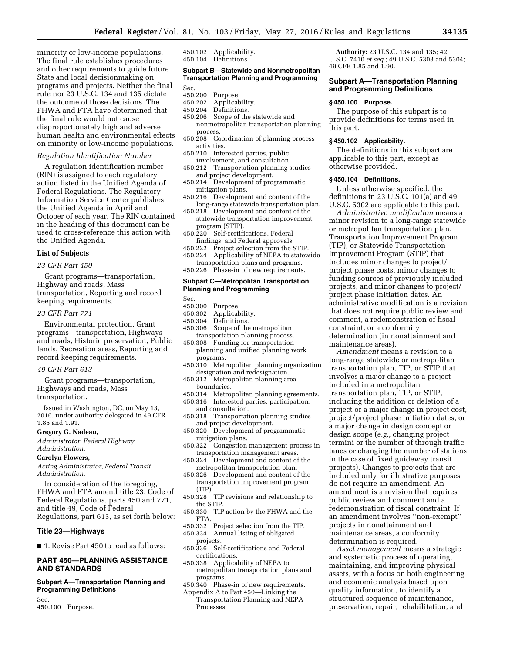minority or low-income populations. The final rule establishes procedures and other requirements to guide future State and local decisionmaking on programs and projects. Neither the final rule nor 23 U.S.C. 134 and 135 dictate the outcome of those decisions. The FHWA and FTA have determined that the final rule would not cause disproportionately high and adverse human health and environmental effects on minority or low-income populations.

#### *Regulation Identification Number*

A regulation identification number (RIN) is assigned to each regulatory action listed in the Unified Agenda of Federal Regulations. The Regulatory Information Service Center publishes the Unified Agenda in April and October of each year. The RIN contained in the heading of this document can be used to cross-reference this action with the Unified Agenda.

## **List of Subjects**

## *23 CFR Part 450*

Grant programs—transportation, Highway and roads, Mass transportation, Reporting and record keeping requirements.

### *23 CFR Part 771*

Environmental protection, Grant programs—transportation, Highways and roads, Historic preservation, Public lands, Recreation areas, Reporting and record keeping requirements.

#### *49 CFR Part 613*

Grant programs—transportation, Highways and roads, Mass transportation.

Issued in Washington, DC, on May 13, 2016, under authority delegated in 49 CFR 1.85 and 1.91.

#### **Gregory G. Nadeau,**

*Administrator, Federal Highway Administration.* 

### **Carolyn Flowers,**

*Acting Administrator, Federal Transit Administration.* 

In consideration of the foregoing, FHWA and FTA amend title 23, Code of Federal Regulations, parts 450 and 771, and title 49, Code of Federal Regulations, part 613, as set forth below:

## **Title 23—Highways**

■ 1. Revise Part 450 to read as follows:

## **PART 450—PLANNING ASSISTANCE AND STANDARDS**

### **Subpart A—Transportation Planning and Programming Definitions**

Sec. 450.100 Purpose. 450.102 Applicability. 450.104 Definitions.

## **Subpart B—Statewide and Nonmetropolitan Transportation Planning and Programming**

Sec.<br>450.200

- 450.200 Purpose.<br>450.202 Applicab
- Applicability.
- 450.204 Definitions.
- 450.206 Scope of the statewide and nonmetropolitan transportation planning process.
- 450.208 Coordination of planning process activities.
- 450.210 Interested parties, public involvement, and consultation.
- 450.212 Transportation planning studies and project development.
- 450.214 Development of programmatic mitigation plans.
- 450.216 Development and content of the long-range statewide transportation plan.
- 450.218 Development and content of the statewide transportation improvement program (STIP).
- 450.220 Self-certifications, Federal findings, and Federal approvals.
- 450.222 Project selection from the STIP.
- 450.224 Applicability of NEPA to statewide
- transportation plans and programs.<br>450.226 Phase-in of new requirements Phase-in of new requirements.

## **Subpart C—Metropolitan Transportation Planning and Programming**

Sec.

- 450.300 Purpose.
- 450.302 Applicability.<br>450.304 Definitions
- Definitions.
- 450.306 Scope of the metropolitan transportation planning process.
- 450.308 Funding for transportation planning and unified planning work programs.
- 450.310 Metropolitan planning organization designation and redesignation.
- 450.312 Metropolitan planning area boundaries.
- 450.314 Metropolitan planning agreements.
- 450.316 Interested parties, participation,
	- and consultation.
- 450.318 Transportation planning studies and project development.
- 450.320 Development of programmatic mitigation plans.
- 450.322 Congestion management process in transportation management areas.
- 450.324 Development and content of the metropolitan transportation plan.
- 450.326 Development and content of the transportation improvement program (TIP).
- 450.328 TIP revisions and relationship to the STIP.
- 450.330 TIP action by the FHWA and the FTA.
- 450.332 Project selection from the TIP. Annual listing of obligated
- projects.
- 450.336 Self-certifications and Federal certifications.
- 450.338 Applicability of NEPA to metropolitan transportation plans and programs.
- 450.340 Phase-in of new requirements.
- Appendix A to Part 450—Linking the Transportation Planning and NEPA Processes

**Authority:** 23 U.S.C. 134 and 135; 42 U.S.C. 7410 *et seq*.; 49 U.S.C. 5303 and 5304; 49 CFR 1.85 and 1.90.

## **Subpart A—Transportation Planning and Programming Definitions**

#### **§ 450.100 Purpose.**

The purpose of this subpart is to provide definitions for terms used in this part.

## **§ 450.102 Applicability.**

The definitions in this subpart are applicable to this part, except as otherwise provided.

#### **§ 450.104 Definitions.**

Unless otherwise specified, the definitions in 23 U.S.C. 101(a) and 49 U.S.C. 5302 are applicable to this part.

*Administrative modification* means a minor revision to a long-range statewide or metropolitan transportation plan, Transportation Improvement Program (TIP), or Statewide Transportation Improvement Program (STIP) that includes minor changes to project/ project phase costs, minor changes to funding sources of previously included projects, and minor changes to project/ project phase initiation dates. An administrative modification is a revision that does not require public review and comment, a redemonstration of fiscal constraint, or a conformity determination (in nonattainment and maintenance areas).

*Amendment* means a revision to a long-range statewide or metropolitan transportation plan, TIP, or STIP that involves a major change to a project included in a metropolitan transportation plan, TIP, or STIP, including the addition or deletion of a project or a major change in project cost, project/project phase initiation dates, or a major change in design concept or design scope (*e.g.,* changing project termini or the number of through traffic lanes or changing the number of stations in the case of fixed guideway transit projects). Changes to projects that are included only for illustrative purposes do not require an amendment. An amendment is a revision that requires public review and comment and a redemonstration of fiscal constraint. If an amendment involves ''non-exempt'' projects in nonattainment and maintenance areas, a conformity determination is required.

*Asset management* means a strategic and systematic process of operating, maintaining, and improving physical assets, with a focus on both engineering and economic analysis based upon quality information, to identify a structured sequence of maintenance, preservation, repair, rehabilitation, and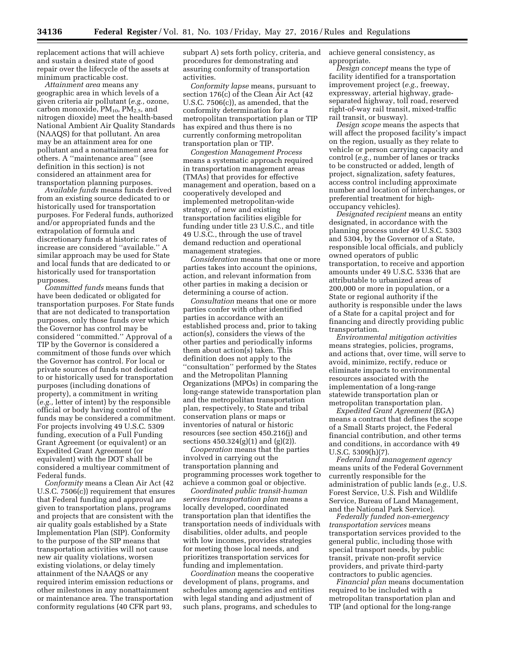replacement actions that will achieve and sustain a desired state of good repair over the lifecycle of the assets at minimum practicable cost.

*Attainment area* means any geographic area in which levels of a given criteria air pollutant (*e.g.,* ozone, carbon monoxide,  $PM_{10}$ ,  $PM_{2.5}$ , and nitrogen dioxide) meet the health-based National Ambient Air Quality Standards (NAAQS) for that pollutant. An area may be an attainment area for one pollutant and a nonattainment area for others. A ''maintenance area'' (see definition in this section) is not considered an attainment area for transportation planning purposes.

*Available funds* means funds derived from an existing source dedicated to or historically used for transportation purposes. For Federal funds, authorized and/or appropriated funds and the extrapolation of formula and discretionary funds at historic rates of increase are considered ''available.'' A similar approach may be used for State and local funds that are dedicated to or historically used for transportation purposes.

*Committed funds* means funds that have been dedicated or obligated for transportation purposes. For State funds that are not dedicated to transportation purposes, only those funds over which the Governor has control may be considered ''committed.'' Approval of a TIP by the Governor is considered a commitment of those funds over which the Governor has control. For local or private sources of funds not dedicated to or historically used for transportation purposes (including donations of property), a commitment in writing (*e.g.,* letter of intent) by the responsible official or body having control of the funds may be considered a commitment. For projects involving 49 U.S.C. 5309 funding, execution of a Full Funding Grant Agreement (or equivalent) or an Expedited Grant Agreement (or equivalent) with the DOT shall be considered a multiyear commitment of Federal funds.

*Conformity* means a Clean Air Act (42 U.S.C. 7506(c)) requirement that ensures that Federal funding and approval are given to transportation plans, programs and projects that are consistent with the air quality goals established by a State Implementation Plan (SIP). Conformity to the purpose of the SIP means that transportation activities will not cause new air quality violations, worsen existing violations, or delay timely attainment of the NAAQS or any required interim emission reductions or other milestones in any nonattainment or maintenance area. The transportation conformity regulations (40 CFR part 93,

subpart A) sets forth policy, criteria, and procedures for demonstrating and assuring conformity of transportation activities.

*Conformity lapse* means, pursuant to section 176(c) of the Clean Air Act (42 U.S.C. 7506(c)), as amended, that the conformity determination for a metropolitan transportation plan or TIP has expired and thus there is no currently conforming metropolitan transportation plan or TIP.

*Congestion Management Process*  means a systematic approach required in transportation management areas (TMAs) that provides for effective management and operation, based on a cooperatively developed and implemented metropolitan-wide strategy, of new and existing transportation facilities eligible for funding under title 23 U.S.C., and title 49 U.S.C., through the use of travel demand reduction and operational management strategies.

*Consideration* means that one or more parties takes into account the opinions, action, and relevant information from other parties in making a decision or determining a course of action.

*Consultation* means that one or more parties confer with other identified parties in accordance with an established process and, prior to taking action(s), considers the views of the other parties and periodically informs them about action(s) taken. This definition does not apply to the ''consultation'' performed by the States and the Metropolitan Planning Organizations (MPOs) in comparing the long-range statewide transportation plan and the metropolitan transportation plan, respectively, to State and tribal conservation plans or maps or inventories of natural or historic resources (see section 450.216(j) and sections  $450.324(g)(1)$  and  $(g)(2)$ .

*Cooperation* means that the parties involved in carrying out the transportation planning and programming processes work together to achieve a common goal or objective.

*Coordinated public transit-human services transportation plan* means a locally developed, coordinated transportation plan that identifies the transportation needs of individuals with disabilities, older adults, and people with low incomes, provides strategies for meeting those local needs, and prioritizes transportation services for funding and implementation.

*Coordination* means the cooperative development of plans, programs, and schedules among agencies and entities with legal standing and adjustment of such plans, programs, and schedules to achieve general consistency, as appropriate.

*Design concept* means the type of facility identified for a transportation improvement project (*e.g.,* freeway, expressway, arterial highway, gradeseparated highway, toll road, reserved right-of-way rail transit, mixed-traffic rail transit, or busway).

*Design scope* means the aspects that will affect the proposed facility's impact on the region, usually as they relate to vehicle or person carrying capacity and control (*e.g.,* number of lanes or tracks to be constructed or added, length of project, signalization, safety features, access control including approximate number and location of interchanges, or preferential treatment for highoccupancy vehicles).

*Designated recipient* means an entity designated, in accordance with the planning process under 49 U.S.C. 5303 and 5304, by the Governor of a State, responsible local officials, and publicly owned operators of public transportation, to receive and apportion amounts under 49 U.S.C. 5336 that are attributable to urbanized areas of 200,000 or more in population, or a State or regional authority if the authority is responsible under the laws of a State for a capital project and for financing and directly providing public transportation.

*Environmental mitigation activities*  means strategies, policies, programs, and actions that, over time, will serve to avoid, minimize, rectify, reduce or eliminate impacts to environmental resources associated with the implementation of a long-range statewide transportation plan or metropolitan transportation plan.

*Expedited Grant Agreement* (EGA) means a contract that defines the scope of a Small Starts project, the Federal financial contribution, and other terms and conditions, in accordance with 49 U.S.C. 5309(h)(7).

*Federal land management agency*  means units of the Federal Government currently responsible for the administration of public lands (*e.g.,* U.S. Forest Service, U.S. Fish and Wildlife Service, Bureau of Land Management, and the National Park Service).

*Federally funded non-emergency transportation services* means transportation services provided to the general public, including those with special transport needs, by public transit, private non-profit service providers, and private third-party contractors to public agencies.

*Financial plan* means documentation required to be included with a metropolitan transportation plan and TIP (and optional for the long-range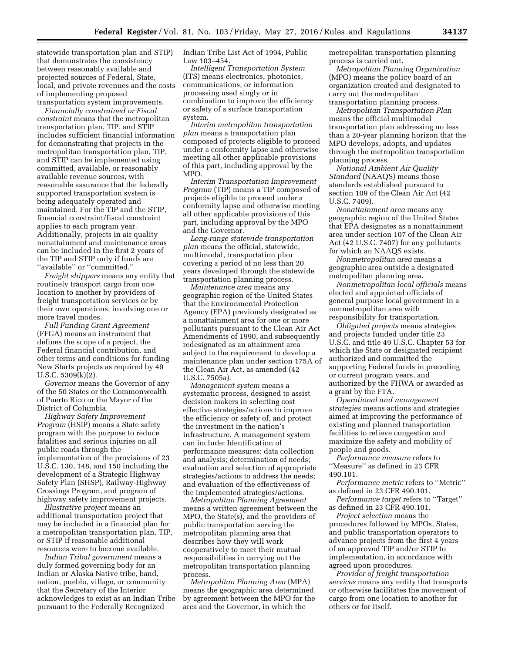statewide transportation plan and STIP) that demonstrates the consistency between reasonably available and projected sources of Federal, State, local, and private revenues and the costs of implementing proposed transportation system improvements.

*Financially constrained or Fiscal constraint* means that the metropolitan transportation plan, TIP, and STIP includes sufficient financial information for demonstrating that projects in the metropolitan transportation plan, TIP, and STIP can be implemented using committed, available, or reasonably available revenue sources, with reasonable assurance that the federally supported transportation system is being adequately operated and maintained. For the TIP and the STIP, financial constraint/fiscal constraint applies to each program year. Additionally, projects in air quality nonattainment and maintenance areas can be included in the first 2 years of the TIP and STIP only if funds are ''available'' or ''committed.''

*Freight shippers* means any entity that routinely transport cargo from one location to another by providers of freight transportation services or by their own operations, involving one or more travel modes.

*Full Funding Grant Agreement*  (FFGA) means an instrument that defines the scope of a project, the Federal financial contribution, and other terms and conditions for funding New Starts projects as required by 49 U.S.C. 5309(k)(2).

*Governor* means the Governor of any of the 50 States or the Commonwealth of Puerto Rico or the Mayor of the District of Columbia.

*Highway Safety Improvement Program* (HSIP) means a State safety program with the purpose to reduce fatalities and serious injuries on all public roads through the implementation of the provisions of 23 U.S.C. 130, 148, and 150 including the development of a Strategic Highway Safety Plan (SHSP), Railway-Highway Crossings Program, and program of highway safety improvement projects.

*Illustrative project* means an additional transportation project that may be included in a financial plan for a metropolitan transportation plan, TIP, or STIP if reasonable additional resources were to become available.

*Indian Tribal government* means a duly formed governing body for an Indian or Alaska Native tribe, band, nation, pueblo, village, or community that the Secretary of the Interior acknowledges to exist as an Indian Tribe pursuant to the Federally Recognized

Indian Tribe List Act of 1994, Public Law 103–454.

*Intelligent Transportation System*  (ITS) means electronics, photonics, communications, or information processing used singly or in combination to improve the efficiency or safety of a surface transportation system.

*Interim metropolitan transportation plan* means a transportation plan composed of projects eligible to proceed under a conformity lapse and otherwise meeting all other applicable provisions of this part, including approval by the MPO.

*Interim Transportation Improvement Program* (TIP) means a TIP composed of projects eligible to proceed under a conformity lapse and otherwise meeting all other applicable provisions of this part, including approval by the MPO and the Governor.

*Long-range statewide transportation plan* means the official, statewide, multimodal, transportation plan covering a period of no less than 20 years developed through the statewide transportation planning process.

*Maintenance area* means any geographic region of the United States that the Environmental Protection Agency (EPA) previously designated as a nonattainment area for one or more pollutants pursuant to the Clean Air Act Amendments of 1990, and subsequently redesignated as an attainment area subject to the requirement to develop a maintenance plan under section 175A of the Clean Air Act, as amended (42 U.S.C. 7505a).

*Management system* means a systematic process, designed to assist decision makers in selecting cost effective strategies/actions to improve the efficiency or safety of, and protect the investment in the nation's infrastructure. A management system can include: Identification of performance measures; data collection and analysis; determination of needs; evaluation and selection of appropriate strategies/actions to address the needs; and evaluation of the effectiveness of the implemented strategies/actions.

*Metropolitan Planning Agreement*  means a written agreement between the MPO, the State(s), and the providers of public transportation serving the metropolitan planning area that describes how they will work cooperatively to meet their mutual responsibilities in carrying out the metropolitan transportation planning process.

*Metropolitan Planning Area* (MPA) means the geographic area determined by agreement between the MPO for the area and the Governor, in which the

metropolitan transportation planning process is carried out.

*Metropolitan Planning Organization*  (MPO) means the policy board of an organization created and designated to carry out the metropolitan transportation planning process.

*Metropolitan Transportation Plan*  means the official multimodal transportation plan addressing no less than a 20-year planning horizon that the MPO develops, adopts, and updates through the metropolitan transportation planning process.

*National Ambient Air Quality Standard* (NAAQS) means those standards established pursuant to section 109 of the Clean Air Act (42 U.S.C. 7409).

*Nonattainment area* means any geographic region of the United States that EPA designates as a nonattainment area under section 107 of the Clean Air Act (42 U.S.C. 7407) for any pollutants for which an NAAQS exists.

*Nonmetropolitan area* means a geographic area outside a designated metropolitan planning area.

*Nonmetropolitan local officials* means elected and appointed officials of general purpose local government in a nonmetropolitan area with responsibility for transportation.

*Obligated projects* means strategies and projects funded under title 23 U.S.C. and title 49 U.S.C. Chapter 53 for which the State or designated recipient authorized and committed the supporting Federal funds in preceding or current program years, and authorized by the FHWA or awarded as a grant by the FTA.

*Operational and management strategies* means actions and strategies aimed at improving the performance of existing and planned transportation facilities to relieve congestion and maximize the safety and mobility of people and goods.

*Performance measure* refers to ''Measure'' as defined in 23 CFR 490.101.

*Performance metric* refers to ''Metric'' as defined in 23 CFR 490.101.

*Performance target* refers to ''Target'' as defined in 23 CFR 490.101.

*Project selection* means the procedures followed by MPOs, States, and public transportation operators to advance projects from the first 4 years of an approved TIP and/or STIP to implementation, in accordance with agreed upon procedures.

*Provider of freight transportation services* means any entity that transports or otherwise facilitates the movement of cargo from one location to another for others or for itself.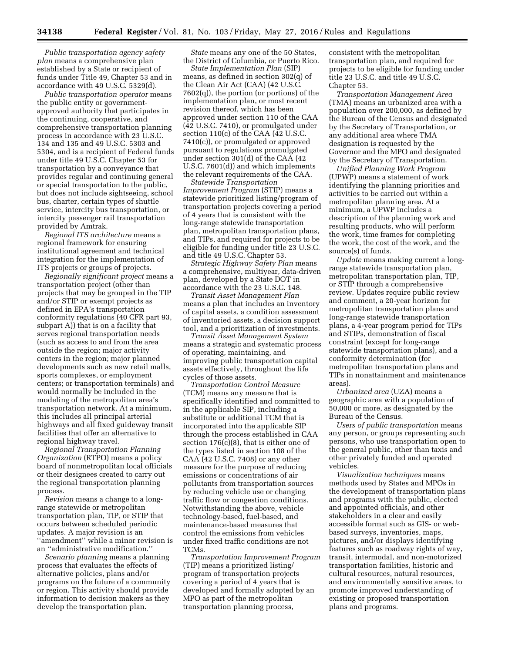*Public transportation agency safety plan* means a comprehensive plan established by a State or recipient of funds under Title 49, Chapter 53 and in accordance with 49 U.S.C. 5329(d).

*Public transportation operator* means the public entity or governmentapproved authority that participates in the continuing, cooperative, and comprehensive transportation planning process in accordance with 23 U.S.C. 134 and 135 and 49 U.S.C. 5303 and 5304, and is a recipient of Federal funds under title 49 U.S.C. Chapter 53 for transportation by a conveyance that provides regular and continuing general or special transportation to the public, but does not include sightseeing, school bus, charter, certain types of shuttle service, intercity bus transportation, or intercity passenger rail transportation provided by Amtrak.

*Regional ITS architecture* means a regional framework for ensuring institutional agreement and technical integration for the implementation of ITS projects or groups of projects.

*Regionally significant project* means a transportation project (other than projects that may be grouped in the TIP and/or STIP or exempt projects as defined in EPA's transportation conformity regulations (40 CFR part 93, subpart A)) that is on a facility that serves regional transportation needs (such as access to and from the area outside the region; major activity centers in the region; major planned developments such as new retail malls, sports complexes, or employment centers; or transportation terminals) and would normally be included in the modeling of the metropolitan area's transportation network. At a minimum, this includes all principal arterial highways and all fixed guideway transit facilities that offer an alternative to regional highway travel.

*Regional Transportation Planning Organization* (RTPO) means a policy board of nonmetropolitan local officials or their designees created to carry out the regional transportation planning process.

*Revision* means a change to a longrange statewide or metropolitan transportation plan, TIP, or STIP that occurs between scheduled periodic updates. A major revision is an ''amendment'' while a minor revision is an ''administrative modification.''

*Scenario planning* means a planning process that evaluates the effects of alternative policies, plans and/or programs on the future of a community or region. This activity should provide information to decision makers as they develop the transportation plan.

*State* means any one of the 50 States, the District of Columbia, or Puerto Rico.

*State Implementation Plan* (SIP) means, as defined in section 302(q) of the Clean Air Act (CAA) (42 U.S.C. 7602(q)), the portion (or portions) of the implementation plan, or most recent revision thereof, which has been approved under section 110 of the CAA (42 U.S.C. 7410), or promulgated under section 110(c) of the CAA (42 U.S.C. 7410(c)), or promulgated or approved pursuant to regulations promulgated under section 301(d) of the CAA (42 U.S.C. 7601(d)) and which implements the relevant requirements of the CAA.

*Statewide Transportation Improvement Program* (STIP) means a statewide prioritized listing/program of transportation projects covering a period of 4 years that is consistent with the long-range statewide transportation plan, metropolitan transportation plans, and TIPs, and required for projects to be eligible for funding under title 23 U.S.C. and title 49 U.S.C. Chapter 53.

*Strategic Highway Safety Plan* means a comprehensive, multiyear, data-driven plan, developed by a State DOT in accordance with the 23 U.S.C. 148.

*Transit Asset Management Plan*  means a plan that includes an inventory of capital assets, a condition assessment of inventoried assets, a decision support tool, and a prioritization of investments.

*Transit Asset Management System*  means a strategic and systematic process of operating, maintaining, and improving public transportation capital assets effectively, throughout the life cycles of those assets.

*Transportation Control Measure*  (TCM) means any measure that is specifically identified and committed to in the applicable SIP, including a substitute or additional TCM that is incorporated into the applicable SIP through the process established in CAA section 176(c)(8), that is either one of the types listed in section 108 of the CAA (42 U.S.C. 7408) or any other measure for the purpose of reducing emissions or concentrations of air pollutants from transportation sources by reducing vehicle use or changing traffic flow or congestion conditions. Notwithstanding the above, vehicle technology-based, fuel-based, and maintenance-based measures that control the emissions from vehicles under fixed traffic conditions are not TCMs.

*Transportation Improvement Program*  (TIP) means a prioritized listing/ program of transportation projects covering a period of 4 years that is developed and formally adopted by an MPO as part of the metropolitan transportation planning process,

consistent with the metropolitan transportation plan, and required for projects to be eligible for funding under title 23 U.S.C. and title 49 U.S.C. Chapter 53.

*Transportation Management Area*  (TMA) means an urbanized area with a population over 200,000, as defined by the Bureau of the Census and designated by the Secretary of Transportation, or any additional area where TMA designation is requested by the Governor and the MPO and designated by the Secretary of Transportation.

*Unified Planning Work Program*  (UPWP) means a statement of work identifying the planning priorities and activities to be carried out within a metropolitan planning area. At a minimum, a UPWP includes a description of the planning work and resulting products, who will perform the work, time frames for completing the work, the cost of the work, and the source(s) of funds.

*Update* means making current a longrange statewide transportation plan, metropolitan transportation plan, TIP, or STIP through a comprehensive review. Updates require public review and comment, a 20-year horizon for metropolitan transportation plans and long-range statewide transportation plans, a 4-year program period for TIPs and STIPs, demonstration of fiscal constraint (except for long-range statewide transportation plans), and a conformity determination (for metropolitan transportation plans and TIPs in nonattainment and maintenance areas).

*Urbanized area* (UZA) means a geographic area with a population of 50,000 or more, as designated by the Bureau of the Census.

*Users of public transportation* means any person, or groups representing such persons, who use transportation open to the general public, other than taxis and other privately funded and operated vehicles.

*Visualization techniques* means methods used by States and MPOs in the development of transportation plans and programs with the public, elected and appointed officials, and other stakeholders in a clear and easily accessible format such as GIS- or webbased surveys, inventories, maps, pictures, and/or displays identifying features such as roadway rights of way, transit, intermodal, and non-motorized transportation facilities, historic and cultural resources, natural resources, and environmentally sensitive areas, to promote improved understanding of existing or proposed transportation plans and programs.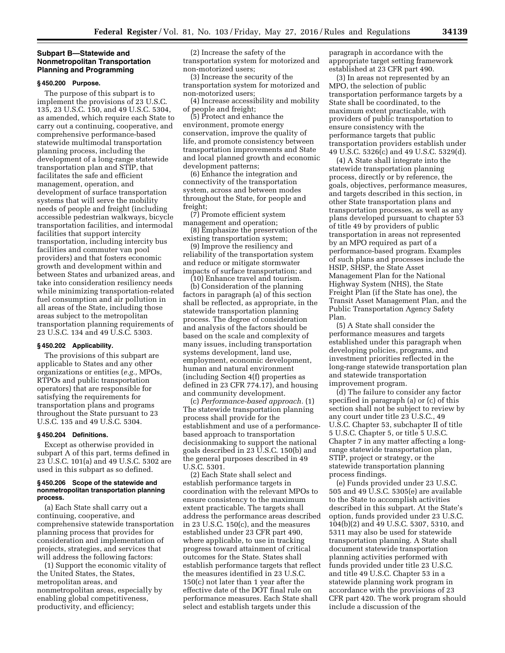## **Subpart B—Statewide and Nonmetropolitan Transportation Planning and Programming**

#### **§ 450.200 Purpose.**

The purpose of this subpart is to implement the provisions of 23 U.S.C. 135, 23 U.S.C. 150, and 49 U.S.C. 5304, as amended, which require each State to carry out a continuing, cooperative, and comprehensive performance-based statewide multimodal transportation planning process, including the development of a long-range statewide transportation plan and STIP, that facilitates the safe and efficient management, operation, and development of surface transportation systems that will serve the mobility needs of people and freight (including accessible pedestrian walkways, bicycle transportation facilities, and intermodal facilities that support intercity transportation, including intercity bus facilities and commuter van pool providers) and that fosters economic growth and development within and between States and urbanized areas, and take into consideration resiliency needs while minimizing transportation-related fuel consumption and air pollution in all areas of the State, including those areas subject to the metropolitan transportation planning requirements of 23 U.S.C. 134 and 49 U.S.C. 5303.

#### **§ 450.202 Applicability.**

The provisions of this subpart are applicable to States and any other organizations or entities (*e.g.,* MPOs, RTPOs and public transportation operators) that are responsible for satisfying the requirements for transportation plans and programs throughout the State pursuant to 23 U.S.C. 135 and 49 U.S.C. 5304.

## **§ 450.204 Definitions.**

Except as otherwise provided in subpart A of this part, terms defined in 23 U.S.C. 101(a) and 49 U.S.C. 5302 are used in this subpart as so defined.

### **§ 450.206 Scope of the statewide and nonmetropolitan transportation planning process.**

(a) Each State shall carry out a continuing, cooperative, and comprehensive statewide transportation planning process that provides for consideration and implementation of projects, strategies, and services that will address the following factors:

(1) Support the economic vitality of the United States, the States, metropolitan areas, and nonmetropolitan areas, especially by enabling global competitiveness, productivity, and efficiency;

(2) Increase the safety of the transportation system for motorized and non-motorized users;

(3) Increase the security of the transportation system for motorized and non-motorized users;

(4) Increase accessibility and mobility of people and freight;

(5) Protect and enhance the environment, promote energy conservation, improve the quality of life, and promote consistency between transportation improvements and State and local planned growth and economic development patterns;

(6) Enhance the integration and connectivity of the transportation system, across and between modes throughout the State, for people and freight;

(7) Promote efficient system management and operation;

(8) Emphasize the preservation of the existing transportation system;

(9) Improve the resiliency and reliability of the transportation system and reduce or mitigate stormwater impacts of surface transportation; and

(10) Enhance travel and tourism. (b) Consideration of the planning factors in paragraph (a) of this section shall be reflected, as appropriate, in the statewide transportation planning process. The degree of consideration and analysis of the factors should be based on the scale and complexity of many issues, including transportation systems development, land use, employment, economic development, human and natural environment (including Section 4(f) properties as defined in 23 CFR 774.17), and housing and community development.

(c) *Performance-based approach.* (1) The statewide transportation planning process shall provide for the establishment and use of a performancebased approach to transportation decisionmaking to support the national goals described in 23 U.S.C. 150(b) and the general purposes described in 49 U.S.C. 5301.

(2) Each State shall select and establish performance targets in coordination with the relevant MPOs to ensure consistency to the maximum extent practicable. The targets shall address the performance areas described in 23 U.S.C. 150(c), and the measures established under 23 CFR part 490, where applicable, to use in tracking progress toward attainment of critical outcomes for the State. States shall establish performance targets that reflect the measures identified in 23 U.S.C. 150(c) not later than 1 year after the effective date of the DOT final rule on performance measures. Each State shall select and establish targets under this

paragraph in accordance with the appropriate target setting framework established at 23 CFR part 490.

(3) In areas not represented by an MPO, the selection of public transportation performance targets by a State shall be coordinated, to the maximum extent practicable, with providers of public transportation to ensure consistency with the performance targets that public transportation providers establish under 49 U.S.C. 5326(c) and 49 U.S.C. 5329(d).

(4) A State shall integrate into the statewide transportation planning process, directly or by reference, the goals, objectives, performance measures, and targets described in this section, in other State transportation plans and transportation processes, as well as any plans developed pursuant to chapter 53 of title 49 by providers of public transportation in areas not represented by an MPO required as part of a performance-based program. Examples of such plans and processes include the HSIP, SHSP, the State Asset Management Plan for the National Highway System (NHS), the State Freight Plan (if the State has one), the Transit Asset Management Plan, and the Public Transportation Agency Safety Plan.

(5) A State shall consider the performance measures and targets established under this paragraph when developing policies, programs, and investment priorities reflected in the long-range statewide transportation plan and statewide transportation improvement program.

(d) The failure to consider any factor specified in paragraph (a) or (c) of this section shall not be subject to review by any court under title 23 U.S.C., 49 U.S.C. Chapter 53, subchapter II of title 5 U.S.C. Chapter 5, or title 5 U.S.C. Chapter 7 in any matter affecting a longrange statewide transportation plan, STIP, project or strategy, or the statewide transportation planning process findings.

(e) Funds provided under 23 U.S.C. 505 and 49 U.S.C. 5305(e) are available to the State to accomplish activities described in this subpart. At the State's option, funds provided under 23 U.S.C. 104(b)(2) and 49 U.S.C. 5307, 5310, and 5311 may also be used for statewide transportation planning. A State shall document statewide transportation planning activities performed with funds provided under title 23 U.S.C. and title 49 U.S.C. Chapter 53 in a statewide planning work program in accordance with the provisions of 23 CFR part 420. The work program should include a discussion of the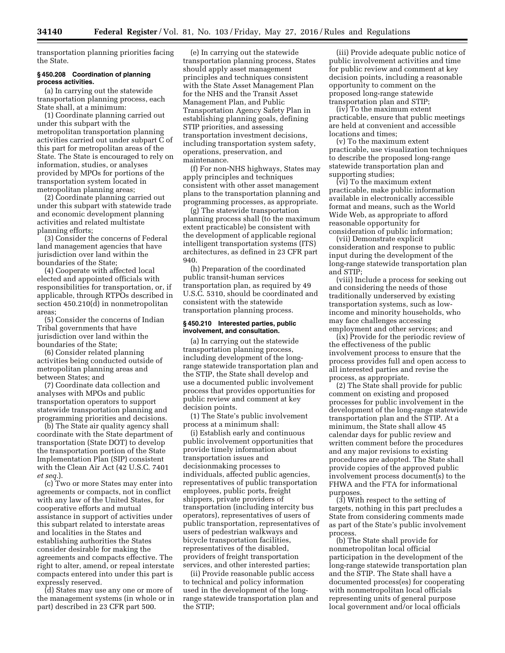transportation planning priorities facing the State.

### **§ 450.208 Coordination of planning process activities.**

(a) In carrying out the statewide transportation planning process, each State shall, at a minimum:

(1) Coordinate planning carried out under this subpart with the metropolitan transportation planning activities carried out under subpart C of this part for metropolitan areas of the State. The State is encouraged to rely on information, studies, or analyses provided by MPOs for portions of the transportation system located in metropolitan planning areas;

(2) Coordinate planning carried out under this subpart with statewide trade and economic development planning activities and related multistate planning efforts;

(3) Consider the concerns of Federal land management agencies that have jurisdiction over land within the boundaries of the State;

(4) Cooperate with affected local elected and appointed officials with responsibilities for transportation, or, if applicable, through RTPOs described in section 450.210(d) in nonmetropolitan areas;

(5) Consider the concerns of Indian Tribal governments that have jurisdiction over land within the boundaries of the State;

(6) Consider related planning activities being conducted outside of metropolitan planning areas and between States; and

(7) Coordinate data collection and analyses with MPOs and public transportation operators to support statewide transportation planning and programming priorities and decisions.

(b) The State air quality agency shall coordinate with the State department of transportation (State DOT) to develop the transportation portion of the State Implementation Plan (SIP) consistent with the Clean Air Act (42 U.S.C. 7401 *et seq.*).

(c) Two or more States may enter into agreements or compacts, not in conflict with any law of the United States, for cooperative efforts and mutual assistance in support of activities under this subpart related to interstate areas and localities in the States and establishing authorities the States consider desirable for making the agreements and compacts effective. The right to alter, amend, or repeal interstate compacts entered into under this part is expressly reserved.

(d) States may use any one or more of the management systems (in whole or in part) described in 23 CFR part 500.

(e) In carrying out the statewide transportation planning process, States should apply asset management principles and techniques consistent with the State Asset Management Plan for the NHS and the Transit Asset Management Plan, and Public Transportation Agency Safety Plan in establishing planning goals, defining STIP priorities, and assessing transportation investment decisions, including transportation system safety, operations, preservation, and maintenance.

(f) For non-NHS highways, States may apply principles and techniques consistent with other asset management plans to the transportation planning and programming processes, as appropriate.

(g) The statewide transportation planning process shall (to the maximum extent practicable) be consistent with the development of applicable regional intelligent transportation systems (ITS) architectures, as defined in 23 CFR part 940.

(h) Preparation of the coordinated public transit-human services transportation plan, as required by 49 U.S.C. 5310, should be coordinated and consistent with the statewide transportation planning process.

#### **§ 450.210 Interested parties, public involvement, and consultation.**

(a) In carrying out the statewide transportation planning process, including development of the longrange statewide transportation plan and the STIP, the State shall develop and use a documented public involvement process that provides opportunities for public review and comment at key decision points.

(1) The State's public involvement process at a minimum shall:

(i) Establish early and continuous public involvement opportunities that provide timely information about transportation issues and decisionmaking processes to individuals, affected public agencies, representatives of public transportation employees, public ports, freight shippers, private providers of transportation (including intercity bus operators), representatives of users of public transportation, representatives of users of pedestrian walkways and bicycle transportation facilities, representatives of the disabled, providers of freight transportation services, and other interested parties;

(ii) Provide reasonable public access to technical and policy information used in the development of the longrange statewide transportation plan and the STIP;

(iii) Provide adequate public notice of public involvement activities and time for public review and comment at key decision points, including a reasonable opportunity to comment on the proposed long-range statewide transportation plan and STIP;

(iv) To the maximum extent practicable, ensure that public meetings are held at convenient and accessible locations and times;

(v) To the maximum extent practicable, use visualization techniques to describe the proposed long-range statewide transportation plan and supporting studies;

(vi) To the maximum extent practicable, make public information available in electronically accessible format and means, such as the World Wide Web, as appropriate to afford reasonable opportunity for consideration of public information;

(vii) Demonstrate explicit consideration and response to public input during the development of the long-range statewide transportation plan and STIP;

(viii) Include a process for seeking out and considering the needs of those traditionally underserved by existing transportation systems, such as lowincome and minority households, who may face challenges accessing employment and other services; and

(ix) Provide for the periodic review of the effectiveness of the public involvement process to ensure that the process provides full and open access to all interested parties and revise the process, as appropriate.

(2) The State shall provide for public comment on existing and proposed processes for public involvement in the development of the long-range statewide transportation plan and the STIP. At a minimum, the State shall allow 45 calendar days for public review and written comment before the procedures and any major revisions to existing procedures are adopted. The State shall provide copies of the approved public involvement process document(s) to the FHWA and the FTA for informational purposes.

(3) With respect to the setting of targets, nothing in this part precludes a State from considering comments made as part of the State's public involvement process.

(b) The State shall provide for nonmetropolitan local official participation in the development of the long-range statewide transportation plan and the STIP. The State shall have a documented process(es) for cooperating with nonmetropolitan local officials representing units of general purpose local government and/or local officials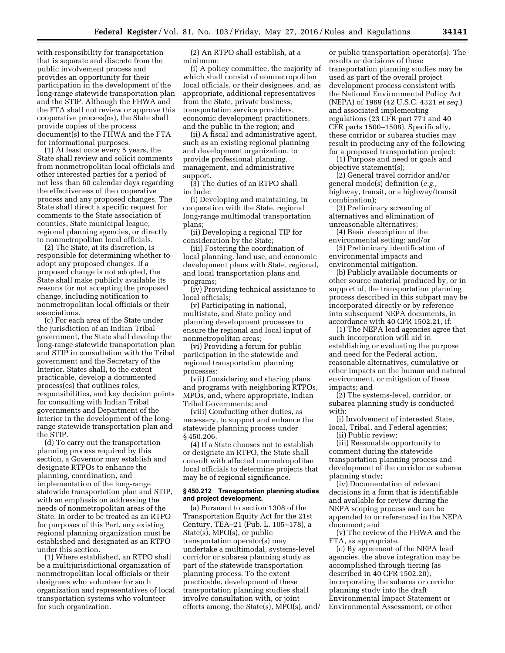with responsibility for transportation that is separate and discrete from the public involvement process and provides an opportunity for their participation in the development of the long-range statewide transportation plan and the STIP. Although the FHWA and the FTA shall not review or approve this cooperative process(es), the State shall provide copies of the process document(s) to the FHWA and the FTA for informational purposes.

(1) At least once every 5 years, the State shall review and solicit comments from nonmetropolitan local officials and other interested parties for a period of not less than 60 calendar days regarding the effectiveness of the cooperative process and any proposed changes. The State shall direct a specific request for comments to the State association of counties, State municipal league, regional planning agencies, or directly to nonmetropolitan local officials.

(2) The State, at its discretion, is responsible for determining whether to adopt any proposed changes. If a proposed change is not adopted, the State shall make publicly available its reasons for not accepting the proposed change, including notification to nonmetropolitan local officials or their associations.

(c) For each area of the State under the jurisdiction of an Indian Tribal government, the State shall develop the long-range statewide transportation plan and STIP in consultation with the Tribal government and the Secretary of the Interior. States shall, to the extent practicable, develop a documented process(es) that outlines roles, responsibilities, and key decision points for consulting with Indian Tribal governments and Department of the Interior in the development of the longrange statewide transportation plan and the STIP.

(d) To carry out the transportation planning process required by this section, a Governor may establish and designate RTPOs to enhance the planning, coordination, and implementation of the long-range statewide transportation plan and STIP, with an emphasis on addressing the needs of nonmetropolitan areas of the State. In order to be treated as an RTPO for purposes of this Part, any existing regional planning organization must be established and designated as an RTPO under this section.

(1) Where established, an RTPO shall be a multijurisdictional organization of nonmetropolitan local officials or their designees who volunteer for such organization and representatives of local transportation systems who volunteer for such organization.

(2) An RTPO shall establish, at a minimum:

(i) A policy committee, the majority of which shall consist of nonmetropolitan local officials, or their designees, and, as appropriate, additional representatives from the State, private business, transportation service providers, economic development practitioners, and the public in the region; and

(ii) A fiscal and administrative agent, such as an existing regional planning and development organization, to provide professional planning, management, and administrative support.

(3) The duties of an RTPO shall include:

(i) Developing and maintaining, in cooperation with the State, regional long-range multimodal transportation plans;

(ii) Developing a regional TIP for consideration by the State;

(iii) Fostering the coordination of local planning, land use, and economic development plans with State, regional, and local transportation plans and programs;

(iv) Providing technical assistance to local officials;

(v) Participating in national, multistate, and State policy and planning development processes to ensure the regional and local input of nonmetropolitan areas;

(vi) Providing a forum for public participation in the statewide and regional transportation planning processes;

(vii) Considering and sharing plans and programs with neighboring RTPOs, MPOs, and, where appropriate, Indian Tribal Governments; and

(viii) Conducting other duties, as necessary, to support and enhance the statewide planning process under § 450.206.

(4) If a State chooses not to establish or designate an RTPO, the State shall consult with affected nonmetropolitan local officials to determine projects that may be of regional significance.

### **§ 450.212 Transportation planning studies and project development.**

(a) Pursuant to section 1308 of the Transportation Equity Act for the 21st Century, TEA–21 (Pub. L. 105–178), a State(s), MPO(s), or public transportation operator(s) may undertake a multimodal, systems-level corridor or subarea planning study as part of the statewide transportation planning process. To the extent practicable, development of these transportation planning studies shall involve consultation with, or joint efforts among, the State(s), MPO(s), and/

or public transportation operator(s). The results or decisions of these transportation planning studies may be used as part of the overall project development process consistent with the National Environmental Policy Act (NEPA) of 1969 (42 U.S.C. 4321 *et seq.*) and associated implementing regulations (23 CFR part 771 and 40 CFR parts 1500–1508). Specifically, these corridor or subarea studies may result in producing any of the following for a proposed transportation project:

(1) Purpose and need or goals and objective statement(s);

(2) General travel corridor and/or general mode(s) definition (*e.g.,*  highway, transit, or a highway/transit combination);

(3) Preliminary screening of alternatives and elimination of unreasonable alternatives;

(4) Basic description of the environmental setting; and/or

(5) Preliminary identification of environmental impacts and environmental mitigation.

(b) Publicly available documents or other source material produced by, or in support of, the transportation planning process described in this subpart may be incorporated directly or by reference into subsequent NEPA documents, in accordance with 40 CFR 1502.21, if:

(1) The NEPA lead agencies agree that such incorporation will aid in establishing or evaluating the purpose and need for the Federal action, reasonable alternatives, cumulative or other impacts on the human and natural environment, or mitigation of these impacts; and

(2) The systems-level, corridor, or subarea planning study is conducted with:

(i) Involvement of interested State, local, Tribal, and Federal agencies;

(ii) Public review;

(iii) Reasonable opportunity to comment during the statewide transportation planning process and development of the corridor or subarea planning study;

(iv) Documentation of relevant decisions in a form that is identifiable and available for review during the NEPA scoping process and can be appended to or referenced in the NEPA document; and

(v) The review of the FHWA and the FTA, as appropriate.

(c) By agreement of the NEPA lead agencies, the above integration may be accomplished through tiering (as described in 40 CFR 1502.20), incorporating the subarea or corridor planning study into the draft Environmental Impact Statement or Environmental Assessment, or other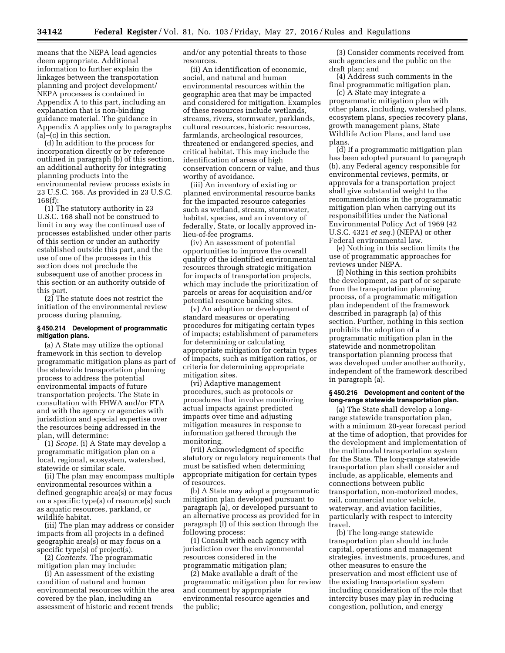means that the NEPA lead agencies deem appropriate. Additional information to further explain the linkages between the transportation planning and project development/ NEPA processes is contained in Appendix A to this part, including an explanation that is non-binding guidance material. The guidance in Appendix A applies only to paragraphs (a)–(c) in this section.

(d) In addition to the process for incorporation directly or by reference outlined in paragraph (b) of this section, an additional authority for integrating planning products into the environmental review process exists in 23 U.S.C. 168. As provided in 23 U.S.C. 168(f):

(1) The statutory authority in 23 U.S.C. 168 shall not be construed to limit in any way the continued use of processes established under other parts of this section or under an authority established outside this part, and the use of one of the processes in this section does not preclude the subsequent use of another process in this section or an authority outside of this part.

(2) The statute does not restrict the initiation of the environmental review process during planning.

### **§ 450.214 Development of programmatic mitigation plans.**

(a) A State may utilize the optional framework in this section to develop programmatic mitigation plans as part of the statewide transportation planning process to address the potential environmental impacts of future transportation projects. The State in consultation with FHWA and/or FTA and with the agency or agencies with jurisdiction and special expertise over the resources being addressed in the plan, will determine:

(1) *Scope.* (i) A State may develop a programmatic mitigation plan on a local, regional, ecosystem, watershed, statewide or similar scale.

(ii) The plan may encompass multiple environmental resources within a defined geographic area(s) or may focus on a specific type(s) of resource(s) such as aquatic resources, parkland, or wildlife habitat.

(iii) The plan may address or consider impacts from all projects in a defined geographic area(s) or may focus on a specific type(s) of project(s).

(2) *Contents.* The programmatic mitigation plan may include:

(i) An assessment of the existing condition of natural and human environmental resources within the area covered by the plan, including an assessment of historic and recent trends

and/or any potential threats to those resources.

(ii) An identification of economic, social, and natural and human environmental resources within the geographic area that may be impacted and considered for mitigation. Examples of these resources include wetlands, streams, rivers, stormwater, parklands, cultural resources, historic resources, farmlands, archeological resources, threatened or endangered species, and critical habitat. This may include the identification of areas of high conservation concern or value, and thus worthy of avoidance.

(iii) An inventory of existing or planned environmental resource banks for the impacted resource categories such as wetland, stream, stormwater, habitat, species, and an inventory of federally, State, or locally approved inlieu-of-fee programs.

(iv) An assessment of potential opportunities to improve the overall quality of the identified environmental resources through strategic mitigation for impacts of transportation projects, which may include the prioritization of parcels or areas for acquisition and/or potential resource banking sites.

(v) An adoption or development of standard measures or operating procedures for mitigating certain types of impacts; establishment of parameters for determining or calculating appropriate mitigation for certain types of impacts, such as mitigation ratios, or criteria for determining appropriate mitigation sites.

(vi) Adaptive management procedures, such as protocols or procedures that involve monitoring actual impacts against predicted impacts over time and adjusting mitigation measures in response to information gathered through the monitoring.

(vii) Acknowledgment of specific statutory or regulatory requirements that must be satisfied when determining appropriate mitigation for certain types of resources.

(b) A State may adopt a programmatic mitigation plan developed pursuant to paragraph (a), or developed pursuant to an alternative process as provided for in paragraph (f) of this section through the following process:

(1) Consult with each agency with jurisdiction over the environmental resources considered in the programmatic mitigation plan;

(2) Make available a draft of the programmatic mitigation plan for review and comment by appropriate environmental resource agencies and the public;

(3) Consider comments received from such agencies and the public on the draft plan; and

(4) Address such comments in the final programmatic mitigation plan.

(c) A State may integrate a programmatic mitigation plan with other plans, including, watershed plans, ecosystem plans, species recovery plans, growth management plans, State Wildlife Action Plans, and land use plans.

(d) If a programmatic mitigation plan has been adopted pursuant to paragraph (b), any Federal agency responsible for environmental reviews, permits, or approvals for a transportation project shall give substantial weight to the recommendations in the programmatic mitigation plan when carrying out its responsibilities under the National Environmental Policy Act of 1969 (42 U.S.C. 4321 *et seq.*) (NEPA) or other Federal environmental law.

(e) Nothing in this section limits the use of programmatic approaches for reviews under NEPA.

(f) Nothing in this section prohibits the development, as part of or separate from the transportation planning process, of a programmatic mitigation plan independent of the framework described in paragraph (a) of this section. Further, nothing in this section prohibits the adoption of a programmatic mitigation plan in the statewide and nonmetropolitan transportation planning process that was developed under another authority, independent of the framework described in paragraph (a).

## **§ 450.216 Development and content of the long-range statewide transportation plan.**

(a) The State shall develop a longrange statewide transportation plan, with a minimum 20-year forecast period at the time of adoption, that provides for the development and implementation of the multimodal transportation system for the State. The long-range statewide transportation plan shall consider and include, as applicable, elements and connections between public transportation, non-motorized modes, rail, commercial motor vehicle, waterway, and aviation facilities, particularly with respect to intercity travel.

(b) The long-range statewide transportation plan should include capital, operations and management strategies, investments, procedures, and other measures to ensure the preservation and most efficient use of the existing transportation system including consideration of the role that intercity buses may play in reducing congestion, pollution, and energy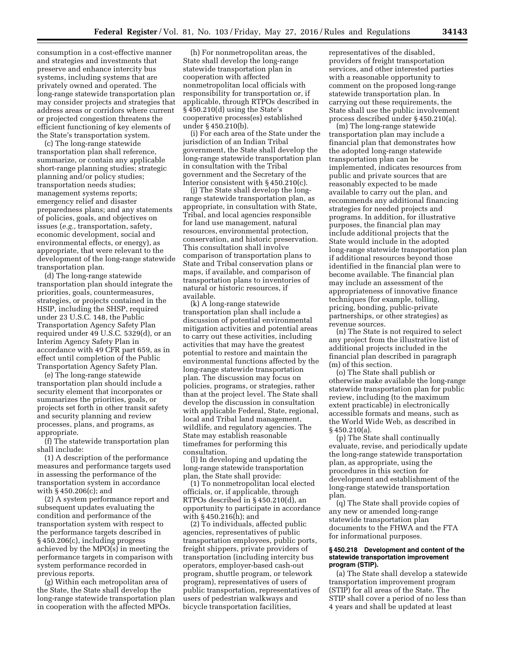consumption in a cost-effective manner and strategies and investments that preserve and enhance intercity bus systems, including systems that are privately owned and operated. The long-range statewide transportation plan may consider projects and strategies that address areas or corridors where current or projected congestion threatens the efficient functioning of key elements of the State's transportation system.

(c) The long-range statewide transportation plan shall reference, summarize, or contain any applicable short-range planning studies; strategic planning and/or policy studies; transportation needs studies; management systems reports; emergency relief and disaster preparedness plans; and any statements of policies, goals, and objectives on issues (*e.g.,* transportation, safety, economic development, social and environmental effects, or energy), as appropriate, that were relevant to the development of the long-range statewide transportation plan.

(d) The long-range statewide transportation plan should integrate the priorities, goals, countermeasures, strategies, or projects contained in the HSIP, including the SHSP, required under 23 U.S.C. 148, the Public Transportation Agency Safety Plan required under 49 U.S.C. 5329(d), or an Interim Agency Safety Plan in accordance with 49 CFR part 659, as in effect until completion of the Public Transportation Agency Safety Plan.

(e) The long-range statewide transportation plan should include a security element that incorporates or summarizes the priorities, goals, or projects set forth in other transit safety and security planning and review processes, plans, and programs, as appropriate.

(f) The statewide transportation plan shall include:

(1) A description of the performance measures and performance targets used in assessing the performance of the transportation system in accordance with § 450.206(c); and

(2) A system performance report and subsequent updates evaluating the condition and performance of the transportation system with respect to the performance targets described in § 450.206(c), including progress achieved by the MPO(s) in meeting the performance targets in comparison with system performance recorded in previous reports.

(g) Within each metropolitan area of the State, the State shall develop the long-range statewide transportation plan in cooperation with the affected MPOs.

(h) For nonmetropolitan areas, the State shall develop the long-range statewide transportation plan in cooperation with affected nonmetropolitan local officials with responsibility for transportation or, if applicable, through RTPOs described in § 450.210(d) using the State's cooperative process(es) established under § 450.210(b).

(i) For each area of the State under the jurisdiction of an Indian Tribal government, the State shall develop the long-range statewide transportation plan in consultation with the Tribal government and the Secretary of the Interior consistent with § 450.210(c).

(j) The State shall develop the longrange statewide transportation plan, as appropriate, in consultation with State, Tribal, and local agencies responsible for land use management, natural resources, environmental protection, conservation, and historic preservation. This consultation shall involve comparison of transportation plans to State and Tribal conservation plans or maps, if available, and comparison of transportation plans to inventories of natural or historic resources, if available.

(k) A long-range statewide transportation plan shall include a discussion of potential environmental mitigation activities and potential areas to carry out these activities, including activities that may have the greatest potential to restore and maintain the environmental functions affected by the long-range statewide transportation plan. The discussion may focus on policies, programs, or strategies, rather than at the project level. The State shall develop the discussion in consultation with applicable Federal, State, regional, local and Tribal land management, wildlife, and regulatory agencies. The State may establish reasonable timeframes for performing this consultation.

(l) In developing and updating the long-range statewide transportation plan, the State shall provide:

(1) To nonmetropolitan local elected officials, or, if applicable, through RTPOs described in § 450.210(d), an opportunity to participate in accordance with § 450.216(h); and

(2) To individuals, affected public agencies, representatives of public transportation employees, public ports, freight shippers, private providers of transportation (including intercity bus operators, employer-based cash-out program, shuttle program, or telework program), representatives of users of public transportation, representatives of users of pedestrian walkways and bicycle transportation facilities,

representatives of the disabled, providers of freight transportation services, and other interested parties with a reasonable opportunity to comment on the proposed long-range statewide transportation plan. In carrying out these requirements, the State shall use the public involvement process described under § 450.210(a).

(m) The long-range statewide transportation plan may include a financial plan that demonstrates how the adopted long-range statewide transportation plan can be implemented, indicates resources from public and private sources that are reasonably expected to be made available to carry out the plan, and recommends any additional financing strategies for needed projects and programs. In addition, for illustrative purposes, the financial plan may include additional projects that the State would include in the adopted long-range statewide transportation plan if additional resources beyond those identified in the financial plan were to become available. The financial plan may include an assessment of the appropriateness of innovative finance techniques (for example, tolling, pricing, bonding, public-private partnerships, or other strategies) as revenue sources.

(n) The State is not required to select any project from the illustrative list of additional projects included in the financial plan described in paragraph (m) of this section.

(o) The State shall publish or otherwise make available the long-range statewide transportation plan for public review, including (to the maximum extent practicable) in electronically accessible formats and means, such as the World Wide Web, as described in § 450.210(a).

(p) The State shall continually evaluate, revise, and periodically update the long-range statewide transportation plan, as appropriate, using the procedures in this section for development and establishment of the long-range statewide transportation plan.

(q) The State shall provide copies of any new or amended long-range statewide transportation plan documents to the FHWA and the FTA for informational purposes.

#### **§ 450.218 Development and content of the statewide transportation improvement program (STIP).**

(a) The State shall develop a statewide transportation improvement program (STIP) for all areas of the State. The STIP shall cover a period of no less than 4 years and shall be updated at least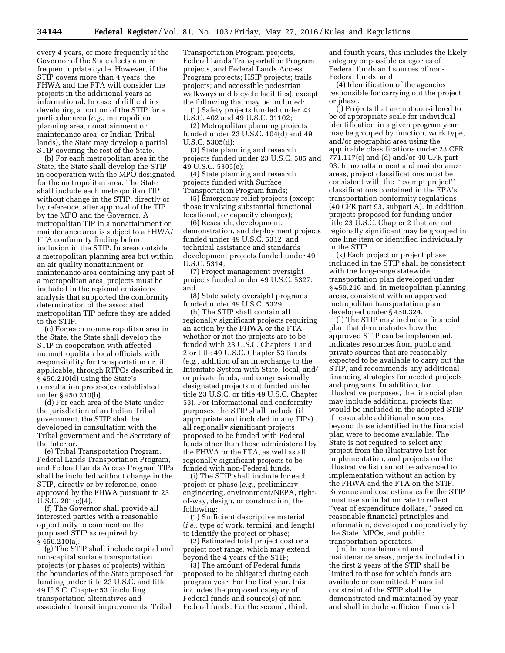every 4 years, or more frequently if the Governor of the State elects a more frequent update cycle. However, if the STIP covers more than 4 years, the FHWA and the FTA will consider the projects in the additional years as informational. In case of difficulties developing a portion of the STIP for a particular area (*e.g.,* metropolitan planning area, nonattainment or maintenance area, or Indian Tribal lands), the State may develop a partial STIP covering the rest of the State.

(b) For each metropolitan area in the State, the State shall develop the STIP in cooperation with the MPO designated for the metropolitan area. The State shall include each metropolitan TIP without change in the STIP, directly or by reference, after approval of the TIP by the MPO and the Governor. A metropolitan TIP in a nonattainment or maintenance area is subject to a FHWA/ FTA conformity finding before inclusion in the STIP. In areas outside a metropolitan planning area but within an air quality nonattainment or maintenance area containing any part of a metropolitan area, projects must be included in the regional emissions analysis that supported the conformity determination of the associated metropolitan TIP before they are added to the STIP.

(c) For each nonmetropolitan area in the State, the State shall develop the STIP in cooperation with affected nonmetropolitan local officials with responsibility for transportation or, if applicable, through RTPOs described in § 450.210(d) using the State's consultation process(es) established under § 450.210(b).

(d) For each area of the State under the jurisdiction of an Indian Tribal government, the STIP shall be developed in consultation with the Tribal government and the Secretary of the Interior.

(e) Tribal Transportation Program, Federal Lands Transportation Program, and Federal Lands Access Program TIPs shall be included without change in the STIP, directly or by reference, once approved by the FHWA pursuant to 23 U.S.C. 201(c)(4).

(f) The Governor shall provide all interested parties with a reasonable opportunity to comment on the proposed STIP as required by § 450.210(a).

(g) The STIP shall include capital and non-capital surface transportation projects (or phases of projects) within the boundaries of the State proposed for funding under title 23 U.S.C. and title 49 U.S.C. Chapter 53 (including transportation alternatives and associated transit improvements; Tribal

Transportation Program projects, Federal Lands Transportation Program projects, and Federal Lands Access Program projects; HSIP projects; trails projects; and accessible pedestrian walkways and bicycle facilities), except the following that may be included:

(1) Safety projects funded under 23 U.S.C. 402 and 49 U.S.C. 31102;

(2) Metropolitan planning projects funded under 23 U.S.C. 104(d) and 49 U.S.C. 5305(d);

(3) State planning and research projects funded under 23 U.S.C. 505 and 49 U.S.C. 5305(e);

(4) State planning and research projects funded with Surface Transportation Program funds;

(5) Emergency relief projects (except those involving substantial functional, locational, or capacity changes);

(6) Research, development, demonstration, and deployment projects funded under 49 U.S.C. 5312, and technical assistance and standards development projects funded under 49 U.S.C. 5314;

(7) Project management oversight projects funded under 49 U.S.C. 5327; and

(8) State safety oversight programs funded under 49 U.S.C. 5329.

(h) The STIP shall contain all regionally significant projects requiring an action by the FHWA or the FTA whether or not the projects are to be funded with 23 U.S.C. Chapters 1 and 2 or title 49 U.S.C. Chapter 53 funds (*e.g.,* addition of an interchange to the Interstate System with State, local, and/ or private funds, and congressionally designated projects not funded under title 23 U.S.C. or title 49 U.S.C. Chapter 53). For informational and conformity purposes, the STIP shall include (if appropriate and included in any TIPs) all regionally significant projects proposed to be funded with Federal funds other than those administered by the FHWA or the FTA, as well as all regionally significant projects to be funded with non-Federal funds.

(i) The STIP shall include for each project or phase (*e.g.,* preliminary engineering, environment/NEPA, rightof-way, design, or construction) the following:

(1) Sufficient descriptive material (*i.e.,* type of work, termini, and length) to identify the project or phase;

(2) Estimated total project cost or a project cost range, which may extend beyond the 4 years of the STIP;

(3) The amount of Federal funds proposed to be obligated during each program year. For the first year, this includes the proposed category of Federal funds and source(s) of non-Federal funds. For the second, third,

and fourth years, this includes the likely category or possible categories of Federal funds and sources of non-Federal funds; and

(4) Identification of the agencies responsible for carrying out the project or phase.

(j) Projects that are not considered to be of appropriate scale for individual identification in a given program year may be grouped by function, work type, and/or geographic area using the applicable classifications under 23 CFR 771.117(c) and (d) and/or 40 CFR part 93. In nonattainment and maintenance areas, project classifications must be consistent with the ''exempt project'' classifications contained in the EPA's transportation conformity regulations (40 CFR part 93, subpart A). In addition, projects proposed for funding under title 23 U.S.C. Chapter 2 that are not regionally significant may be grouped in one line item or identified individually in the STIP.

(k) Each project or project phase included in the STIP shall be consistent with the long-range statewide transportation plan developed under § 450.216 and, in metropolitan planning areas, consistent with an approved metropolitan transportation plan developed under § 450.324.

(l) The STIP may include a financial plan that demonstrates how the approved STIP can be implemented, indicates resources from public and private sources that are reasonably expected to be available to carry out the STIP, and recommends any additional financing strategies for needed projects and programs. In addition, for illustrative purposes, the financial plan may include additional projects that would be included in the adopted STIP if reasonable additional resources beyond those identified in the financial plan were to become available. The State is not required to select any project from the illustrative list for implementation, and projects on the illustrative list cannot be advanced to implementation without an action by the FHWA and the FTA on the STIP. Revenue and cost estimates for the STIP must use an inflation rate to reflect ''year of expenditure dollars,'' based on reasonable financial principles and information, developed cooperatively by the State, MPOs, and public transportation operators.

(m) In nonattainment and maintenance areas, projects included in the first 2 years of the STIP shall be limited to those for which funds are available or committed. Financial constraint of the STIP shall be demonstrated and maintained by year and shall include sufficient financial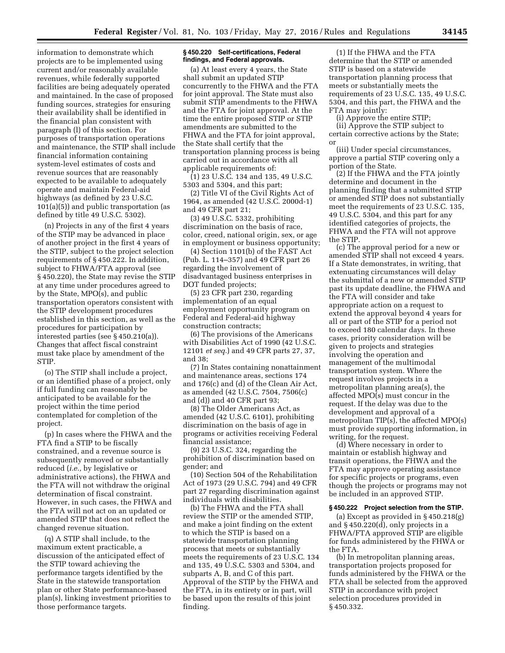information to demonstrate which projects are to be implemented using current and/or reasonably available revenues, while federally supported facilities are being adequately operated and maintained. In the case of proposed funding sources, strategies for ensuring their availability shall be identified in the financial plan consistent with paragraph (l) of this section. For purposes of transportation operations and maintenance, the STIP shall include financial information containing system-level estimates of costs and revenue sources that are reasonably expected to be available to adequately operate and maintain Federal-aid highways (as defined by 23 U.S.C. 101(a)(5)) and public transportation (as defined by title 49 U.S.C. 5302).

(n) Projects in any of the first 4 years of the STIP may be advanced in place of another project in the first 4 years of the STIP, subject to the project selection requirements of § 450.222. In addition, subject to FHWA/FTA approval (see § 450.220), the State may revise the STIP at any time under procedures agreed to by the State, MPO(s), and public transportation operators consistent with the STIP development procedures established in this section, as well as the procedures for participation by interested parties (see § 450.210(a)). Changes that affect fiscal constraint must take place by amendment of the STIP.

(o) The STIP shall include a project, or an identified phase of a project, only if full funding can reasonably be anticipated to be available for the project within the time period contemplated for completion of the project.

(p) In cases where the FHWA and the FTA find a STIP to be fiscally constrained, and a revenue source is subsequently removed or substantially reduced (*i.e.,* by legislative or administrative actions), the FHWA and the FTA will not withdraw the original determination of fiscal constraint. However, in such cases, the FHWA and the FTA will not act on an updated or amended STIP that does not reflect the changed revenue situation.

(q) A STIP shall include, to the maximum extent practicable, a discussion of the anticipated effect of the STIP toward achieving the performance targets identified by the State in the statewide transportation plan or other State performance-based plan(s), linking investment priorities to those performance targets.

### **§ 450.220 Self-certifications, Federal findings, and Federal approvals.**

(a) At least every 4 years, the State shall submit an updated STIP concurrently to the FHWA and the FTA for joint approval. The State must also submit STIP amendments to the FHWA and the FTA for joint approval. At the time the entire proposed STIP or STIP amendments are submitted to the FHWA and the FTA for joint approval, the State shall certify that the transportation planning process is being carried out in accordance with all applicable requirements of:

(1) 23 U.S.C. 134 and 135, 49 U.S.C. 5303 and 5304, and this part;

(2) Title VI of the Civil Rights Act of 1964, as amended (42 U.S.C. 2000d-1) and 49 CFR part 21;

(3) 49 U.S.C. 5332, prohibiting discrimination on the basis of race, color, creed, national origin, sex, or age in employment or business opportunity;

(4) Section 1101(b) of the FAST Act (Pub. L. 114–357) and 49 CFR part 26 regarding the involvement of disadvantaged business enterprises in DOT funded projects;

(5) 23 CFR part 230, regarding implementation of an equal employment opportunity program on Federal and Federal-aid highway construction contracts;

(6) The provisions of the Americans with Disabilities Act of 1990 (42 U.S.C. 12101 *et seq.*) and 49 CFR parts 27, 37, and 38;

(7) In States containing nonattainment and maintenance areas, sections 174 and 176(c) and (d) of the Clean Air Act, as amended (42 U.S.C. 7504, 7506(c) and (d)) and 40 CFR part 93;

(8) The Older Americans Act, as amended (42 U.S.C. 6101), prohibiting discrimination on the basis of age in programs or activities receiving Federal financial assistance;

(9) 23 U.S.C. 324, regarding the prohibition of discrimination based on gender; and

(10) Section 504 of the Rehabilitation Act of 1973 (29 U.S.C. 794) and 49 CFR part 27 regarding discrimination against individuals with disabilities.

(b) The FHWA and the FTA shall review the STIP or the amended STIP, and make a joint finding on the extent to which the STIP is based on a statewide transportation planning process that meets or substantially meets the requirements of 23 U.S.C. 134 and 135, 49 U.S.C. 5303 and 5304, and subparts A, B, and C of this part. Approval of the STIP by the FHWA and the FTA, in its entirety or in part, will be based upon the results of this joint finding.

(1) If the FHWA and the FTA determine that the STIP or amended STIP is based on a statewide transportation planning process that meets or substantially meets the requirements of 23 U.S.C. 135, 49 U.S.C. 5304, and this part, the FHWA and the FTA may jointly:

(i) Approve the entire STIP;

(ii) Approve the STIP subject to certain corrective actions by the State; or

(iii) Under special circumstances, approve a partial STIP covering only a portion of the State.

(2) If the FHWA and the FTA jointly determine and document in the planning finding that a submitted STIP or amended STIP does not substantially meet the requirements of 23 U.S.C. 135, 49 U.S.C. 5304, and this part for any identified categories of projects, the FHWA and the FTA will not approve the STIP.

(c) The approval period for a new or amended STIP shall not exceed 4 years. If a State demonstrates, in writing, that extenuating circumstances will delay the submittal of a new or amended STIP past its update deadline, the FHWA and the FTA will consider and take appropriate action on a request to extend the approval beyond 4 years for all or part of the STIP for a period not to exceed 180 calendar days. In these cases, priority consideration will be given to projects and strategies involving the operation and management of the multimodal transportation system. Where the request involves projects in a metropolitan planning area(s), the affected MPO(s) must concur in the request. If the delay was due to the development and approval of a metropolitan TIP(s), the affected MPO(s) must provide supporting information, in writing, for the request.

(d) Where necessary in order to maintain or establish highway and transit operations, the FHWA and the FTA may approve operating assistance for specific projects or programs, even though the projects or programs may not be included in an approved STIP.

### **§ 450.222 Project selection from the STIP.**

(a) Except as provided in § 450.218(g) and  $§$  450.220( $d$ ), only projects in a FHWA/FTA approved STIP are eligible for funds administered by the FHWA or the FTA.

(b) In metropolitan planning areas, transportation projects proposed for funds administered by the FHWA or the FTA shall be selected from the approved STIP in accordance with project selection procedures provided in § 450.332.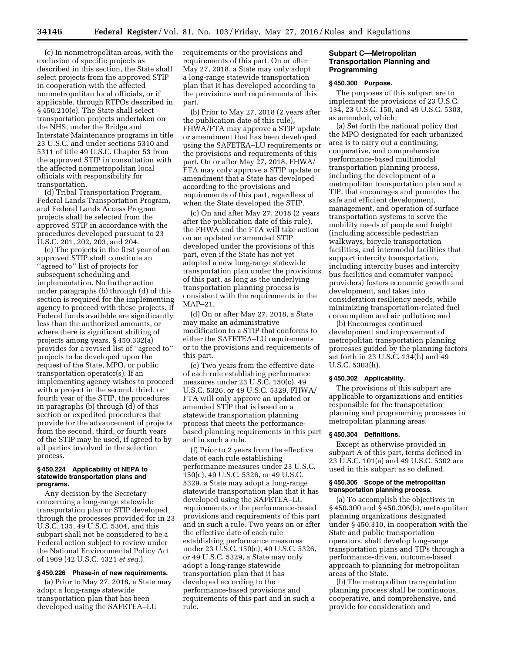(c) In nonmetropolitan areas, with the exclusion of specific projects as described in this section, the State shall select projects from the approved STIP in cooperation with the affected nonmetropolitan local officials, or if applicable, through RTPOs described in § 450.210(e). The State shall select transportation projects undertaken on the NHS, under the Bridge and Interstate Maintenance programs in title 23 U.S.C. and under sections 5310 and 5311 of title 49 U.S.C. Chapter 53 from the approved STIP in consultation with the affected nonmetropolitan local officials with responsibility for transportation.

(d) Tribal Transportation Program, Federal Lands Transportation Program, and Federal Lands Access Program projects shall be selected from the approved STIP in accordance with the procedures developed pursuant to 23 U.S.C. 201, 202, 203, and 204.

(e) The projects in the first year of an approved STIP shall constitute an ''agreed to'' list of projects for subsequent scheduling and implementation. No further action under paragraphs (b) through (d) of this section is required for the implementing agency to proceed with these projects. If Federal funds available are significantly less than the authorized amounts, or where there is significant shifting of projects among years, § 450.332(a) provides for a revised list of ''agreed to'' projects to be developed upon the request of the State, MPO, or public transportation operator(s). If an implementing agency wishes to proceed with a project in the second, third, or fourth year of the STIP, the procedures in paragraphs (b) through (d) of this section or expedited procedures that provide for the advancement of projects from the second, third, or fourth years of the STIP may be used, if agreed to by all parties involved in the selection process.

#### **§ 450.224 Applicability of NEPA to statewide transportation plans and programs.**

Any decision by the Secretary concerning a long-range statewide transportation plan or STIP developed through the processes provided for in 23 U.S.C. 135, 49 U.S.C. 5304, and this subpart shall not be considered to be a Federal action subject to review under the National Environmental Policy Act of 1969 (42 U.S.C. 4321 *et seq.*).

## **§ 450.226 Phase-in of new requirements.**

(a) Prior to May 27, 2018, a State may adopt a long-range statewide transportation plan that has been developed using the SAFETEA–LU

requirements or the provisions and requirements of this part. On or after May 27, 2018, a State may only adopt a long-range statewide transportation plan that it has developed according to the provisions and requirements of this part.

(b) Prior to May 27, 2018 (2 years after the publication date of this rule), FHWA/FTA may approve a STIP update or amendment that has been developed using the SAFETEA–LU requirements or the provisions and requirements of this part. On or after May 27, 2018, FHWA/ FTA may only approve a STIP update or amendment that a State has developed according to the provisions and requirements of this part, regardless of when the State developed the STIP.

(c) On and after May 27, 2018 (2 years after the publication date of this rule), the FHWA and the FTA will take action on an updated or amended STIP developed under the provisions of this part, even if the State has not yet adopted a new long-range statewide transportation plan under the provisions of this part, as long as the underlying transportation planning process is consistent with the requirements in the MAP–21.

(d) On or after May 27, 2018, a State may make an administrative modification to a STIP that conforms to either the SAFETEA–LU requirements or to the provisions and requirements of this part.

(e) Two years from the effective date of each rule establishing performance measures under 23 U.S.C. 150(c), 49 U.S.C. 5326, or 49 U.S.C. 5329, FHWA/ FTA will only approve an updated or amended STIP that is based on a statewide transportation planning process that meets the performancebased planning requirements in this part and in such a rule.

(f) Prior to 2 years from the effective date of each rule establishing performance measures under 23 U.S.C. 150(c), 49 U.S.C. 5326, or 49 U.S.C. 5329, a State may adopt a long-range statewide transportation plan that it has developed using the SAFETEA–LU requirements or the performance-based provisions and requirements of this part and in such a rule. Two years on or after the effective date of each rule establishing performance measures under 23 U.S.C. 150(c), 49 U.S.C. 5326, or 49 U.S.C. 5329, a State may only adopt a long-range statewide transportation plan that it has developed according to the performance-based provisions and requirements of this part and in such a rule.

## **Subpart C—Metropolitan Transportation Planning and Programming**

### **§ 450.300 Purpose.**

The purposes of this subpart are to implement the provisions of 23 U.S.C. 134, 23 U.S.C. 150, and 49 U.S.C. 5303, as amended, which:

(a) Set forth the national policy that the MPO designated for each urbanized area is to carry out a continuing, cooperative, and comprehensive performance-based multimodal transportation planning process, including the development of a metropolitan transportation plan and a TIP, that encourages and promotes the safe and efficient development, management, and operation of surface transportation systems to serve the mobility needs of people and freight (including accessible pedestrian walkways, bicycle transportation facilities, and intermodal facilities that support intercity transportation, including intercity buses and intercity bus facilities and commuter vanpool providers) fosters economic growth and development, and takes into consideration resiliency needs, while minimizing transportation-related fuel consumption and air pollution; and

(b) Encourages continued development and improvement of metropolitan transportation planning processes guided by the planning factors set forth in 23 U.S.C. 134(h) and 49 U.S.C. 5303(h).

## **§ 450.302 Applicability.**

The provisions of this subpart are applicable to organizations and entities responsible for the transportation planning and programming processes in metropolitan planning areas.

### **§ 450.304 Definitions.**

Except as otherwise provided in subpart A of this part, terms defined in 23 U.S.C. 101(a) and 49 U.S.C. 5302 are used in this subpart as so defined.

#### **§ 450.306 Scope of the metropolitan transportation planning process.**

(a) To accomplish the objectives in § 450.300 and § 450.306(b), metropolitan planning organizations designated under § 450.310, in cooperation with the State and public transportation operators, shall develop long-range transportation plans and TIPs through a performance-driven, outcome-based approach to planning for metropolitan areas of the State.

(b) The metropolitan transportation planning process shall be continuous, cooperative, and comprehensive, and provide for consideration and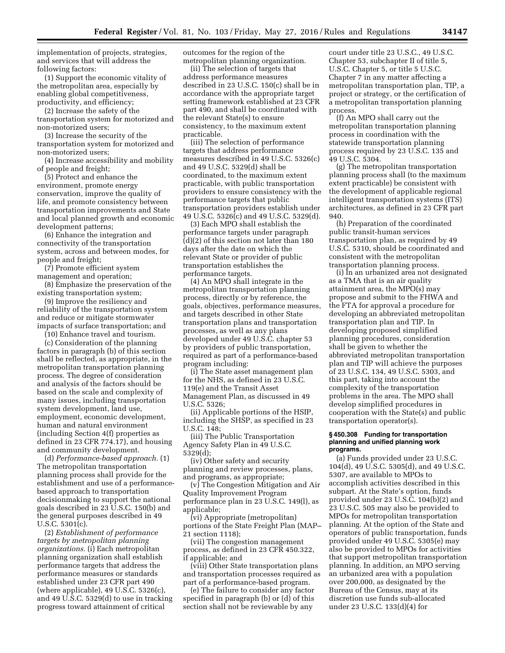implementation of projects, strategies, and services that will address the following factors:

(1) Support the economic vitality of the metropolitan area, especially by enabling global competitiveness, productivity, and efficiency;

(2) Increase the safety of the transportation system for motorized and non-motorized users;

(3) Increase the security of the transportation system for motorized and non-motorized users;

(4) Increase accessibility and mobility of people and freight;

(5) Protect and enhance the environment, promote energy conservation, improve the quality of life, and promote consistency between transportation improvements and State and local planned growth and economic development patterns;

(6) Enhance the integration and connectivity of the transportation system, across and between modes, for people and freight;

(7) Promote efficient system management and operation;

(8) Emphasize the preservation of the existing transportation system;

(9) Improve the resiliency and reliability of the transportation system and reduce or mitigate stormwater impacts of surface transportation; and

(10) Enhance travel and tourism.

(c) Consideration of the planning factors in paragraph (b) of this section shall be reflected, as appropriate, in the metropolitan transportation planning process. The degree of consideration and analysis of the factors should be based on the scale and complexity of many issues, including transportation system development, land use, employment, economic development, human and natural environment (including Section 4(f) properties as defined in 23 CFR 774.17), and housing and community development.

(d) *Performance-based approach.* (1) The metropolitan transportation planning process shall provide for the establishment and use of a performancebased approach to transportation decisionmaking to support the national goals described in 23 U.S.C. 150(b) and the general purposes described in 49 U.S.C. 5301(c).

(2) *Establishment of performance targets by metropolitan planning organizations.* (i) Each metropolitan planning organization shall establish performance targets that address the performance measures or standards established under 23 CFR part 490 (where applicable), 49 U.S.C. 5326(c), and 49 U.S.C. 5329(d) to use in tracking progress toward attainment of critical

outcomes for the region of the metropolitan planning organization.

(ii) The selection of targets that address performance measures described in 23 U.S.C. 150(c) shall be in accordance with the appropriate target setting framework established at 23 CFR part 490, and shall be coordinated with the relevant State(s) to ensure consistency, to the maximum extent practicable.

(iii) The selection of performance targets that address performance measures described in 49 U.S.C. 5326(c) and 49 U.S.C. 5329(d) shall be coordinated, to the maximum extent practicable, with public transportation providers to ensure consistency with the performance targets that public transportation providers establish under 49 U.S.C. 5326(c) and 49 U.S.C. 5329(d).

(3) Each MPO shall establish the performance targets under paragraph (d)(2) of this section not later than 180 days after the date on which the relevant State or provider of public transportation establishes the performance targets.

(4) An MPO shall integrate in the metropolitan transportation planning process, directly or by reference, the goals, objectives, performance measures, and targets described in other State transportation plans and transportation processes, as well as any plans developed under 49 U.S.C. chapter 53 by providers of public transportation, required as part of a performance-based program including:

(i) The State asset management plan for the NHS, as defined in 23 U.S.C. 119(e) and the Transit Asset Management Plan, as discussed in 49 U.S.C. 5326;

(ii) Applicable portions of the HSIP, including the SHSP, as specified in 23 U.S.C. 148;

(iii) The Public Transportation Agency Safety Plan in 49 U.S.C. 5329(d);

(iv) Other safety and security planning and review processes, plans, and programs, as appropriate;

(v) The Congestion Mitigation and Air Quality Improvement Program performance plan in 23 U.S.C. 149(l), as applicable;

(vi) Appropriate (metropolitan) portions of the State Freight Plan (MAP– 21 section 1118);

(vii) The congestion management process, as defined in 23 CFR 450.322, if applicable; and

(viii) Other State transportation plans and transportation processes required as part of a performance-based program.

(e) The failure to consider any factor specified in paragraph (b) or (d) of this section shall not be reviewable by any

court under title 23 U.S.C., 49 U.S.C. Chapter 53, subchapter II of title 5, U.S.C. Chapter 5, or title 5 U.S.C. Chapter 7 in any matter affecting a metropolitan transportation plan, TIP, a project or strategy, or the certification of a metropolitan transportation planning process.

(f) An MPO shall carry out the metropolitan transportation planning process in coordination with the statewide transportation planning process required by 23 U.S.C. 135 and 49 U.S.C. 5304.

(g) The metropolitan transportation planning process shall (to the maximum extent practicable) be consistent with the development of applicable regional intelligent transportation systems (ITS) architectures, as defined in 23 CFR part 940.

(h) Preparation of the coordinated public transit-human services transportation plan, as required by 49 U.S.C. 5310, should be coordinated and consistent with the metropolitan transportation planning process.

(i) In an urbanized area not designated as a TMA that is an air quality attainment area, the MPO(s) may propose and submit to the FHWA and the FTA for approval a procedure for developing an abbreviated metropolitan transportation plan and TIP. In developing proposed simplified planning procedures, consideration shall be given to whether the abbreviated metropolitan transportation plan and TIP will achieve the purposes of 23 U.S.C. 134, 49 U.S.C. 5303, and this part, taking into account the complexity of the transportation problems in the area. The MPO shall develop simplified procedures in cooperation with the State(s) and public transportation operator(s).

### **§ 450.308 Funding for transportation planning and unified planning work programs.**

(a) Funds provided under 23 U.S.C. 104(d), 49 U.S.C. 5305(d), and 49 U.S.C. 5307, are available to MPOs to accomplish activities described in this subpart. At the State's option, funds provided under 23 U.S.C. 104(b)(2) and 23 U.S.C. 505 may also be provided to MPOs for metropolitan transportation planning. At the option of the State and operators of public transportation, funds provided under 49 U.S.C. 5305(e) may also be provided to MPOs for activities that support metropolitan transportation planning. In addition, an MPO serving an urbanized area with a population over 200,000, as designated by the Bureau of the Census, may at its discretion use funds sub-allocated under 23 U.S.C. 133(d)(4) for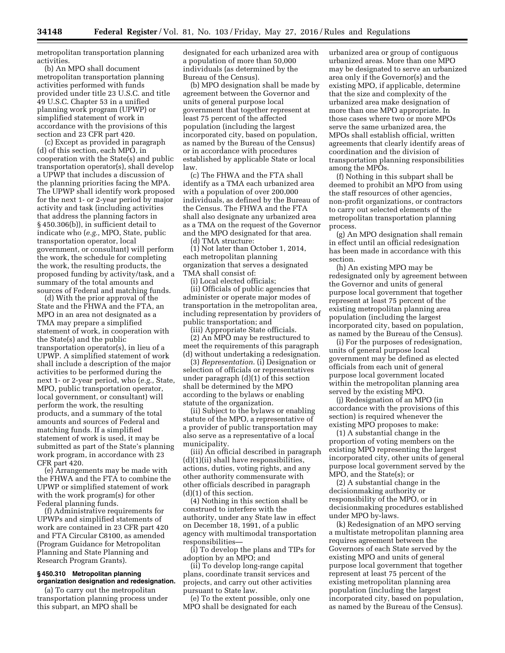metropolitan transportation planning activities.

(b) An MPO shall document metropolitan transportation planning activities performed with funds provided under title 23 U.S.C. and title 49 U.S.C. Chapter 53 in a unified planning work program (UPWP) or simplified statement of work in accordance with the provisions of this section and 23 CFR part 420.

(c) Except as provided in paragraph (d) of this section, each MPO, in cooperation with the State(s) and public transportation operator(s), shall develop a UPWP that includes a discussion of the planning priorities facing the MPA. The UPWP shall identify work proposed for the next 1- or 2-year period by major activity and task (including activities that address the planning factors in § 450.306(b)), in sufficient detail to indicate who (*e.g.,* MPO, State, public transportation operator, local government, or consultant) will perform the work, the schedule for completing the work, the resulting products, the proposed funding by activity/task, and a summary of the total amounts and sources of Federal and matching funds.

(d) With the prior approval of the State and the FHWA and the FTA, an MPO in an area not designated as a TMA may prepare a simplified statement of work, in cooperation with the State(s) and the public transportation operator(s), in lieu of a UPWP. A simplified statement of work shall include a description of the major activities to be performed during the next 1- or 2-year period, who (*e.g.,* State, MPO, public transportation operator, local government, or consultant) will perform the work, the resulting products, and a summary of the total amounts and sources of Federal and matching funds. If a simplified statement of work is used, it may be submitted as part of the State's planning work program, in accordance with 23 CFR part 420.

(e) Arrangements may be made with the FHWA and the FTA to combine the UPWP or simplified statement of work with the work program(s) for other Federal planning funds.

(f) Administrative requirements for UPWPs and simplified statements of work are contained in 23 CFR part 420 and FTA Circular C8100, as amended (Program Guidance for Metropolitan Planning and State Planning and Research Program Grants).

## **§ 450.310 Metropolitan planning organization designation and redesignation.**

(a) To carry out the metropolitan transportation planning process under this subpart, an MPO shall be

designated for each urbanized area with a population of more than 50,000 individuals (as determined by the Bureau of the Census).

(b) MPO designation shall be made by agreement between the Governor and units of general purpose local government that together represent at least 75 percent of the affected population (including the largest incorporated city, based on population, as named by the Bureau of the Census) or in accordance with procedures established by applicable State or local law.

(c) The FHWA and the FTA shall identify as a TMA each urbanized area with a population of over 200,000 individuals, as defined by the Bureau of the Census. The FHWA and the FTA shall also designate any urbanized area as a TMA on the request of the Governor and the MPO designated for that area.

(d) TMA structure:

(1) Not later than October 1, 2014, each metropolitan planning organization that serves a designated TMA shall consist of:

(i) Local elected officials;

(ii) Officials of public agencies that administer or operate major modes of transportation in the metropolitan area, including representation by providers of public transportation; and

(iii) Appropriate State officials.

(2) An MPO may be restructured to meet the requirements of this paragraph (d) without undertaking a redesignation.

(3) *Representation*. (i) Designation or selection of officials or representatives under paragraph (d)(1) of this section shall be determined by the MPO according to the bylaws or enabling statute of the organization.

(ii) Subject to the bylaws or enabling statute of the MPO, a representative of a provider of public transportation may also serve as a representative of a local municipality.

(iii) An official described in paragraph (d)(1)(ii) shall have responsibilities, actions, duties, voting rights, and any other authority commensurate with other officials described in paragraph (d)(1) of this section.

(4) Nothing in this section shall be construed to interfere with the authority, under any State law in effect on December 18, 1991, of a public agency with multimodal transportation responsibilities—

(i) To develop the plans and TIPs for adoption by an MPO; and

(ii) To develop long-range capital plans, coordinate transit services and projects, and carry out other activities pursuant to State law.

(e) To the extent possible, only one MPO shall be designated for each

urbanized area or group of contiguous urbanized areas. More than one MPO may be designated to serve an urbanized area only if the Governor(s) and the existing MPO, if applicable, determine that the size and complexity of the urbanized area make designation of more than one MPO appropriate. In those cases where two or more MPOs serve the same urbanized area, the MPOs shall establish official, written agreements that clearly identify areas of coordination and the division of transportation planning responsibilities among the MPOs.

(f) Nothing in this subpart shall be deemed to prohibit an MPO from using the staff resources of other agencies, non-profit organizations, or contractors to carry out selected elements of the metropolitan transportation planning process.

(g) An MPO designation shall remain in effect until an official redesignation has been made in accordance with this section.

(h) An existing MPO may be redesignated only by agreement between the Governor and units of general purpose local government that together represent at least 75 percent of the existing metropolitan planning area population (including the largest incorporated city, based on population, as named by the Bureau of the Census).

(i) For the purposes of redesignation, units of general purpose local government may be defined as elected officials from each unit of general purpose local government located within the metropolitan planning area served by the existing MPO.

(j) Redesignation of an MPO (in accordance with the provisions of this section) is required whenever the existing MPO proposes to make:

(1) A substantial change in the proportion of voting members on the existing MPO representing the largest incorporated city, other units of general purpose local government served by the MPO, and the State(s); or

(2) A substantial change in the decisionmaking authority or responsibility of the MPO, or in decisionmaking procedures established under MPO by-laws.

(k) Redesignation of an MPO serving a multistate metropolitan planning area requires agreement between the Governors of each State served by the existing MPO and units of general purpose local government that together represent at least 75 percent of the existing metropolitan planning area population (including the largest incorporated city, based on population, as named by the Bureau of the Census).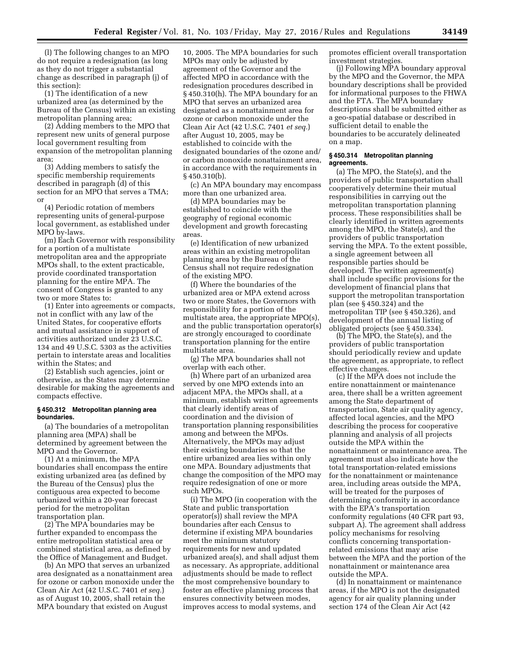(l) The following changes to an MPO do not require a redesignation (as long as they do not trigger a substantial change as described in paragraph (j) of this section):

(1) The identification of a new urbanized area (as determined by the Bureau of the Census) within an existing metropolitan planning area;

(2) Adding members to the MPO that represent new units of general purpose local government resulting from expansion of the metropolitan planning area;

(3) Adding members to satisfy the specific membership requirements described in paragraph (d) of this section for an MPO that serves a TMA; or

(4) Periodic rotation of members representing units of general-purpose local government, as established under MPO by-laws.

(m) Each Governor with responsibility for a portion of a multistate metropolitan area and the appropriate MPOs shall, to the extent practicable, provide coordinated transportation planning for the entire MPA. The consent of Congress is granted to any two or more States to:

(1) Enter into agreements or compacts, not in conflict with any law of the United States, for cooperative efforts and mutual assistance in support of activities authorized under 23 U.S.C. 134 and 49 U.S.C. 5303 as the activities pertain to interstate areas and localities within the States; and

(2) Establish such agencies, joint or otherwise, as the States may determine desirable for making the agreements and compacts effective.

## **§ 450.312 Metropolitan planning area boundaries.**

(a) The boundaries of a metropolitan planning area (MPA) shall be determined by agreement between the MPO and the Governor.

(1) At a minimum, the MPA boundaries shall encompass the entire existing urbanized area (as defined by the Bureau of the Census) plus the contiguous area expected to become urbanized within a 20-year forecast period for the metropolitan transportation plan.

(2) The MPA boundaries may be further expanded to encompass the entire metropolitan statistical area or combined statistical area, as defined by the Office of Management and Budget.

(b) An MPO that serves an urbanized area designated as a nonattainment area for ozone or carbon monoxide under the Clean Air Act (42 U.S.C. 7401 *et seq.*) as of August 10, 2005, shall retain the MPA boundary that existed on August

10, 2005. The MPA boundaries for such MPOs may only be adjusted by agreement of the Governor and the affected MPO in accordance with the redesignation procedures described in § 450.310(h). The MPA boundary for an MPO that serves an urbanized area designated as a nonattainment area for ozone or carbon monoxide under the Clean Air Act (42 U.S.C. 7401 *et seq.*) after August 10, 2005, may be established to coincide with the designated boundaries of the ozone and/ or carbon monoxide nonattainment area, in accordance with the requirements in § 450.310(b).

(c) An MPA boundary may encompass more than one urbanized area.

(d) MPA boundaries may be established to coincide with the geography of regional economic development and growth forecasting areas.

(e) Identification of new urbanized areas within an existing metropolitan planning area by the Bureau of the Census shall not require redesignation of the existing MPO.

(f) Where the boundaries of the urbanized area or MPA extend across two or more States, the Governors with responsibility for a portion of the multistate area, the appropriate MPO(s), and the public transportation operator(s) are strongly encouraged to coordinate transportation planning for the entire multistate area.

(g) The MPA boundaries shall not overlap with each other.

(h) Where part of an urbanized area served by one MPO extends into an adjacent MPA, the MPOs shall, at a minimum, establish written agreements that clearly identify areas of coordination and the division of transportation planning responsibilities among and between the MPOs. Alternatively, the MPOs may adjust their existing boundaries so that the entire urbanized area lies within only one MPA. Boundary adjustments that change the composition of the MPO may require redesignation of one or more such MPOs.

(i) The MPO (in cooperation with the State and public transportation operator(s)) shall review the MPA boundaries after each Census to determine if existing MPA boundaries meet the minimum statutory requirements for new and updated urbanized area(s), and shall adjust them as necessary. As appropriate, additional adjustments should be made to reflect the most comprehensive boundary to foster an effective planning process that ensures connectivity between modes, improves access to modal systems, and

promotes efficient overall transportation investment strategies.

(j) Following MPA boundary approval by the MPO and the Governor, the MPA boundary descriptions shall be provided for informational purposes to the FHWA and the FTA. The MPA boundary descriptions shall be submitted either as a geo-spatial database or described in sufficient detail to enable the boundaries to be accurately delineated on a map.

## **§ 450.314 Metropolitan planning agreements.**

(a) The MPO, the State(s), and the providers of public transportation shall cooperatively determine their mutual responsibilities in carrying out the metropolitan transportation planning process. These responsibilities shall be clearly identified in written agreements among the MPO, the State(s), and the providers of public transportation serving the MPA. To the extent possible, a single agreement between all responsible parties should be developed. The written agreement(s) shall include specific provisions for the development of financial plans that support the metropolitan transportation plan (see § 450.324) and the metropolitan TIP (see § 450.326), and development of the annual listing of obligated projects (see § 450.334).

(b) The MPO, the State(s), and the providers of public transportation should periodically review and update the agreement, as appropriate, to reflect effective changes.

(c) If the MPA does not include the entire nonattainment or maintenance area, there shall be a written agreement among the State department of transportation, State air quality agency, affected local agencies, and the MPO describing the process for cooperative planning and analysis of all projects outside the MPA within the nonattainment or maintenance area. The agreement must also indicate how the total transportation-related emissions for the nonattainment or maintenance area, including areas outside the MPA, will be treated for the purposes of determining conformity in accordance with the EPA's transportation conformity regulations (40 CFR part 93, subpart A). The agreement shall address policy mechanisms for resolving conflicts concerning transportationrelated emissions that may arise between the MPA and the portion of the nonattainment or maintenance area outside the MPA.

(d) In nonattainment or maintenance areas, if the MPO is not the designated agency for air quality planning under section 174 of the Clean Air Act (42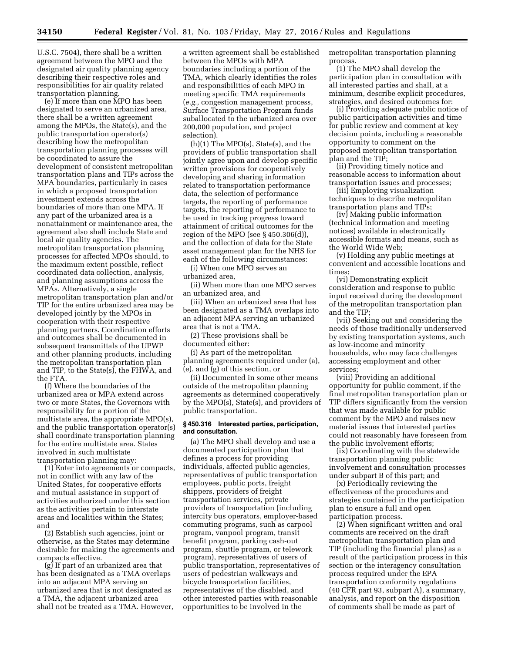U.S.C. 7504), there shall be a written agreement between the MPO and the designated air quality planning agency describing their respective roles and responsibilities for air quality related transportation planning.

(e) If more than one MPO has been designated to serve an urbanized area, there shall be a written agreement among the MPOs, the State(s), and the public transportation operator(s) describing how the metropolitan transportation planning processes will be coordinated to assure the development of consistent metropolitan transportation plans and TIPs across the MPA boundaries, particularly in cases in which a proposed transportation investment extends across the boundaries of more than one MPA. If any part of the urbanized area is a nonattainment or maintenance area, the agreement also shall include State and local air quality agencies. The metropolitan transportation planning processes for affected MPOs should, to the maximum extent possible, reflect coordinated data collection, analysis, and planning assumptions across the MPAs. Alternatively, a single metropolitan transportation plan and/or TIP for the entire urbanized area may be developed jointly by the MPOs in cooperation with their respective planning partners. Coordination efforts and outcomes shall be documented in subsequent transmittals of the UPWP and other planning products, including the metropolitan transportation plan and TIP, to the State(s), the FHWA, and the FTA.

(f) Where the boundaries of the urbanized area or MPA extend across two or more States, the Governors with responsibility for a portion of the multistate area, the appropriate MPO(s), and the public transportation operator(s) shall coordinate transportation planning for the entire multistate area. States involved in such multistate transportation planning may:

(1) Enter into agreements or compacts, not in conflict with any law of the United States, for cooperative efforts and mutual assistance in support of activities authorized under this section as the activities pertain to interstate areas and localities within the States; and

(2) Establish such agencies, joint or otherwise, as the States may determine desirable for making the agreements and compacts effective.

(g) If part of an urbanized area that has been designated as a TMA overlaps into an adjacent MPA serving an urbanized area that is not designated as a TMA, the adjacent urbanized area shall not be treated as a TMA. However, a written agreement shall be established between the MPOs with MPA boundaries including a portion of the TMA, which clearly identifies the roles and responsibilities of each MPO in meeting specific TMA requirements (*e.g.,* congestion management process, Surface Transportation Program funds suballocated to the urbanized area over 200,000 population, and project selection).

(h)(1) The MPO(s), State(s), and the providers of public transportation shall jointly agree upon and develop specific written provisions for cooperatively developing and sharing information related to transportation performance data, the selection of performance targets, the reporting of performance targets, the reporting of performance to be used in tracking progress toward attainment of critical outcomes for the region of the MPO (see  $\S$  450.306(d)), and the collection of data for the State asset management plan for the NHS for each of the following circumstances:

(i) When one MPO serves an urbanized area,

(ii) When more than one MPO serves an urbanized area, and

(iii) When an urbanized area that has been designated as a TMA overlaps into an adjacent MPA serving an urbanized area that is not a TMA.

(2) These provisions shall be documented either:

(i) As part of the metropolitan planning agreements required under (a), (e), and (g) of this section, or

(ii) Documented in some other means outside of the metropolitan planning agreements as determined cooperatively by the MPO(s), State(s), and providers of public transportation.

### **§ 450.316 Interested parties, participation, and consultation.**

(a) The MPO shall develop and use a documented participation plan that defines a process for providing individuals, affected public agencies, representatives of public transportation employees, public ports, freight shippers, providers of freight transportation services, private providers of transportation (including intercity bus operators, employer-based commuting programs, such as carpool program, vanpool program, transit benefit program, parking cash-out program, shuttle program, or telework program), representatives of users of public transportation, representatives of users of pedestrian walkways and bicycle transportation facilities, representatives of the disabled, and other interested parties with reasonable opportunities to be involved in the

metropolitan transportation planning process.

(1) The MPO shall develop the participation plan in consultation with all interested parties and shall, at a minimum, describe explicit procedures, strategies, and desired outcomes for:

(i) Providing adequate public notice of public participation activities and time for public review and comment at key decision points, including a reasonable opportunity to comment on the proposed metropolitan transportation plan and the TIP;

(ii) Providing timely notice and reasonable access to information about transportation issues and processes;

(iii) Employing visualization techniques to describe metropolitan transportation plans and TIPs;

(iv) Making public information (technical information and meeting notices) available in electronically accessible formats and means, such as the World Wide Web;

(v) Holding any public meetings at convenient and accessible locations and times;

(vi) Demonstrating explicit consideration and response to public input received during the development of the metropolitan transportation plan and the TIP;

(vii) Seeking out and considering the needs of those traditionally underserved by existing transportation systems, such as low-income and minority households, who may face challenges accessing employment and other services;

(viii) Providing an additional opportunity for public comment, if the final metropolitan transportation plan or TIP differs significantly from the version that was made available for public comment by the MPO and raises new material issues that interested parties could not reasonably have foreseen from the public involvement efforts;

(ix) Coordinating with the statewide transportation planning public involvement and consultation processes under subpart B of this part; and

(x) Periodically reviewing the effectiveness of the procedures and strategies contained in the participation plan to ensure a full and open participation process.

(2) When significant written and oral comments are received on the draft metropolitan transportation plan and TIP (including the financial plans) as a result of the participation process in this section or the interagency consultation process required under the EPA transportation conformity regulations (40 CFR part 93, subpart A), a summary, analysis, and report on the disposition of comments shall be made as part of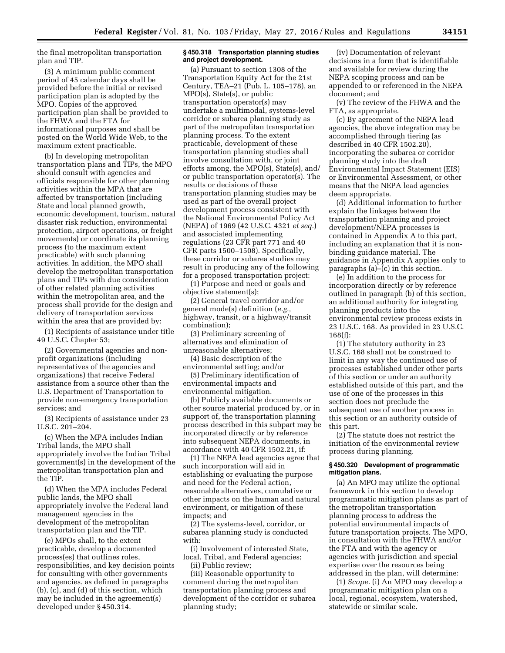the final metropolitan transportation plan and TIP.

(3) A minimum public comment period of 45 calendar days shall be provided before the initial or revised participation plan is adopted by the MPO. Copies of the approved participation plan shall be provided to the FHWA and the FTA for informational purposes and shall be posted on the World Wide Web, to the maximum extent practicable.

(b) In developing metropolitan transportation plans and TIPs, the MPO should consult with agencies and officials responsible for other planning activities within the MPA that are affected by transportation (including State and local planned growth, economic development, tourism, natural disaster risk reduction, environmental protection, airport operations, or freight movements) or coordinate its planning process (to the maximum extent practicable) with such planning activities. In addition, the MPO shall develop the metropolitan transportation plans and TIPs with due consideration of other related planning activities within the metropolitan area, and the process shall provide for the design and delivery of transportation services within the area that are provided by:

(1) Recipients of assistance under title 49 U.S.C. Chapter 53;

(2) Governmental agencies and nonprofit organizations (including representatives of the agencies and organizations) that receive Federal assistance from a source other than the U.S. Department of Transportation to provide non-emergency transportation services; and

(3) Recipients of assistance under 23 U.S.C. 201–204.

(c) When the MPA includes Indian Tribal lands, the MPO shall appropriately involve the Indian Tribal government(s) in the development of the metropolitan transportation plan and the TIP.

(d) When the MPA includes Federal public lands, the MPO shall appropriately involve the Federal land management agencies in the development of the metropolitan transportation plan and the TIP.

(e) MPOs shall, to the extent practicable, develop a documented process(es) that outlines roles, responsibilities, and key decision points for consulting with other governments and agencies, as defined in paragraphs (b), (c), and (d) of this section, which may be included in the agreement(s) developed under § 450.314.

## **§ 450.318 Transportation planning studies and project development.**

(a) Pursuant to section 1308 of the Transportation Equity Act for the 21st Century, TEA–21 (Pub. L. 105–178), an MPO(s), State(s), or public transportation operator(s) may undertake a multimodal, systems-level corridor or subarea planning study as part of the metropolitan transportation planning process. To the extent practicable, development of these transportation planning studies shall involve consultation with, or joint efforts among, the MPO(s), State(s), and/ or public transportation operator(s). The results or decisions of these transportation planning studies may be used as part of the overall project development process consistent with the National Environmental Policy Act (NEPA) of 1969 (42 U.S.C. 4321 *et seq.*) and associated implementing regulations (23 CFR part 771 and 40 CFR parts 1500–1508). Specifically, these corridor or subarea studies may result in producing any of the following for a proposed transportation project:

(1) Purpose and need or goals and objective statement(s);

(2) General travel corridor and/or general mode(s) definition (*e.g.,*  highway, transit, or a highway/transit combination);

(3) Preliminary screening of alternatives and elimination of unreasonable alternatives;

(4) Basic description of the environmental setting; and/or

(5) Preliminary identification of environmental impacts and environmental mitigation.

(b) Publicly available documents or other source material produced by, or in support of, the transportation planning process described in this subpart may be incorporated directly or by reference into subsequent NEPA documents, in accordance with 40 CFR 1502.21, if:

(1) The NEPA lead agencies agree that such incorporation will aid in establishing or evaluating the purpose and need for the Federal action, reasonable alternatives, cumulative or other impacts on the human and natural environment, or mitigation of these impacts; and

(2) The systems-level, corridor, or subarea planning study is conducted with:

(i) Involvement of interested State, local, Tribal, and Federal agencies; (ii) Public review;

(iii) Reasonable opportunity to comment during the metropolitan transportation planning process and development of the corridor or subarea planning study;

(iv) Documentation of relevant decisions in a form that is identifiable and available for review during the NEPA scoping process and can be appended to or referenced in the NEPA document; and

(v) The review of the FHWA and the FTA, as appropriate.

(c) By agreement of the NEPA lead agencies, the above integration may be accomplished through tiering (as described in 40 CFR 1502.20), incorporating the subarea or corridor planning study into the draft Environmental Impact Statement (EIS) or Environmental Assessment, or other means that the NEPA lead agencies deem appropriate.

(d) Additional information to further explain the linkages between the transportation planning and project development/NEPA processes is contained in Appendix A to this part, including an explanation that it is nonbinding guidance material. The guidance in Appendix A applies only to paragraphs (a)–(c) in this section.

(e) In addition to the process for incorporation directly or by reference outlined in paragraph (b) of this section, an additional authority for integrating planning products into the environmental review process exists in 23 U.S.C. 168. As provided in 23 U.S.C. 168(f):

(1) The statutory authority in 23 U.S.C. 168 shall not be construed to limit in any way the continued use of processes established under other parts of this section or under an authority established outside of this part, and the use of one of the processes in this section does not preclude the subsequent use of another process in this section or an authority outside of this part.

(2) The statute does not restrict the initiation of the environmental review process during planning.

### **§ 450.320 Development of programmatic mitigation plans.**

(a) An MPO may utilize the optional framework in this section to develop programmatic mitigation plans as part of the metropolitan transportation planning process to address the potential environmental impacts of future transportation projects. The MPO, in consultation with the FHWA and/or the FTA and with the agency or agencies with jurisdiction and special expertise over the resources being addressed in the plan, will determine:

(1) *Scope.* (i) An MPO may develop a programmatic mitigation plan on a local, regional, ecosystem, watershed, statewide or similar scale.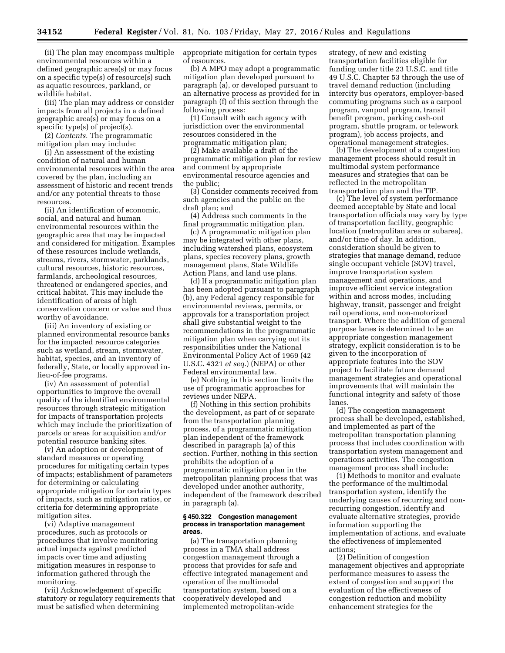(ii) The plan may encompass multiple environmental resources within a defined geographic area(s) or may focus on a specific type(s) of resource(s) such as aquatic resources, parkland, or wildlife habitat.

(iii) The plan may address or consider impacts from all projects in a defined geographic area(s) or may focus on a specific type(s) of project(s).

(2) *Contents.* The programmatic mitigation plan may include:

(i) An assessment of the existing condition of natural and human environmental resources within the area covered by the plan, including an assessment of historic and recent trends and/or any potential threats to those resources.

(ii) An identification of economic, social, and natural and human environmental resources within the geographic area that may be impacted and considered for mitigation. Examples of these resources include wetlands, streams, rivers, stormwater, parklands, cultural resources, historic resources, farmlands, archeological resources, threatened or endangered species, and critical habitat. This may include the identification of areas of high conservation concern or value and thus worthy of avoidance.

(iii) An inventory of existing or planned environmental resource banks for the impacted resource categories such as wetland, stream, stormwater, habitat, species, and an inventory of federally, State, or locally approved inlieu-of-fee programs.

(iv) An assessment of potential opportunities to improve the overall quality of the identified environmental resources through strategic mitigation for impacts of transportation projects which may include the prioritization of parcels or areas for acquisition and/or potential resource banking sites.

(v) An adoption or development of standard measures or operating procedures for mitigating certain types of impacts; establishment of parameters for determining or calculating appropriate mitigation for certain types of impacts, such as mitigation ratios, or criteria for determining appropriate mitigation sites.

(vi) Adaptive management procedures, such as protocols or procedures that involve monitoring actual impacts against predicted impacts over time and adjusting mitigation measures in response to information gathered through the monitoring.

(vii) Acknowledgement of specific statutory or regulatory requirements that must be satisfied when determining

appropriate mitigation for certain types of resources.

(b) A MPO may adopt a programmatic mitigation plan developed pursuant to paragraph (a), or developed pursuant to an alternative process as provided for in paragraph (f) of this section through the following process:

(1) Consult with each agency with jurisdiction over the environmental resources considered in the programmatic mitigation plan;

(2) Make available a draft of the programmatic mitigation plan for review and comment by appropriate environmental resource agencies and the public;

(3) Consider comments received from such agencies and the public on the draft plan; and

(4) Address such comments in the final programmatic mitigation plan.

(c) A programmatic mitigation plan may be integrated with other plans, including watershed plans, ecosystem plans, species recovery plans, growth management plans, State Wildlife Action Plans, and land use plans.

(d) If a programmatic mitigation plan has been adopted pursuant to paragraph (b), any Federal agency responsible for environmental reviews, permits, or approvals for a transportation project shall give substantial weight to the recommendations in the programmatic mitigation plan when carrying out its responsibilities under the National Environmental Policy Act of 1969 (42 U.S.C. 4321 *et seq.*) (NEPA) or other Federal environmental law.

(e) Nothing in this section limits the use of programmatic approaches for reviews under NEPA.

(f) Nothing in this section prohibits the development, as part of or separate from the transportation planning process, of a programmatic mitigation plan independent of the framework described in paragraph (a) of this section. Further, nothing in this section prohibits the adoption of a programmatic mitigation plan in the metropolitan planning process that was developed under another authority, independent of the framework described in paragraph (a).

#### **§ 450.322 Congestion management process in transportation management areas.**

(a) The transportation planning process in a TMA shall address congestion management through a process that provides for safe and effective integrated management and operation of the multimodal transportation system, based on a cooperatively developed and implemented metropolitan-wide

strategy, of new and existing transportation facilities eligible for funding under title 23 U.S.C. and title 49 U.S.C. Chapter 53 through the use of travel demand reduction (including intercity bus operators, employer-based commuting programs such as a carpool program, vanpool program, transit benefit program, parking cash-out program, shuttle program, or telework program), job access projects, and operational management strategies.

(b) The development of a congestion management process should result in multimodal system performance measures and strategies that can be reflected in the metropolitan transportation plan and the TIP.

(c) The level of system performance deemed acceptable by State and local transportation officials may vary by type of transportation facility, geographic location (metropolitan area or subarea), and/or time of day. In addition, consideration should be given to strategies that manage demand, reduce single occupant vehicle (SOV) travel, improve transportation system management and operations, and improve efficient service integration within and across modes, including highway, transit, passenger and freight rail operations, and non-motorized transport. Where the addition of general purpose lanes is determined to be an appropriate congestion management strategy, explicit consideration is to be given to the incorporation of appropriate features into the SOV project to facilitate future demand management strategies and operational improvements that will maintain the functional integrity and safety of those lanes

(d) The congestion management process shall be developed, established, and implemented as part of the metropolitan transportation planning process that includes coordination with transportation system management and operations activities. The congestion management process shall include:

(1) Methods to monitor and evaluate the performance of the multimodal transportation system, identify the underlying causes of recurring and nonrecurring congestion, identify and evaluate alternative strategies, provide information supporting the implementation of actions, and evaluate the effectiveness of implemented actions;

(2) Definition of congestion management objectives and appropriate performance measures to assess the extent of congestion and support the evaluation of the effectiveness of congestion reduction and mobility enhancement strategies for the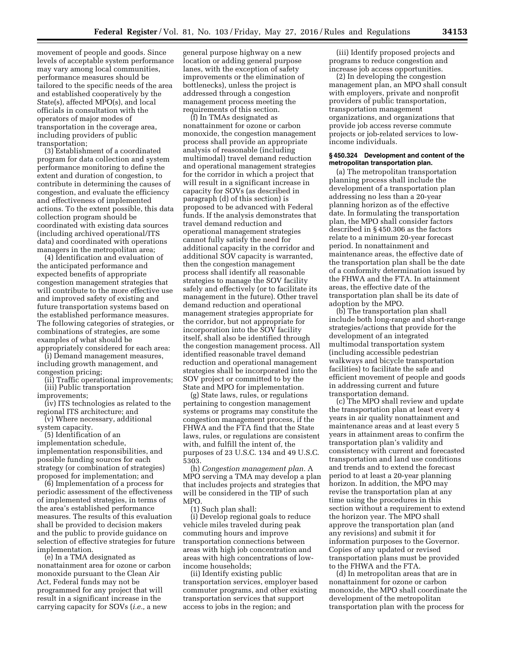movement of people and goods. Since levels of acceptable system performance may vary among local communities, performance measures should be tailored to the specific needs of the area and established cooperatively by the State(s), affected MPO(s), and local officials in consultation with the operators of major modes of transportation in the coverage area, including providers of public transportation;

(3) Establishment of a coordinated program for data collection and system performance monitoring to define the extent and duration of congestion, to contribute in determining the causes of congestion, and evaluate the efficiency and effectiveness of implemented actions. To the extent possible, this data collection program should be coordinated with existing data sources (including archived operational/ITS data) and coordinated with operations managers in the metropolitan area;

(4) Identification and evaluation of the anticipated performance and expected benefits of appropriate congestion management strategies that will contribute to the more effective use and improved safety of existing and future transportation systems based on the established performance measures. The following categories of strategies, or combinations of strategies, are some examples of what should be appropriately considered for each area:

(i) Demand management measures, including growth management, and

congestion pricing; (ii) Traffic operational improvements;

(iii) Public transportation

improvements;

(iv) ITS technologies as related to the regional ITS architecture; and

(v) Where necessary, additional system capacity.

(5) Identification of an implementation schedule, implementation responsibilities, and possible funding sources for each strategy (or combination of strategies) proposed for implementation; and

(6) Implementation of a process for periodic assessment of the effectiveness of implemented strategies, in terms of the area's established performance measures. The results of this evaluation shall be provided to decision makers and the public to provide guidance on selection of effective strategies for future implementation.

(e) In a TMA designated as nonattainment area for ozone or carbon monoxide pursuant to the Clean Air Act, Federal funds may not be programmed for any project that will result in a significant increase in the carrying capacity for SOVs (*i.e.,* a new

general purpose highway on a new location or adding general purpose lanes, with the exception of safety improvements or the elimination of bottlenecks), unless the project is addressed through a congestion management process meeting the requirements of this section.

(f) In TMAs designated as nonattainment for ozone or carbon monoxide, the congestion management process shall provide an appropriate analysis of reasonable (including multimodal) travel demand reduction and operational management strategies for the corridor in which a project that will result in a significant increase in capacity for SOVs (as described in paragraph (d) of this section) is proposed to be advanced with Federal funds. If the analysis demonstrates that travel demand reduction and operational management strategies cannot fully satisfy the need for additional capacity in the corridor and additional SOV capacity is warranted, then the congestion management process shall identify all reasonable strategies to manage the SOV facility safely and effectively (or to facilitate its management in the future). Other travel demand reduction and operational management strategies appropriate for the corridor, but not appropriate for incorporation into the SOV facility itself, shall also be identified through the congestion management process. All identified reasonable travel demand reduction and operational management strategies shall be incorporated into the SOV project or committed to by the State and MPO for implementation.

(g) State laws, rules, or regulations pertaining to congestion management systems or programs may constitute the congestion management process, if the FHWA and the FTA find that the State laws, rules, or regulations are consistent with, and fulfill the intent of, the purposes of 23 U.S.C. 134 and 49 U.S.C. 5303.

(h) *Congestion management plan.* A MPO serving a TMA may develop a plan that includes projects and strategies that will be considered in the TIP of such MPO.

(1) Such plan shall:

(i) Develop regional goals to reduce vehicle miles traveled during peak commuting hours and improve transportation connections between areas with high job concentration and areas with high concentrations of lowincome households;

(ii) Identify existing public transportation services, employer based commuter programs, and other existing transportation services that support access to jobs in the region; and

(iii) Identify proposed projects and programs to reduce congestion and increase job access opportunities.

(2) In developing the congestion management plan, an MPO shall consult with employers, private and nonprofit providers of public transportation, transportation management organizations, and organizations that provide job access reverse commute projects or job-related services to lowincome individuals.

### **§ 450.324 Development and content of the metropolitan transportation plan.**

(a) The metropolitan transportation planning process shall include the development of a transportation plan addressing no less than a 20-year planning horizon as of the effective date. In formulating the transportation plan, the MPO shall consider factors described in § 450.306 as the factors relate to a minimum 20-year forecast period. In nonattainment and maintenance areas, the effective date of the transportation plan shall be the date of a conformity determination issued by the FHWA and the FTA. In attainment areas, the effective date of the transportation plan shall be its date of adoption by the MPO.

(b) The transportation plan shall include both long-range and short-range strategies/actions that provide for the development of an integrated multimodal transportation system (including accessible pedestrian walkways and bicycle transportation facilities) to facilitate the safe and efficient movement of people and goods in addressing current and future transportation demand.

(c) The MPO shall review and update the transportation plan at least every 4 years in air quality nonattainment and maintenance areas and at least every 5 years in attainment areas to confirm the transportation plan's validity and consistency with current and forecasted transportation and land use conditions and trends and to extend the forecast period to at least a 20-year planning horizon. In addition, the MPO may revise the transportation plan at any time using the procedures in this section without a requirement to extend the horizon year. The MPO shall approve the transportation plan (and any revisions) and submit it for information purposes to the Governor. Copies of any updated or revised transportation plans must be provided to the FHWA and the FTA.

(d) In metropolitan areas that are in nonattainment for ozone or carbon monoxide, the MPO shall coordinate the development of the metropolitan transportation plan with the process for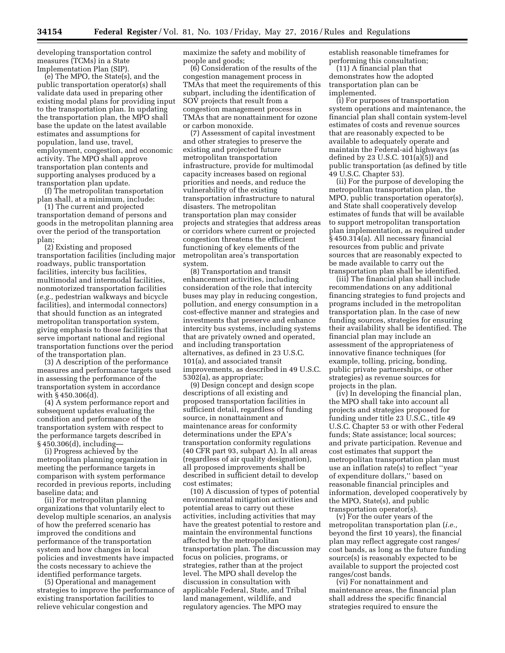developing transportation control measures (TCMs) in a State Implementation Plan (SIP).

(e) The MPO, the State(s), and the public transportation operator(s) shall validate data used in preparing other existing modal plans for providing input to the transportation plan. In updating the transportation plan, the MPO shall base the update on the latest available estimates and assumptions for population, land use, travel, employment, congestion, and economic activity. The MPO shall approve transportation plan contents and supporting analyses produced by a transportation plan update.

(f) The metropolitan transportation plan shall, at a minimum, include:

(1) The current and projected transportation demand of persons and goods in the metropolitan planning area over the period of the transportation plan;

(2) Existing and proposed transportation facilities (including major roadways, public transportation facilities, intercity bus facilities, multimodal and intermodal facilities, nonmotorized transportation facilities (*e.g.,* pedestrian walkways and bicycle facilities), and intermodal connectors) that should function as an integrated metropolitan transportation system, giving emphasis to those facilities that serve important national and regional transportation functions over the period of the transportation plan.

(3) A description of the performance measures and performance targets used in assessing the performance of the transportation system in accordance with § 450.306(d).

(4) A system performance report and subsequent updates evaluating the condition and performance of the transportation system with respect to the performance targets described in § 450.306(d), including—

(i) Progress achieved by the metropolitan planning organization in meeting the performance targets in comparison with system performance recorded in previous reports, including baseline data; and

(ii) For metropolitan planning organizations that voluntarily elect to develop multiple scenarios, an analysis of how the preferred scenario has improved the conditions and performance of the transportation system and how changes in local policies and investments have impacted the costs necessary to achieve the identified performance targets.

(5) Operational and management strategies to improve the performance of existing transportation facilities to relieve vehicular congestion and

maximize the safety and mobility of people and goods;

(6) Consideration of the results of the congestion management process in TMAs that meet the requirements of this subpart, including the identification of SOV projects that result from a congestion management process in TMAs that are nonattainment for ozone or carbon monoxide.

(7) Assessment of capital investment and other strategies to preserve the existing and projected future metropolitan transportation infrastructure, provide for multimodal capacity increases based on regional priorities and needs, and reduce the vulnerability of the existing transportation infrastructure to natural disasters. The metropolitan transportation plan may consider projects and strategies that address areas or corridors where current or projected congestion threatens the efficient functioning of key elements of the metropolitan area's transportation system.

(8) Transportation and transit enhancement activities, including consideration of the role that intercity buses may play in reducing congestion, pollution, and energy consumption in a cost-effective manner and strategies and investments that preserve and enhance intercity bus systems, including systems that are privately owned and operated, and including transportation alternatives, as defined in 23 U.S.C. 101(a), and associated transit improvements, as described in 49 U.S.C. 5302(a), as appropriate;

(9) Design concept and design scope descriptions of all existing and proposed transportation facilities in sufficient detail, regardless of funding source, in nonattainment and maintenance areas for conformity determinations under the EPA's transportation conformity regulations (40 CFR part 93, subpart A). In all areas (regardless of air quality designation), all proposed improvements shall be described in sufficient detail to develop cost estimates;

(10) A discussion of types of potential environmental mitigation activities and potential areas to carry out these activities, including activities that may have the greatest potential to restore and maintain the environmental functions affected by the metropolitan transportation plan. The discussion may focus on policies, programs, or strategies, rather than at the project level. The MPO shall develop the discussion in consultation with applicable Federal, State, and Tribal land management, wildlife, and regulatory agencies. The MPO may

establish reasonable timeframes for performing this consultation;

(11) A financial plan that demonstrates how the adopted transportation plan can be implemented.

(i) For purposes of transportation system operations and maintenance, the financial plan shall contain system-level estimates of costs and revenue sources that are reasonably expected to be available to adequately operate and maintain the Federal-aid highways (as defined by 23 U.S.C. 101(a)(5)) and public transportation (as defined by title 49 U.S.C. Chapter 53).

(ii) For the purpose of developing the metropolitan transportation plan, the MPO, public transportation operator(s), and State shall cooperatively develop estimates of funds that will be available to support metropolitan transportation plan implementation, as required under § 450.314(a). All necessary financial resources from public and private sources that are reasonably expected to be made available to carry out the transportation plan shall be identified.

(iii) The financial plan shall include recommendations on any additional financing strategies to fund projects and programs included in the metropolitan transportation plan. In the case of new funding sources, strategies for ensuring their availability shall be identified. The financial plan may include an assessment of the appropriateness of innovative finance techniques (for example, tolling, pricing, bonding, public private partnerships, or other strategies) as revenue sources for projects in the plan.

(iv) In developing the financial plan, the MPO shall take into account all projects and strategies proposed for funding under title 23 U.S.C., title 49 U.S.C. Chapter 53 or with other Federal funds; State assistance; local sources; and private participation. Revenue and cost estimates that support the metropolitan transportation plan must use an inflation rate(s) to reflect ''year of expenditure dollars,'' based on reasonable financial principles and information, developed cooperatively by the MPO, State(s), and public transportation operator(s).

(v) For the outer years of the metropolitan transportation plan (*i.e.,*  beyond the first 10 years), the financial plan may reflect aggregate cost ranges/ cost bands, as long as the future funding source(s) is reasonably expected to be available to support the projected cost ranges/cost bands.

(vi) For nonattainment and maintenance areas, the financial plan shall address the specific financial strategies required to ensure the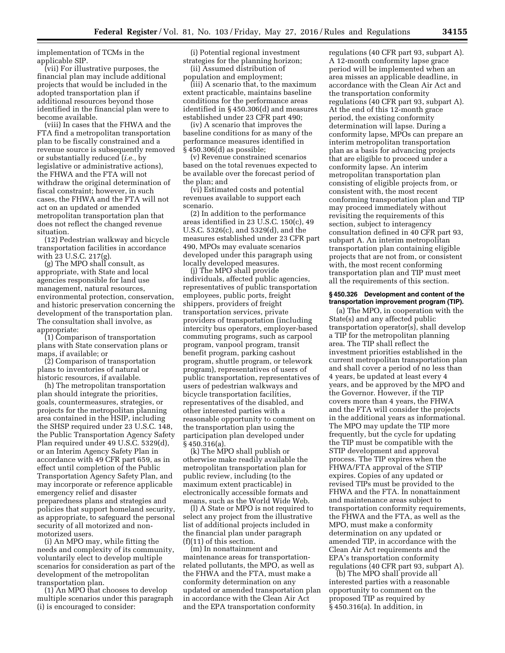implementation of TCMs in the applicable SIP.

(vii) For illustrative purposes, the financial plan may include additional projects that would be included in the adopted transportation plan if additional resources beyond those identified in the financial plan were to become available.

(viii) In cases that the FHWA and the FTA find a metropolitan transportation plan to be fiscally constrained and a revenue source is subsequently removed or substantially reduced (*i.e.,* by legislative or administrative actions), the FHWA and the FTA will not withdraw the original determination of fiscal constraint; however, in such cases, the FHWA and the FTA will not act on an updated or amended metropolitan transportation plan that does not reflect the changed revenue situation.

(12) Pedestrian walkway and bicycle transportation facilities in accordance with 23 U.S.C. 217(g).

(g) The MPO shall consult, as appropriate, with State and local agencies responsible for land use management, natural resources, environmental protection, conservation, and historic preservation concerning the development of the transportation plan. The consultation shall involve, as appropriate:

(1) Comparison of transportation plans with State conservation plans or maps, if available; or

(2) Comparison of transportation plans to inventories of natural or historic resources, if available.

(h) The metropolitan transportation plan should integrate the priorities, goals, countermeasures, strategies, or projects for the metropolitan planning area contained in the HSIP, including the SHSP required under 23 U.S.C. 148, the Public Transportation Agency Safety Plan required under 49 U.S.C. 5329(d), or an Interim Agency Safety Plan in accordance with 49 CFR part 659, as in effect until completion of the Public Transportation Agency Safety Plan, and may incorporate or reference applicable emergency relief and disaster preparedness plans and strategies and policies that support homeland security, as appropriate, to safeguard the personal security of all motorized and nonmotorized users.

(i) An MPO may, while fitting the needs and complexity of its community, voluntarily elect to develop multiple scenarios for consideration as part of the development of the metropolitan transportation plan.

(1) An MPO that chooses to develop multiple scenarios under this paragraph (i) is encouraged to consider:

(i) Potential regional investment strategies for the planning horizon; (ii) Assumed distribution of

population and employment;

(iii) A scenario that, to the maximum extent practicable, maintains baseline conditions for the performance areas identified in § 450.306(d) and measures established under 23 CFR part 490;

(iv) A scenario that improves the baseline conditions for as many of the performance measures identified in § 450.306(d) as possible;

(v) Revenue constrained scenarios based on the total revenues expected to be available over the forecast period of the plan; and

(vi) Estimated costs and potential revenues available to support each scenario.

(2) In addition to the performance areas identified in 23 U.S.C. 150(c), 49 U.S.C. 5326(c), and 5329(d), and the measures established under 23 CFR part 490, MPOs may evaluate scenarios developed under this paragraph using locally developed measures.

(j) The MPO shall provide individuals, affected public agencies, representatives of public transportation employees, public ports, freight shippers, providers of freight transportation services, private providers of transportation (including intercity bus operators, employer-based commuting programs, such as carpool program, vanpool program, transit benefit program, parking cashout program, shuttle program, or telework program), representatives of users of public transportation, representatives of users of pedestrian walkways and bicycle transportation facilities, representatives of the disabled, and other interested parties with a reasonable opportunity to comment on the transportation plan using the participation plan developed under § 450.316(a).

(k) The MPO shall publish or otherwise make readily available the metropolitan transportation plan for public review, including (to the maximum extent practicable) in electronically accessible formats and means, such as the World Wide Web.

(l) A State or MPO is not required to select any project from the illustrative list of additional projects included in the financial plan under paragraph (f)(11) of this section.

(m) In nonattainment and maintenance areas for transportationrelated pollutants, the MPO, as well as the FHWA and the FTA, must make a conformity determination on any updated or amended transportation plan in accordance with the Clean Air Act and the EPA transportation conformity

regulations (40 CFR part 93, subpart A). A 12-month conformity lapse grace period will be implemented when an area misses an applicable deadline, in accordance with the Clean Air Act and the transportation conformity regulations (40 CFR part 93, subpart A). At the end of this 12-month grace period, the existing conformity determination will lapse. During a conformity lapse, MPOs can prepare an interim metropolitan transportation plan as a basis for advancing projects that are eligible to proceed under a conformity lapse. An interim metropolitan transportation plan consisting of eligible projects from, or consistent with, the most recent conforming transportation plan and TIP may proceed immediately without revisiting the requirements of this section, subject to interagency consultation defined in 40 CFR part 93, subpart A. An interim metropolitan transportation plan containing eligible projects that are not from, or consistent with, the most recent conforming transportation plan and TIP must meet all the requirements of this section.

## **§ 450.326 Development and content of the transportation improvement program (TIP).**

(a) The MPO, in cooperation with the State(s) and any affected public transportation operator(s), shall develop a TIP for the metropolitan planning area. The TIP shall reflect the investment priorities established in the current metropolitan transportation plan and shall cover a period of no less than 4 years, be updated at least every 4 years, and be approved by the MPO and the Governor. However, if the TIP covers more than 4 years, the FHWA and the FTA will consider the projects in the additional years as informational. The MPO may update the TIP more frequently, but the cycle for updating the TIP must be compatible with the STIP development and approval process. The TIP expires when the FHWA/FTA approval of the STIP expires. Copies of any updated or revised TIPs must be provided to the FHWA and the FTA. In nonattainment and maintenance areas subject to transportation conformity requirements, the FHWA and the FTA, as well as the MPO, must make a conformity determination on any updated or amended TIP, in accordance with the Clean Air Act requirements and the EPA's transportation conformity regulations (40 CFR part 93, subpart A).

(b) The MPO shall provide all interested parties with a reasonable opportunity to comment on the proposed TIP as required by § 450.316(a). In addition, in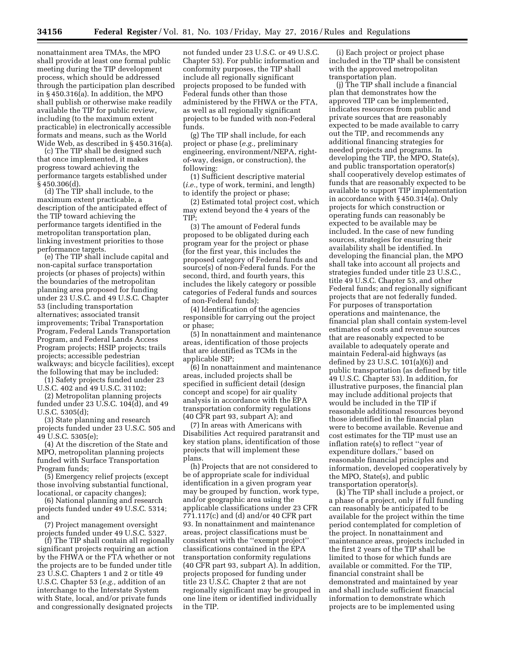nonattainment area TMAs, the MPO shall provide at least one formal public meeting during the TIP development process, which should be addressed through the participation plan described in § 450.316(a). In addition, the MPO shall publish or otherwise make readily available the TIP for public review, including (to the maximum extent practicable) in electronically accessible formats and means, such as the World Wide Web, as described in § 450.316(a).

(c) The TIP shall be designed such that once implemented, it makes progress toward achieving the performance targets established under § 450.306(d).

(d) The TIP shall include, to the maximum extent practicable, a description of the anticipated effect of the TIP toward achieving the performance targets identified in the metropolitan transportation plan, linking investment priorities to those performance targets.

(e) The TIP shall include capital and non-capital surface transportation projects (or phases of projects) within the boundaries of the metropolitan planning area proposed for funding under 23 U.S.C. and 49 U.S.C. Chapter 53 (including transportation alternatives; associated transit improvements; Tribal Transportation Program, Federal Lands Transportation Program, and Federal Lands Access Program projects; HSIP projects; trails projects; accessible pedestrian walkways; and bicycle facilities), except the following that may be included:

(1) Safety projects funded under 23 U.S.C. 402 and 49 U.S.C. 31102;

(2) Metropolitan planning projects funded under 23 U.S.C. 104(d), and 49 U.S.C. 5305(d);

(3) State planning and research projects funded under 23 U.S.C. 505 and 49 U.S.C. 5305(e);

(4) At the discretion of the State and MPO, metropolitan planning projects funded with Surface Transportation Program funds;

(5) Emergency relief projects (except those involving substantial functional, locational, or capacity changes);

(6) National planning and research projects funded under 49 U.S.C. 5314; and

(7) Project management oversight projects funded under 49 U.S.C. 5327.

(f) The TIP shall contain all regionally significant projects requiring an action by the FHWA or the FTA whether or not the projects are to be funded under title 23 U.S.C. Chapters 1 and 2 or title 49 U.S.C. Chapter 53 (*e.g.,* addition of an interchange to the Interstate System with State, local, and/or private funds and congressionally designated projects

not funded under 23 U.S.C. or 49 U.S.C. Chapter 53). For public information and conformity purposes, the TIP shall include all regionally significant projects proposed to be funded with Federal funds other than those administered by the FHWA or the FTA, as well as all regionally significant projects to be funded with non-Federal funds.

(g) The TIP shall include, for each project or phase (*e.g.,* preliminary engineering, environment/NEPA, rightof-way, design, or construction), the following:

(1) Sufficient descriptive material (*i.e.,* type of work, termini, and length) to identify the project or phase;

(2) Estimated total project cost, which may extend beyond the 4 years of the TIP;

(3) The amount of Federal funds proposed to be obligated during each program year for the project or phase (for the first year, this includes the proposed category of Federal funds and source(s) of non-Federal funds. For the second, third, and fourth years, this includes the likely category or possible categories of Federal funds and sources of non-Federal funds);

(4) Identification of the agencies responsible for carrying out the project or phase;

(5) In nonattainment and maintenance areas, identification of those projects that are identified as TCMs in the applicable SIP;

(6) In nonattainment and maintenance areas, included projects shall be specified in sufficient detail (design concept and scope) for air quality analysis in accordance with the EPA transportation conformity regulations (40 CFR part 93, subpart A); and

(7) In areas with Americans with Disabilities Act required paratransit and key station plans, identification of those projects that will implement these plans.

(h) Projects that are not considered to be of appropriate scale for individual identification in a given program year may be grouped by function, work type, and/or geographic area using the applicable classifications under 23 CFR 771.117(c) and (d) and/or 40 CFR part 93. In nonattainment and maintenance areas, project classifications must be consistent with the ''exempt project'' classifications contained in the EPA transportation conformity regulations (40 CFR part 93, subpart A). In addition, projects proposed for funding under title 23 U.S.C. Chapter 2 that are not regionally significant may be grouped in one line item or identified individually in the TIP.

(i) Each project or project phase included in the TIP shall be consistent with the approved metropolitan transportation plan.

(j) The TIP shall include a financial plan that demonstrates how the approved TIP can be implemented, indicates resources from public and private sources that are reasonably expected to be made available to carry out the TIP, and recommends any additional financing strategies for needed projects and programs. In developing the TIP, the MPO, State(s), and public transportation operator(s) shall cooperatively develop estimates of funds that are reasonably expected to be available to support TIP implementation in accordance with § 450.314(a). Only projects for which construction or operating funds can reasonably be expected to be available may be included. In the case of new funding sources, strategies for ensuring their availability shall be identified. In developing the financial plan, the MPO shall take into account all projects and strategies funded under title 23 U.S.C., title 49 U.S.C. Chapter 53, and other Federal funds; and regionally significant projects that are not federally funded. For purposes of transportation operations and maintenance, the financial plan shall contain system-level estimates of costs and revenue sources that are reasonably expected to be available to adequately operate and maintain Federal-aid highways (as defined by 23 U.S.C. 101(a)(6)) and public transportation (as defined by title 49 U.S.C. Chapter 53). In addition, for illustrative purposes, the financial plan may include additional projects that would be included in the TIP if reasonable additional resources beyond those identified in the financial plan were to become available. Revenue and cost estimates for the TIP must use an inflation rate(s) to reflect ''year of expenditure dollars,'' based on reasonable financial principles and information, developed cooperatively by the MPO, State(s), and public transportation operator(s).

(k) The TIP shall include a project, or a phase of a project, only if full funding can reasonably be anticipated to be available for the project within the time period contemplated for completion of the project. In nonattainment and maintenance areas, projects included in the first 2 years of the TIP shall be limited to those for which funds are available or committed. For the TIP, financial constraint shall be demonstrated and maintained by year and shall include sufficient financial information to demonstrate which projects are to be implemented using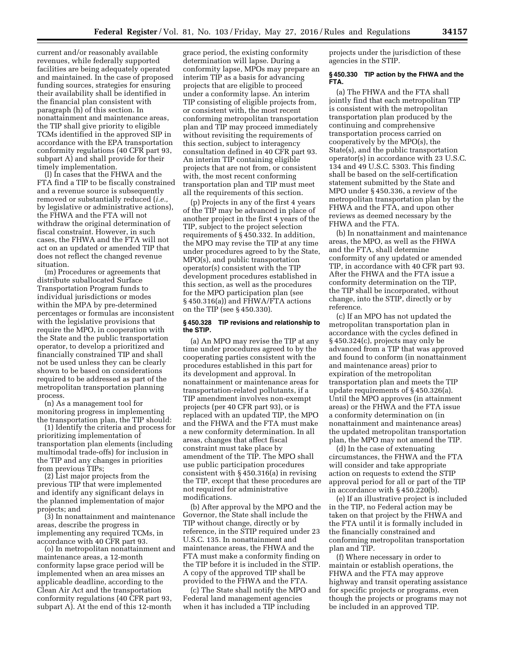current and/or reasonably available revenues, while federally supported facilities are being adequately operated and maintained. In the case of proposed funding sources, strategies for ensuring their availability shall be identified in the financial plan consistent with paragraph (h) of this section. In nonattainment and maintenance areas, the TIP shall give priority to eligible TCMs identified in the approved SIP in accordance with the EPA transportation conformity regulations (40 CFR part 93, subpart A) and shall provide for their timely implementation.

(l) In cases that the FHWA and the FTA find a TIP to be fiscally constrained and a revenue source is subsequently removed or substantially reduced (*i.e.,*  by legislative or administrative actions), the FHWA and the FTA will not withdraw the original determination of fiscal constraint. However, in such cases, the FHWA and the FTA will not act on an updated or amended TIP that does not reflect the changed revenue situation.

(m) Procedures or agreements that distribute suballocated Surface Transportation Program funds to individual jurisdictions or modes within the MPA by pre-determined percentages or formulas are inconsistent with the legislative provisions that require the MPO, in cooperation with the State and the public transportation operator, to develop a prioritized and financially constrained TIP and shall not be used unless they can be clearly shown to be based on considerations required to be addressed as part of the metropolitan transportation planning process.

(n) As a management tool for monitoring progress in implementing the transportation plan, the TIP should:

(1) Identify the criteria and process for prioritizing implementation of transportation plan elements (including multimodal trade-offs) for inclusion in the TIP and any changes in priorities from previous TIPs;

(2) List major projects from the previous TIP that were implemented and identify any significant delays in the planned implementation of major projects; and

(3) In nonattainment and maintenance areas, describe the progress in implementing any required TCMs, in accordance with 40 CFR part 93.

(o) In metropolitan nonattainment and maintenance areas, a 12-month conformity lapse grace period will be implemented when an area misses an applicable deadline, according to the Clean Air Act and the transportation conformity regulations (40 CFR part 93, subpart A). At the end of this 12-month

grace period, the existing conformity determination will lapse. During a conformity lapse, MPOs may prepare an interim TIP as a basis for advancing projects that are eligible to proceed under a conformity lapse. An interim TIP consisting of eligible projects from, or consistent with, the most recent conforming metropolitan transportation plan and TIP may proceed immediately without revisiting the requirements of this section, subject to interagency consultation defined in 40 CFR part 93. An interim TIP containing eligible projects that are not from, or consistent with, the most recent conforming transportation plan and TIP must meet all the requirements of this section.

(p) Projects in any of the first 4 years of the TIP may be advanced in place of another project in the first 4 years of the TIP, subject to the project selection requirements of § 450.332. In addition, the MPO may revise the TIP at any time under procedures agreed to by the State, MPO(s), and public transportation operator(s) consistent with the TIP development procedures established in this section, as well as the procedures for the MPO participation plan (see § 450.316(a)) and FHWA/FTA actions on the TIP (see § 450.330).

### **§ 450.328 TIP revisions and relationship to the STIP.**

(a) An MPO may revise the TIP at any time under procedures agreed to by the cooperating parties consistent with the procedures established in this part for its development and approval. In nonattainment or maintenance areas for transportation-related pollutants, if a TIP amendment involves non-exempt projects (per 40 CFR part 93), or is replaced with an updated TIP, the MPO and the FHWA and the FTA must make a new conformity determination. In all areas, changes that affect fiscal constraint must take place by amendment of the TIP. The MPO shall use public participation procedures consistent with § 450.316(a) in revising the TIP, except that these procedures are not required for administrative modifications.

(b) After approval by the MPO and the Governor, the State shall include the TIP without change, directly or by reference, in the STIP required under 23 U.S.C. 135. In nonattainment and maintenance areas, the FHWA and the FTA must make a conformity finding on the TIP before it is included in the STIP. A copy of the approved TIP shall be provided to the FHWA and the FTA.

(c) The State shall notify the MPO and Federal land management agencies when it has included a TIP including

projects under the jurisdiction of these agencies in the STIP.

## **§ 450.330 TIP action by the FHWA and the FTA.**

(a) The FHWA and the FTA shall jointly find that each metropolitan TIP is consistent with the metropolitan transportation plan produced by the continuing and comprehensive transportation process carried on cooperatively by the MPO(s), the State(s), and the public transportation operator(s) in accordance with 23 U.S.C. 134 and 49 U.S.C. 5303. This finding shall be based on the self-certification statement submitted by the State and MPO under § 450.336, a review of the metropolitan transportation plan by the FHWA and the FTA, and upon other reviews as deemed necessary by the FHWA and the FTA.

(b) In nonattainment and maintenance areas, the MPO, as well as the FHWA and the FTA, shall determine conformity of any updated or amended TIP, in accordance with 40 CFR part 93. After the FHWA and the FTA issue a conformity determination on the TIP, the TIP shall be incorporated, without change, into the STIP, directly or by reference.

(c) If an MPO has not updated the metropolitan transportation plan in accordance with the cycles defined in § 450.324(c), projects may only be advanced from a TIP that was approved and found to conform (in nonattainment and maintenance areas) prior to expiration of the metropolitan transportation plan and meets the TIP update requirements of § 450.326(a). Until the MPO approves (in attainment areas) or the FHWA and the FTA issue a conformity determination on (in nonattainment and maintenance areas) the updated metropolitan transportation plan, the MPO may not amend the TIP.

(d) In the case of extenuating circumstances, the FHWA and the FTA will consider and take appropriate action on requests to extend the STIP approval period for all or part of the TIP in accordance with § 450.220(b).

(e) If an illustrative project is included in the TIP, no Federal action may be taken on that project by the FHWA and the FTA until it is formally included in the financially constrained and conforming metropolitan transportation plan and TIP.

(f) Where necessary in order to maintain or establish operations, the FHWA and the FTA may approve highway and transit operating assistance for specific projects or programs, even though the projects or programs may not be included in an approved TIP.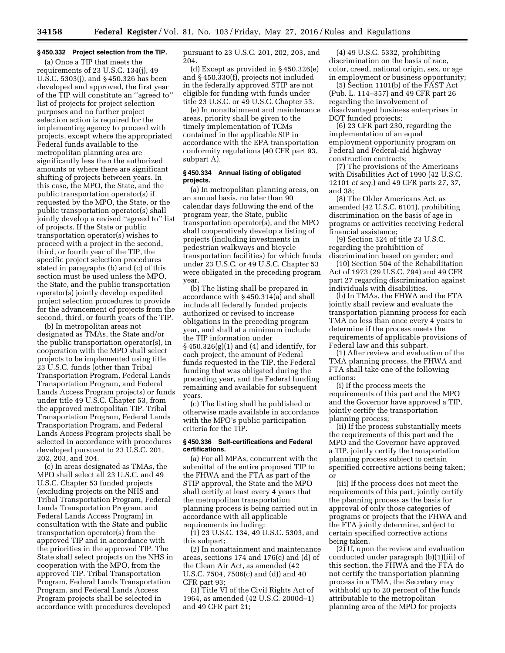## **§ 450.332 Project selection from the TIP.**

(a) Once a TIP that meets the requirements of 23 U.S.C. 134(j), 49 U.S.C. 5303(j), and § 450.326 has been developed and approved, the first year of the TIP will constitute an ''agreed to'' list of projects for project selection purposes and no further project selection action is required for the implementing agency to proceed with projects, except where the appropriated Federal funds available to the metropolitan planning area are significantly less than the authorized amounts or where there are significant shifting of projects between years. In this case, the MPO, the State, and the public transportation operator(s) if requested by the MPO, the State, or the public transportation operator(s) shall jointly develop a revised ''agreed to'' list of projects. If the State or public transportation operator(s) wishes to proceed with a project in the second, third, or fourth year of the TIP, the specific project selection procedures stated in paragraphs (b) and (c) of this section must be used unless the MPO, the State, and the public transportation operator(s) jointly develop expedited project selection procedures to provide for the advancement of projects from the second, third, or fourth years of the TIP.

(b) In metropolitan areas not designated as TMAs, the State and/or the public transportation operator(s), in cooperation with the MPO shall select projects to be implemented using title 23 U.S.C. funds (other than Tribal Transportation Program, Federal Lands Transportation Program, and Federal Lands Access Program projects) or funds under title 49 U.S.C. Chapter 53, from the approved metropolitan TIP. Tribal Transportation Program, Federal Lands Transportation Program, and Federal Lands Access Program projects shall be selected in accordance with procedures developed pursuant to 23 U.S.C. 201, 202, 203, and 204.

(c) In areas designated as TMAs, the MPO shall select all 23 U.S.C. and 49 U.S.C. Chapter 53 funded projects (excluding projects on the NHS and Tribal Transportation Program, Federal Lands Transportation Program, and Federal Lands Access Program) in consultation with the State and public transportation operator(s) from the approved TIP and in accordance with the priorities in the approved TIP. The State shall select projects on the NHS in cooperation with the MPO, from the approved TIP. Tribal Transportation Program, Federal Lands Transportation Program, and Federal Lands Access Program projects shall be selected in accordance with procedures developed

pursuant to 23 U.S.C. 201, 202, 203, and 204.

(d) Except as provided in § 450.326(e) and § 450.330(f), projects not included in the federally approved STIP are not eligible for funding with funds under title 23 U.S.C. or 49 U.S.C. Chapter 53.

(e) In nonattainment and maintenance areas, priority shall be given to the timely implementation of TCMs contained in the applicable SIP in accordance with the EPA transportation conformity regulations (40 CFR part 93, subpart A).

## **§ 450.334 Annual listing of obligated projects.**

(a) In metropolitan planning areas, on an annual basis, no later than 90 calendar days following the end of the program year, the State, public transportation operator(s), and the MPO shall cooperatively develop a listing of projects (including investments in pedestrian walkways and bicycle transportation facilities) for which funds under 23 U.S.C. or 49 U.S.C. Chapter 53 were obligated in the preceding program year.

(b) The listing shall be prepared in accordance with § 450.314(a) and shall include all federally funded projects authorized or revised to increase obligations in the preceding program year, and shall at a minimum include the TIP information under  $\S$  450.326(g)(1) and (4) and identify, for each project, the amount of Federal funds requested in the TIP, the Federal funding that was obligated during the preceding year, and the Federal funding remaining and available for subsequent years.

(c) The listing shall be published or otherwise made available in accordance with the MPO's public participation criteria for the TIP.

## **§ 450.336 Self-certifications and Federal certifications.**

(a) For all MPAs, concurrent with the submittal of the entire proposed TIP to the FHWA and the FTA as part of the STIP approval, the State and the MPO shall certify at least every 4 years that the metropolitan transportation planning process is being carried out in accordance with all applicable requirements including:

(1) 23 U.S.C. 134, 49 U.S.C. 5303, and this subpart;

(2) In nonattainment and maintenance areas, sections 174 and 176(c) and (d) of the Clean Air Act, as amended (42 U.S.C. 7504, 7506(c) and (d)) and 40 CFR part 93;

(3) Title VI of the Civil Rights Act of 1964, as amended (42 U.S.C. 2000d–1) and 49 CFR part 21;

(4) 49 U.S.C. 5332, prohibiting discrimination on the basis of race, color, creed, national origin, sex, or age in employment or business opportunity;

(5) Section 1101(b) of the FAST Act (Pub. L. 114–357) and 49 CFR part 26 regarding the involvement of disadvantaged business enterprises in DOT funded projects;

(6) 23 CFR part 230, regarding the implementation of an equal employment opportunity program on Federal and Federal-aid highway construction contracts;

(7) The provisions of the Americans with Disabilities Act of 1990 (42 U.S.C. 12101 *et seq.*) and 49 CFR parts 27, 37, and 38;

(8) The Older Americans Act, as amended (42 U.S.C. 6101), prohibiting discrimination on the basis of age in programs or activities receiving Federal financial assistance;

(9) Section 324 of title 23 U.S.C. regarding the prohibition of discrimination based on gender; and

(10) Section 504 of the Rehabilitation Act of 1973 (29 U.S.C. 794) and 49 CFR part 27 regarding discrimination against individuals with disabilities.

(b) In TMAs, the FHWA and the FTA jointly shall review and evaluate the transportation planning process for each TMA no less than once every 4 years to determine if the process meets the requirements of applicable provisions of Federal law and this subpart.

(1) After review and evaluation of the TMA planning process, the FHWA and FTA shall take one of the following actions:

(i) If the process meets the requirements of this part and the MPO and the Governor have approved a TIP, jointly certify the transportation planning process;

(ii) If the process substantially meets the requirements of this part and the MPO and the Governor have approved a TIP, jointly certify the transportation planning process subject to certain specified corrective actions being taken; or

(iii) If the process does not meet the requirements of this part, jointly certify the planning process as the basis for approval of only those categories of programs or projects that the FHWA and the FTA jointly determine, subject to certain specified corrective actions being taken.

 $(2)$  If, upon the review and evaluation conducted under paragraph (b)(1)(iii) of this section, the FHWA and the FTA do not certify the transportation planning process in a TMA, the Secretary may withhold up to 20 percent of the funds attributable to the metropolitan planning area of the MPO for projects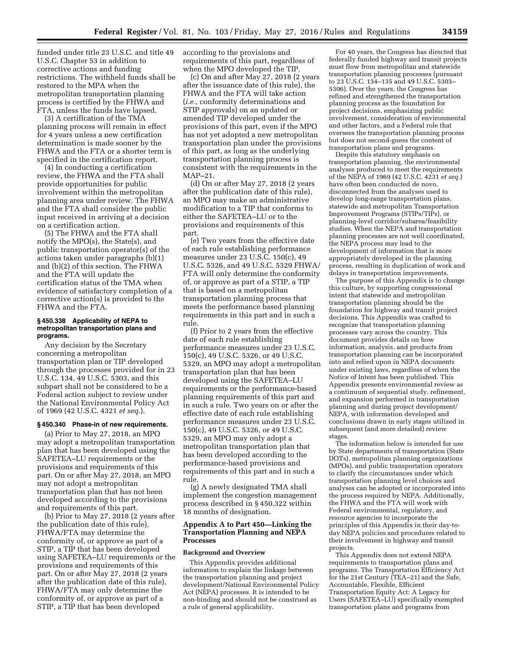funded under title 23 U.S.C. and title 49 U.S.C. Chapter 53 in addition to corrective actions and funding restrictions. The withheld funds shall be restored to the MPA when the metropolitan transportation planning process is certified by the FHWA and FTA, unless the funds have lapsed.

(3) A certification of the TMA planning process will remain in effect for 4 years unless a new certification determination is made sooner by the FHWA and the FTA or a shorter term is specified in the certification report.

(4) In conducting a certification review, the FHWA and the FTA shall provide opportunities for public involvement within the metropolitan planning area under review. The FHWA and the FTA shall consider the public input received in arriving at a decision on a certification action.

(5) The FHWA and the FTA shall notify the MPO(s), the State(s), and public transportation operator(s) of the actions taken under paragraphs (b)(1) and (b)(2) of this section. The FHWA and the FTA will update the certification status of the TMA when evidence of satisfactory completion of a corrective action(s) is provided to the FHWA and the FTA.

## **§ 450.338 Applicability of NEPA to metropolitan transportation plans and programs.**

Any decision by the Secretary concerning a metropolitan transportation plan or TIP developed through the processes provided for in 23 U.S.C. 134, 49 U.S.C. 5303, and this subpart shall not be considered to be a Federal action subject to review under the National Environmental Policy Act of 1969 (42 U.S.C. 4321 *et seq.*).

#### **§ 450.340 Phase-in of new requirements.**

(a) Prior to May 27, 2018, an MPO may adopt a metropolitan transportation plan that has been developed using the SAFETEA–LU requirements or the provisions and requirements of this part. On or after May 27, 2018, an MPO may not adopt a metropolitan transportation plan that has not been developed according to the provisions and requirements of this part.

(b) Prior to May 27, 2018 (2 years after the publication date of this rule), FHWA/FTA may determine the conformity of, or approve as part of a STIP, a TIP that has been developed using SAFETEA–LU requirements or the provisions and requirements of this part. On or after May 27, 2018 (2 years after the publication date of this rule), FHWA/FTA may only determine the conformity of, or approve as part of a STIP, a TIP that has been developed

according to the provisions and requirements of this part, regardless of when the MPO developed the TIP.

(c) On and after May 27, 2018 (2 years after the issuance date of this rule), the FHWA and the FTA will take action (*i.e.,* conformity determinations and STIP approvals) on an updated or amended TIP developed under the provisions of this part, even if the MPO has not yet adopted a new metropolitan transportation plan under the provisions of this part, as long as the underlying transportation planning process is consistent with the requirements in the MAP–21.

(d) On or after May 27, 2018 (2 years after the publication date of this rule), an MPO may make an administrative modification to a TIP that conforms to either the SAFETEA–LU or to the provisions and requirements of this part.

(e) Two years from the effective date of each rule establishing performance measures under 23 U.S.C. 150(c), 49 U.S.C. 5326, and 49 U.S.C. 5329 FHWA/ FTA will only determine the conformity of, or approve as part of a STIP, a TIP that is based on a metropolitan transportation planning process that meets the performance based planning requirements in this part and in such a rule.

(f) Prior to 2 years from the effective date of each rule establishing performance measures under 23 U.S.C. 150(c), 49 U.S.C. 5326, or 49 U.S.C. 5329, an MPO may adopt a metropolitan transportation plan that has been developed using the SAFETEA–LU requirements or the performance-based planning requirements of this part and in such a rule. Two years on or after the effective date of each rule establishing performance measures under 23 U.S.C. 150(c), 49 U.S.C. 5326, or 49 U.S.C. 5329, an MPO may only adopt a metropolitan transportation plan that has been developed according to the performance-based provisions and requirements of this part and in such a rule.

(g) A newly designated TMA shall implement the congestion management process described in § 450.322 within 18 months of designation.

## **Appendix A to Part 450—Linking the Transportation Planning and NEPA Processes**

## **Background and Overview**

This Appendix provides additional information to explain the linkage between the transportation planning and project development/National Environmental Policy Act (NEPA) processes. It is intended to be non-binding and should not be construed as a rule of general applicability.

For 40 years, the Congress has directed that federally funded highway and transit projects must flow from metropolitan and statewide transportation planning processes (pursuant to 23 U.S.C. 134–135 and 49 U.S.C. 5303– 5306). Over the years, the Congress has refined and strengthened the transportation planning process as the foundation for project decisions, emphasizing public involvement, consideration of environmental and other factors, and a Federal role that oversees the transportation planning process but does not second-guess the content of transportation plans and programs.

Despite this statutory emphasis on transportation planning, the environmental analyses produced to meet the requirements of the NEPA of 1969 (42 U.S.C. 4231 *et seq.*) have often been conducted de novo, disconnected from the analyses used to develop long-range transportation plans, statewide and metropolitan Transportation Improvement Programs (STIPs/TIPs), or planning-level corridor/subarea/feasibility studies. When the NEPA and transportation planning processes are not well coordinated, the NEPA process may lead to the development of information that is more appropriately developed in the planning process, resulting in duplication of work and delays in transportation improvements.

The purpose of this Appendix is to change this culture, by supporting congressional intent that statewide and metropolitan transportation planning should be the foundation for highway and transit project decisions. This Appendix was crafted to recognize that transportation planning processes vary across the country. This document provides details on how information, analysis, and products from transportation planning can be incorporated into and relied upon in NEPA documents under existing laws, regardless of when the Notice of Intent has been published. This Appendix presents environmental review as a continuum of sequential study, refinement, and expansion performed in transportation planning and during project development/ NEPA, with information developed and conclusions drawn in early stages utilized in subsequent (and more detailed) review stages.

The information below is intended for use by State departments of transportation (State DOTs), metropolitan planning organizations (MPOs), and public transportation operators to clarify the circumstances under which transportation planning level choices and analyses can be adopted or incorporated into the process required by NEPA. Additionally, the FHWA and the FTA will work with Federal environmental, regulatory, and resource agencies to incorporate the principles of this Appendix in their day-today NEPA policies and procedures related to their involvement in highway and transit projects.

This Appendix does not extend NEPA requirements to transportation plans and programs. The Transportation Efficiency Act for the 21st Century (TEA–21) and the Safe, Accountable, Flexible, Efficient Transportation Equity Act: A Legacy for Users (SAFETEA–LU) specifically exempted transportation plans and programs from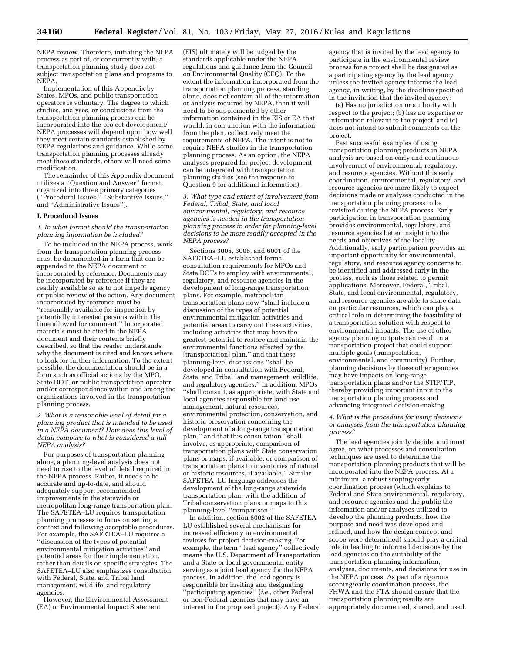NEPA review. Therefore, initiating the NEPA process as part of, or concurrently with, a transportation planning study does not subject transportation plans and programs to NEPA.

Implementation of this Appendix by States, MPOs, and public transportation operators is voluntary. The degree to which studies, analyses, or conclusions from the transportation planning process can be incorporated into the project development/ NEPA processes will depend upon how well they meet certain standards established by NEPA regulations and guidance. While some transportation planning processes already meet these standards, others will need some modification.

The remainder of this Appendix document utilizes a ''Question and Answer'' format, organized into three primary categories (''Procedural Issues,'' ''Substantive Issues,'' and ''Administrative Issues'').

## **I. Procedural Issues**

## *1. In what format should the transportation planning information be included?*

To be included in the NEPA process, work from the transportation planning process must be documented in a form that can be appended to the NEPA document or incorporated by reference. Documents may be incorporated by reference if they are readily available so as to not impede agency or public review of the action. Any document incorporated by reference must be ''reasonably available for inspection by potentially interested persons within the time allowed for comment.'' Incorporated materials must be cited in the NEPA document and their contents briefly described, so that the reader understands why the document is cited and knows where to look for further information. To the extent possible, the documentation should be in a form such as official actions by the MPO, State DOT, or public transportation operator and/or correspondence within and among the organizations involved in the transportation planning process.

*2. What is a reasonable level of detail for a planning product that is intended to be used in a NEPA document? How does this level of detail compare to what is considered a full NEPA analysis?* 

For purposes of transportation planning alone, a planning-level analysis does not need to rise to the level of detail required in the NEPA process. Rather, it needs to be accurate and up-to-date, and should adequately support recommended improvements in the statewide or metropolitan long-range transportation plan. The SAFETEA–LU requires transportation planning processes to focus on setting a context and following acceptable procedures. For example, the SAFETEA–LU requires a ''discussion of the types of potential environmental mitigation activities'' and potential areas for their implementation, rather than details on specific strategies. The SAFETEA–LU also emphasizes consultation with Federal, State, and Tribal land management, wildlife, and regulatory agencies.

However, the Environmental Assessment (EA) or Environmental Impact Statement

(EIS) ultimately will be judged by the standards applicable under the NEPA regulations and guidance from the Council on Environmental Quality (CEQ). To the extent the information incorporated from the transportation planning process, standing alone, does not contain all of the information or analysis required by NEPA, then it will need to be supplemented by other information contained in the EIS or EA that would, in conjunction with the information from the plan, collectively meet the requirements of NEPA. The intent is not to require NEPA studies in the transportation planning process. As an option, the NEPA analyses prepared for project development can be integrated with transportation planning studies (see the response to Question 9 for additional information).

*3. What type and extent of involvement from Federal, Tribal, State, and local environmental, regulatory, and resource agencies is needed in the transportation planning process in order for planning-level decisions to be more readily accepted in the NEPA process?* 

Sections 3005, 3006, and 6001 of the SAFETEA–LU established formal consultation requirements for MPOs and State DOTs to employ with environmental, regulatory, and resource agencies in the development of long-range transportation plans. For example, metropolitan transportation plans now ''shall include a discussion of the types of potential environmental mitigation activities and potential areas to carry out these activities, including activities that may have the greatest potential to restore and maintain the environmental functions affected by the [transportation] plan," and that these planning-level discussions ''shall be developed in consultation with Federal, State, and Tribal land management, wildlife, and regulatory agencies.'' In addition, MPOs ''shall consult, as appropriate, with State and local agencies responsible for land use management, natural resources, environmental protection, conservation, and historic preservation concerning the development of a long-range transportation plan,'' and that this consultation ''shall involve, as appropriate, comparison of transportation plans with State conservation plans or maps, if available, or comparison of transportation plans to inventories of natural or historic resources, if available.'' Similar SAFETEA–LU language addresses the development of the long-range statewide transportation plan, with the addition of Tribal conservation plans or maps to this planning-level ''comparison.''

In addition, section 6002 of the SAFETEA– LU established several mechanisms for increased efficiency in environmental reviews for project decision-making. For example, the term ''lead agency'' collectively means the U.S. Department of Transportation and a State or local governmental entity serving as a joint lead agency for the NEPA process. In addition, the lead agency is responsible for inviting and designating ''participating agencies'' (*i.e.,* other Federal or non-Federal agencies that may have an interest in the proposed project). Any Federal agency that is invited by the lead agency to participate in the environmental review process for a project shall be designated as a participating agency by the lead agency unless the invited agency informs the lead agency, in writing, by the deadline specified in the invitation that the invited agency:

(a) Has no jurisdiction or authority with respect to the project; (b) has no expertise or information relevant to the project; and (c) does not intend to submit comments on the project.

Past successful examples of using transportation planning products in NEPA analysis are based on early and continuous involvement of environmental, regulatory, and resource agencies. Without this early coordination, environmental, regulatory, and resource agencies are more likely to expect decisions made or analyses conducted in the transportation planning process to be revisited during the NEPA process. Early participation in transportation planning provides environmental, regulatory, and resource agencies better insight into the needs and objectives of the locality. Additionally, early participation provides an important opportunity for environmental, regulatory, and resource agency concerns to be identified and addressed early in the process, such as those related to permit applications. Moreover, Federal, Tribal, State, and local environmental, regulatory, and resource agencies are able to share data on particular resources, which can play a critical role in determining the feasibility of a transportation solution with respect to environmental impacts. The use of other agency planning outputs can result in a transportation project that could support multiple goals (transportation, environmental, and community). Further, planning decisions by these other agencies may have impacts on long-range transportation plans and/or the STIP/TIP, thereby providing important input to the transportation planning process and advancing integrated decision-making.

### *4. What is the procedure for using decisions or analyses from the transportation planning process?*

The lead agencies jointly decide, and must agree, on what processes and consultation techniques are used to determine the transportation planning products that will be incorporated into the NEPA process. At a minimum, a robust scoping/early coordination process (which explains to Federal and State environmental, regulatory, and resource agencies and the public the information and/or analyses utilized to develop the planning products, how the purpose and need was developed and refined, and how the design concept and scope were determined) should play a critical role in leading to informed decisions by the lead agencies on the suitability of the transportation planning information, analyses, documents, and decisions for use in the NEPA process. As part of a rigorous scoping/early coordination process, the FHWA and the FTA should ensure that the transportation planning results are appropriately documented, shared, and used.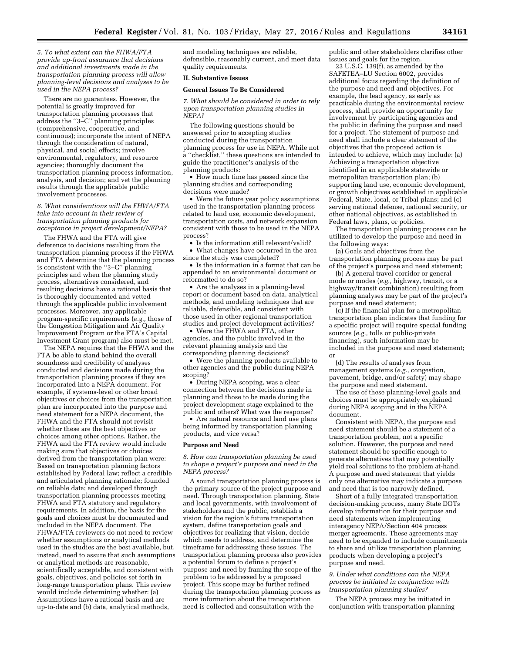*5. To what extent can the FHWA/FTA provide up-front assurance that decisions and additional investments made in the transportation planning process will allow planning-level decisions and analyses to be used in the NEPA process?* 

There are no guarantees. However, the potential is greatly improved for transportation planning processes that address the ''3–C'' planning principles (comprehensive, cooperative, and continuous); incorporate the intent of NEPA through the consideration of natural, physical, and social effects; involve environmental, regulatory, and resource agencies; thoroughly document the transportation planning process information, analysis, and decision; and vet the planning results through the applicable public involvement processes.

*6. What considerations will the FHWA/FTA take into account in their review of transportation planning products for acceptance in project development/NEPA?* 

The FHWA and the FTA will give deference to decisions resulting from the transportation planning process if the FHWA and FTA determine that the planning process is consistent with the ''3–C'' planning principles and when the planning study process, alternatives considered, and resulting decisions have a rational basis that is thoroughly documented and vetted through the applicable public involvement processes. Moreover, any applicable program-specific requirements (*e.g.,* those of the Congestion Mitigation and Air Quality Improvement Program or the FTA's Capital Investment Grant program) also must be met.

The NEPA requires that the FHWA and the FTA be able to stand behind the overall soundness and credibility of analyses conducted and decisions made during the transportation planning process if they are incorporated into a NEPA document. For example, if systems-level or other broad objectives or choices from the transportation plan are incorporated into the purpose and need statement for a NEPA document, the FHWA and the FTA should not revisit whether these are the best objectives or choices among other options. Rather, the FHWA and the FTA review would include making sure that objectives or choices derived from the transportation plan were: Based on transportation planning factors established by Federal law; reflect a credible and articulated planning rationale; founded on reliable data; and developed through transportation planning processes meeting FHWA and FTA statutory and regulatory requirements. In addition, the basis for the goals and choices must be documented and included in the NEPA document. The FHWA/FTA reviewers do not need to review whether assumptions or analytical methods used in the studies are the best available, but, instead, need to assure that such assumptions or analytical methods are reasonable, scientifically acceptable, and consistent with goals, objectives, and policies set forth in long-range transportation plans. This review would include determining whether: (a) Assumptions have a rational basis and are up-to-date and (b) data, analytical methods,

and modeling techniques are reliable, defensible, reasonably current, and meet data quality requirements.

#### **II. Substantive Issues**

#### **General Issues To Be Considered**

*7. What should be considered in order to rely upon transportation planning studies in NEPA?* 

The following questions should be answered prior to accepting studies conducted during the transportation planning process for use in NEPA. While not a ''checklist,'' these questions are intended to guide the practitioner's analysis of the planning products:

• How much time has passed since the planning studies and corresponding decisions were made?

• Were the future year policy assumptions used in the transportation planning process related to land use, economic development, transportation costs, and network expansion consistent with those to be used in the NEPA process?

• Is the information still relevant/valid? • What changes have occurred in the area since the study was completed?

• Is the information in a format that can be appended to an environmental document or reformatted to do so?

• Are the analyses in a planning-level report or document based on data, analytical methods, and modeling techniques that are reliable, defensible, and consistent with those used in other regional transportation studies and project development activities?

• Were the FHWA and FTA, other agencies, and the public involved in the relevant planning analysis and the corresponding planning decisions?

• Were the planning products available to other agencies and the public during NEPA scoping?

• During NEPA scoping, was a clear connection between the decisions made in planning and those to be made during the project development stage explained to the public and others? What was the response?

• Are natural resource and land use plans being informed by transportation planning products, and vice versa?

#### **Purpose and Need**

*8. How can transportation planning be used to shape a project's purpose and need in the NEPA process?* 

A sound transportation planning process is the primary source of the project purpose and need. Through transportation planning, State and local governments, with involvement of stakeholders and the public, establish a vision for the region's future transportation system, define transportation goals and objectives for realizing that vision, decide which needs to address, and determine the timeframe for addressing these issues. The transportation planning process also provides a potential forum to define a project's purpose and need by framing the scope of the problem to be addressed by a proposed project. This scope may be further refined during the transportation planning process as more information about the transportation need is collected and consultation with the

public and other stakeholders clarifies other issues and goals for the region.

23 U.S.C. 139(f), as amended by the SAFETEA–LU Section 6002, provides additional focus regarding the definition of the purpose and need and objectives. For example, the lead agency, as early as practicable during the environmental review process, shall provide an opportunity for involvement by participating agencies and the public in defining the purpose and need for a project. The statement of purpose and need shall include a clear statement of the objectives that the proposed action is intended to achieve, which may include: (a) Achieving a transportation objective identified in an applicable statewide or metropolitan transportation plan; (b) supporting land use, economic development, or growth objectives established in applicable Federal, State, local, or Tribal plans; and (c) serving national defense, national security, or other national objectives, as established in Federal laws, plans, or policies.

The transportation planning process can be utilized to develop the purpose and need in the following ways:

(a) Goals and objectives from the transportation planning process may be part of the project's purpose and need statement;

(b) A general travel corridor or general mode or modes (*e.g.,* highway, transit, or a highway/transit combination) resulting from planning analyses may be part of the project's purpose and need statement;

(c) If the financial plan for a metropolitan transportation plan indicates that funding for a specific project will require special funding sources (*e.g.,* tolls or public-private financing), such information may be included in the purpose and need statement; or

(d) The results of analyses from management systems (*e.g.,* congestion, pavement, bridge, and/or safety) may shape the purpose and need statement.

The use of these planning-level goals and choices must be appropriately explained during NEPA scoping and in the NEPA document.

Consistent with NEPA, the purpose and need statement should be a statement of a transportation problem, not a specific solution. However, the purpose and need statement should be specific enough to generate alternatives that may potentially yield real solutions to the problem at-hand. A purpose and need statement that yields only one alternative may indicate a purpose and need that is too narrowly defined.

Short of a fully integrated transportation decision-making process, many State DOTs develop information for their purpose and need statements when implementing interagency NEPA/Section 404 process merger agreements. These agreements may need to be expanded to include commitments to share and utilize transportation planning products when developing a project's purpose and need.

### *9. Under what conditions can the NEPA process be initiated in conjunction with transportation planning studies?*

The NEPA process may be initiated in conjunction with transportation planning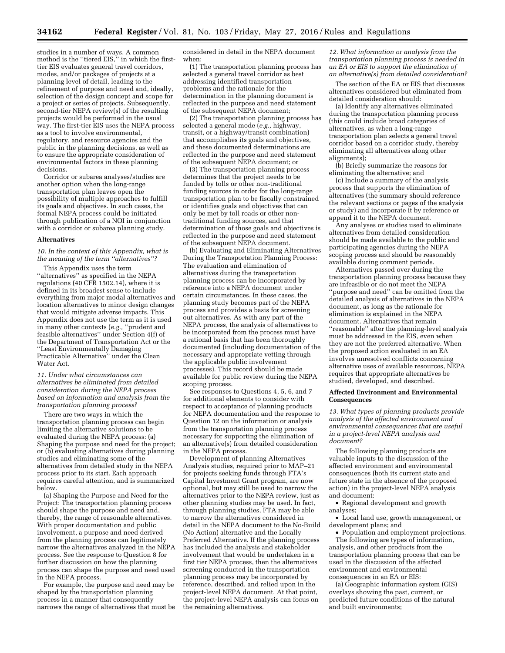studies in a number of ways. A common method is the ''tiered EIS,'' in which the firsttier EIS evaluates general travel corridors, modes, and/or packages of projects at a planning level of detail, leading to the refinement of purpose and need and, ideally, selection of the design concept and scope for a project or series of projects. Subsequently, second-tier NEPA review(s) of the resulting projects would be performed in the usual way. The first-tier EIS uses the NEPA process as a tool to involve environmental, regulatory, and resource agencies and the public in the planning decisions, as well as to ensure the appropriate consideration of environmental factors in these planning decisions.

Corridor or subarea analyses/studies are another option when the long-range transportation plan leaves open the possibility of multiple approaches to fulfill its goals and objectives. In such cases, the formal NEPA process could be initiated through publication of a NOI in conjunction with a corridor or subarea planning study.

## **Alternatives**

## *10. In the context of this Appendix, what is the meaning of the term ''alternatives''?*

This Appendix uses the term ''alternatives'' as specified in the NEPA regulations (40 CFR 1502.14), where it is defined in its broadest sense to include everything from major modal alternatives and location alternatives to minor design changes that would mitigate adverse impacts. This Appendix does not use the term as it is used in many other contexts (*e.g.,* ''prudent and feasible alternatives'' under Section 4(f) of the Department of Transportation Act or the ''Least Environmentally Damaging Practicable Alternative'' under the Clean Water Act.

### *11. Under what circumstances can alternatives be eliminated from detailed consideration during the NEPA process based on information and analysis from the transportation planning process?*

There are two ways in which the transportation planning process can begin limiting the alternative solutions to be evaluated during the NEPA process: (a) Shaping the purpose and need for the project; or (b) evaluating alternatives during planning studies and eliminating some of the alternatives from detailed study in the NEPA process prior to its start. Each approach requires careful attention, and is summarized below.

(a) Shaping the Purpose and Need for the Project: The transportation planning process should shape the purpose and need and, thereby, the range of reasonable alternatives. With proper documentation and public involvement, a purpose and need derived from the planning process can legitimately narrow the alternatives analyzed in the NEPA process. See the response to Question 8 for further discussion on how the planning process can shape the purpose and need used in the NEPA process.

For example, the purpose and need may be shaped by the transportation planning process in a manner that consequently narrows the range of alternatives that must be

considered in detail in the NEPA document when:

(1) The transportation planning process has selected a general travel corridor as best addressing identified transportation problems and the rationale for the determination in the planning document is reflected in the purpose and need statement of the subsequent NEPA document;

(2) The transportation planning process has selected a general mode (*e.g.,* highway, transit, or a highway/transit combination) that accomplishes its goals and objectives, and these documented determinations are reflected in the purpose and need statement of the subsequent NEPA document; or

(3) The transportation planning process determines that the project needs to be funded by tolls or other non-traditional funding sources in order for the long-range transportation plan to be fiscally constrained or identifies goals and objectives that can only be met by toll roads or other nontraditional funding sources, and that determination of those goals and objectives is reflected in the purpose and need statement of the subsequent NEPA document.

(b) Evaluating and Eliminating Alternatives During the Transportation Planning Process: The evaluation and elimination of alternatives during the transportation planning process can be incorporated by reference into a NEPA document under certain circumstances. In these cases, the planning study becomes part of the NEPA process and provides a basis for screening out alternatives. As with any part of the NEPA process, the analysis of alternatives to be incorporated from the process must have a rational basis that has been thoroughly documented (including documentation of the necessary and appropriate vetting through the applicable public involvement processes). This record should be made available for public review during the NEPA scoping process.

See responses to Questions 4, 5, 6, and 7 for additional elements to consider with respect to acceptance of planning products for NEPA documentation and the response to Question 12 on the information or analysis from the transportation planning process necessary for supporting the elimination of an alternative(s) from detailed consideration in the NEPA process.

Development of planning Alternatives Analysis studies, required prior to MAP–21 for projects seeking funds through FTA's Capital Investment Grant program, are now optional, but may still be used to narrow the alternatives prior to the NEPA review, just as other planning studies may be used. In fact, through planning studies, FTA may be able to narrow the alternatives considered in detail in the NEPA document to the No-Build (No Action) alternative and the Locally Preferred Alternative. If the planning process has included the analysis and stakeholder involvement that would be undertaken in a first tier NEPA process, then the alternatives screening conducted in the transportation planning process may be incorporated by reference, described, and relied upon in the project-level NEPA document. At that point, the project-level NEPA analysis can focus on the remaining alternatives.

*12. What information or analysis from the transportation planning process is needed in an EA or EIS to support the elimination of an alternative(s) from detailed consideration?* 

The section of the EA or EIS that discusses alternatives considered but eliminated from detailed consideration should:

(a) Identify any alternatives eliminated during the transportation planning process (this could include broad categories of alternatives, as when a long-range transportation plan selects a general travel corridor based on a corridor study, thereby eliminating all alternatives along other alignments);

(b) Briefly summarize the reasons for eliminating the alternative; and

(c) Include a summary of the analysis process that supports the elimination of alternatives (the summary should reference the relevant sections or pages of the analysis or study) and incorporate it by reference or append it to the NEPA document.

Any analyses or studies used to eliminate alternatives from detailed consideration should be made available to the public and participating agencies during the NEPA scoping process and should be reasonably available during comment periods.

Alternatives passed over during the transportation planning process because they are infeasible or do not meet the NEPA ''purpose and need'' can be omitted from the detailed analysis of alternatives in the NEPA document, as long as the rationale for elimination is explained in the NEPA document. Alternatives that remain ''reasonable'' after the planning-level analysis must be addressed in the EIS, even when they are not the preferred alternative. When the proposed action evaluated in an EA involves unresolved conflicts concerning alternative uses of available resources, NEPA requires that appropriate alternatives be studied, developed, and described.

#### **Affected Environment and Environmental Consequences**

*13. What types of planning products provide analysis of the affected environment and environmental consequences that are useful in a project-level NEPA analysis and document?* 

The following planning products are valuable inputs to the discussion of the affected environment and environmental consequences (both its current state and future state in the absence of the proposed action) in the project-level NEPA analysis and document:

• Regional development and growth analyses;

• Local land use, growth management, or development plans; and

• Population and employment projections. The following are types of information, analysis, and other products from the transportation planning process that can be used in the discussion of the affected environment and environmental consequences in an EA or EIS:

(a) Geographic information system (GIS) overlays showing the past, current, or predicted future conditions of the natural and built environments;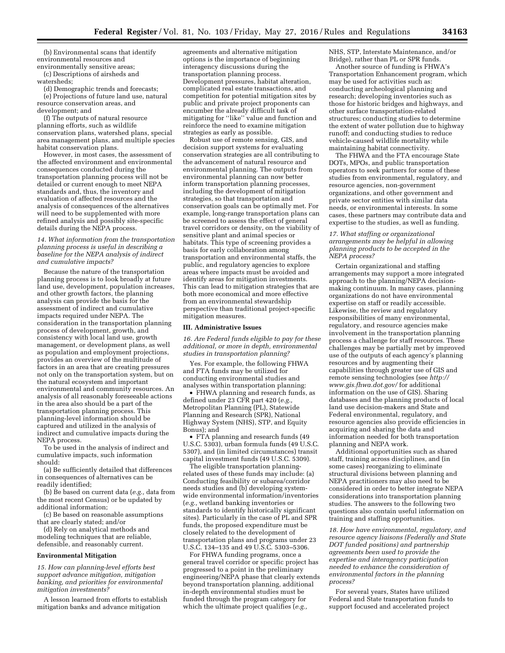(b) Environmental scans that identify environmental resources and environmentally sensitive areas;

(c) Descriptions of airsheds and

watersheds;

(d) Demographic trends and forecasts; (e) Projections of future land use, natural resource conservation areas, and development; and

(f) The outputs of natural resource planning efforts, such as wildlife conservation plans, watershed plans, special area management plans, and multiple species habitat conservation plans.

However, in most cases, the assessment of the affected environment and environmental consequences conducted during the transportation planning process will not be detailed or current enough to meet NEPA standards and, thus, the inventory and evaluation of affected resources and the analysis of consequences of the alternatives will need to be supplemented with more refined analysis and possibly site-specific details during the NEPA process.

### *14. What information from the transportation planning process is useful in describing a baseline for the NEPA analysis of indirect and cumulative impacts?*

Because the nature of the transportation planning process is to look broadly at future land use, development, population increases, and other growth factors, the planning analysis can provide the basis for the assessment of indirect and cumulative impacts required under NEPA. The consideration in the transportation planning process of development, growth, and consistency with local land use, growth management, or development plans, as well as population and employment projections, provides an overview of the multitude of factors in an area that are creating pressures not only on the transportation system, but on the natural ecosystem and important environmental and community resources. An analysis of all reasonably foreseeable actions in the area also should be a part of the transportation planning process. This planning-level information should be captured and utilized in the analysis of indirect and cumulative impacts during the NEPA process.

To be used in the analysis of indirect and cumulative impacts, such information should:

(a) Be sufficiently detailed that differences in consequences of alternatives can be readily identified;

(b) Be based on current data (*e.g.,* data from the most recent Census) or be updated by additional information;

(c) Be based on reasonable assumptions that are clearly stated; and/or

(d) Rely on analytical methods and modeling techniques that are reliable, defensible, and reasonably current.

#### **Environmental Mitigation**

*15. How can planning-level efforts best support advance mitigation, mitigation banking, and priorities for environmental mitigation investments?* 

A lesson learned from efforts to establish mitigation banks and advance mitigation

agreements and alternative mitigation options is the importance of beginning interagency discussions during the transportation planning process. Development pressures, habitat alteration, complicated real estate transactions, and competition for potential mitigation sites by public and private project proponents can encumber the already difficult task of mitigating for ''like'' value and function and reinforce the need to examine mitigation strategies as early as possible.

Robust use of remote sensing, GIS, and decision support systems for evaluating conservation strategies are all contributing to the advancement of natural resource and environmental planning. The outputs from environmental planning can now better inform transportation planning processes, including the development of mitigation strategies, so that transportation and conservation goals can be optimally met. For example, long-range transportation plans can be screened to assess the effect of general travel corridors or density, on the viability of sensitive plant and animal species or habitats. This type of screening provides a basis for early collaboration among transportation and environmental staffs, the public, and regulatory agencies to explore areas where impacts must be avoided and identify areas for mitigation investments. This can lead to mitigation strategies that are both more economical and more effective from an environmental stewardship perspective than traditional project-specific mitigation measures.

#### **III. Administrative Issues**

*16. Are Federal funds eligible to pay for these additional, or more in depth, environmental studies in transportation planning?* 

Yes. For example, the following FHWA and FTA funds may be utilized for conducting environmental studies and analyses within transportation planning:

• FHWA planning and research funds, as defined under 23 CFR part 420 (*e.g.,*  Metropolitan Planning (PL), Statewide Planning and Research (SPR), National Highway System (NHS), STP, and Equity Bonus); and

• FTA planning and research funds (49 U.S.C. 5303), urban formula funds (49 U.S.C. 5307), and (in limited circumstances) transit capital investment funds (49 U.S.C. 5309).

The eligible transportation planningrelated uses of these funds may include: (a) Conducting feasibility or subarea/corridor needs studies and (b) developing systemwide environmental information/inventories (*e.g.,* wetland banking inventories or standards to identify historically significant sites). Particularly in the case of PL and SPR funds, the proposed expenditure must be closely related to the development of transportation plans and programs under 23 U.S.C. 134–135 and 49 U.S.C. 5303–5306.

For FHWA funding programs, once a general travel corridor or specific project has progressed to a point in the preliminary engineering/NEPA phase that clearly extends beyond transportation planning, additional in-depth environmental studies must be funded through the program category for which the ultimate project qualifies (*e.g.,* 

NHS, STP, Interstate Maintenance, and/or Bridge), rather than PL or SPR funds.

Another source of funding is FHWA's Transportation Enhancement program, which may be used for activities such as: conducting archeological planning and research; developing inventories such as those for historic bridges and highways, and other surface transportation-related structures; conducting studies to determine the extent of water pollution due to highway runoff; and conducting studies to reduce vehicle-caused wildlife mortality while maintaining habitat connectivity.

The FHWA and the FTA encourage State DOTs, MPOs, and public transportation operators to seek partners for some of these studies from environmental, regulatory, and resource agencies, non-government organizations, and other government and private sector entities with similar data needs, or environmental interests. In some cases, these partners may contribute data and expertise to the studies, as well as funding.

### *17. What staffing or organizational arrangements may be helpful in allowing planning products to be accepted in the NEPA process?*

Certain organizational and staffing arrangements may support a more integrated approach to the planning/NEPA decisionmaking continuum. In many cases, planning organizations do not have environmental expertise on staff or readily accessible. Likewise, the review and regulatory responsibilities of many environmental, regulatory, and resource agencies make involvement in the transportation planning process a challenge for staff resources. These challenges may be partially met by improved use of the outputs of each agency's planning resources and by augmenting their capabilities through greater use of GIS and remote sensing technologies (see *[http://](http://www.gis.fhwa.dot.gov/) [www.gis.fhwa.dot.gov/](http://www.gis.fhwa.dot.gov/)* for additional information on the use of GIS). Sharing databases and the planning products of local land use decision-makers and State and Federal environmental, regulatory, and resource agencies also provide efficiencies in acquiring and sharing the data and information needed for both transportation planning and NEPA work.

Additional opportunities such as shared staff, training across disciplines, and (in some cases) reorganizing to eliminate structural divisions between planning and NEPA practitioners may also need to be considered in order to better integrate NEPA considerations into transportation planning studies. The answers to the following two questions also contain useful information on training and staffing opportunities.

*18. How have environmental, regulatory, and resource agency liaisons (Federally and State DOT funded positions) and partnership agreements been used to provide the expertise and interagency participation needed to enhance the consideration of environmental factors in the planning process?* 

For several years, States have utilized Federal and State transportation funds to support focused and accelerated project